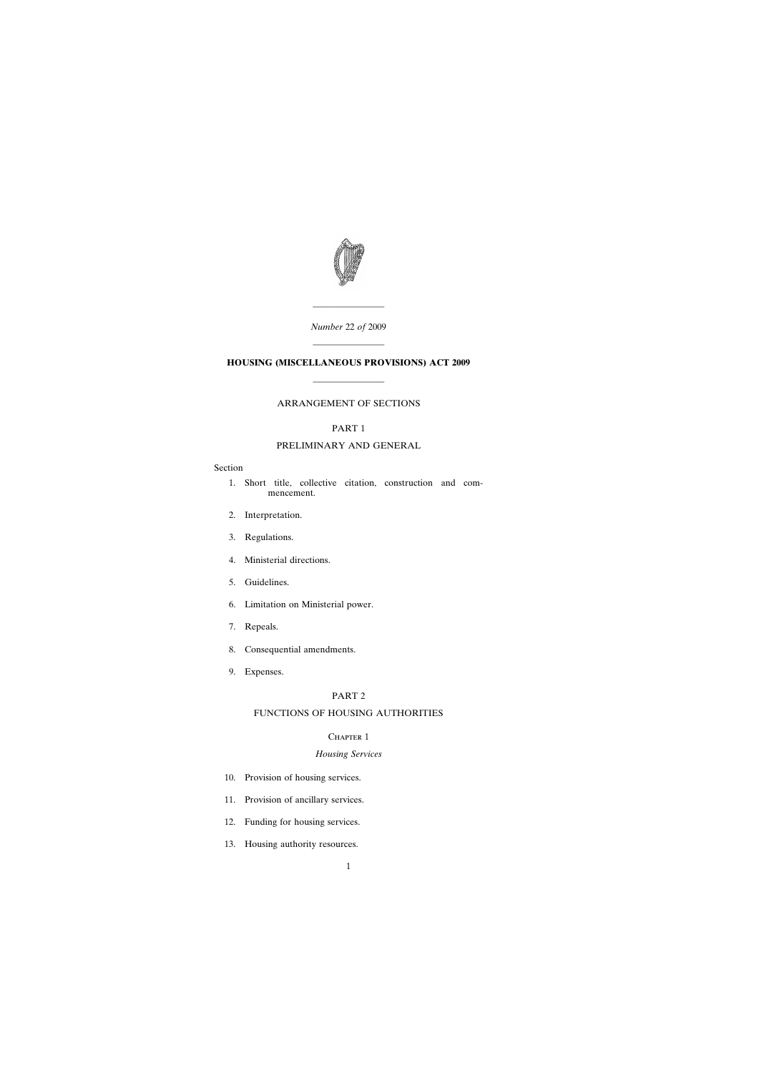

*Number* 22 *of* 2009

————————

# ———————— **HOUSING (MISCELLANEOUS PROVISIONS) ACT 2009**

————————

## ARRANGEMENT OF SECTIONS

## PART 1

## PRELIMINARY AND GENERAL

## Section

- [1. Short title, collective citation, construction and com](#page-7-0)mencement.
- [2. Interpretation.](#page-7-0)
- [3. Regulations.](#page-9-0)
- [4. Ministerial directions.](#page-10-0)
- [5. Guidelines.](#page-10-0)
- [6. Limitation on Ministerial power.](#page-10-0)
- [7. Repeals.](#page-10-0)
- [8. Consequential amendments.](#page-10-0)
- [9. Expenses.](#page-11-0)

## PART 2

## FUNCTIONS OF HOUSING AUTHORITIES

## CHAPTER 1

## *Housing Services*

- [10. Provision of housing services.](#page-11-0)
- [11. Provision of ancillary services.](#page-12-0)
- [12. Funding for housing services.](#page-12-0)
- [13. Housing authority resources.](#page-14-0)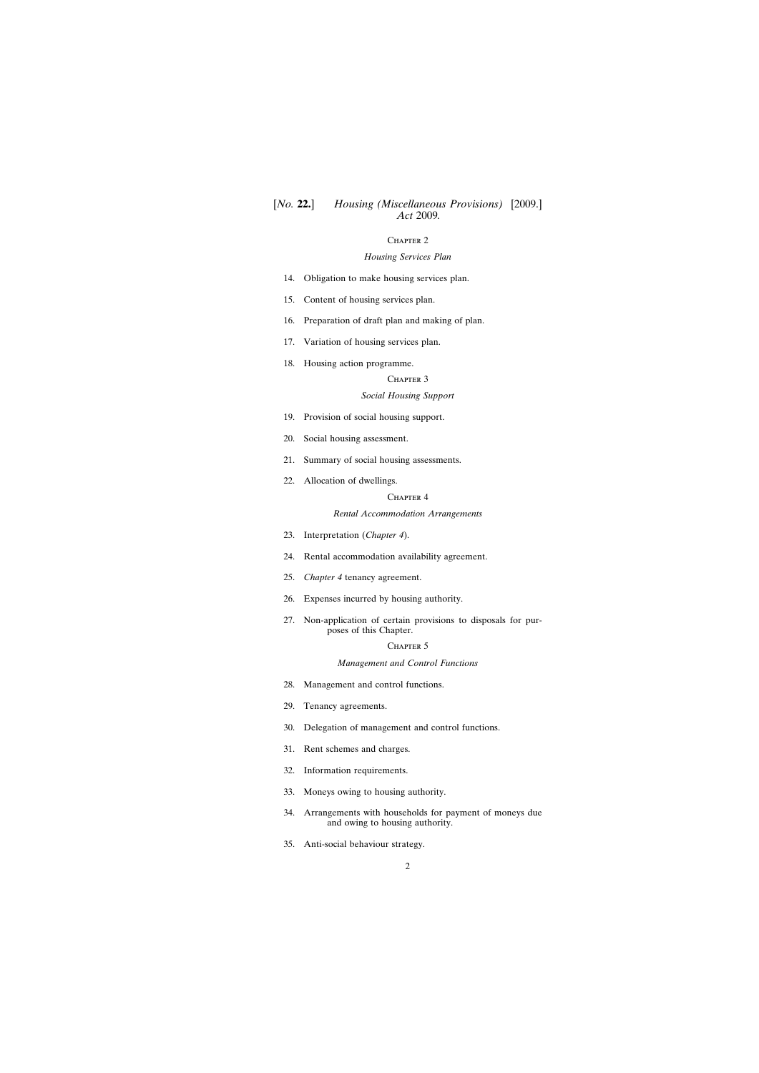## [*No.* **22.**] *Housing (Miscellaneous Provisions)* [2009.] *Act* 2009*.*

## CHAPTER<sub>2</sub>

### *Housing Services Plan*

- [14. Obligation to make housing services plan.](#page-14-0)
- [15. Content of housing services plan.](#page-15-0)
- [16. Preparation of draft plan and making of plan.](#page-16-0)
- [17. Variation of housing services plan.](#page-17-0)
- [18. Housing action programme.](#page-17-0)

### CHAPTER 3

### *Social Housing Support*

- [19. Provision of social housing support.](#page-18-0)
- [20. Social housing assessment.](#page-19-0)
- [21. Summary of social housing assessments.](#page-21-0)
- [22. Allocation of dwellings.](#page-21-0)

### CHAPTER 4

#### *Rental Accommodation Arrangements*

- [23. Interpretation \(](#page-24-0)*Chapter 4*).
- [24. Rental accommodation availability agreement.](#page-24-0)
- 25. *Chapter 4* [tenancy agreement.](#page-27-0)
- [26. Expenses incurred by housing authority.](#page-29-0)
- [27. Non-application of certain provisions to disposals for pur](#page-29-0)poses of this Chapter.

### CHAPTER 5

#### *Management and Control Functions*

- [28. Management and control functions.](#page-29-0)
- [29. Tenancy agreements.](#page-30-0)
- [30. Delegation of management and control functions.](#page-31-0)
- [31. Rent schemes and charges.](#page-33-0)
- [32. Information requirements.](#page-34-0)
- [33. Moneys owing to housing authority.](#page-37-0)
- [34. Arrangements with households for payment of moneys due](#page-38-0) and owing to housing authority.
- [35. Anti-social behaviour strategy.](#page-38-0)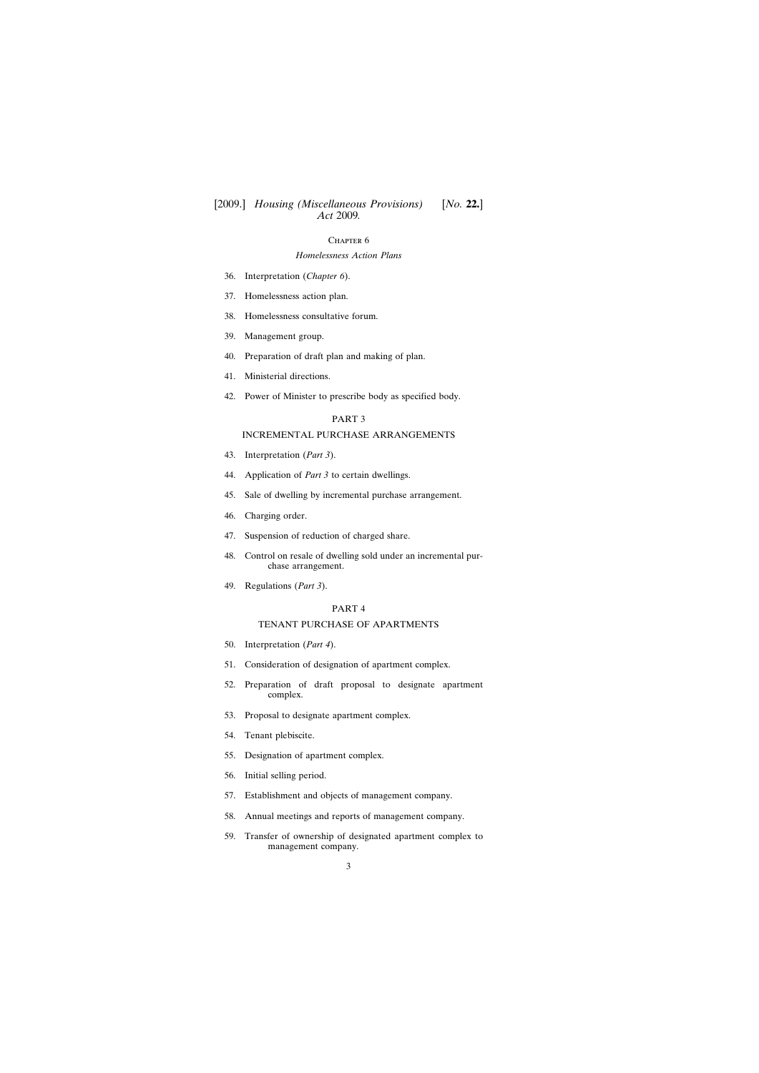## CHAPTER 6

## *Homelessness Action Plans*

- [36. Interpretation \(](#page-39-0)*Chapter 6*).
- [37. Homelessness action plan.](#page-40-0)
- [38. Homelessness consultative forum.](#page-41-0)
- [39. Management group.](#page-43-0)
- [40. Preparation of draft plan and making of plan.](#page-44-0)
- [41. Ministerial directions.](#page-46-0)
- [42. Power of Minister to prescribe body as specified body.](#page-47-0)

### PART 3

## INCREMENTAL PURCHASE ARRANGEMENTS

- [43. Interpretation \(](#page-47-0)*Part 3*).
- 44. Application of *Part 3* [to certain dwellings.](#page-48-0)
- [45. Sale of dwelling by incremental purchase arrangement.](#page-49-0)
- [46. Charging order.](#page-50-0)
- [47. Suspension of reduction of charged share.](#page-52-0)
- [48. Control on resale of dwelling sold under an incremental pur](#page-54-0)chase arrangement.
- [49. Regulations \(](#page-55-0)*Part 3*).

### PART 4

## TENANT PURCHASE OF APARTMENTS

- [50. Interpretation \(](#page-56-0)*Part 4*).
- [51. Consideration of designation of apartment complex.](#page-59-0)
- [52. Preparation of draft proposal to designate apartment](#page-60-0) complex.
- [53. Proposal to designate apartment complex.](#page-61-0)
- [54. Tenant plebiscite.](#page-62-0)
- [55. Designation of apartment complex.](#page-63-0)
- [56. Initial selling period.](#page-64-0)
- [57. Establishment and objects of management company.](#page-65-0)
- [58. Annual meetings and reports of management company.](#page-66-0)
- [59. Transfer of ownership of designated apartment complex to](#page-67-0) management company.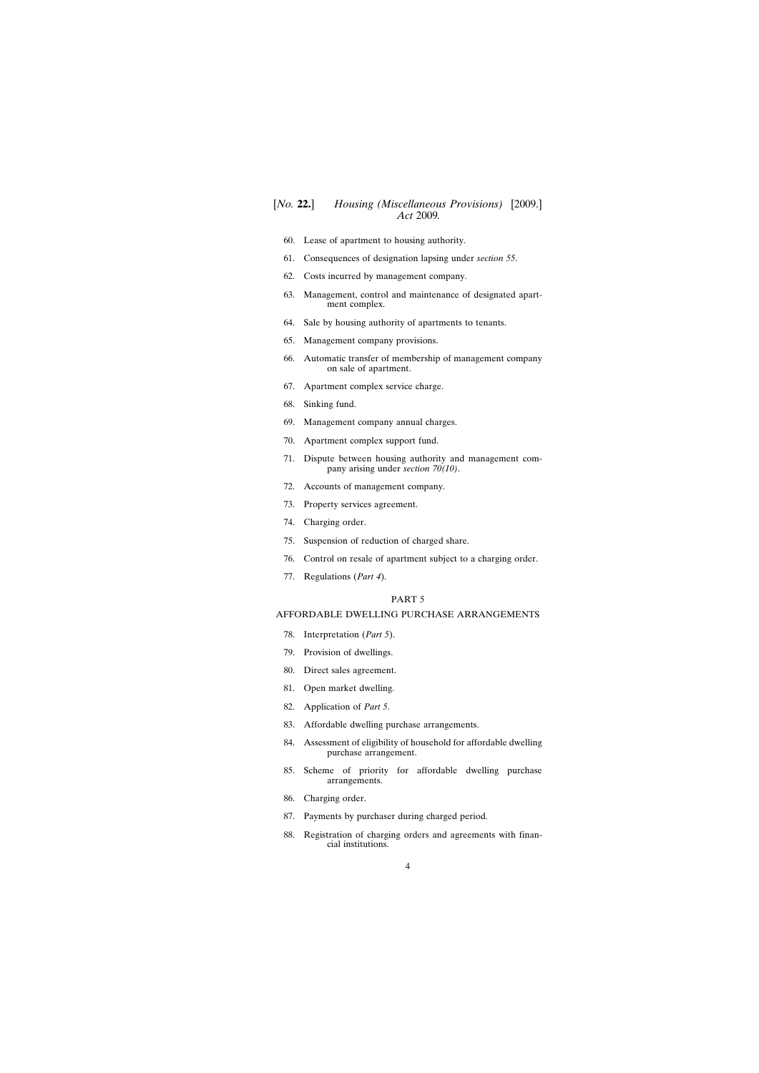- [60. Lease of apartment to housing authority.](#page-68-0)
- [61. Consequences of designation lapsing under](#page-69-0) *section 55*.
- [62. Costs incurred by management company.](#page-70-0)
- [63. Management, control and maintenance of designated apart](#page-70-0)ment complex.
- [64. Sale by housing authority of apartments to tenants.](#page-70-0)
- [65. Management company provisions.](#page-73-0)
- [66. Automatic transfer of membership of management company](#page-74-0) on sale of apartment.
- [67. Apartment complex service charge.](#page-74-0)
- [68. Sinking fund.](#page-77-0)
- [69. Management company annual charges.](#page-78-0)
- [70. Apartment complex support fund.](#page-79-0)
- [71. Dispute between housing authority and management com](#page-83-0)pany arising under *section 70(10)*.
- [72. Accounts of management company.](#page-83-0)
- [73. Property services agreement.](#page-84-0)
- [74. Charging order.](#page-84-0)
- [75. Suspension of reduction of charged share.](#page-87-0)
- [76. Control on resale of apartment subject to a charging order.](#page-88-0)
- [77. Regulations \(](#page-89-0)*Part 4*).

### PART 5

## AFFORDABLE DWELLING PURCHASE ARRANGEMENTS

- [78. Interpretation \(](#page-90-0)*Part 5*).
- [79. Provision of dwellings.](#page-91-0)
- [80. Direct sales agreement.](#page-92-0)
- [81. Open market dwelling.](#page-93-0)
- [82. Application of](#page-93-0) *Part 5*.
- [83. Affordable dwelling purchase arrangements.](#page-93-0)
- [84. Assessment of eligibility of household for affordable dwelling](#page-95-0) purchase arrangement.
- [85. Scheme of priority for affordable dwelling purchase](#page-97-0) arrangements.
- [86. Charging order.](#page-99-0)
- [87. Payments by purchaser during charged period.](#page-99-0)
- [88. Registration of charging orders and agreements with finan](#page-101-0)cial institutions.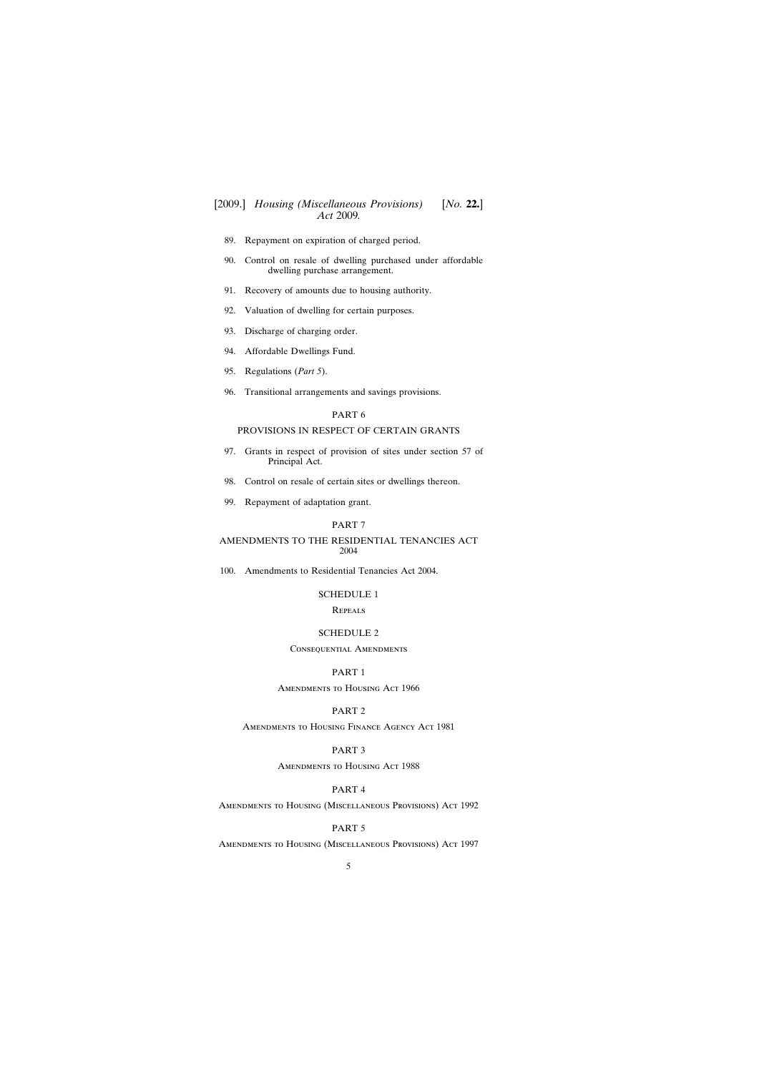- [89. Repayment on expiration of charged period.](#page-102-0)
- [90. Control on resale of dwelling purchased under affordable](#page-102-0) dwelling purchase arrangement.
- [91. Recovery of amounts due to housing authority.](#page-102-0)
- [92. Valuation of dwelling for certain purposes.](#page-102-0)
- [93. Discharge of charging order.](#page-103-0)
- [94. Affordable Dwellings Fund.](#page-103-0)
- [95. Regulations \(](#page-104-0)*Part 5*).
- [96. Transitional arrangements and savings provisions.](#page-105-0)

### PART 6

## PROVISIONS IN RESPECT OF CERTAIN GRANTS

- [97. Grants in respect of provision of sites under section 57 of](#page-106-0) Principal Act.
- [98. Control on resale of certain sites or dwellings thereon.](#page-108-0)
- [99. Repayment of adaptation grant.](#page-110-0)

## PART 7

AMENDMENTS TO THE RESIDENTIAL TENANCIES ACT 2004

[100. Amendments to Residential Tenancies Act 2004.](#page-111-0)

#### [SCHEDULE 1](#page-114-0)

**REPEALS** 

### [SCHEDULE 2](#page-114-0)

## CONSEQUENTIAL AMENDMENTS

## PART 1

Amendments to Housing Act 1966

### PART 2

Amendments to Housing Finance Agency Act 1981

## PART 3

Amendments to Housing Act 1988

## PART 4

Amendments to Housing (Miscellaneous Provisions) Act 1992

### PART 5

Amendments to Housing (Miscellaneous Provisions) Act 1997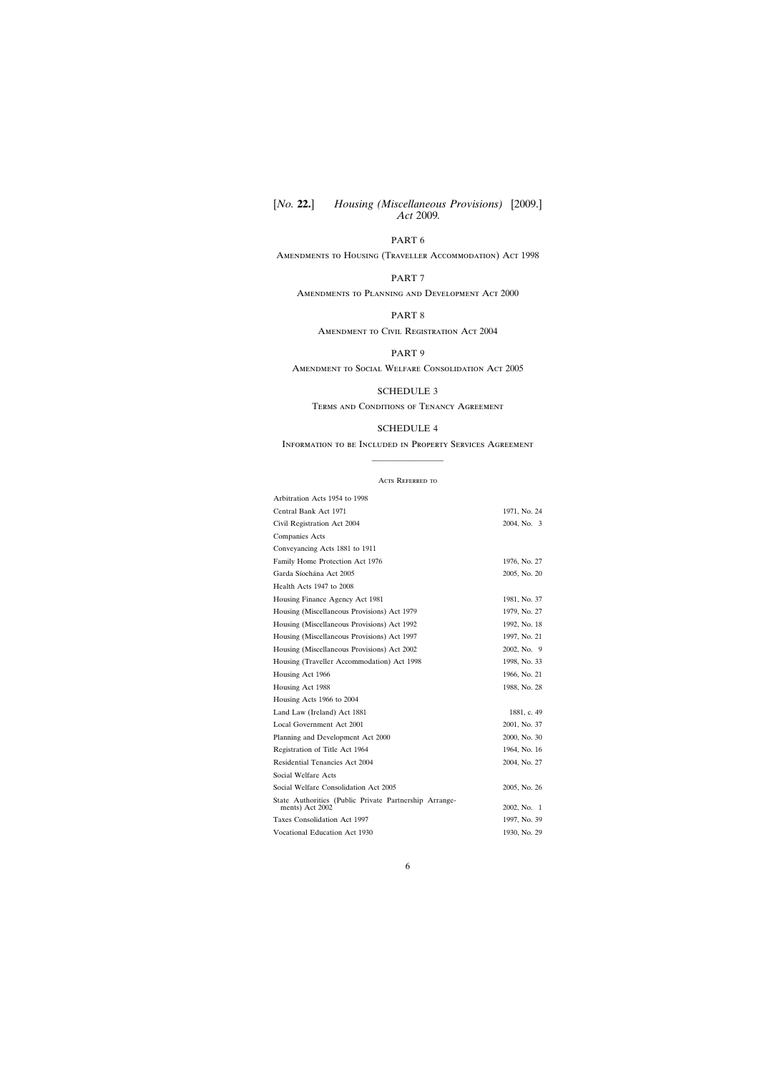[*No.* **22.**] [2009.] *Housing (Miscellaneous Provisions) Act* 2009*.*

## PART 6

Amendments to Housing (Traveller Accommodation) Act 1998

## PART 7

Amendments to Planning and Development Act 2000

## PART 8

Amendment to Civil Registration Act 2004

## PART 9

Amendment to Social Welfare Consolidation Act 2005

## [SCHEDULE 3](#page-128-0)

Terms and Conditions of Tenancy Agreement

## [SCHEDULE 4](#page-129-0)

# Information to be Included in Property Services Agreement ————————

#### Acts Referred to

| Arbitration Acts 1954 to 1998                                             |              |
|---------------------------------------------------------------------------|--------------|
| Central Bank Act 1971                                                     | 1971, No. 24 |
| Civil Registration Act 2004                                               | 2004, No. 3  |
| <b>Companies Acts</b>                                                     |              |
| Conveyancing Acts 1881 to 1911                                            |              |
| Family Home Protection Act 1976                                           | 1976, No. 27 |
| Garda Síochána Act 2005                                                   | 2005, No. 20 |
| Health Acts 1947 to 2008                                                  |              |
| Housing Finance Agency Act 1981                                           | 1981, No. 37 |
| Housing (Miscellaneous Provisions) Act 1979                               | 1979, No. 27 |
| Housing (Miscellaneous Provisions) Act 1992                               | 1992, No. 18 |
| Housing (Miscellaneous Provisions) Act 1997                               | 1997, No. 21 |
| Housing (Miscellaneous Provisions) Act 2002                               | 2002, No. 9  |
| Housing (Traveller Accommodation) Act 1998                                | 1998, No. 33 |
| Housing Act 1966                                                          | 1966, No. 21 |
| Housing Act 1988                                                          | 1988, No. 28 |
| Housing Acts 1966 to 2004                                                 |              |
| Land Law (Ireland) Act 1881                                               | 1881, c. 49  |
| Local Government Act 2001                                                 | 2001, No. 37 |
| Planning and Development Act 2000                                         | 2000, No. 30 |
| Registration of Title Act 1964                                            | 1964, No. 16 |
| <b>Residential Tenancies Act 2004</b>                                     | 2004, No. 27 |
| Social Welfare Acts                                                       |              |
| Social Welfare Consolidation Act 2005                                     | 2005, No. 26 |
| State Authorities (Public Private Partnership Arrange-<br>ments) Act 2002 | 2002, No. 1  |
| Taxes Consolidation Act 1997                                              | 1997, No. 39 |
| Vocational Education Act 1930                                             | 1930, No. 29 |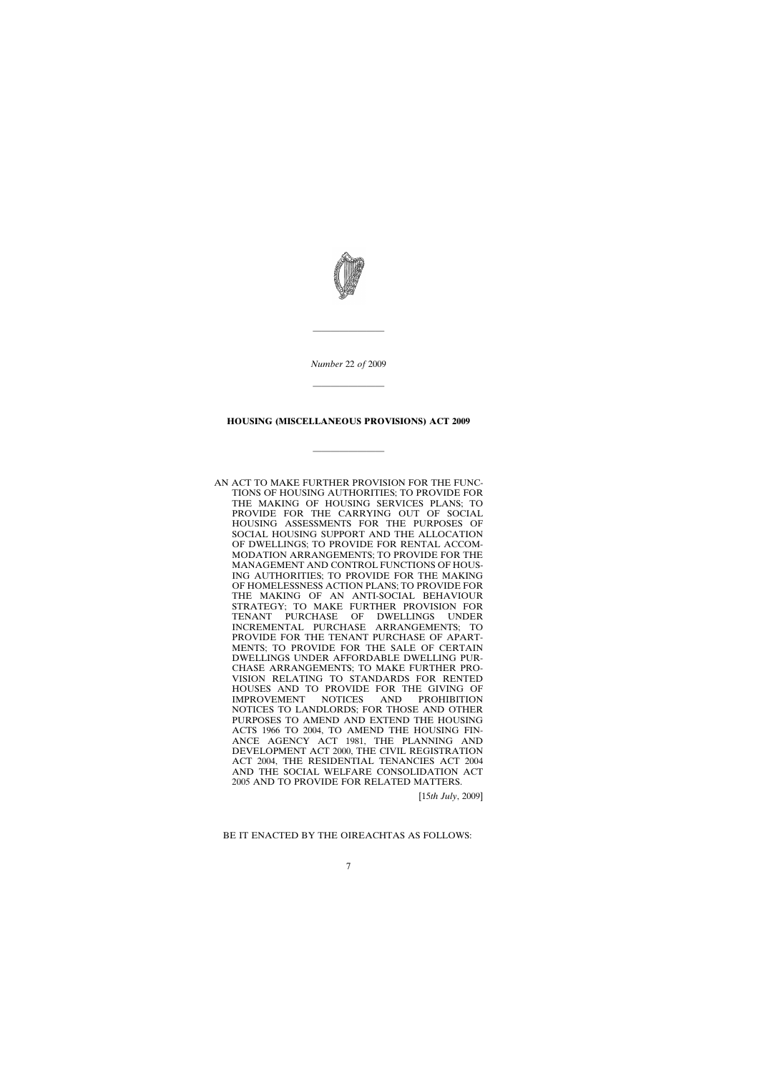

*Number* 22 *of* 2009

————————

————————

## **HOUSING (MISCELLANEOUS PROVISIONS) ACT 2009**

————————

AN ACT TO MAKE FURTHER PROVISION FOR THE FUNC-TIONS OF HOUSING AUTHORITIES; TO PROVIDE FOR THE MAKING OF HOUSING SERVICES PLANS; TO PROVIDE FOR THE CARRYING OUT OF SOCIAL HOUSING ASSESSMENTS FOR THE PURPOSES OF SOCIAL HOUSING SUPPORT AND THE ALLOCATION OF DWELLINGS; TO PROVIDE FOR RENTAL ACCOM-MODATION ARRANGEMENTS; TO PROVIDE FOR THE MANAGEMENT AND CONTROL FUNCTIONS OF HOUS-ING AUTHORITIES; TO PROVIDE FOR THE MAKING OF HOMELESSNESS ACTION PLANS; TO PROVIDE FOR THE MAKING OF AN ANTI-SOCIAL BEHAVIOUR STRATEGY; TO MAKE FURTHER PROVISION FOR TENANT PURCHASE OF DWELLINGS UNDER INCREMENTAL PURCHASE ARRANGEMENTS; TO PROVIDE FOR THE TENANT PURCHASE OF APART-MENTS; TO PROVIDE FOR THE SALE OF CERTAIN DWELLINGS UNDER AFFORDABLE DWELLING PUR-CHASE ARRANGEMENTS; TO MAKE FURTHER PRO-VISION RELATING TO STANDARDS FOR RENTED HOUSES AND TO PROVIDE FOR THE GIVING OF IMPROVEMENT NOTICES AND PROHIBITION NOTICES TO LANDLORDS; FOR THOSE AND OTHER PURPOSES TO AMEND AND EXTEND THE HOUSING ACTS 1966 TO 2004, TO AMEND THE HOUSING FIN-ANCE AGENCY ACT 1981, THE PLANNING AND DEVELOPMENT ACT 2000, THE CIVIL REGISTRATION ACT 2004, THE RESIDENTIAL TENANCIES ACT 2004 AND THE SOCIAL WELFARE CONSOLIDATION ACT 2005 AND TO PROVIDE FOR RELATED MATTERS.

[15*th July*, 2009]

### BE IT ENACTED BY THE OIREACHTAS AS FOLLOWS: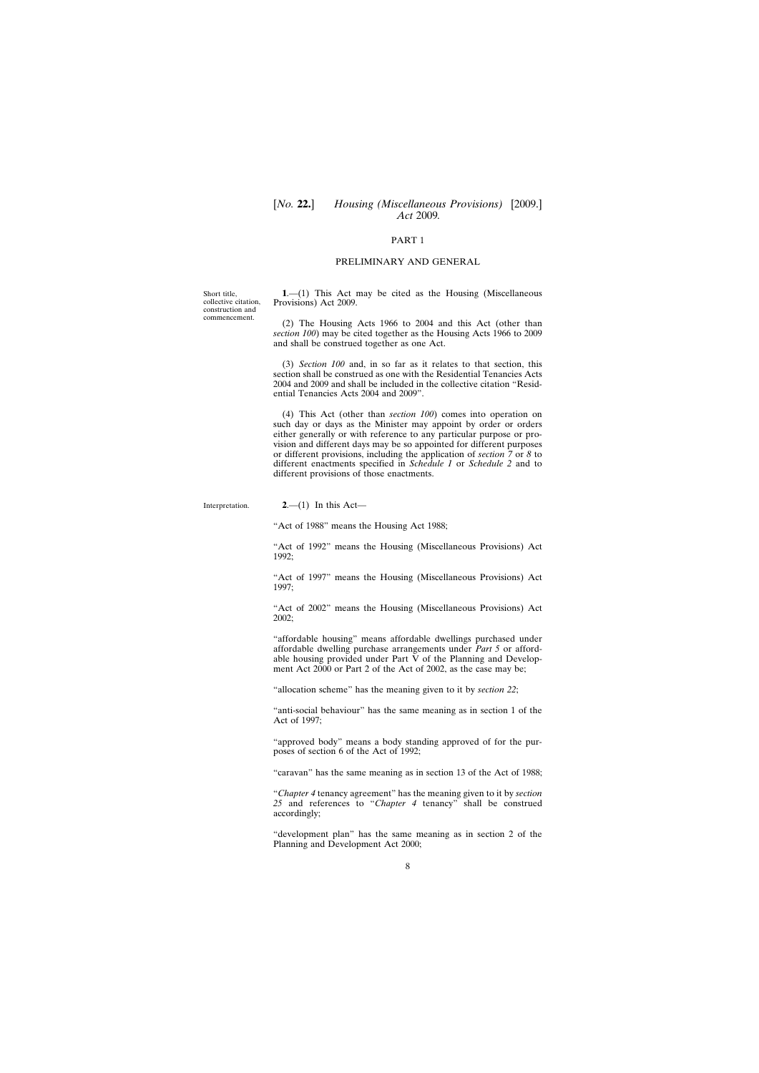[*No.* **22.**] *Housing (Miscellaneous Provisions)* [2009.] *Act* 2009*.*

## PART 1

#### PRELIMINARY AND GENERAL

**1**.—(1) This Act may be cited as the Housing (Miscellaneous Provisions) Act 2009.

(2) The Housing Acts 1966 to 2004 and this Act (other than *section 100*) may be cited together as the Housing Acts 1966 to 2009 and shall be construed together as one Act.

(3) *Section 100* and, in so far as it relates to that section, this section shall be construed as one with the Residential Tenancies Acts 2004 and 2009 and shall be included in the collective citation "Residential Tenancies Acts 2004 and 2009".

(4) This Act (other than *section 100*) comes into operation on such day or days as the Minister may appoint by order or orders either generally or with reference to any particular purpose or provision and different days may be so appointed for different purposes or different provisions, including the application of *section 7* or *8* to different enactments specified in *Schedule 1* or *Schedule 2* and to different provisions of those enactments.

**2**.—(1) In this Act—

"Act of 1988" means the Housing Act 1988;

"Act of 1992" means the Housing (Miscellaneous Provisions) Act 1992;

"Act of 1997" means the Housing (Miscellaneous Provisions) Act 1997;

"Act of 2002" means the Housing (Miscellaneous Provisions) Act 2002;

"affordable housing" means affordable dwellings purchased under affordable dwelling purchase arrangements under *Part 5* or affordable housing provided under Part V of the Planning and Development Act 2000 or Part 2 of the Act of 2002, as the case may be;

"allocation scheme" has the meaning given to it by *section 22*;

"anti-social behaviour" has the same meaning as in section 1 of the Act of 1997;

"approved body" means a body standing approved of for the purposes of section 6 of the Act of 1992;

"caravan" has the same meaning as in section 13 of the Act of 1988;

"*Chapter 4* tenancy agreement" has the meaning given to it by *section 25* and references to "*Chapter 4* tenancy" shall be construed accordingly;

"development plan" has the same meaning as in section 2 of the Planning and Development Act 2000;

8

<span id="page-7-0"></span>Short title, collective citation, construction and commencement.

Interpretation.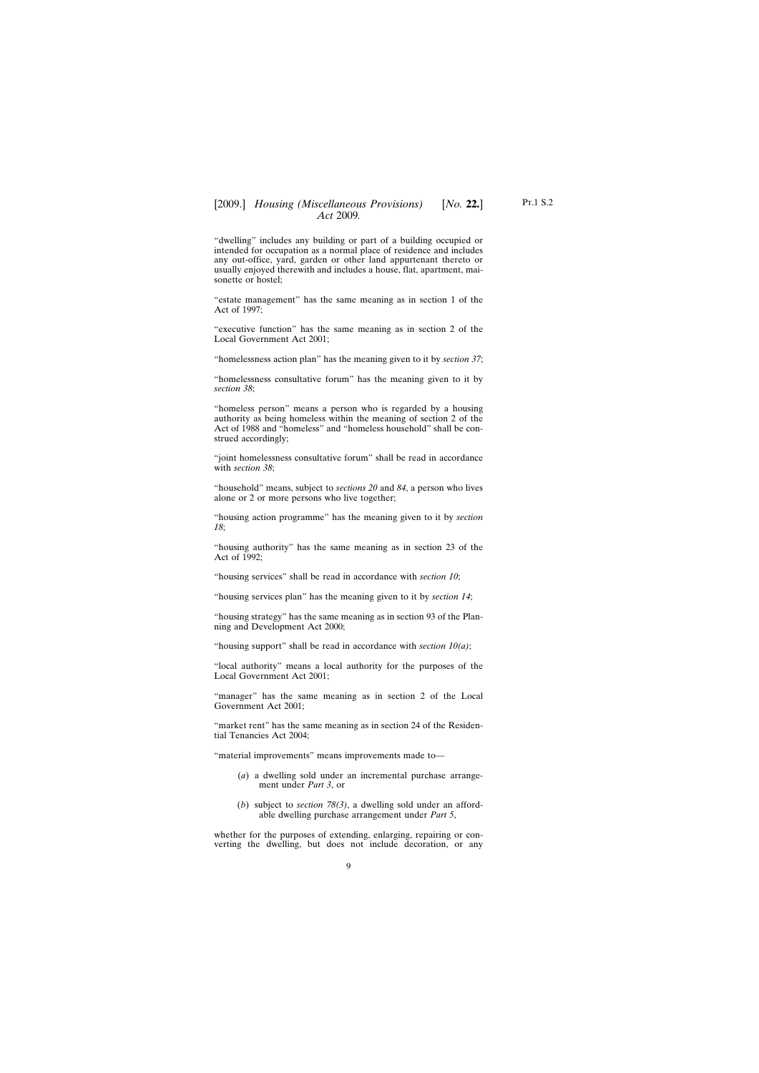"dwelling" includes any building or part of a building occupied or intended for occupation as a normal place of residence and includes any out-office, yard, garden or other land appurtenant thereto or usually enjoyed therewith and includes a house, flat, apartment, maisonette or hostel;

"estate management" has the same meaning as in section 1 of the Act of 1997;

"executive function" has the same meaning as in section 2 of the Local Government Act 2001;

"homelessness action plan" has the meaning given to it by *section 37*;

"homelessness consultative forum" has the meaning given to it by *section 38*;

"homeless person" means a person who is regarded by a housing authority as being homeless within the meaning of section 2 of the Act of 1988 and "homeless" and "homeless household" shall be construed accordingly;

"joint homelessness consultative forum" shall be read in accordance with *section 38*;

"household" means, subject to *sections 20* and *84*, a person who lives alone or 2 or more persons who live together;

"housing action programme" has the meaning given to it by *section 18*;

"housing authority" has the same meaning as in section 23 of the Act of 1992;

"housing services" shall be read in accordance with *section 10*;

"housing services plan" has the meaning given to it by *section 14*;

"housing strategy" has the same meaning as in section 93 of the Planning and Development Act 2000;

"housing support" shall be read in accordance with *section 10(a)*;

"local authority" means a local authority for the purposes of the Local Government Act 2001;

"manager" has the same meaning as in section 2 of the Local Government Act 2001;

"market rent" has the same meaning as in section 24 of the Residential Tenancies Act 2004;

"material improvements" means improvements made to—

- (*a*) a dwelling sold under an incremental purchase arrangement under *Part 3*, or
- (*b*) subject to *section 78(3)*, a dwelling sold under an affordable dwelling purchase arrangement under *Part 5*,

whether for the purposes of extending, enlarging, repairing or converting the dwelling, but does not include decoration, or any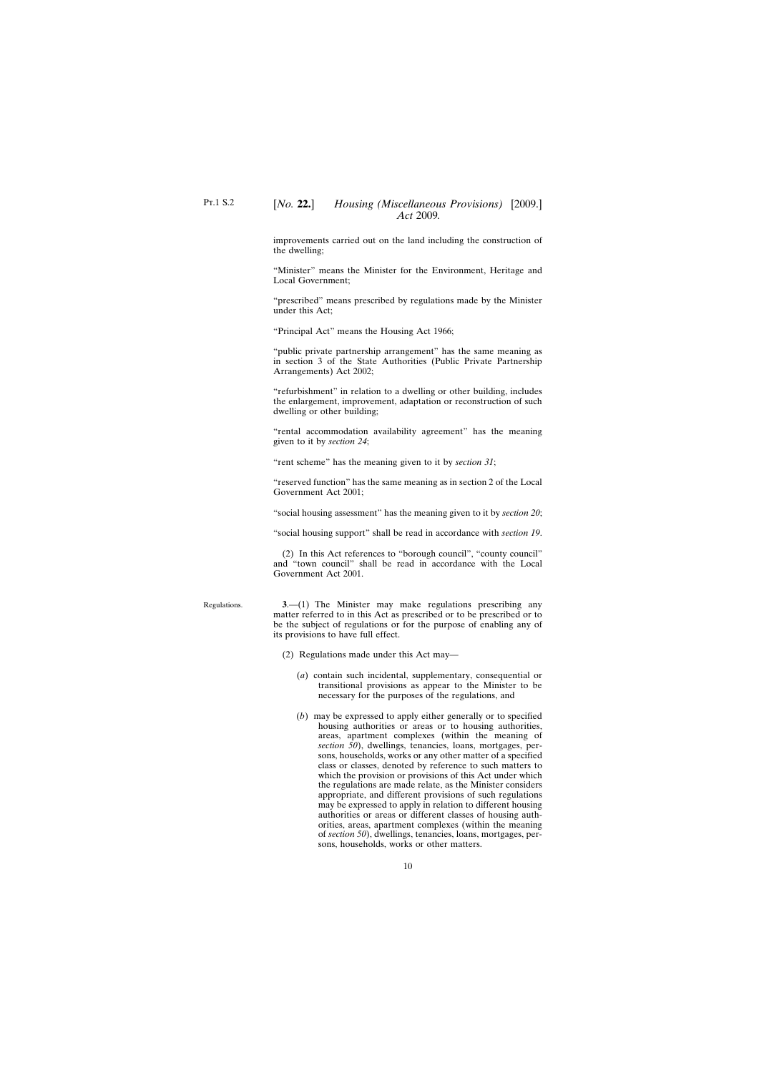<span id="page-9-0"></span>improvements carried out on the land including the construction of the dwelling;

"Minister" means the Minister for the Environment, Heritage and Local Government;

"prescribed" means prescribed by regulations made by the Minister under this Act;

"Principal Act" means the Housing Act 1966;

"public private partnership arrangement" has the same meaning as in section 3 of the State Authorities (Public Private Partnership Arrangements) Act 2002;

"refurbishment" in relation to a dwelling or other building, includes the enlargement, improvement, adaptation or reconstruction of such dwelling or other building;

"rental accommodation availability agreement" has the meaning given to it by *section 24*;

"rent scheme" has the meaning given to it by *section 31*;

"reserved function" has the same meaning as in section 2 of the Local Government Act 2001;

"social housing assessment" has the meaning given to it by *section 20*;

"social housing support" shall be read in accordance with *section 19*.

(2) In this Act references to "borough council", "county council" and "town council" shall be read in accordance with the Local Government Act 2001.

**3**.—(1) The Minister may make regulations prescribing any matter referred to in this Act as prescribed or to be prescribed or to be the subject of regulations or for the purpose of enabling any of its provisions to have full effect.

- (2) Regulations made under this Act may—
	- (*a*) contain such incidental, supplementary, consequential or transitional provisions as appear to the Minister to be necessary for the purposes of the regulations, and
	- (*b*) may be expressed to apply either generally or to specified housing authorities or areas or to housing authorities, areas, apartment complexes (within the meaning of *section 50*), dwellings, tenancies, loans, mortgages, persons, households, works or any other matter of a specified class or classes, denoted by reference to such matters to which the provision or provisions of this Act under which the regulations are made relate, as the Minister considers appropriate, and different provisions of such regulations may be expressed to apply in relation to different housing authorities or areas or different classes of housing authorities, areas, apartment complexes (within the meaning of *section 50*), dwellings, tenancies, loans, mortgages, persons, households, works or other matters.

Regulations.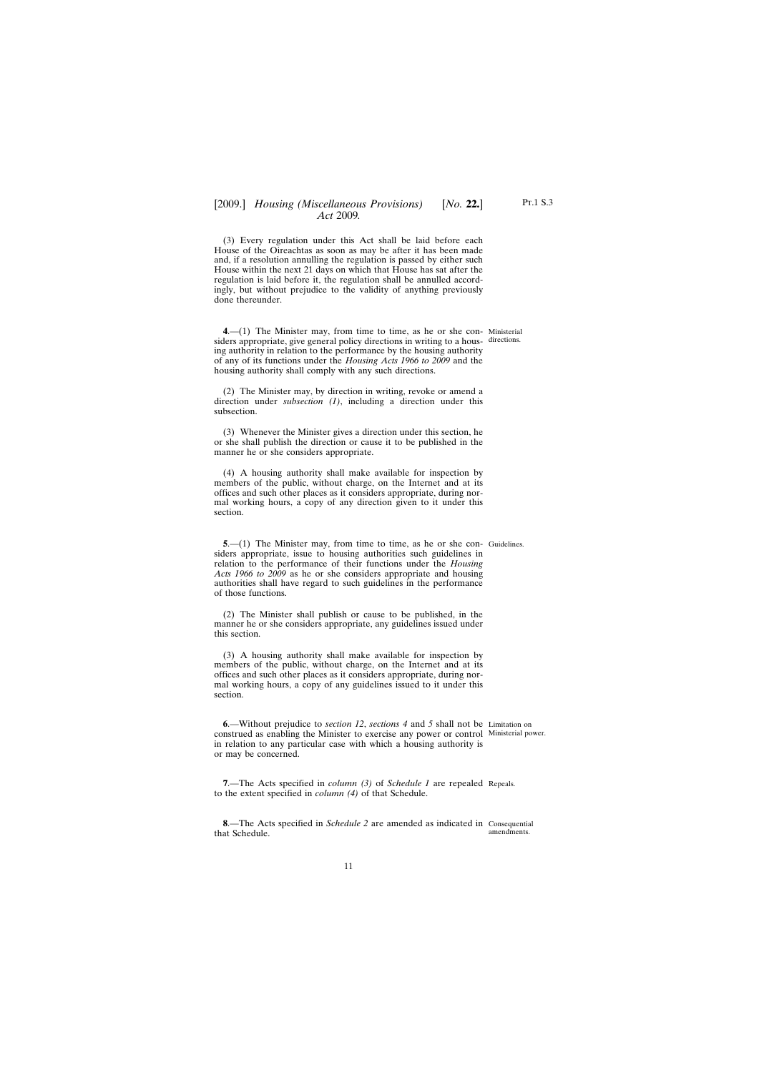<span id="page-10-0"></span>(3) Every regulation under this Act shall be laid before each House of the Oireachtas as soon as may be after it has been made and, if a resolution annulling the regulation is passed by either such House within the next 21 days on which that House has sat after the regulation is laid before it, the regulation shall be annulled accordingly, but without prejudice to the validity of anything previously done thereunder.

**4**.—(1) The Minister may, from time to time, as he or she con-Ministerial siders appropriate, give general policy directions in writing to a hous-directions. ing authority in relation to the performance by the housing authority of any of its functions under the *Housing Acts 1966 to 2009* and the housing authority shall comply with any such directions.

(2) The Minister may, by direction in writing, revoke or amend a direction under *subsection (1)*, including a direction under this subsection.

(3) Whenever the Minister gives a direction under this section, he or she shall publish the direction or cause it to be published in the manner he or she considers appropriate.

(4) A housing authority shall make available for inspection by members of the public, without charge, on the Internet and at its offices and such other places as it considers appropriate, during normal working hours, a copy of any direction given to it under this section.

**5.**—(1) The Minister may, from time to time, as he or she con-Guidelines. siders appropriate, issue to housing authorities such guidelines in relation to the performance of their functions under the *Housing Acts 1966 to 2009* as he or she considers appropriate and housing authorities shall have regard to such guidelines in the performance of those functions.

(2) The Minister shall publish or cause to be published, in the manner he or she considers appropriate, any guidelines issued under this section.

(3) A housing authority shall make available for inspection by members of the public, without charge, on the Internet and at its offices and such other places as it considers appropriate, during normal working hours, a copy of any guidelines issued to it under this section.

**6**.—Without prejudice to *section 12*, *sections 4* and *5* shall not be Limitation on construed as enabling the Minister to exercise any power or control Ministerial power. in relation to any particular case with which a housing authority is or may be concerned.

**7**.—The Acts specified in *column (3)* of *Schedule 1* are repealed Repeals. to the extent specified in *column (4)* of that Schedule.

**8**.—The Acts specified in *Schedule 2* are amended as indicated in Consequential that Schedule. amendments.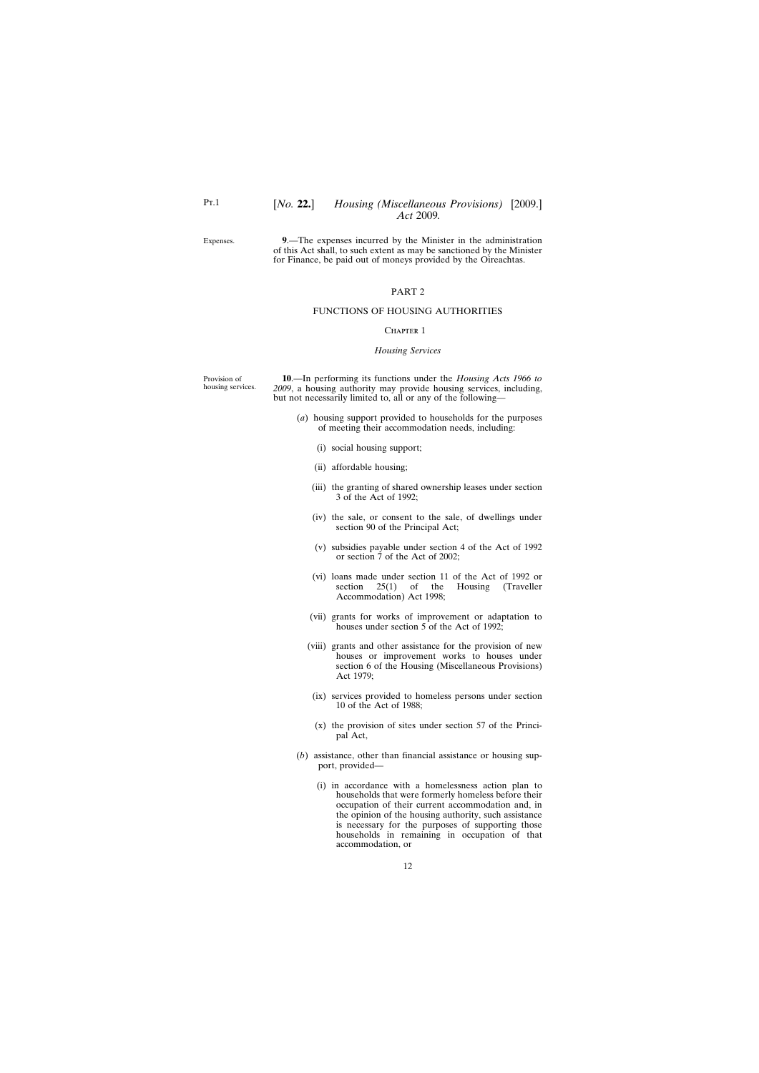## [*No.* **22.**] *Housing (Miscellaneous Provisions)* [2009.] *Act* 2009*.*

<span id="page-11-0"></span>Expenses.

**9**.—The expenses incurred by the Minister in the administration of this Act shall, to such extent as may be sanctioned by the Minister for Finance, be paid out of moneys provided by the Oireachtas.

### PART 2

#### FUNCTIONS OF HOUSING AUTHORITIES

#### CHAPTER 1

#### *Housing Services*

Provision of housing services.

**10**.—In performing its functions under the *Housing Acts 1966 to 2009*, a housing authority may provide housing services, including, but not necessarily limited to, all or any of the following—

- (*a*) housing support provided to households for the purposes of meeting their accommodation needs, including:
	- (i) social housing support;
	- (ii) affordable housing;
	- (iii) the granting of shared ownership leases under section 3 of the Act of 1992;
	- (iv) the sale, or consent to the sale, of dwellings under section 90 of the Principal Act;
	- (v) subsidies payable under section 4 of the Act of 1992 or section 7 of the Act of 2002;
	- (vi) loans made under section 11 of the Act of 1992 or section 25(1) of the Housing (Traveller Accommodation) Act 1998;
	- (vii) grants for works of improvement or adaptation to houses under section 5 of the Act of 1992;
	- (viii) grants and other assistance for the provision of new houses or improvement works to houses under section 6 of the Housing (Miscellaneous Provisions) Act 1979;
	- (ix) services provided to homeless persons under section 10 of the Act of 1988;
	- (x) the provision of sites under section 57 of the Principal Act,
- (*b*) assistance, other than financial assistance or housing support, provided—
	- (i) in accordance with a homelessness action plan to households that were formerly homeless before their occupation of their current accommodation and, in the opinion of the housing authority, such assistance is necessary for the purposes of supporting those households in remaining in occupation of that accommodation, or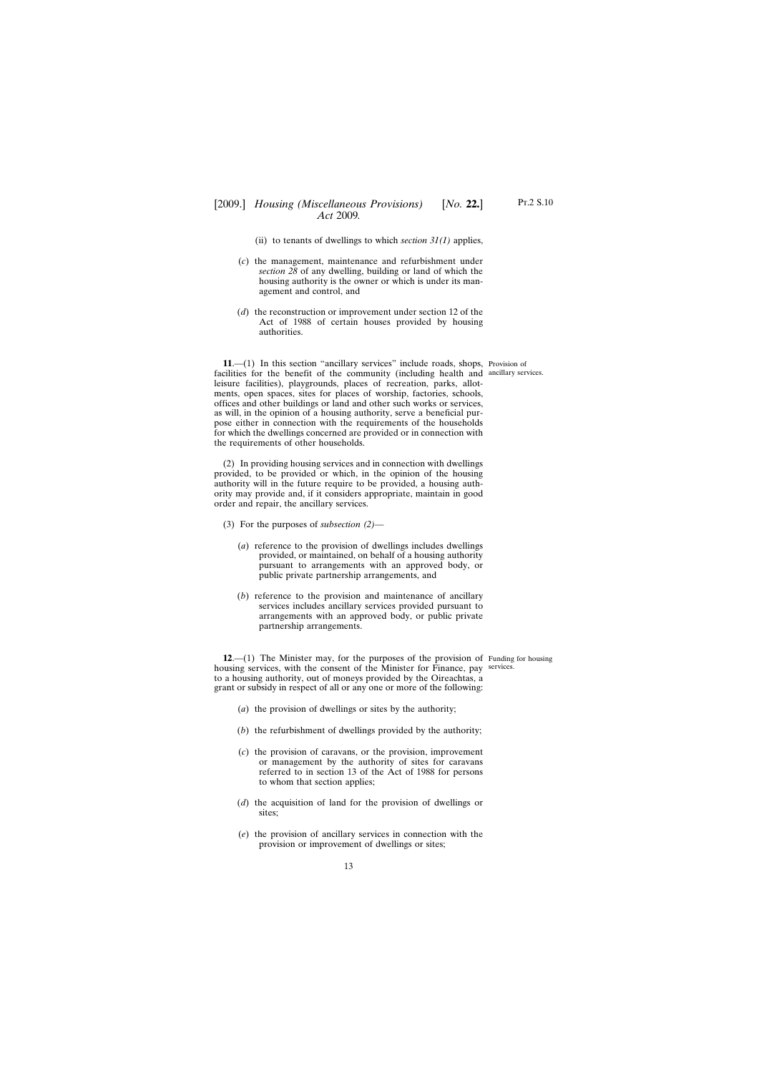- (ii) to tenants of dwellings to which *section*  $31(1)$  applies,
- <span id="page-12-0"></span>(*c*) the management, maintenance and refurbishment under *section 28* of any dwelling, building or land of which the housing authority is the owner or which is under its management and control, and
- (*d*) the reconstruction or improvement under section 12 of the Act of 1988 of certain houses provided by housing authorities.

**11.**—(1) In this section "ancillary services" include roads, shops, Provision of facilities for the benefit of the community (including health and ancillary services. leisure facilities), playgrounds, places of recreation, parks, allotments, open spaces, sites for places of worship, factories, schools, offices and other buildings or land and other such works or services, as will, in the opinion of a housing authority, serve a beneficial purpose either in connection with the requirements of the households for which the dwellings concerned are provided or in connection with the requirements of other households.

(2) In providing housing services and in connection with dwellings provided, to be provided or which, in the opinion of the housing authority will in the future require to be provided, a housing authority may provide and, if it considers appropriate, maintain in good order and repair, the ancillary services.

- (3) For the purposes of *subsection (2)*
	- (*a*) reference to the provision of dwellings includes dwellings provided, or maintained, on behalf of a housing authority pursuant to arrangements with an approved body, or public private partnership arrangements, and
	- (*b*) reference to the provision and maintenance of ancillary services includes ancillary services provided pursuant to arrangements with an approved body, or public private partnership arrangements.

**12**.—(1) The Minister may, for the purposes of the provision of Funding for housing housing services, with the consent of the Minister for Finance, pay services.to a housing authority, out of moneys provided by the Oireachtas, a grant or subsidy in respect of all or any one or more of the following:

- (*a*) the provision of dwellings or sites by the authority;
- (*b*) the refurbishment of dwellings provided by the authority;
- (*c*) the provision of caravans, or the provision, improvement or management by the authority of sites for caravans referred to in section 13 of the Act of 1988 for persons to whom that section applies;
- (*d*) the acquisition of land for the provision of dwellings or sites;
- (*e*) the provision of ancillary services in connection with the provision or improvement of dwellings or sites;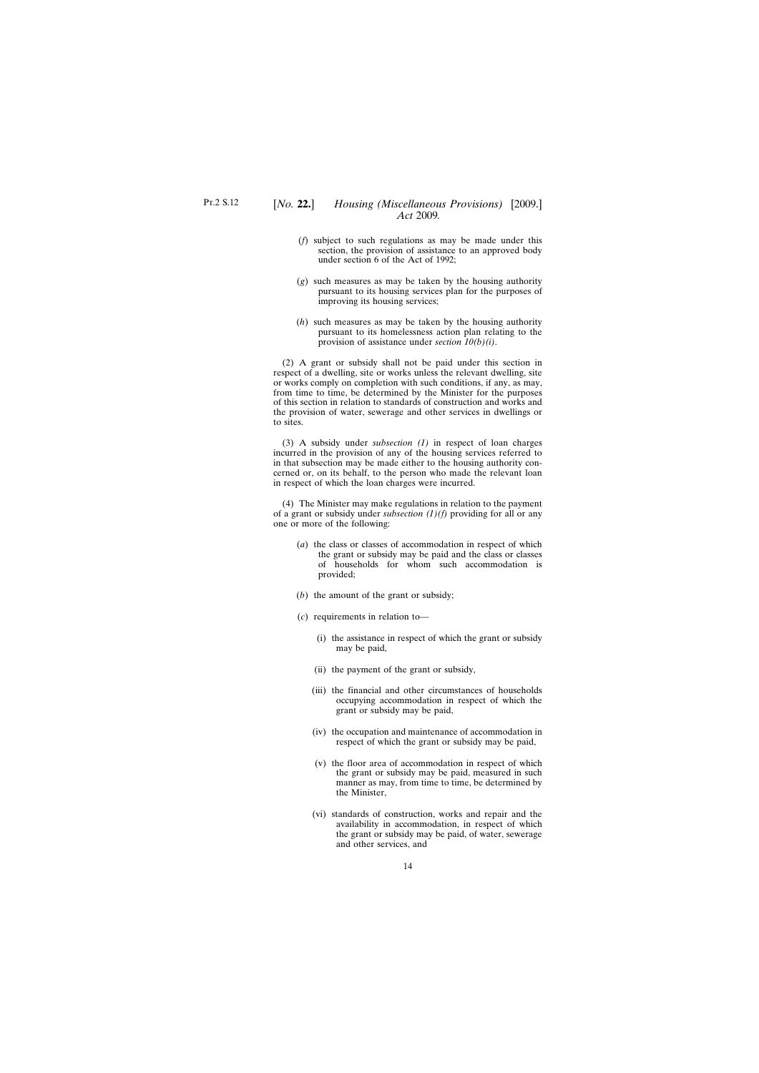- (*f*) subject to such regulations as may be made under this section, the provision of assistance to an approved body under section 6 of the Act of 1992;
- (*g*) such measures as may be taken by the housing authority pursuant to its housing services plan for the purposes of improving its housing services;
- (*h*) such measures as may be taken by the housing authority pursuant to its homelessness action plan relating to the provision of assistance under *section 10(b)(i)*.

(2) A grant or subsidy shall not be paid under this section in respect of a dwelling, site or works unless the relevant dwelling, site or works comply on completion with such conditions, if any, as may, from time to time, be determined by the Minister for the purposes of this section in relation to standards of construction and works and the provision of water, sewerage and other services in dwellings or to sites.

(3) A subsidy under *subsection (1)* in respect of loan charges incurred in the provision of any of the housing services referred to in that subsection may be made either to the housing authority concerned or, on its behalf, to the person who made the relevant loan in respect of which the loan charges were incurred.

(4) The Minister may make regulations in relation to the payment of a grant or subsidy under *subsection (1)(f)* providing for all or any one or more of the following:

- (*a*) the class or classes of accommodation in respect of which the grant or subsidy may be paid and the class or classes of households for whom such accommodation is provided;
- (*b*) the amount of the grant or subsidy;
- (*c*) requirements in relation to—
	- (i) the assistance in respect of which the grant or subsidy may be paid,
	- (ii) the payment of the grant or subsidy,
	- (iii) the financial and other circumstances of households occupying accommodation in respect of which the grant or subsidy may be paid,
	- (iv) the occupation and maintenance of accommodation in respect of which the grant or subsidy may be paid,
	- (v) the floor area of accommodation in respect of which the grant or subsidy may be paid, measured in such manner as may, from time to time, be determined by the Minister,
	- (vi) standards of construction, works and repair and the availability in accommodation, in respect of which the grant or subsidy may be paid, of water, sewerage and other services, and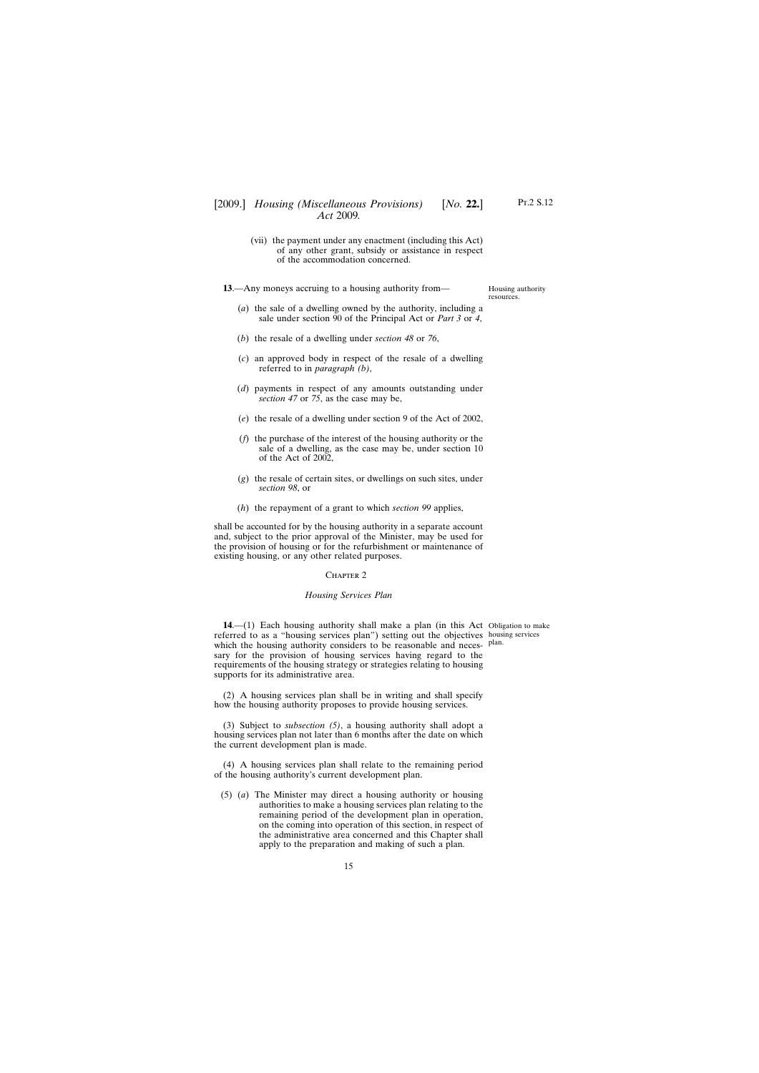## <span id="page-14-0"></span>[2009.] [ *Housing (Miscellaneous Provisions) No.* **22.**] *Act* 2009*.*

(vii) the payment under any enactment (including this Act) of any other grant, subsidy or assistance in respect of the accommodation concerned.

**13**.—Any moneys accruing to a housing authority from—

Housing authority resources.

- (*a*) the sale of a dwelling owned by the authority, including a sale under section 90 of the Principal Act or *Part 3* or *4*,
- (*b*) the resale of a dwelling under *section 48* or *76*,
- (*c*) an approved body in respect of the resale of a dwelling referred to in *paragraph (b)*,
- (*d*) payments in respect of any amounts outstanding under *section 47* or *75*, as the case may be,
- (*e*) the resale of a dwelling under section 9 of the Act of 2002,
- (*f*) the purchase of the interest of the housing authority or the sale of a dwelling, as the case may be, under section 10 of the Act of 2002,
- (*g*) the resale of certain sites, or dwellings on such sites, under *section 98*, or
- (*h*) the repayment of a grant to which *section 99* applies,

shall be accounted for by the housing authority in a separate account and, subject to the prior approval of the Minister, may be used for the provision of housing or for the refurbishment or maintenance of existing housing, or any other related purposes.

#### CHAPTER<sub>2</sub>

#### *Housing Services Plan*

**14.** (1) Each housing authority shall make a plan (in this Act Obligation to make referred to as a "housing services plan") setting out the objectives housing services which the housing authority considers to be reasonable and necessary for the provision of housing services having regard to the requirements of the housing strategy or strategies relating to housing supports for its administrative area.

plan.

(2) A housing services plan shall be in writing and shall specify how the housing authority proposes to provide housing services.

(3) Subject to *subsection (5)*, a housing authority shall adopt a housing services plan not later than 6 months after the date on which the current development plan is made.

(4) A housing services plan shall relate to the remaining period of the housing authority's current development plan.

(5) (*a*) The Minister may direct a housing authority or housing authorities to make a housing services plan relating to the remaining period of the development plan in operation, on the coming into operation of this section, in respect of the administrative area concerned and this Chapter shall apply to the preparation and making of such a plan.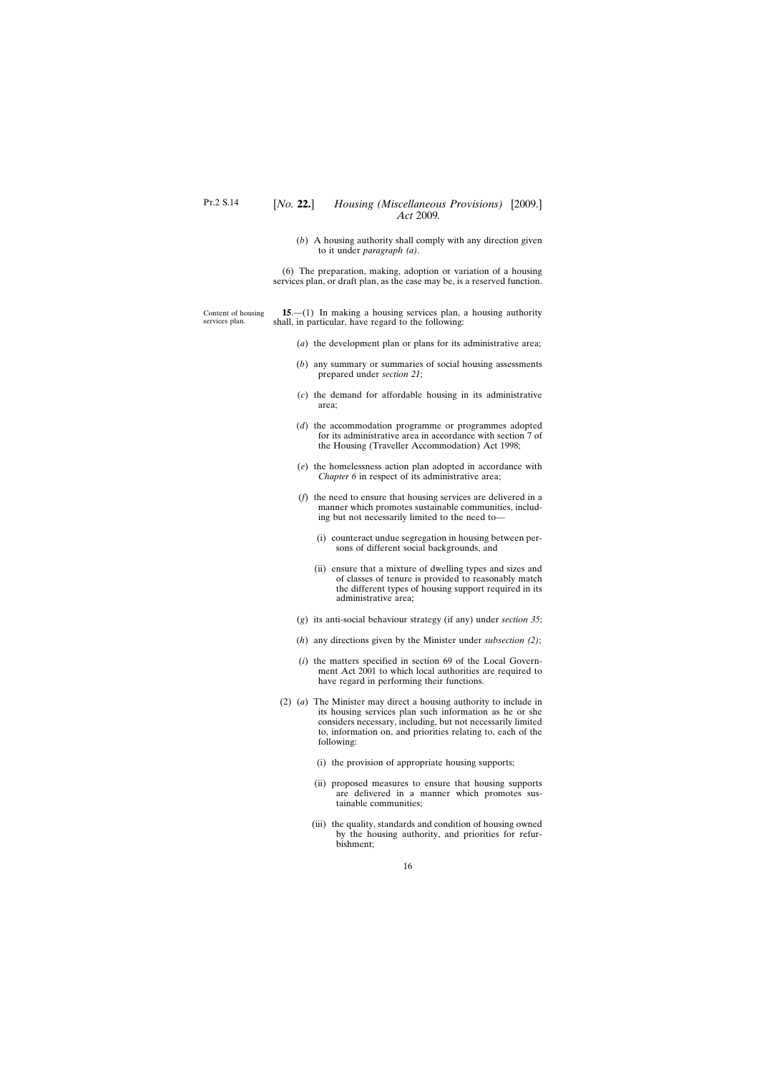(*b*) A housing authority shall comply with any direction given to it under *paragraph (a)*.

(6) The preparation, making, adoption or variation of a housing services plan, or draft plan, as the case may be, is a reserved function.

<span id="page-15-0"></span>Content of housing services plan. **15**.—(1) In making a housing services plan, a housing authority shall, in particular, have regard to the following:

- (*a*) the development plan or plans for its administrative area;
- (*b*) any summary or summaries of social housing assessments prepared under *section 21*;
- (*c*) the demand for affordable housing in its administrative area;
- (*d*) the accommodation programme or programmes adopted for its administrative area in accordance with section 7 of the Housing (Traveller Accommodation) Act 1998;
- (*e*) the homelessness action plan adopted in accordance with *Chapter 6* in respect of its administrative area;
- (*f*) the need to ensure that housing services are delivered in a manner which promotes sustainable communities, including but not necessarily limited to the need to—
	- (i) counteract undue segregation in housing between persons of different social backgrounds, and
	- (ii) ensure that a mixture of dwelling types and sizes and of classes of tenure is provided to reasonably match the different types of housing support required in its administrative area;
- (*g*) its anti-social behaviour strategy (if any) under *section 35*;
- (*h*) any directions given by the Minister under *subsection (2)*;
- (*i*) the matters specified in section 69 of the Local Government Act 2001 to which local authorities are required to have regard in performing their functions.
- (2) (*a*) The Minister may direct a housing authority to include in its housing services plan such information as he or she considers necessary, including, but not necessarily limited to, information on, and priorities relating to, each of the following:
	- (i) the provision of appropriate housing supports;
	- (ii) proposed measures to ensure that housing supports are delivered in a manner which promotes sustainable communities;
	- (iii) the quality, standards and condition of housing owned by the housing authority, and priorities for refurbishment;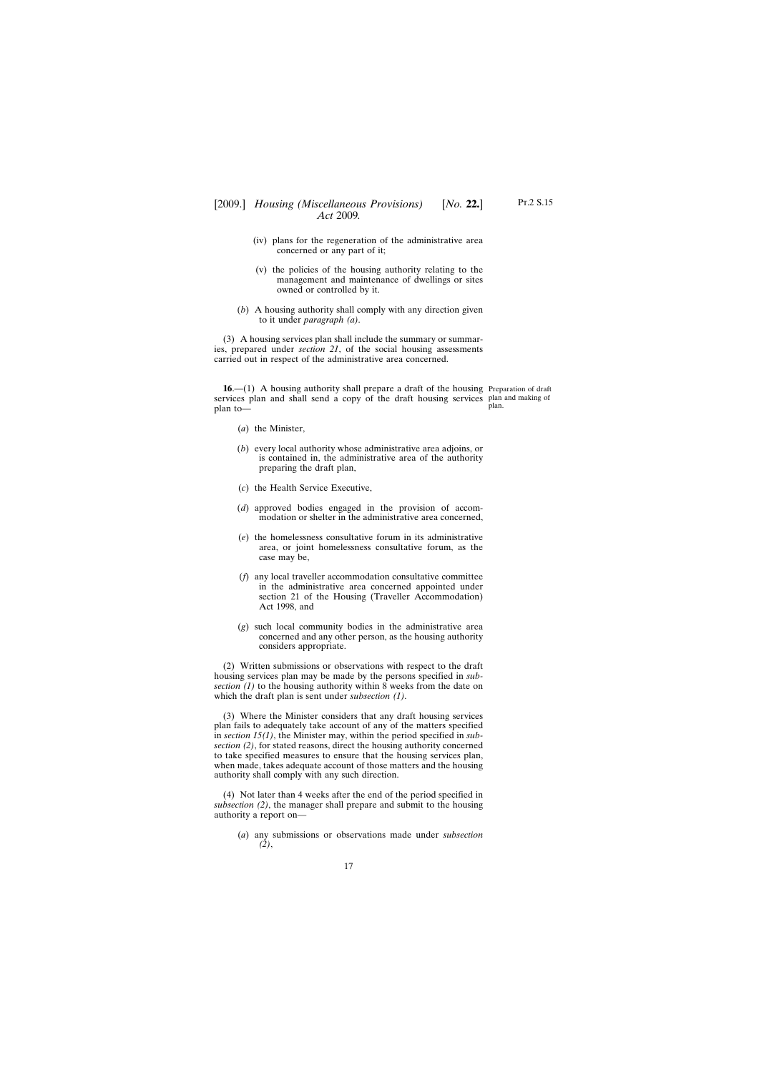- <span id="page-16-0"></span>(iv) plans for the regeneration of the administrative area concerned or any part of it;
- (v) the policies of the housing authority relating to the management and maintenance of dwellings or sites owned or controlled by it.
- (*b*) A housing authority shall comply with any direction given to it under *paragraph (a)*.

(3) A housing services plan shall include the summary or summaries, prepared under *section 21*, of the social housing assessments carried out in respect of the administrative area concerned.

**16**.—(1) A housing authority shall prepare a draft of the housing Preparation of draft services plan and shall send a copy of the draft housing services plan and making of plan to plan.

- (*a*) the Minister,
- (*b*) every local authority whose administrative area adjoins, or is contained in, the administrative area of the authority preparing the draft plan,
- (*c*) the Health Service Executive,
- (*d*) approved bodies engaged in the provision of accommodation or shelter in the administrative area concerned,
- (*e*) the homelessness consultative forum in its administrative area, or joint homelessness consultative forum, as the case may be,
- (*f*) any local traveller accommodation consultative committee in the administrative area concerned appointed under section 21 of the Housing (Traveller Accommodation) Act 1998, and
- (*g*) such local community bodies in the administrative area concerned and any other person, as the housing authority considers appropriate.

(2) Written submissions or observations with respect to the draft housing services plan may be made by the persons specified in *subsection (1)* to the housing authority within 8 weeks from the date on which the draft plan is sent under *subsection (1)*.

(3) Where the Minister considers that any draft housing services plan fails to adequately take account of any of the matters specified in *section 15(1)*, the Minister may, within the period specified in *subsection (2)*, for stated reasons, direct the housing authority concerned to take specified measures to ensure that the housing services plan, when made, takes adequate account of those matters and the housing authority shall comply with any such direction.

(4) Not later than 4 weeks after the end of the period specified in *subsection (2)*, the manager shall prepare and submit to the housing authority a report on—

(*a*) any submissions or observations made under *subsection (2)*,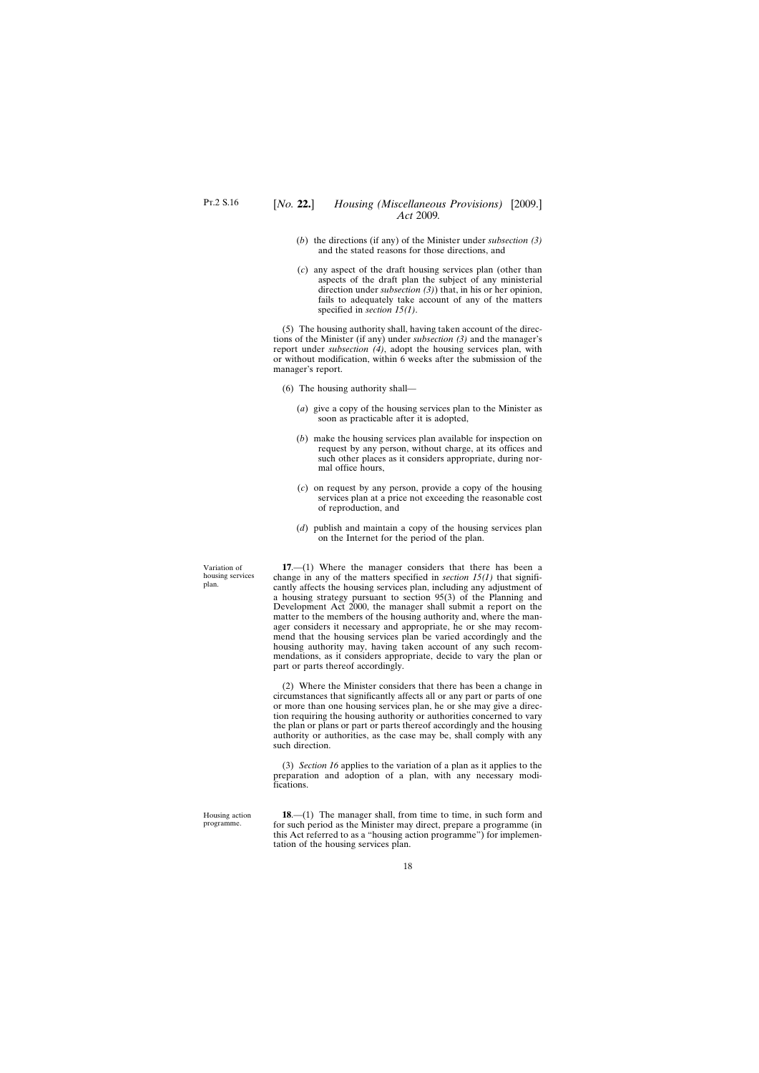- <span id="page-17-0"></span>(*b*) the directions (if any) of the Minister under *subsection (3)* and the stated reasons for those directions, and
- (*c*) any aspect of the draft housing services plan (other than aspects of the draft plan the subject of any ministerial direction under *subsection (3)*) that, in his or her opinion, fails to adequately take account of any of the matters specified in *section 15(1)*.

(5) The housing authority shall, having taken account of the directions of the Minister (if any) under *subsection (3)* and the manager's report under *subsection (4)*, adopt the housing services plan, with or without modification, within 6 weeks after the submission of the manager's report.

- (6) The housing authority shall—
	- (*a*) give a copy of the housing services plan to the Minister as soon as practicable after it is adopted,
	- (*b*) make the housing services plan available for inspection on request by any person, without charge, at its offices and such other places as it considers appropriate, during normal office hours,
	- (*c*) on request by any person, provide a copy of the housing services plan at a price not exceeding the reasonable cost of reproduction, and
	- (*d*) publish and maintain a copy of the housing services plan on the Internet for the period of the plan.

**17**.—(1) Where the manager considers that there has been a change in any of the matters specified in *section 15(1)* that significantly affects the housing services plan, including any adjustment of a housing strategy pursuant to section 95(3) of the Planning and Development Act 2000, the manager shall submit a report on the matter to the members of the housing authority and, where the manager considers it necessary and appropriate, he or she may recommend that the housing services plan be varied accordingly and the housing authority may, having taken account of any such recommendations, as it considers appropriate, decide to vary the plan or part or parts thereof accordingly.

(2) Where the Minister considers that there has been a change in circumstances that significantly affects all or any part or parts of one or more than one housing services plan, he or she may give a direction requiring the housing authority or authorities concerned to vary the plan or plans or part or parts thereof accordingly and the housing authority or authorities, as the case may be, shall comply with any such direction.

(3) *Section 16* applies to the variation of a plan as it applies to the preparation and adoption of a plan, with any necessary modifications.

Housing action programme.

**18**.—(1) The manager shall, from time to time, in such form and for such period as the Minister may direct, prepare a programme (in this Act referred to as a "housing action programme") for implementation of the housing services plan.

Variation of housing services plan.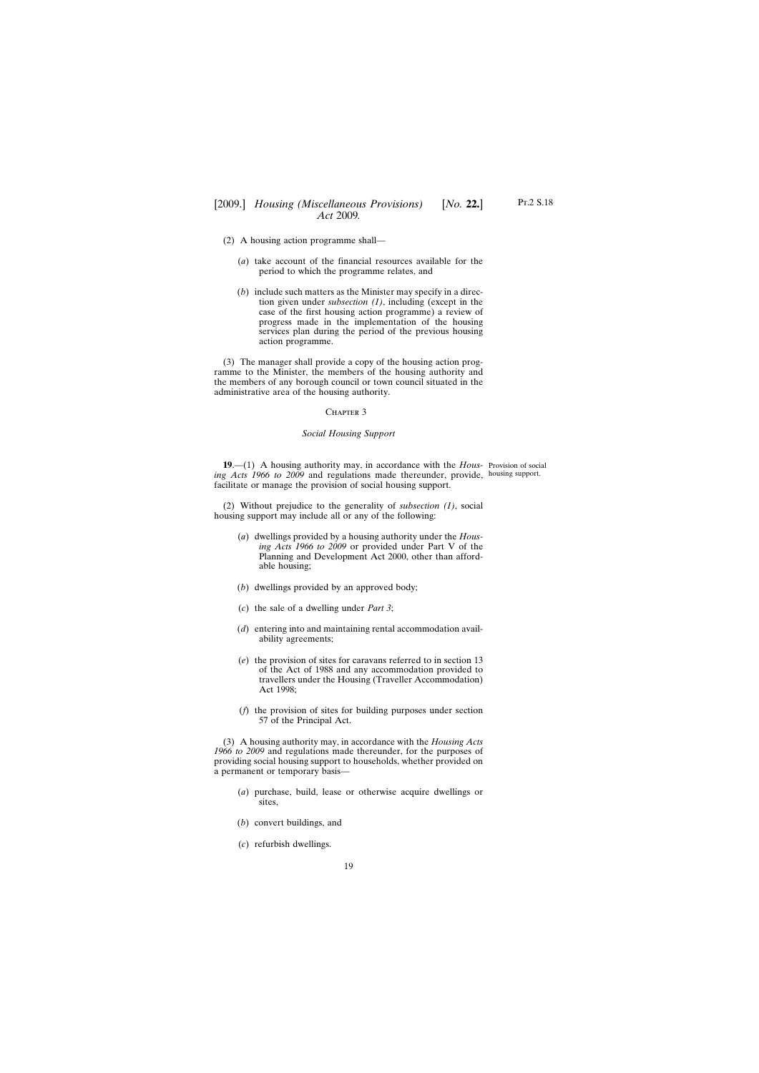- <span id="page-18-0"></span>(2) A housing action programme shall—
	- (*a*) take account of the financial resources available for the period to which the programme relates, and
	- (*b*) include such matters as the Minister may specify in a direction given under *subsection (1)*, including (except in the case of the first housing action programme) a review of progress made in the implementation of the housing services plan during the period of the previous housing action programme.

(3) The manager shall provide a copy of the housing action programme to the Minister, the members of the housing authority and the members of any borough council or town council situated in the administrative area of the housing authority.

#### CHAPTER 3

#### *Social Housing Support*

**19**.—(1) A housing authority may, in accordance with the *Hous-*Provision of social *ing Acts 1966 to 2009* and regulations made thereunder, provide, housing support.facilitate or manage the provision of social housing support.

(2) Without prejudice to the generality of *subsection (1)*, social housing support may include all or any of the following:

- (*a*) dwellings provided by a housing authority under the *Housing Acts 1966 to 2009* or provided under Part V of the Planning and Development Act 2000, other than affordable housing;
- (*b*) dwellings provided by an approved body;
- (*c*) the sale of a dwelling under *Part 3*;
- (*d*) entering into and maintaining rental accommodation availability agreements;
- (*e*) the provision of sites for caravans referred to in section 13 of the Act of 1988 and any accommodation provided to travellers under the Housing (Traveller Accommodation) Act 1998;
- (*f*) the provision of sites for building purposes under section 57 of the Principal Act.

(3) A housing authority may, in accordance with the *Housing Acts 1966 to 2009* and regulations made thereunder, for the purposes of providing social housing support to households, whether provided on a permanent or temporary basis—

- (*a*) purchase, build, lease or otherwise acquire dwellings or sites,
- (*b*) convert buildings, and
- (*c*) refurbish dwellings.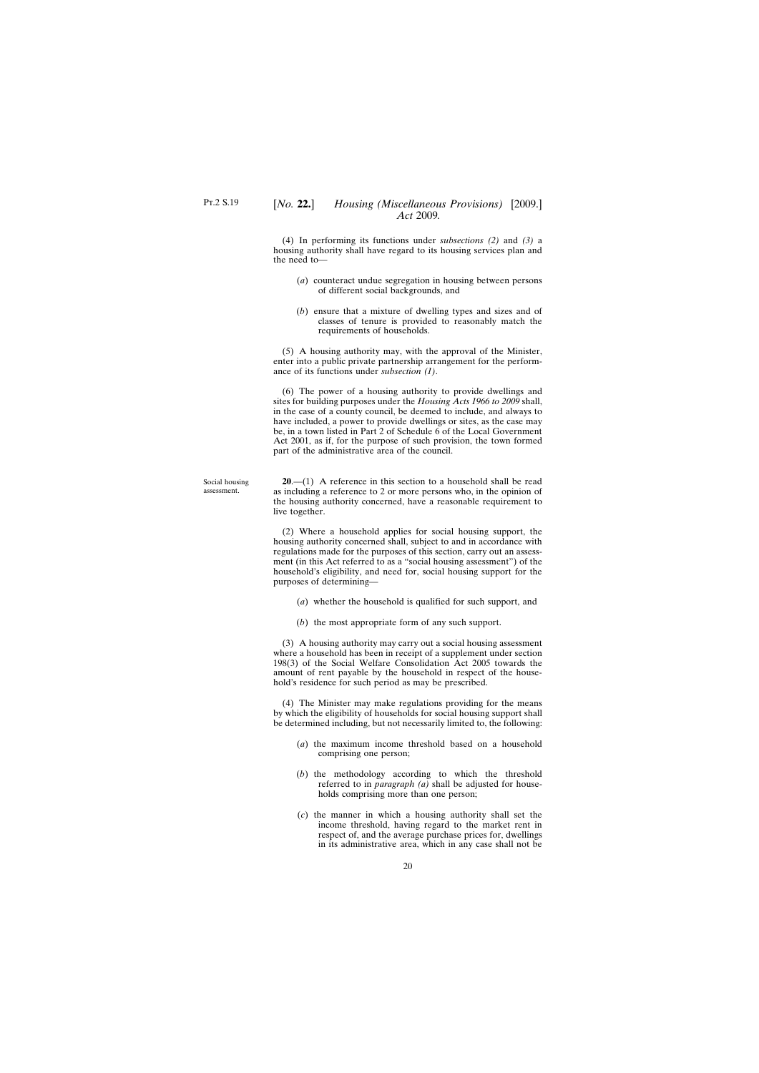<span id="page-19-0"></span>(4) In performing its functions under *subsections (2)* and *(3)* a housing authority shall have regard to its housing services plan and the need to—

- (*a*) counteract undue segregation in housing between persons of different social backgrounds, and
- (*b*) ensure that a mixture of dwelling types and sizes and of classes of tenure is provided to reasonably match the requirements of households.

(5) A housing authority may, with the approval of the Minister, enter into a public private partnership arrangement for the performance of its functions under *subsection (1)*.

(6) The power of a housing authority to provide dwellings and sites for building purposes under the *Housing Acts 1966 to 2009* shall, in the case of a county council, be deemed to include, and always to have included, a power to provide dwellings or sites, as the case may be, in a town listed in Part 2 of Schedule 6 of the Local Government Act 2001, as if, for the purpose of such provision, the town formed part of the administrative area of the council.

**20**.—(1) A reference in this section to a household shall be read as including a reference to 2 or more persons who, in the opinion of the housing authority concerned, have a reasonable requirement to live together.

(2) Where a household applies for social housing support, the housing authority concerned shall, subject to and in accordance with regulations made for the purposes of this section, carry out an assessment (in this Act referred to as a "social housing assessment") of the household's eligibility, and need for, social housing support for the purposes of determining—

- (*a*) whether the household is qualified for such support, and
- (*b*) the most appropriate form of any such support.

(3) A housing authority may carry out a social housing assessment where a household has been in receipt of a supplement under section 198(3) of the Social Welfare Consolidation Act 2005 towards the amount of rent payable by the household in respect of the household's residence for such period as may be prescribed.

(4) The Minister may make regulations providing for the means by which the eligibility of households for social housing support shall be determined including, but not necessarily limited to, the following:

- (*a*) the maximum income threshold based on a household comprising one person;
- (*b*) the methodology according to which the threshold referred to in *paragraph (a)* shall be adjusted for households comprising more than one person;
- (*c*) the manner in which a housing authority shall set the income threshold, having regard to the market rent in respect of, and the average purchase prices for, dwellings in its administrative area, which in any case shall not be

Social housing assessment.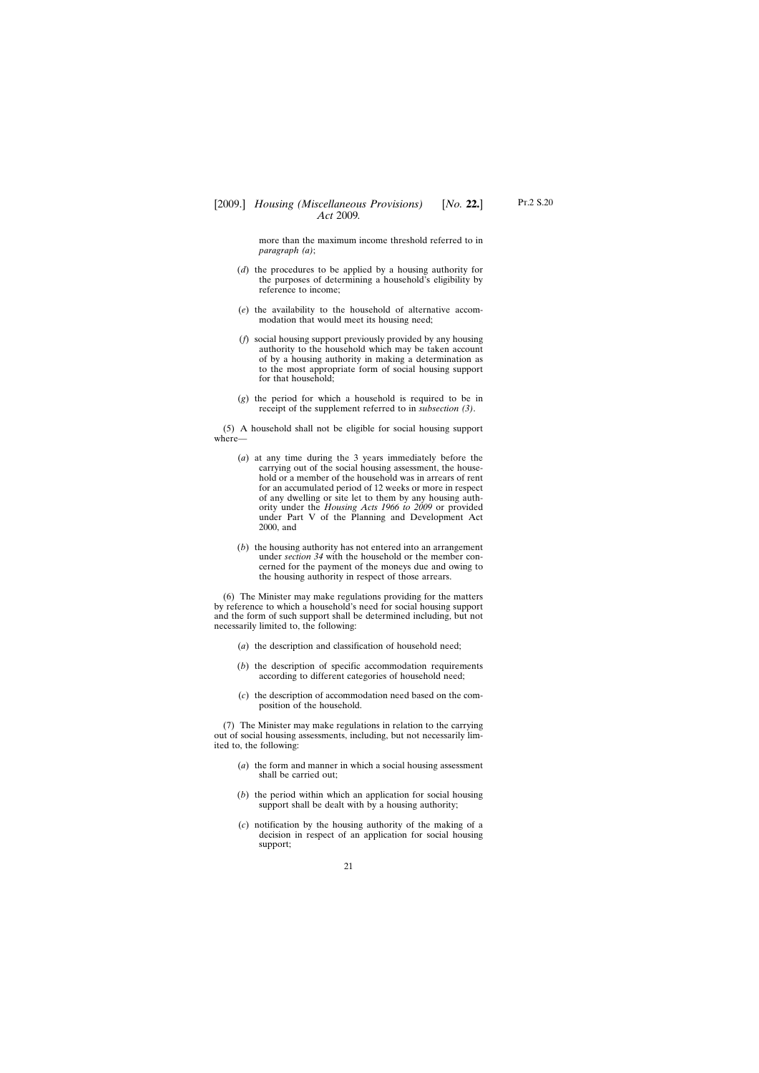more than the maximum income threshold referred to in *paragraph (a)*;

- (*d*) the procedures to be applied by a housing authority for the purposes of determining a household's eligibility by reference to income;
- (*e*) the availability to the household of alternative accommodation that would meet its housing need;
- (*f*) social housing support previously provided by any housing authority to the household which may be taken account of by a housing authority in making a determination as to the most appropriate form of social housing support for that household;
- (*g*) the period for which a household is required to be in receipt of the supplement referred to in *subsection (3)*.

(5) A household shall not be eligible for social housing support where—

- (*a*) at any time during the 3 years immediately before the carrying out of the social housing assessment, the household or a member of the household was in arrears of rent for an accumulated period of 12 weeks or more in respect of any dwelling or site let to them by any housing authority under the *Housing Acts 1966 to 2009* or provided under Part V of the Planning and Development Act 2000, and
- (*b*) the housing authority has not entered into an arrangement under *section 34* with the household or the member concerned for the payment of the moneys due and owing to the housing authority in respect of those arrears.

(6) The Minister may make regulations providing for the matters by reference to which a household's need for social housing support and the form of such support shall be determined including, but not necessarily limited to, the following:

- (*a*) the description and classification of household need;
- (*b*) the description of specific accommodation requirements according to different categories of household need;
- (*c*) the description of accommodation need based on the composition of the household.

(7) The Minister may make regulations in relation to the carrying out of social housing assessments, including, but not necessarily limited to, the following:

- (*a*) the form and manner in which a social housing assessment shall be carried out;
- (*b*) the period within which an application for social housing support shall be dealt with by a housing authority;
- (*c*) notification by the housing authority of the making of a decision in respect of an application for social housing support;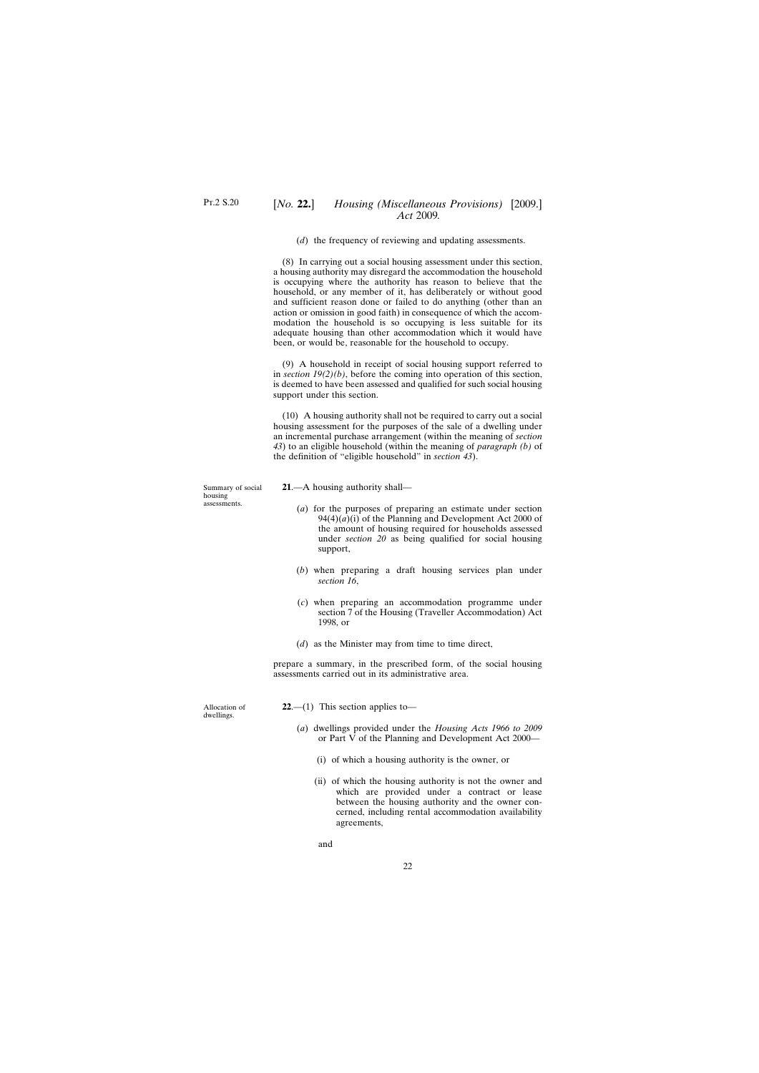(*d*) the frequency of reviewing and updating assessments.

<span id="page-21-0"></span>(8) In carrying out a social housing assessment under this section, a housing authority may disregard the accommodation the household is occupying where the authority has reason to believe that the household, or any member of it, has deliberately or without good and sufficient reason done or failed to do anything (other than an action or omission in good faith) in consequence of which the accommodation the household is so occupying is less suitable for its adequate housing than other accommodation which it would have been, or would be, reasonable for the household to occupy.

(9) A household in receipt of social housing support referred to in *section 19(2)(b)*, before the coming into operation of this section, is deemed to have been assessed and qualified for such social housing support under this section.

(10) A housing authority shall not be required to carry out a social housing assessment for the purposes of the sale of a dwelling under an incremental purchase arrangement (within the meaning of *section 43*) to an eligible household (within the meaning of *paragraph (b)* of the definition of "eligible household" in *section 43*).

Summary of social housing assessments.

- **21**.—A housing authority shall—
	- (*a*) for the purposes of preparing an estimate under section  $94(4)(a)(i)$  of the Planning and Development Act 2000 of the amount of housing required for households assessed under *section 20* as being qualified for social housing support,
	- (*b*) when preparing a draft housing services plan under *section 16*,
	- (*c*) when preparing an accommodation programme under section 7 of the Housing (Traveller Accommodation) Act 1998, or
	- (*d*) as the Minister may from time to time direct,

prepare a summary, in the prescribed form, of the social housing assessments carried out in its administrative area.

Allocation of dwellings.

**22**.—(1) This section applies to—

- (*a*) dwellings provided under the *Housing Acts 1966 to 2009* or Part V of the Planning and Development Act 2000—
	- (i) of which a housing authority is the owner, or
	- (ii) of which the housing authority is not the owner and which are provided under a contract or lease between the housing authority and the owner concerned, including rental accommodation availability agreements,

and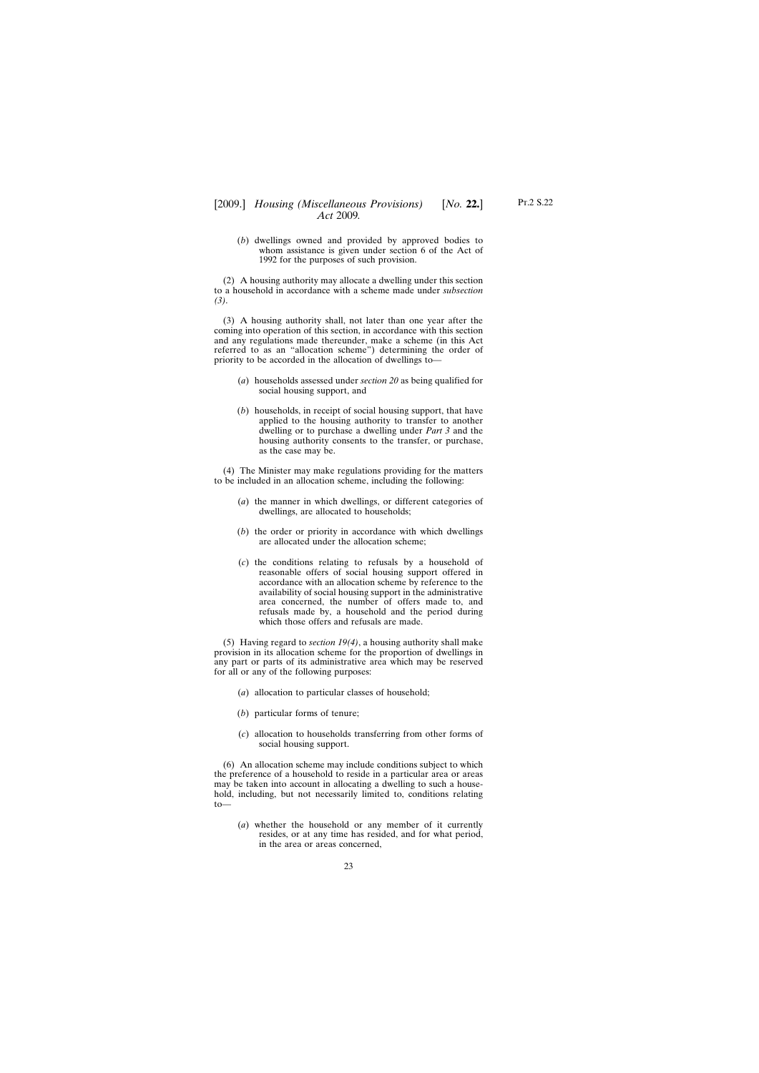(*b*) dwellings owned and provided by approved bodies to whom assistance is given under section 6 of the Act of 1992 for the purposes of such provision.

(2) A housing authority may allocate a dwelling under this section to a household in accordance with a scheme made under *subsection (3)*.

(3) A housing authority shall, not later than one year after the coming into operation of this section, in accordance with this section and any regulations made thereunder, make a scheme (in this Act referred to as an "allocation scheme") determining the order of priority to be accorded in the allocation of dwellings to—

- (*a*) households assessed under *section 20* as being qualified for social housing support, and
- (*b*) households, in receipt of social housing support, that have applied to the housing authority to transfer to another dwelling or to purchase a dwelling under *Part 3* and the housing authority consents to the transfer, or purchase, as the case may be.

(4) The Minister may make regulations providing for the matters to be included in an allocation scheme, including the following:

- (*a*) the manner in which dwellings, or different categories of dwellings, are allocated to households;
- (*b*) the order or priority in accordance with which dwellings are allocated under the allocation scheme;
- (*c*) the conditions relating to refusals by a household of reasonable offers of social housing support offered in accordance with an allocation scheme by reference to the availability of social housing support in the administrative area concerned, the number of offers made to, and refusals made by, a household and the period during which those offers and refusals are made.

(5) Having regard to *section 19(4)*, a housing authority shall make provision in its allocation scheme for the proportion of dwellings in any part or parts of its administrative area which may be reserved for all or any of the following purposes:

- (*a*) allocation to particular classes of household;
- (*b*) particular forms of tenure;
- (*c*) allocation to households transferring from other forms of social housing support.

(6) An allocation scheme may include conditions subject to which the preference of a household to reside in a particular area or areas may be taken into account in allocating a dwelling to such a household, including, but not necessarily limited to, conditions relating to—

(*a*) whether the household or any member of it currently resides, or at any time has resided, and for what period, in the area or areas concerned,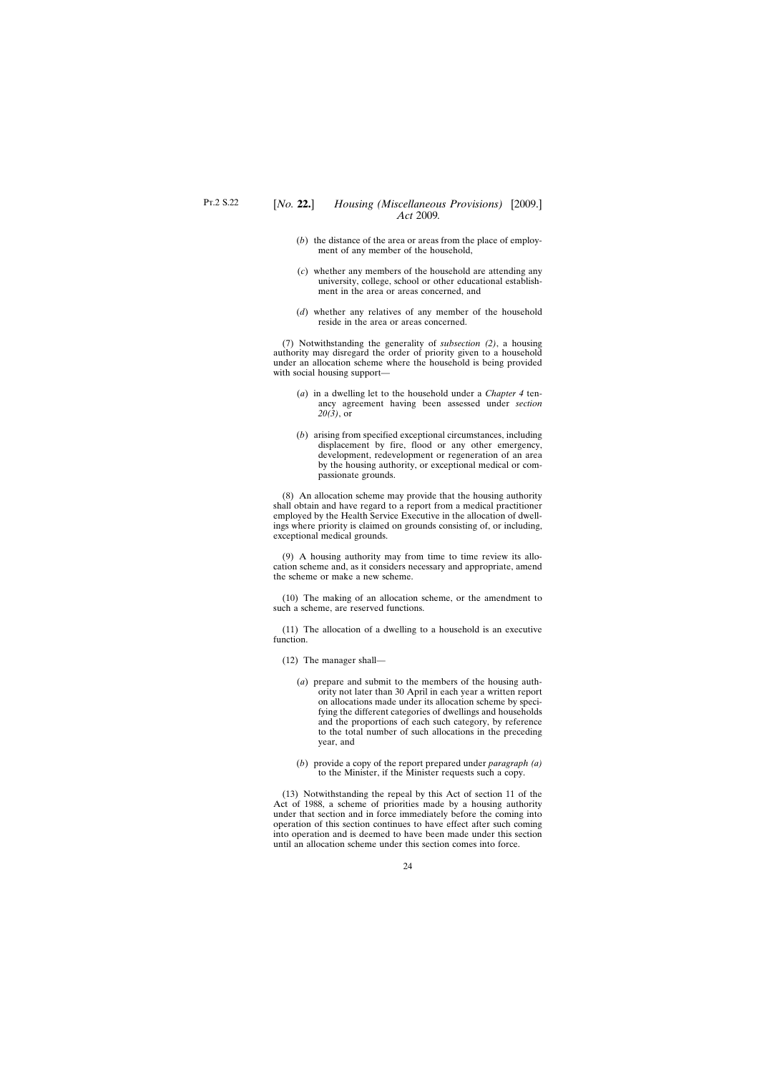- (*b*) the distance of the area or areas from the place of employment of any member of the household,
- (*c*) whether any members of the household are attending any university, college, school or other educational establishment in the area or areas concerned, and
- (*d*) whether any relatives of any member of the household reside in the area or areas concerned.

(7) Notwithstanding the generality of *subsection (2)*, a housing authority may disregard the order of priority given to a household under an allocation scheme where the household is being provided with social housing support—

- (*a*) in a dwelling let to the household under a *Chapter 4* tenancy agreement having been assessed under *section 20(3)*, or
- (*b*) arising from specified exceptional circumstances, including displacement by fire, flood or any other emergency, development, redevelopment or regeneration of an area by the housing authority, or exceptional medical or compassionate grounds.

(8) An allocation scheme may provide that the housing authority shall obtain and have regard to a report from a medical practitioner employed by the Health Service Executive in the allocation of dwellings where priority is claimed on grounds consisting of, or including, exceptional medical grounds.

(9) A housing authority may from time to time review its allocation scheme and, as it considers necessary and appropriate, amend the scheme or make a new scheme.

(10) The making of an allocation scheme, or the amendment to such a scheme, are reserved functions.

(11) The allocation of a dwelling to a household is an executive function.

(12) The manager shall—

- (*a*) prepare and submit to the members of the housing authority not later than 30 April in each year a written report on allocations made under its allocation scheme by specifying the different categories of dwellings and households and the proportions of each such category, by reference to the total number of such allocations in the preceding year, and
- (*b*) provide a copy of the report prepared under *paragraph (a)* to the Minister, if the Minister requests such a copy.

(13) Notwithstanding the repeal by this Act of section 11 of the Act of 1988, a scheme of priorities made by a housing authority under that section and in force immediately before the coming into operation of this section continues to have effect after such coming into operation and is deemed to have been made under this section until an allocation scheme under this section comes into force.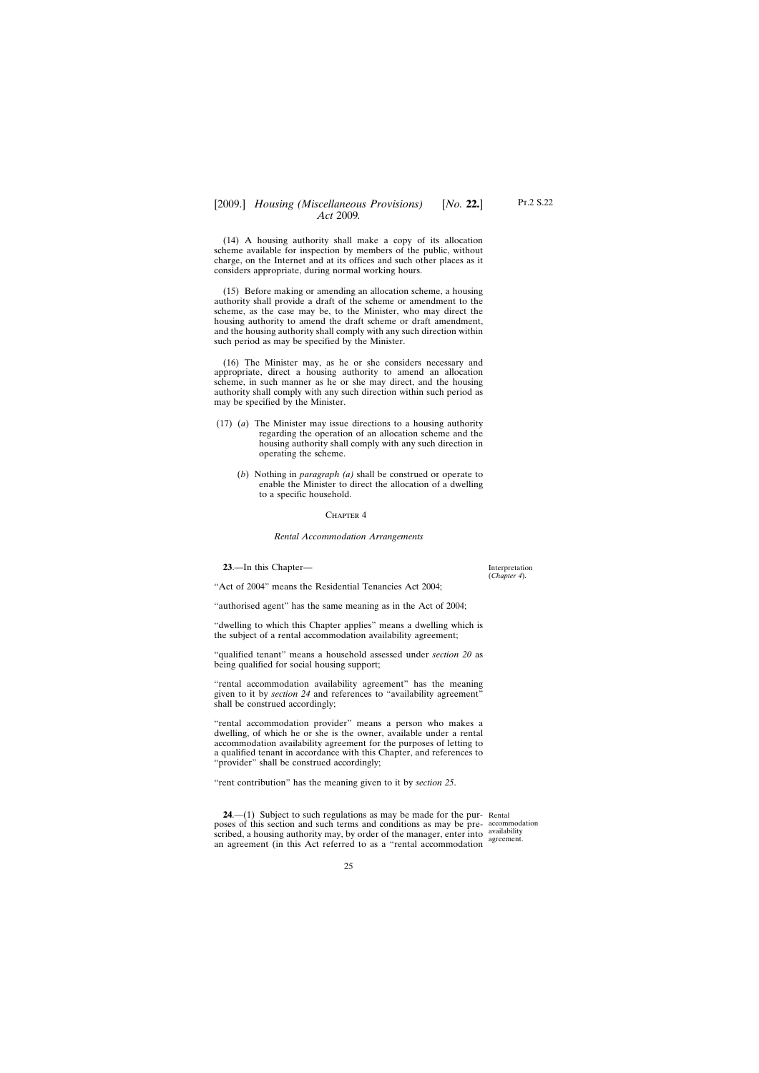<span id="page-24-0"></span>(14) A housing authority shall make a copy of its allocation scheme available for inspection by members of the public, without charge, on the Internet and at its offices and such other places as it considers appropriate, during normal working hours.

(15) Before making or amending an allocation scheme, a housing authority shall provide a draft of the scheme or amendment to the scheme, as the case may be, to the Minister, who may direct the housing authority to amend the draft scheme or draft amendment, and the housing authority shall comply with any such direction within such period as may be specified by the Minister.

(16) The Minister may, as he or she considers necessary and appropriate, direct a housing authority to amend an allocation scheme, in such manner as he or she may direct, and the housing authority shall comply with any such direction within such period as may be specified by the Minister.

- (17) (*a*) The Minister may issue directions to a housing authority regarding the operation of an allocation scheme and the housing authority shall comply with any such direction in operating the scheme.
	- (*b*) Nothing in *paragraph (a)* shall be construed or operate to enable the Minister to direct the allocation of a dwelling to a specific household.

#### CHAPTER 4

#### *Rental Accommodation Arrangements*

**23**.—In this Chapter—

"Act of 2004" means the Residential Tenancies Act 2004;

"authorised agent" has the same meaning as in the Act of 2004;

"dwelling to which this Chapter applies" means a dwelling which is the subject of a rental accommodation availability agreement;

"qualified tenant" means a household assessed under *section 20* as being qualified for social housing support;

"rental accommodation availability agreement" has the meaning given to it by *section 24* and references to "availability agreement" shall be construed accordingly;

"rental accommodation provider" means a person who makes a dwelling, of which he or she is the owner, available under a rental accommodation availability agreement for the purposes of letting to a qualified tenant in accordance with this Chapter, and references to "provider" shall be construed accordingly;

"rent contribution" has the meaning given to it by *section 25*.

**24.**—(1) Subject to such regulations as may be made for the pur- Rental poses of this section and such terms and conditions as may be pre-accommodation scribed, a housing authority may, by order of the manager, enter into  $\frac{\text{availability}}{\text{correspond}}$ an agreement (in this Act referred to as a "rental accommodation

agreement.

Interpretation (*Chapter 4*).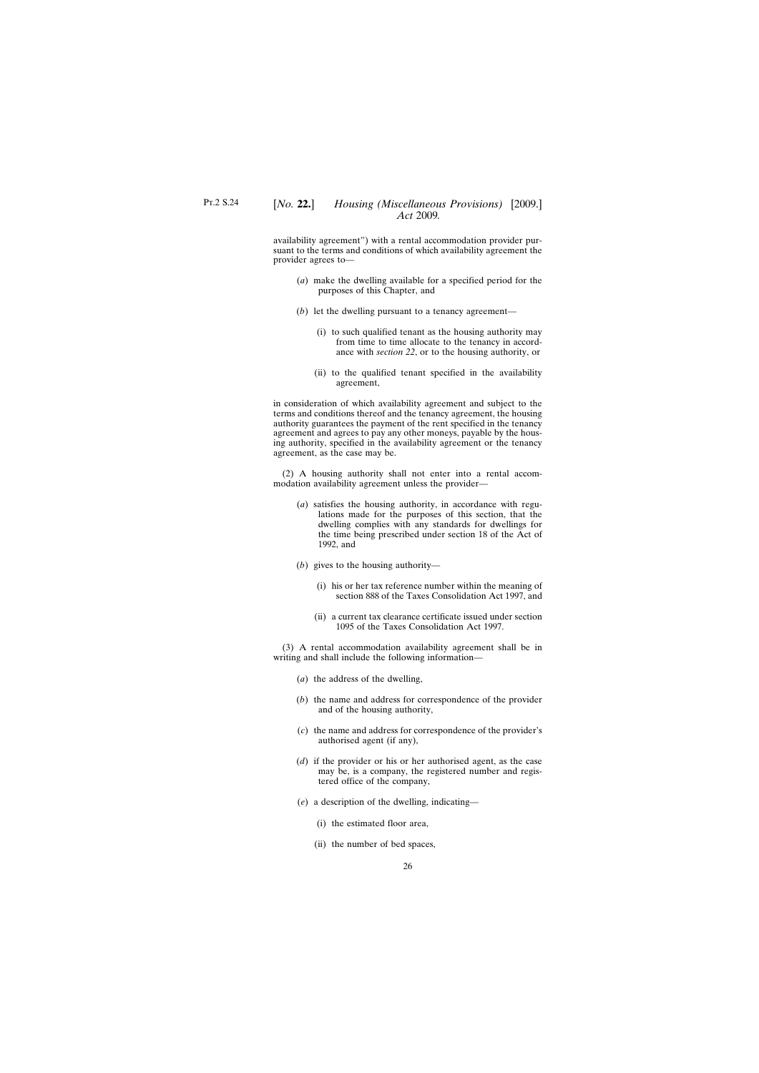availability agreement") with a rental accommodation provider pursuant to the terms and conditions of which availability agreement the provider agrees to—

- (*a*) make the dwelling available for a specified period for the purposes of this Chapter, and
- (*b*) let the dwelling pursuant to a tenancy agreement—
	- (i) to such qualified tenant as the housing authority may from time to time allocate to the tenancy in accordance with *section 22*, or to the housing authority, or
	- (ii) to the qualified tenant specified in the availability agreement,

in consideration of which availability agreement and subject to the terms and conditions thereof and the tenancy agreement, the housing authority guarantees the payment of the rent specified in the tenancy agreement and agrees to pay any other moneys, payable by the housing authority, specified in the availability agreement or the tenancy agreement, as the case may be.

(2) A housing authority shall not enter into a rental accommodation availability agreement unless the provider—

- (*a*) satisfies the housing authority, in accordance with regulations made for the purposes of this section, that the dwelling complies with any standards for dwellings for the time being prescribed under section 18 of the Act of 1992, and
- (*b*) gives to the housing authority—
	- (i) his or her tax reference number within the meaning of section 888 of the Taxes Consolidation Act 1997, and
	- (ii) a current tax clearance certificate issued under section 1095 of the Taxes Consolidation Act 1997.

(3) A rental accommodation availability agreement shall be in writing and shall include the following information—

- (*a*) the address of the dwelling,
- (*b*) the name and address for correspondence of the provider and of the housing authority,
- (*c*) the name and address for correspondence of the provider's authorised agent (if any),
- (*d*) if the provider or his or her authorised agent, as the case may be, is a company, the registered number and registered office of the company,
- (*e*) a description of the dwelling, indicating—
	- (i) the estimated floor area,
	- (ii) the number of bed spaces,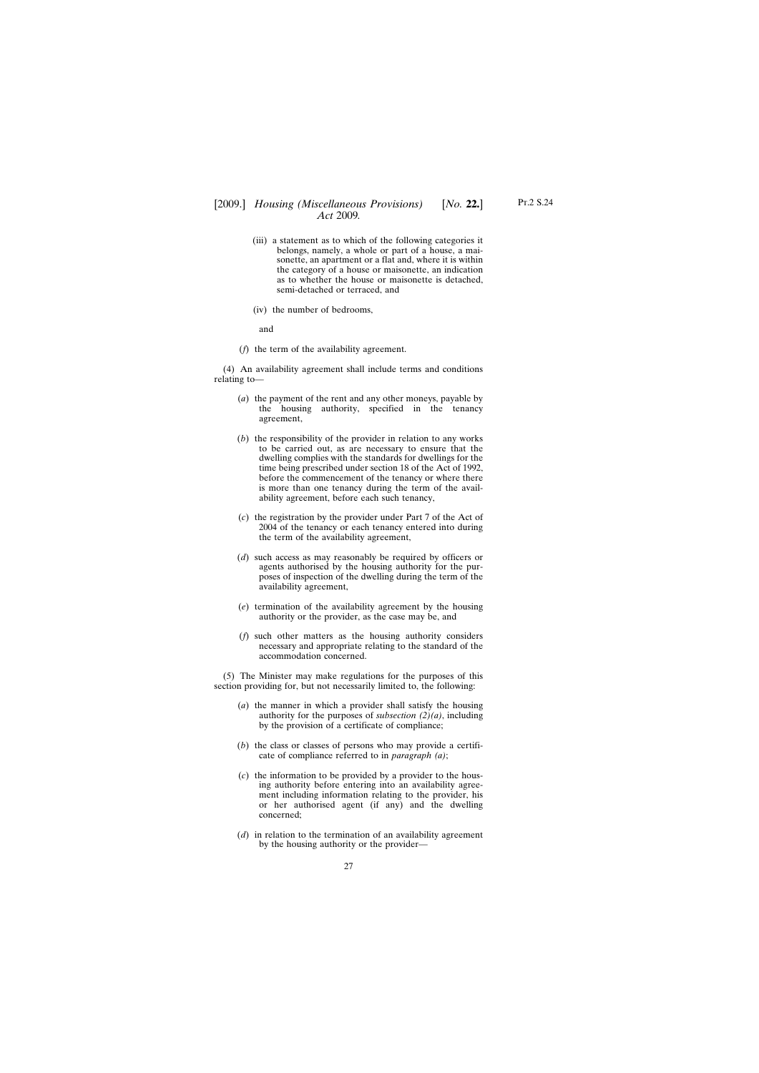- (iii) a statement as to which of the following categories it belongs, namely, a whole or part of a house, a maisonette, an apartment or a flat and, where it is within the category of a house or maisonette, an indication as to whether the house or maisonette is detached, semi-detached or terraced, and
- (iv) the number of bedrooms,

and

(*f*) the term of the availability agreement.

(4) An availability agreement shall include terms and conditions relating to—

- (*a*) the payment of the rent and any other moneys, payable by the housing authority, specified in the tenancy agreement,
- (*b*) the responsibility of the provider in relation to any works to be carried out, as are necessary to ensure that the dwelling complies with the standards for dwellings for the time being prescribed under section 18 of the Act of 1992, before the commencement of the tenancy or where there is more than one tenancy during the term of the availability agreement, before each such tenancy,
- (*c*) the registration by the provider under Part 7 of the Act of 2004 of the tenancy or each tenancy entered into during the term of the availability agreement,
- (*d*) such access as may reasonably be required by officers or agents authorised by the housing authority for the purposes of inspection of the dwelling during the term of the availability agreement,
- (*e*) termination of the availability agreement by the housing authority or the provider, as the case may be, and
- (*f*) such other matters as the housing authority considers necessary and appropriate relating to the standard of the accommodation concerned.

(5) The Minister may make regulations for the purposes of this section providing for, but not necessarily limited to, the following:

- (*a*) the manner in which a provider shall satisfy the housing authority for the purposes of *subsection (2)(a)*, including by the provision of a certificate of compliance;
- (*b*) the class or classes of persons who may provide a certificate of compliance referred to in *paragraph (a)*;
- (*c*) the information to be provided by a provider to the housing authority before entering into an availability agreement including information relating to the provider, his or her authorised agent (if any) and the dwelling concerned;
- (*d*) in relation to the termination of an availability agreement by the housing authority or the provider—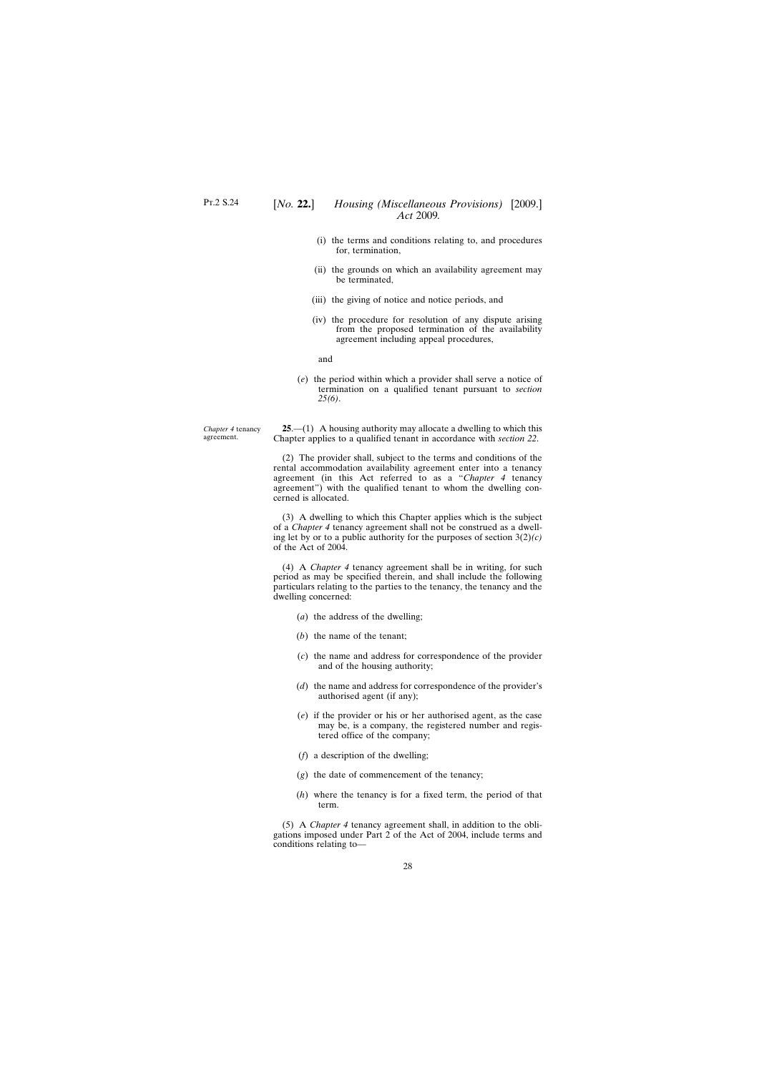*Chapter 4* tenancy agreement.

- <span id="page-27-0"></span>(i) the terms and conditions relating to, and procedures for, termination,
- (ii) the grounds on which an availability agreement may be terminated,
- (iii) the giving of notice and notice periods, and
- (iv) the procedure for resolution of any dispute arising from the proposed termination of the availability agreement including appeal procedures,

and

(*e*) the period within which a provider shall serve a notice of termination on a qualified tenant pursuant to *section 25(6)*.

**25**.—(1) A housing authority may allocate a dwelling to which this Chapter applies to a qualified tenant in accordance with *section 22*.

(2) The provider shall, subject to the terms and conditions of the rental accommodation availability agreement enter into a tenancy agreement (in this Act referred to as a "*Chapter 4* tenancy agreement") with the qualified tenant to whom the dwelling concerned is allocated.

(3) A dwelling to which this Chapter applies which is the subject of a *Chapter 4* tenancy agreement shall not be construed as a dwelling let by or to a public authority for the purposes of section 3(2)*(c)* of the Act of 2004.

(4) A *Chapter 4* tenancy agreement shall be in writing, for such period as may be specified therein, and shall include the following particulars relating to the parties to the tenancy, the tenancy and the dwelling concerned:

- (*a*) the address of the dwelling;
- (*b*) the name of the tenant;
- (*c*) the name and address for correspondence of the provider and of the housing authority;
- (*d*) the name and address for correspondence of the provider's authorised agent (if any);
- (*e*) if the provider or his or her authorised agent, as the case may be, is a company, the registered number and registered office of the company;
- (*f*) a description of the dwelling;
- (*g*) the date of commencement of the tenancy;
- (*h*) where the tenancy is for a fixed term, the period of that term.

(5) A *Chapter 4* tenancy agreement shall, in addition to the obligations imposed under Part 2 of the Act of 2004, include terms and conditions relating to—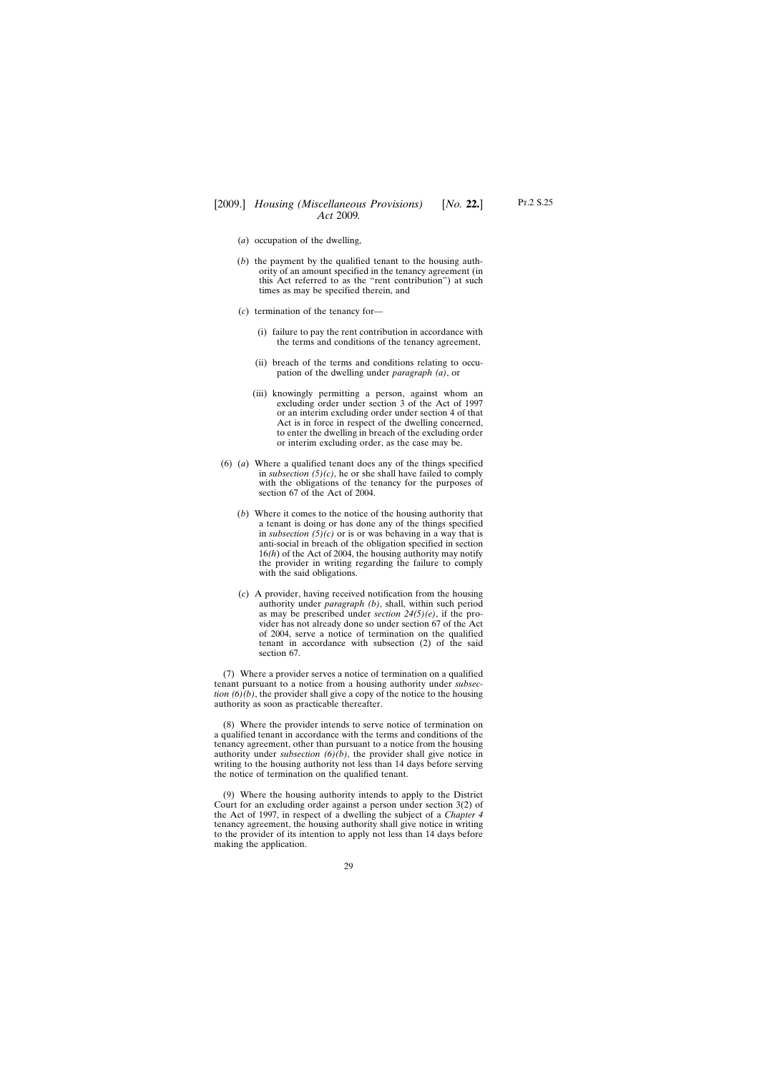- (*a*) occupation of the dwelling,
- (*b*) the payment by the qualified tenant to the housing authority of an amount specified in the tenancy agreement (in this Act referred to as the "rent contribution") at such times as may be specified therein, and
- (*c*) termination of the tenancy for—
	- (i) failure to pay the rent contribution in accordance with the terms and conditions of the tenancy agreement,
	- (ii) breach of the terms and conditions relating to occupation of the dwelling under *paragraph (a)*, or
	- (iii) knowingly permitting a person, against whom an excluding order under section 3 of the Act of 1997 or an interim excluding order under section 4 of that Act is in force in respect of the dwelling concerned, to enter the dwelling in breach of the excluding order or interim excluding order, as the case may be.
- (6) (*a*) Where a qualified tenant does any of the things specified in *subsection (5)(c)*, he or she shall have failed to comply with the obligations of the tenancy for the purposes of section 67 of the Act of 2004.
	- (*b*) Where it comes to the notice of the housing authority that a tenant is doing or has done any of the things specified in *subsection*  $(5)(c)$  or is or was behaving in a way that is anti-social in breach of the obligation specified in section 16*(h*) of the Act of 2004, the housing authority may notify the provider in writing regarding the failure to comply with the said obligations.
	- (*c*) A provider, having received notification from the housing authority under *paragraph (b)*, shall, within such period as may be prescribed under *section 24(5)(e)*, if the provider has not already done so under section 67 of the Act of 2004, serve a notice of termination on the qualified tenant in accordance with subsection (2) of the said section 67.

(7) Where a provider serves a notice of termination on a qualified tenant pursuant to a notice from a housing authority under *subsection (6)(b)*, the provider shall give a copy of the notice to the housing authority as soon as practicable thereafter.

(8) Where the provider intends to serve notice of termination on a qualified tenant in accordance with the terms and conditions of the tenancy agreement, other than pursuant to a notice from the housing authority under *subsection*  $(6)(b)$ , the provider shall give notice in writing to the housing authority not less than 14 days before serving the notice of termination on the qualified tenant.

(9) Where the housing authority intends to apply to the District Court for an excluding order against a person under section 3(2) of the Act of 1997, in respect of a dwelling the subject of a *Chapter 4* tenancy agreement, the housing authority shall give notice in writing to the provider of its intention to apply not less than 14 days before making the application.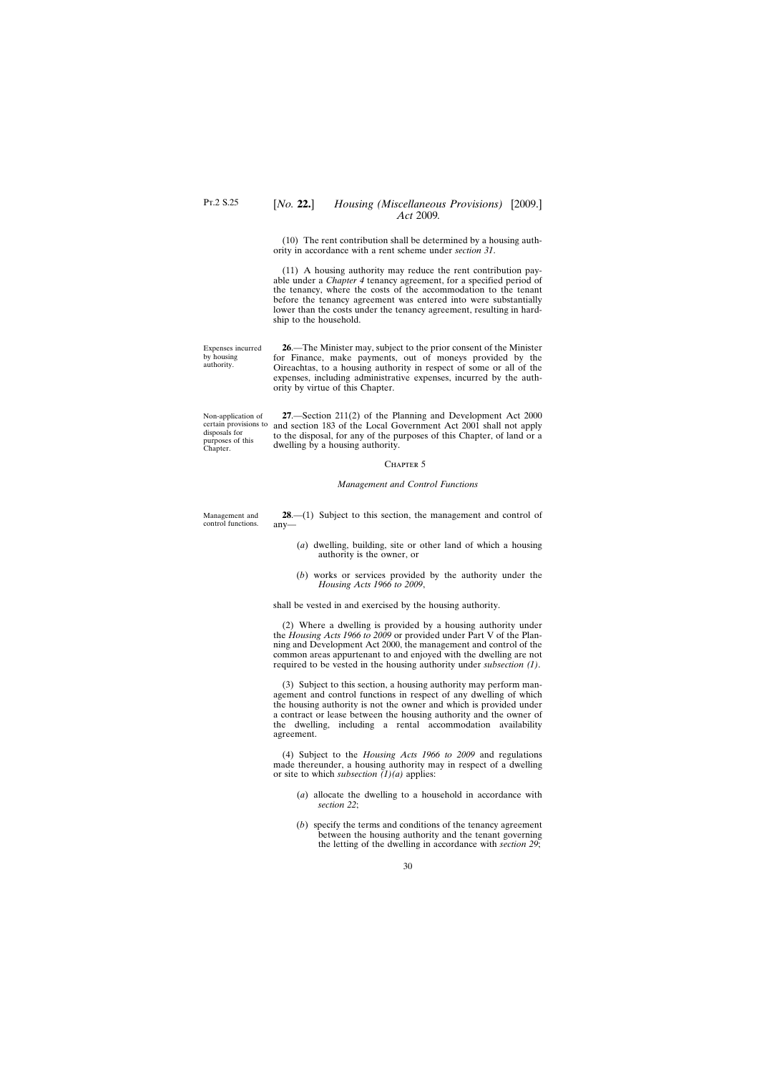## <span id="page-29-0"></span>[*No.* **22.**] *Housing (Miscellaneous Provisions)* [2009.] *Act* 2009*.*

(10) The rent contribution shall be determined by a housing authority in accordance with a rent scheme under *section 31*.

(11) A housing authority may reduce the rent contribution payable under a *Chapter 4* tenancy agreement, for a specified period of the tenancy, where the costs of the accommodation to the tenant before the tenancy agreement was entered into were substantially lower than the costs under the tenancy agreement, resulting in hardship to the household.

Expenses incurred by housing authority.

**26**.—The Minister may, subject to the prior consent of the Minister for Finance, make payments, out of moneys provided by the Oireachtas, to a housing authority in respect of some or all of the expenses, including administrative expenses, incurred by the authority by virtue of this Chapter.

Non-application of disposals for purposes of this Chapter.

certain provisions to and section 183 of the Local Government Act 2001 shall not apply **27**.—Section 211(2) of the Planning and Development Act 2000 to the disposal, for any of the purposes of this Chapter, of land or a dwelling by a housing authority.

#### CHAPTER<sub>5</sub>

### *Management and Control Functions*

Management and control functions.

**28**.—(1) Subject to this section, the management and control of any—

- (*a*) dwelling, building, site or other land of which a housing authority is the owner, or
- (*b*) works or services provided by the authority under the *Housing Acts 1966 to 2009*,

shall be vested in and exercised by the housing authority.

(2) Where a dwelling is provided by a housing authority under the *Housing Acts 1966 to 2009* or provided under Part V of the Planning and Development Act 2000, the management and control of the common areas appurtenant to and enjoyed with the dwelling are not required to be vested in the housing authority under *subsection (1)*.

(3) Subject to this section, a housing authority may perform management and control functions in respect of any dwelling of which the housing authority is not the owner and which is provided under a contract or lease between the housing authority and the owner of the dwelling, including a rental accommodation availability agreement.

(4) Subject to the *Housing Acts 1966 to 2009* and regulations made thereunder, a housing authority may in respect of a dwelling or site to which *subsection (1)(a)* applies:

- (*a*) allocate the dwelling to a household in accordance with *section 22*;
- (*b*) specify the terms and conditions of the tenancy agreement between the housing authority and the tenant governing the letting of the dwelling in accordance with *section 29*;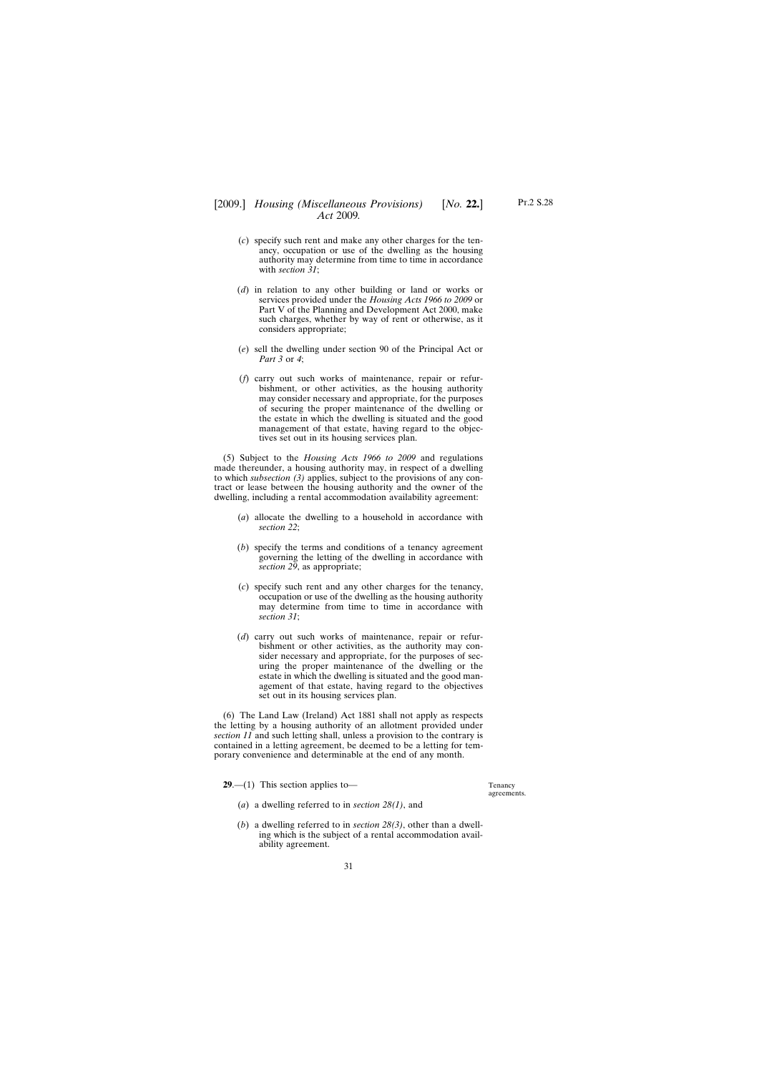- <span id="page-30-0"></span>(*c*) specify such rent and make any other charges for the tenancy, occupation or use of the dwelling as the housing authority may determine from time to time in accordance with *section 31*;
- (*d*) in relation to any other building or land or works or services provided under the *Housing Acts 1966 to 2009* or Part V of the Planning and Development Act 2000, make such charges, whether by way of rent or otherwise, as it considers appropriate;
- (*e*) sell the dwelling under section 90 of the Principal Act or *Part 3* or *4*;
- (*f*) carry out such works of maintenance, repair or refurbishment, or other activities, as the housing authority may consider necessary and appropriate, for the purposes of securing the proper maintenance of the dwelling or the estate in which the dwelling is situated and the good management of that estate, having regard to the objectives set out in its housing services plan.

(5) Subject to the *Housing Acts 1966 to 2009* and regulations made thereunder, a housing authority may, in respect of a dwelling to which *subsection (3)* applies, subject to the provisions of any contract or lease between the housing authority and the owner of the dwelling, including a rental accommodation availability agreement:

- (*a*) allocate the dwelling to a household in accordance with *section 22*;
- (*b*) specify the terms and conditions of a tenancy agreement governing the letting of the dwelling in accordance with *section 29*, as appropriate;
- (*c*) specify such rent and any other charges for the tenancy, occupation or use of the dwelling as the housing authority may determine from time to time in accordance with *section 31*;
- (*d*) carry out such works of maintenance, repair or refurbishment or other activities, as the authority may consider necessary and appropriate, for the purposes of securing the proper maintenance of the dwelling or the estate in which the dwelling is situated and the good management of that estate, having regard to the objectives set out in its housing services plan.

(6) The Land Law (Ireland) Act 1881 shall not apply as respects the letting by a housing authority of an allotment provided under *section 11* and such letting shall, unless a provision to the contrary is contained in a letting agreement, be deemed to be a letting for temporary convenience and determinable at the end of any month.

**29.**—(1) This section applies to—

- (*a*) a dwelling referred to in *section 28(1)*, and
- (*b*) a dwelling referred to in *section 28(3)*, other than a dwelling which is the subject of a rental accommodation availability agreement.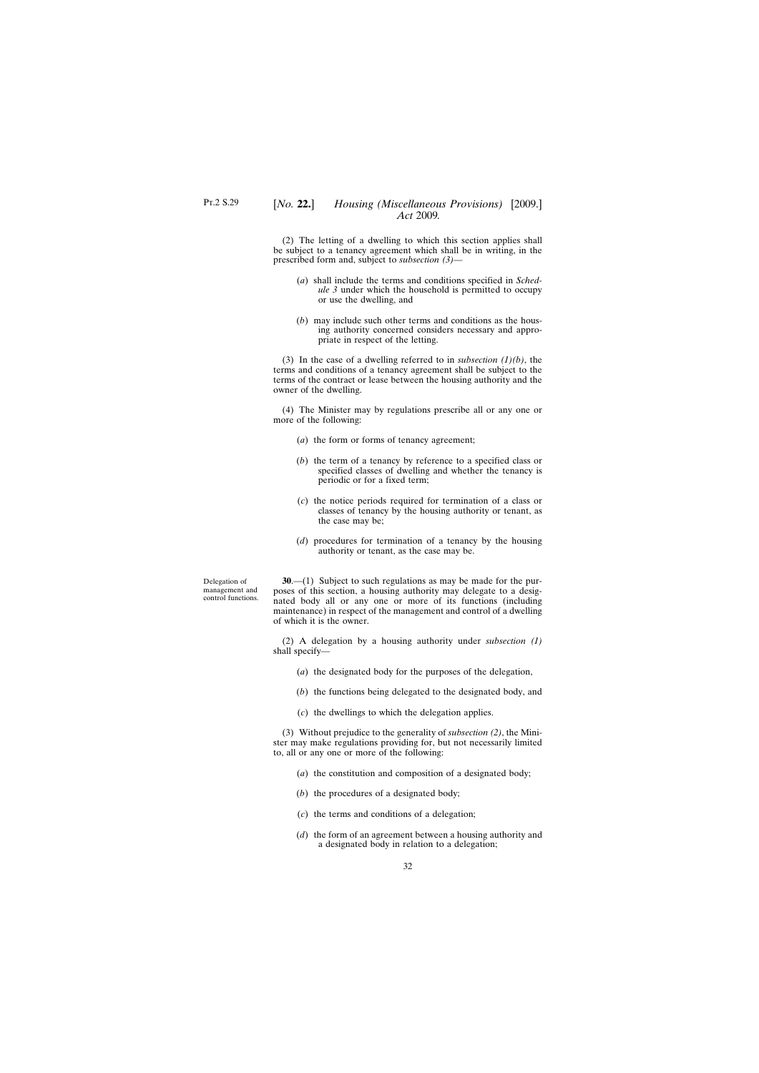<span id="page-31-0"></span>(2) The letting of a dwelling to which this section applies shall be subject to a tenancy agreement which shall be in writing, in the prescribed form and, subject to *subsection (3)*—

- (*a*) shall include the terms and conditions specified in *Schedule 3* under which the household is permitted to occupy or use the dwelling, and
- (*b*) may include such other terms and conditions as the housing authority concerned considers necessary and appropriate in respect of the letting.

(3) In the case of a dwelling referred to in *subsection (1)(b)*, the terms and conditions of a tenancy agreement shall be subject to the terms of the contract or lease between the housing authority and the owner of the dwelling.

(4) The Minister may by regulations prescribe all or any one or more of the following:

- (*a*) the form or forms of tenancy agreement;
- (*b*) the term of a tenancy by reference to a specified class or specified classes of dwelling and whether the tenancy is periodic or for a fixed term;
- (*c*) the notice periods required for termination of a class or classes of tenancy by the housing authority or tenant, as the case may be;
- (*d*) procedures for termination of a tenancy by the housing authority or tenant, as the case may be.

Delegation of management and control functions.

**30**.—(1) Subject to such regulations as may be made for the purposes of this section, a housing authority may delegate to a designated body all or any one or more of its functions (including maintenance) in respect of the management and control of a dwelling of which it is the owner.

(2) A delegation by a housing authority under *subsection (1)* shall specify—

- (*a*) the designated body for the purposes of the delegation,
- (*b*) the functions being delegated to the designated body, and
- (*c*) the dwellings to which the delegation applies.

(3) Without prejudice to the generality of *subsection (2)*, the Minister may make regulations providing for, but not necessarily limited to, all or any one or more of the following:

- (*a*) the constitution and composition of a designated body;
- (*b*) the procedures of a designated body;
- (*c*) the terms and conditions of a delegation;
- (*d*) the form of an agreement between a housing authority and a designated body in relation to a delegation;

32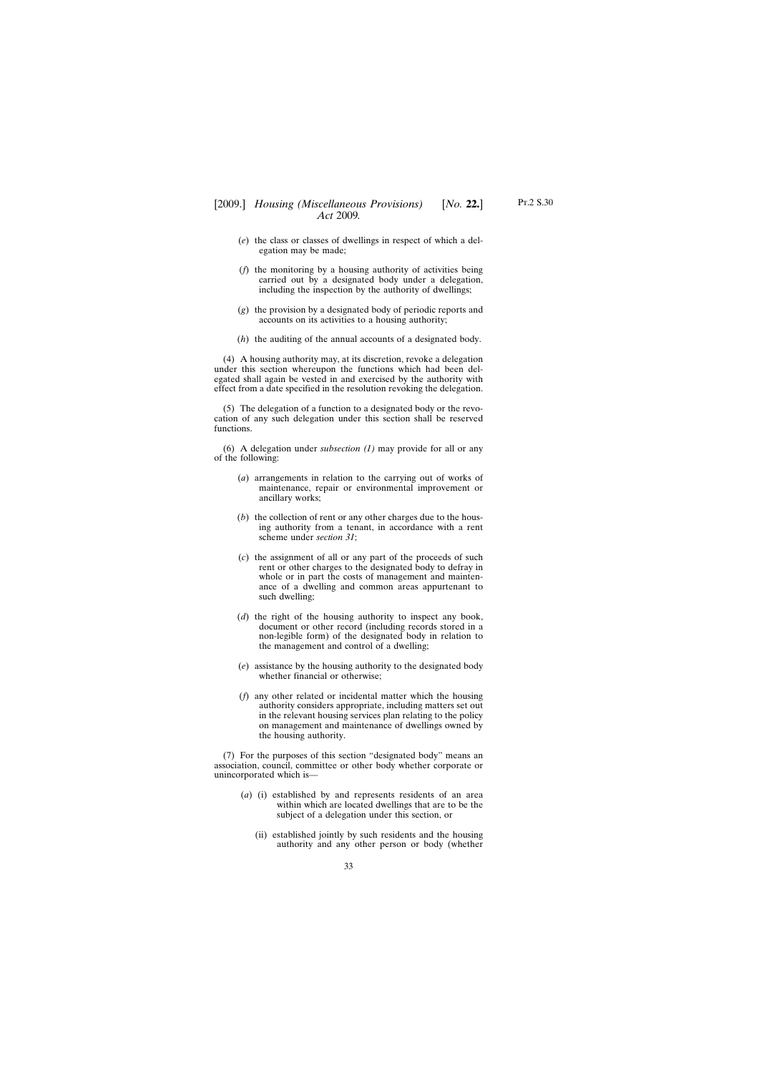- (*e*) the class or classes of dwellings in respect of which a delegation may be made;
- (*f*) the monitoring by a housing authority of activities being carried out by a designated body under a delegation, including the inspection by the authority of dwellings;
- (*g*) the provision by a designated body of periodic reports and accounts on its activities to a housing authority;
- (*h*) the auditing of the annual accounts of a designated body.

(4) A housing authority may, at its discretion, revoke a delegation under this section whereupon the functions which had been delegated shall again be vested in and exercised by the authority with effect from a date specified in the resolution revoking the delegation.

(5) The delegation of a function to a designated body or the revocation of any such delegation under this section shall be reserved functions.

(6) A delegation under *subsection (1)* may provide for all or any of the following:

- (*a*) arrangements in relation to the carrying out of works of maintenance, repair or environmental improvement or ancillary works;
- (*b*) the collection of rent or any other charges due to the housing authority from a tenant, in accordance with a rent scheme under *section 31*;
- (*c*) the assignment of all or any part of the proceeds of such rent or other charges to the designated body to defray in whole or in part the costs of management and maintenance of a dwelling and common areas appurtenant to such dwelling;
- (*d*) the right of the housing authority to inspect any book, document or other record (including records stored in a non-legible form) of the designated body in relation to the management and control of a dwelling;
- (*e*) assistance by the housing authority to the designated body whether financial or otherwise;
- (*f*) any other related or incidental matter which the housing authority considers appropriate, including matters set out in the relevant housing services plan relating to the policy on management and maintenance of dwellings owned by the housing authority.

(7) For the purposes of this section "designated body" means an association, council, committee or other body whether corporate or unincorporated which is—

- (*a*) (i) established by and represents residents of an area within which are located dwellings that are to be the subject of a delegation under this section, or
	- (ii) established jointly by such residents and the housing authority and any other person or body (whether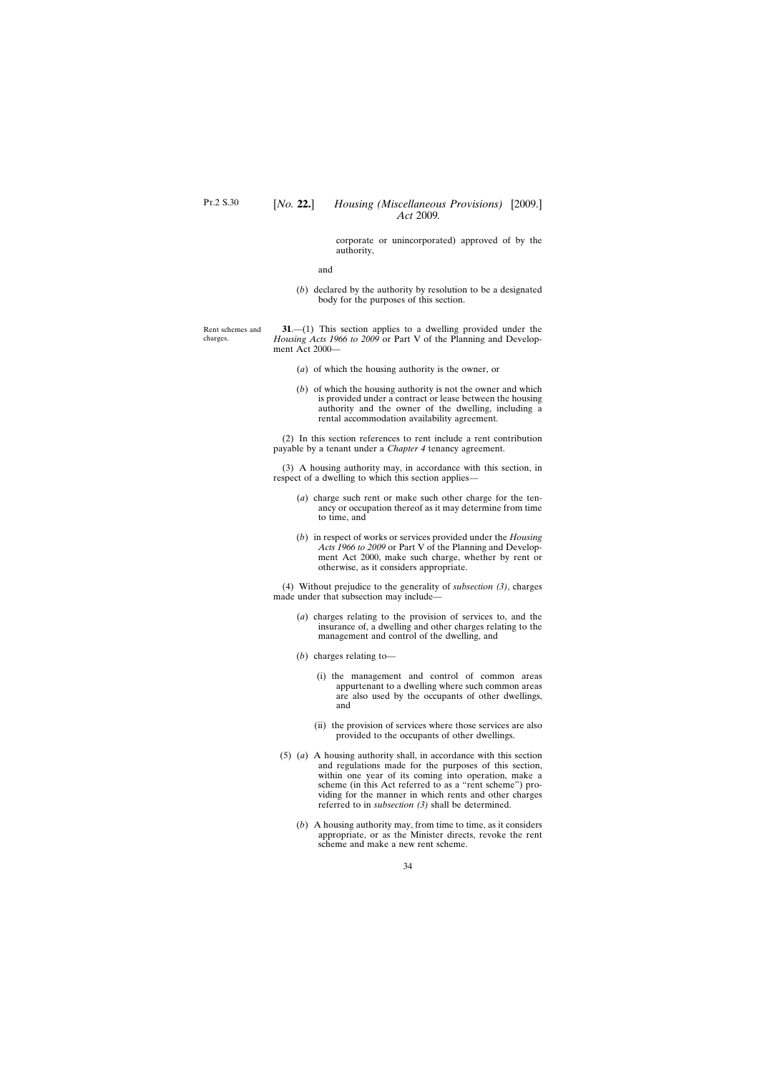corporate or unincorporated) approved of by the authority,

and

(*b*) declared by the authority by resolution to be a designated body for the purposes of this section.

<span id="page-33-0"></span>Rent schemes and charges.

**31**.—(1) This section applies to a dwelling provided under the *Housing Acts 1966 to 2009* or Part V of the Planning and Development Act 2000—

- (*a*) of which the housing authority is the owner, or
- (*b*) of which the housing authority is not the owner and which is provided under a contract or lease between the housing authority and the owner of the dwelling, including a rental accommodation availability agreement.

(2) In this section references to rent include a rent contribution payable by a tenant under a *Chapter 4* tenancy agreement.

(3) A housing authority may, in accordance with this section, in respect of a dwelling to which this section applies—

- (*a*) charge such rent or make such other charge for the tenancy or occupation thereof as it may determine from time to time, and
- (*b*) in respect of works or services provided under the *Housing Acts 1966 to 2009* or Part V of the Planning and Development Act 2000, make such charge, whether by rent or otherwise, as it considers appropriate.

(4) Without prejudice to the generality of *subsection (3)*, charges made under that subsection may include—

- (*a*) charges relating to the provision of services to, and the insurance of, a dwelling and other charges relating to the management and control of the dwelling, and
- (*b*) charges relating to—
	- (i) the management and control of common areas appurtenant to a dwelling where such common areas are also used by the occupants of other dwellings, and
	- (ii) the provision of services where those services are also provided to the occupants of other dwellings.
- (5) (*a*) A housing authority shall, in accordance with this section and regulations made for the purposes of this section, within one year of its coming into operation, make a scheme (in this Act referred to as a "rent scheme") providing for the manner in which rents and other charges referred to in *subsection (3)* shall be determined.
	- (*b*) A housing authority may, from time to time, as it considers appropriate, or as the Minister directs, revoke the rent scheme and make a new rent scheme.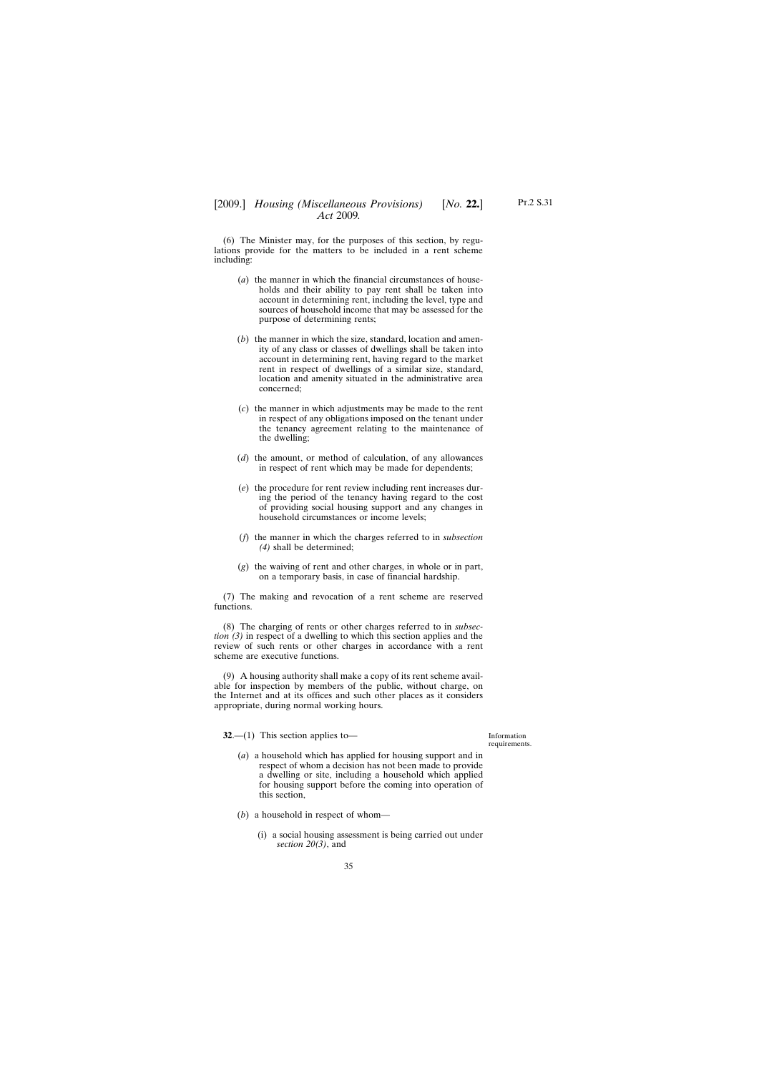<span id="page-34-0"></span>(6) The Minister may, for the purposes of this section, by regulations provide for the matters to be included in a rent scheme including:

- (*a*) the manner in which the financial circumstances of households and their ability to pay rent shall be taken into account in determining rent, including the level, type and sources of household income that may be assessed for the purpose of determining rents;
- (*b*) the manner in which the size, standard, location and amenity of any class or classes of dwellings shall be taken into account in determining rent, having regard to the market rent in respect of dwellings of a similar size, standard, location and amenity situated in the administrative area concerned;
- (*c*) the manner in which adjustments may be made to the rent in respect of any obligations imposed on the tenant under the tenancy agreement relating to the maintenance of the dwelling;
- (*d*) the amount, or method of calculation, of any allowances in respect of rent which may be made for dependents;
- (*e*) the procedure for rent review including rent increases during the period of the tenancy having regard to the cost of providing social housing support and any changes in household circumstances or income levels;
- (*f*) the manner in which the charges referred to in *subsection (4)* shall be determined;
- (*g*) the waiving of rent and other charges, in whole or in part, on a temporary basis, in case of financial hardship.

(7) The making and revocation of a rent scheme are reserved functions.

(8) The charging of rents or other charges referred to in *subsection (3)* in respect of a dwelling to which this section applies and the review of such rents or other charges in accordance with a rent scheme are executive functions.

(9) A housing authority shall make a copy of its rent scheme available for inspection by members of the public, without charge, on the Internet and at its offices and such other places as it considers appropriate, during normal working hours.

**32.**—(1) This section applies to—

Information requirements.

- (*a*) a household which has applied for housing support and in respect of whom a decision has not been made to provide a dwelling or site, including a household which applied for housing support before the coming into operation of this section,
- (*b*) a household in respect of whom—
	- (i) a social housing assessment is being carried out under *section 20(3)*, and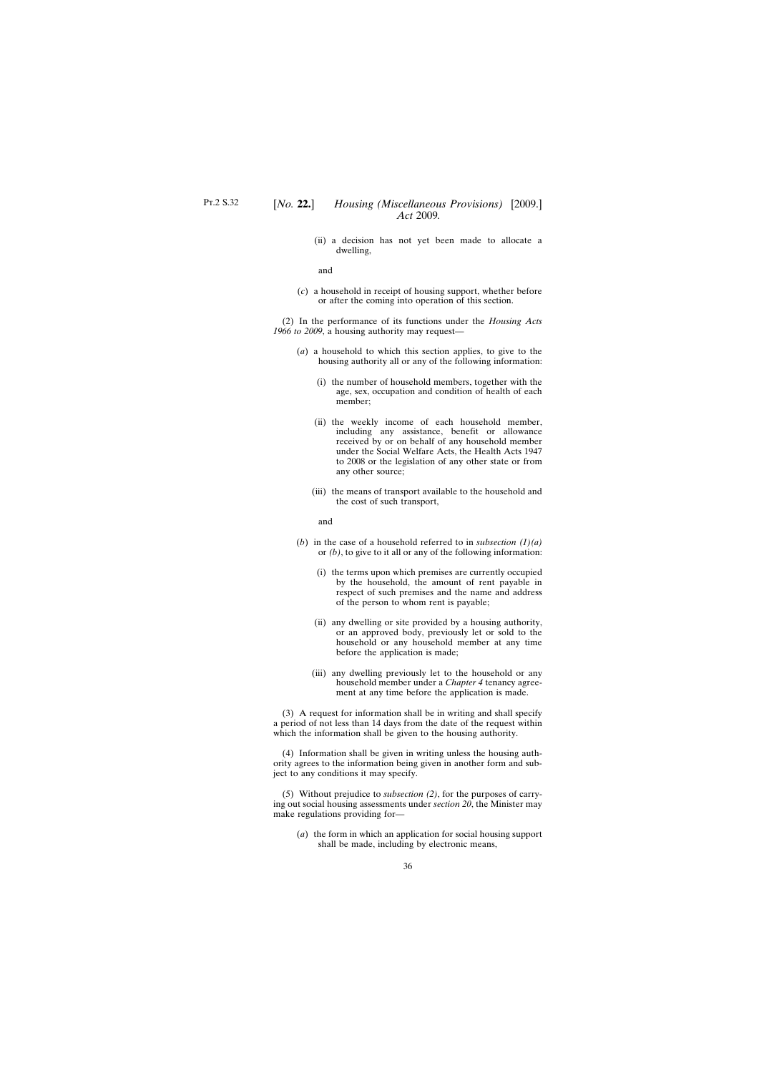(ii) a decision has not yet been made to allocate a dwelling,

and

(*c*) a household in receipt of housing support, whether before or after the coming into operation of this section.

(2) In the performance of its functions under the *Housing Acts 1966 to 2009*, a housing authority may request—

- (*a*) a household to which this section applies, to give to the housing authority all or any of the following information:
	- (i) the number of household members, together with the age, sex, occupation and condition of health of each member;
	- (ii) the weekly income of each household member, including any assistance, benefit or allowance received by or on behalf of any household member under the Social Welfare Acts, the Health Acts 1947 to 2008 or the legislation of any other state or from any other source;
	- (iii) the means of transport available to the household and the cost of such transport,

and

- (*b*) in the case of a household referred to in *subsection (1)(a)* or *(b)*, to give to it all or any of the following information:
	- (i) the terms upon which premises are currently occupied by the household, the amount of rent payable in respect of such premises and the name and address of the person to whom rent is payable;
	- (ii) any dwelling or site provided by a housing authority, or an approved body, previously let or sold to the household or any household member at any time before the application is made;
	- (iii) any dwelling previously let to the household or any household member under a *Chapter 4* tenancy agreement at any time before the application is made.

(3) A request for information shall be in writing and shall specify a period of not less than 14 days from the date of the request within which the information shall be given to the housing authority.

(4) Information shall be given in writing unless the housing authority agrees to the information being given in another form and subject to any conditions it may specify.

(5) Without prejudice to *subsection (2)*, for the purposes of carrying out social housing assessments under *section 20*, the Minister may make regulations providing for—

(*a*) the form in which an application for social housing support shall be made, including by electronic means,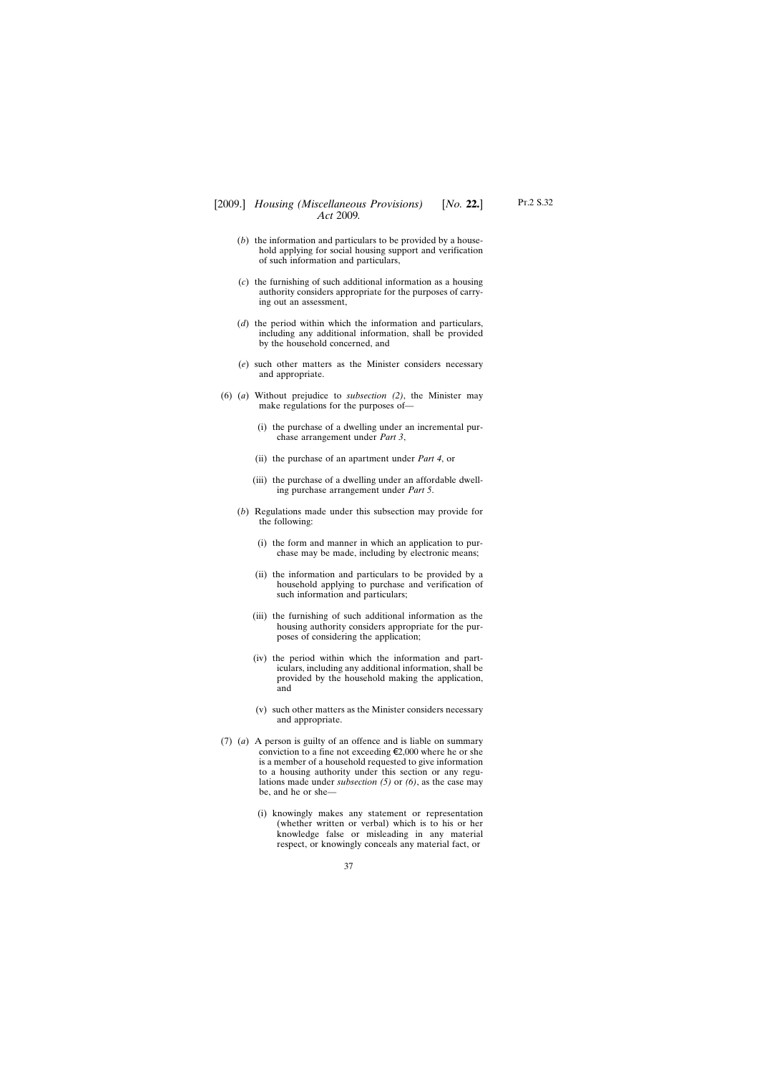- (*b*) the information and particulars to be provided by a household applying for social housing support and verification of such information and particulars,
- (*c*) the furnishing of such additional information as a housing authority considers appropriate for the purposes of carrying out an assessment,
- (*d*) the period within which the information and particulars, including any additional information, shall be provided by the household concerned, and
- (*e*) such other matters as the Minister considers necessary and appropriate.
- (6) (*a*) Without prejudice to *subsection (2)*, the Minister may make regulations for the purposes of—
	- (i) the purchase of a dwelling under an incremental purchase arrangement under *Part 3*,
	- (ii) the purchase of an apartment under *Part 4*, or
	- (iii) the purchase of a dwelling under an affordable dwelling purchase arrangement under *Part 5*.
	- (*b*) Regulations made under this subsection may provide for the following:
		- (i) the form and manner in which an application to purchase may be made, including by electronic means;
		- (ii) the information and particulars to be provided by a household applying to purchase and verification of such information and particulars;
		- (iii) the furnishing of such additional information as the housing authority considers appropriate for the purposes of considering the application;
		- (iv) the period within which the information and particulars, including any additional information, shall be provided by the household making the application, and
		- (v) such other matters as the Minister considers necessary and appropriate.
- (7) (*a*) A person is guilty of an offence and is liable on summary conviction to a fine not exceeding  $\epsilon$ 2,000 where he or she is a member of a household requested to give information to a housing authority under this section or any regulations made under *subsection (5)* or *(6)*, as the case may be, and he or she—

37

(i) knowingly makes any statement or representation (whether written or verbal) which is to his or her knowledge false or misleading in any material respect, or knowingly conceals any material fact, or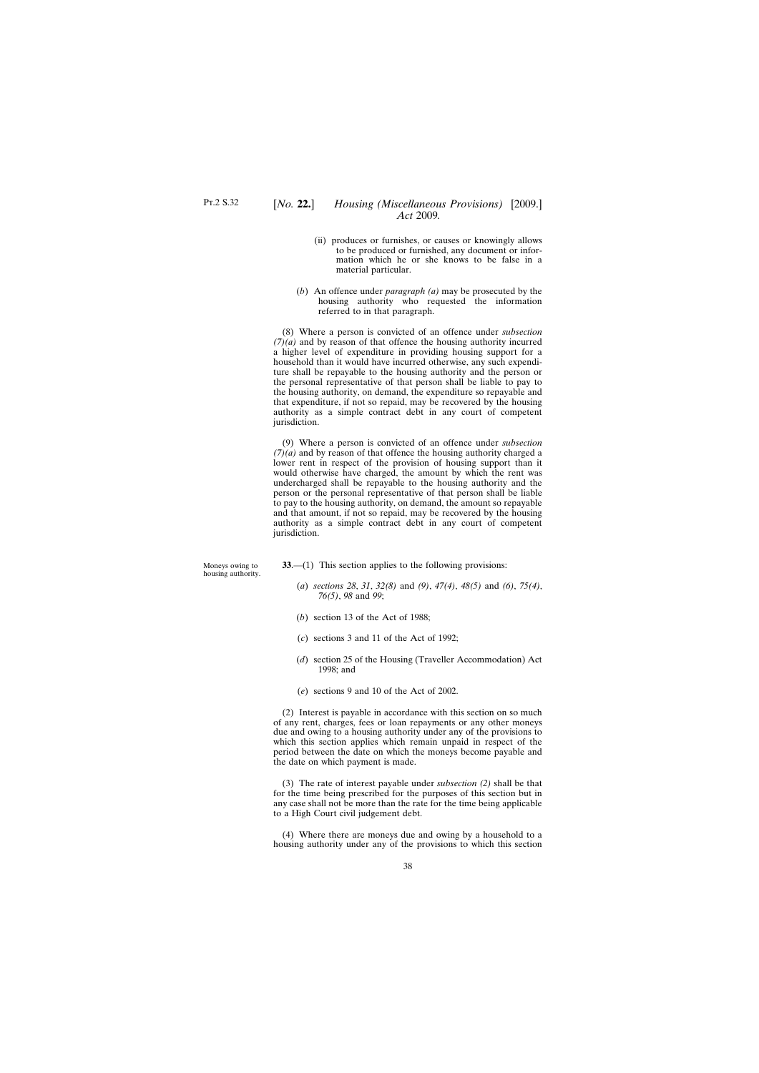- (ii) produces or furnishes, or causes or knowingly allows to be produced or furnished, any document or information which he or she knows to be false in a material particular.
- (*b*) An offence under *paragraph (a)* may be prosecuted by the housing authority who requested the information referred to in that paragraph.

(8) Where a person is convicted of an offence under *subsection*  $(7)(a)$  and by reason of that offence the housing authority incurred a higher level of expenditure in providing housing support for a household than it would have incurred otherwise, any such expenditure shall be repayable to the housing authority and the person or the personal representative of that person shall be liable to pay to the housing authority, on demand, the expenditure so repayable and that expenditure, if not so repaid, may be recovered by the housing authority as a simple contract debt in any court of competent jurisdiction.

(9) Where a person is convicted of an offence under *subsection (7)(a)* and by reason of that offence the housing authority charged a lower rent in respect of the provision of housing support than it would otherwise have charged, the amount by which the rent was undercharged shall be repayable to the housing authority and the person or the personal representative of that person shall be liable to pay to the housing authority, on demand, the amount so repayable and that amount, if not so repaid, may be recovered by the housing authority as a simple contract debt in any court of competent jurisdiction.

| Moneys owing to<br>housing authority. | $33$ —(1) This section applies to the following provisions:                              |  |  |
|---------------------------------------|------------------------------------------------------------------------------------------|--|--|
|                                       | (a) sections 28, 31, 32(8) and (9), 47(4), 48(5) and (6), 75(4),<br>$76(5)$ , 98 and 99; |  |  |
|                                       |                                                                                          |  |  |

- (*b*) section 13 of the Act of 1988;
- (*c*) sections 3 and 11 of the Act of 1992;
- (*d*) section 25 of the Housing (Traveller Accommodation) Act 1998; and
- (*e*) sections 9 and 10 of the Act of 2002.

(2) Interest is payable in accordance with this section on so much of any rent, charges, fees or loan repayments or any other moneys due and owing to a housing authority under any of the provisions to which this section applies which remain unpaid in respect of the period between the date on which the moneys become payable and the date on which payment is made.

(3) The rate of interest payable under *subsection (2)* shall be that for the time being prescribed for the purposes of this section but in any case shall not be more than the rate for the time being applicable to a High Court civil judgement debt.

(4) Where there are moneys due and owing by a household to a housing authority under any of the provisions to which this section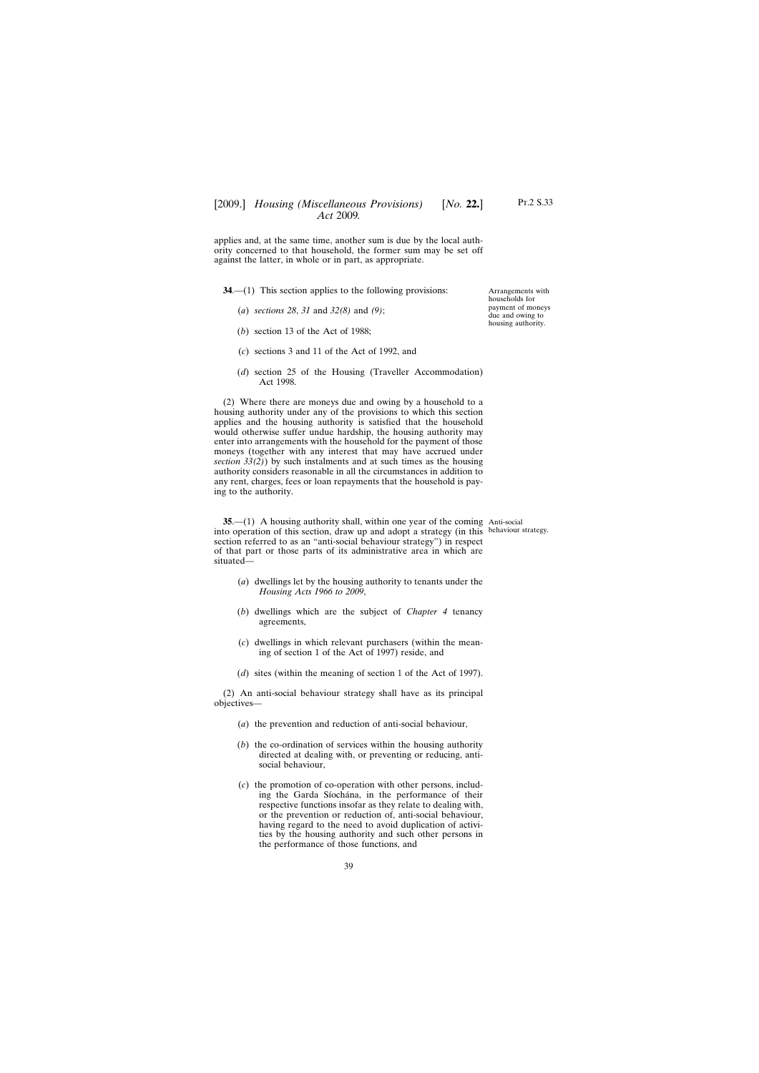applies and, at the same time, another sum is due by the local authority concerned to that household, the former sum may be set off against the latter, in whole or in part, as appropriate.

**34.**—(1) This section applies to the following provisions:

- (*a*) *sections 28*, *31* and *32(8)* and *(9)*;
- (*b*) section 13 of the Act of 1988;
- (*c*) sections 3 and 11 of the Act of 1992, and
- (*d*) section 25 of the Housing (Traveller Accommodation) Act 1998.

(2) Where there are moneys due and owing by a household to a housing authority under any of the provisions to which this section applies and the housing authority is satisfied that the household would otherwise suffer undue hardship, the housing authority may enter into arrangements with the household for the payment of those moneys (together with any interest that may have accrued under *section 33(2)*) by such instalments and at such times as the housing authority considers reasonable in all the circumstances in addition to any rent, charges, fees or loan repayments that the household is paying to the authority.

**35.**—(1) A housing authority shall, within one year of the coming Anti-social into operation of this section, draw up and adopt a strategy (in this behaviour strategy.section referred to as an "anti-social behaviour strategy") in respect of that part or those parts of its administrative area in which are situated—

- (*a*) dwellings let by the housing authority to tenants under the *Housing Acts 1966 to 2009*,
- (*b*) dwellings which are the subject of *Chapter 4* tenancy agreements,
- (*c*) dwellings in which relevant purchasers (within the meaning of section 1 of the Act of 1997) reside, and
- (*d*) sites (within the meaning of section 1 of the Act of 1997).

(2) An anti-social behaviour strategy shall have as its principal objectives—

- (*a*) the prevention and reduction of anti-social behaviour,
- (*b*) the co-ordination of services within the housing authority directed at dealing with, or preventing or reducing, antisocial behaviour,
- (*c*) the promotion of co-operation with other persons, including the Garda Síochána, in the performance of their respective functions insofar as they relate to dealing with, or the prevention or reduction of, anti-social behaviour, having regard to the need to avoid duplication of activities by the housing authority and such other persons in the performance of those functions, and

Arrangements with households for payment of moneys due and owing to housing authority.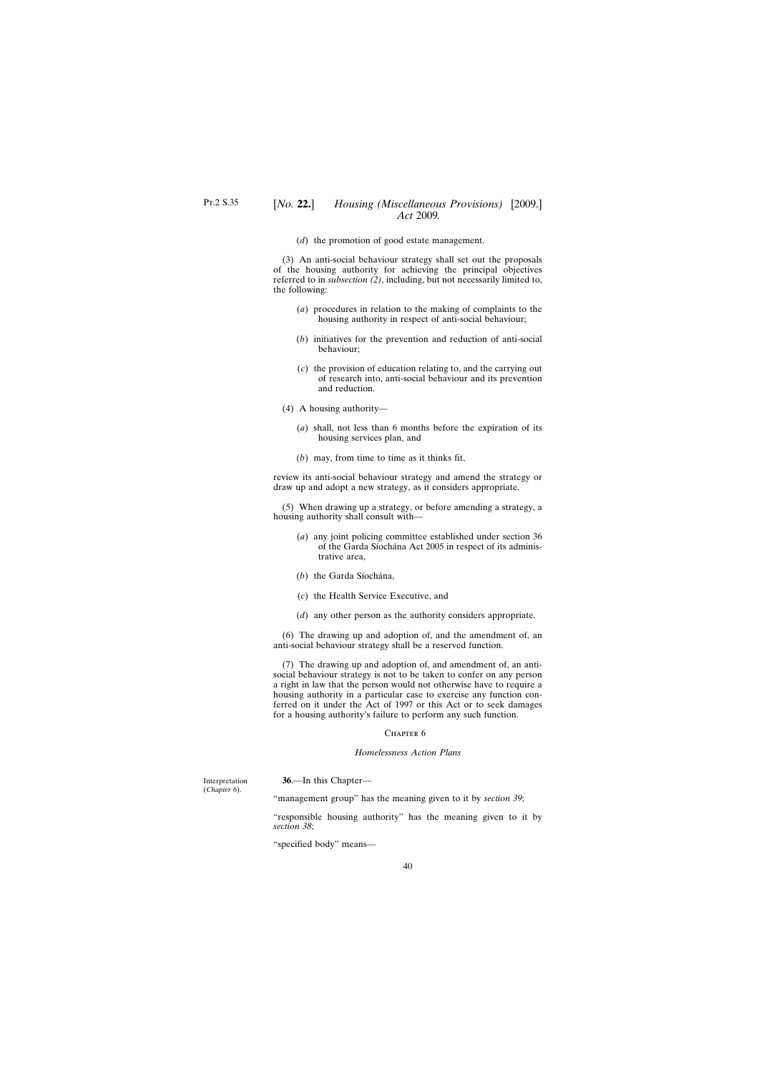(*d*) the promotion of good estate management.

(3) An anti-social behaviour strategy shall set out the proposals of the housing authority for achieving the principal objectives referred to in *subsection (2)*, including, but not necessarily limited to, the following:

- (*a*) procedures in relation to the making of complaints to the housing authority in respect of anti-social behaviour;
- (*b*) initiatives for the prevention and reduction of anti-social behaviour;
- (*c*) the provision of education relating to, and the carrying out of research into, anti-social behaviour and its prevention and reduction.
- (4) A housing authority—
	- (*a*) shall, not less than 6 months before the expiration of its housing services plan, and
	- (*b*) may, from time to time as it thinks fit,

review its anti-social behaviour strategy and amend the strategy or draw up and adopt a new strategy, as it considers appropriate.

(5) When drawing up a strategy, or before amending a strategy, a housing authority shall consult with—

- (*a*) any joint policing committee established under section 36 of the Garda Síochána Act 2005 in respect of its administrative area,
- (*b*) the Garda Síochána,
- (*c*) the Health Service Executive, and
- (*d*) any other person as the authority considers appropriate.

(6) The drawing up and adoption of, and the amendment of, an anti-social behaviour strategy shall be a reserved function.

(7) The drawing up and adoption of, and amendment of, an antisocial behaviour strategy is not to be taken to confer on any person a right in law that the person would not otherwise have to require a housing authority in a particular case to exercise any function conferred on it under the Act of 1997 or this Act or to seek damages for a housing authority's failure to perform any such function.

#### CHAPTER<sub>6</sub>

#### *Homelessness Action Plans*

Interpretation (*Chapter 6*).

**36**.—In this Chapter—

"management group" has the meaning given to it by *section 39*;

"responsible housing authority" has the meaning given to it by *section 38*;

"specified body" means—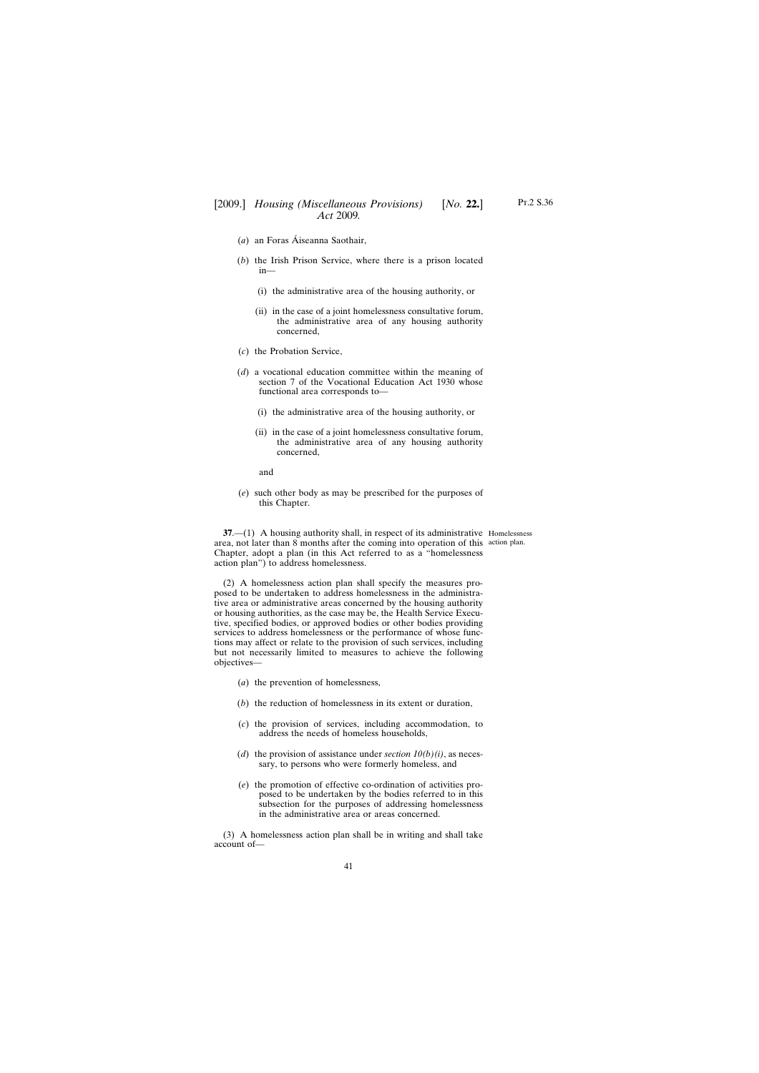- (*a*) an Foras Áiseanna Saothair,
- (*b*) the Irish Prison Service, where there is a prison located in—
	- (i) the administrative area of the housing authority, or
	- (ii) in the case of a joint homelessness consultative forum, the administrative area of any housing authority concerned,
- (*c*) the Probation Service,
- (*d*) a vocational education committee within the meaning of section 7 of the Vocational Education Act 1930 whose functional area corresponds to—
	- (i) the administrative area of the housing authority, or
	- (ii) in the case of a joint homelessness consultative forum, the administrative area of any housing authority concerned,

and

objectives—

(*e*) such other body as may be prescribed for the purposes of this Chapter.

**37.**—(1) A housing authority shall, in respect of its administrative Homelessness area, not later than 8 months after the coming into operation of this action plan.Chapter, adopt a plan (in this Act referred to as a "homelessness action plan") to address homelessness.

(2) A homelessness action plan shall specify the measures proposed to be undertaken to address homelessness in the administrative area or administrative areas concerned by the housing authority or housing authorities, as the case may be, the Health Service Executive, specified bodies, or approved bodies or other bodies providing services to address homelessness or the performance of whose functions may affect or relate to the provision of such services, including but not necessarily limited to measures to achieve the following

- (*a*) the prevention of homelessness,
- (*b*) the reduction of homelessness in its extent or duration,
- (*c*) the provision of services, including accommodation, to address the needs of homeless households,
- (*d*) the provision of assistance under *section*  $10(b)(i)$ , as necessary, to persons who were formerly homeless, and
- (*e*) the promotion of effective co-ordination of activities proposed to be undertaken by the bodies referred to in this subsection for the purposes of addressing homelessness in the administrative area or areas concerned.

(3) A homelessness action plan shall be in writing and shall take account of—

41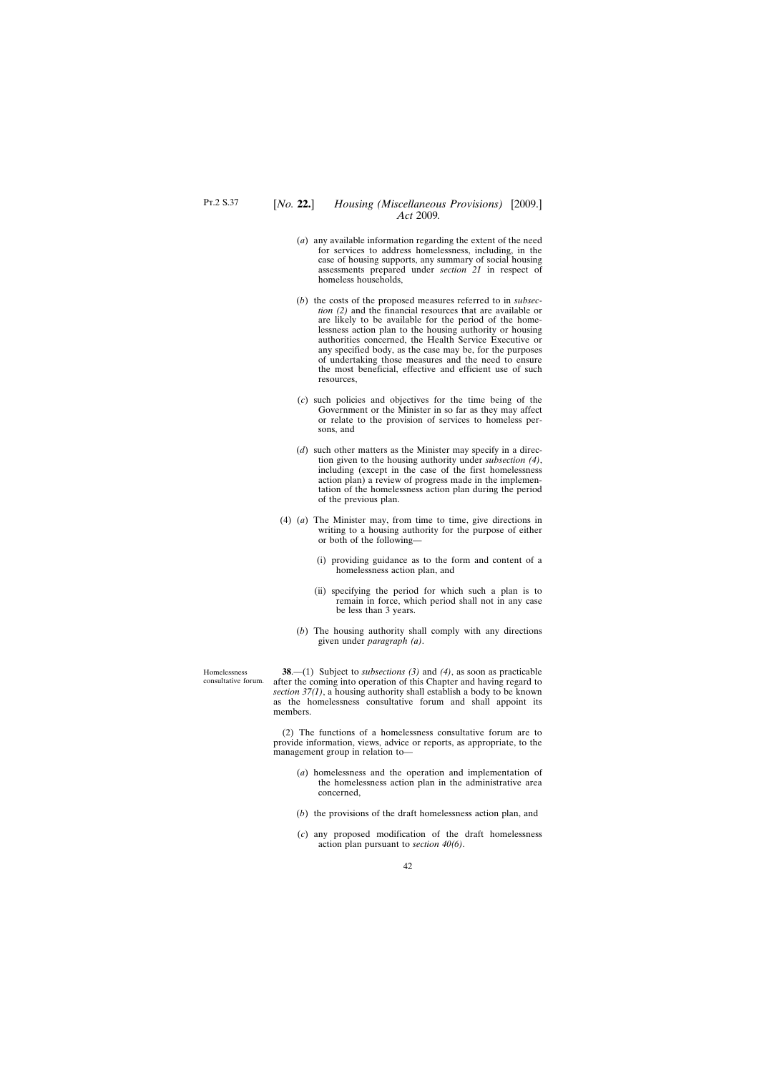- (*a*) any available information regarding the extent of the need for services to address homelessness, including, in the case of housing supports, any summary of social housing assessments prepared under *section 21* in respect of homeless households,
- (*b*) the costs of the proposed measures referred to in *subsection (2)* and the financial resources that are available or are likely to be available for the period of the homelessness action plan to the housing authority or housing authorities concerned, the Health Service Executive or any specified body, as the case may be, for the purposes of undertaking those measures and the need to ensure the most beneficial, effective and efficient use of such resources,
- (*c*) such policies and objectives for the time being of the Government or the Minister in so far as they may affect or relate to the provision of services to homeless persons, and
- (*d*) such other matters as the Minister may specify in a direction given to the housing authority under *subsection (4)*, including (except in the case of the first homelessness action plan) a review of progress made in the implementation of the homelessness action plan during the period of the previous plan.
- (4) (*a*) The Minister may, from time to time, give directions in writing to a housing authority for the purpose of either or both of the following—
	- (i) providing guidance as to the form and content of a homelessness action plan, and
	- (ii) specifying the period for which such a plan is to remain in force, which period shall not in any case be less than 3 years.
	- (*b*) The housing authority shall comply with any directions given under *paragraph (a)*.

Homelessness consultative forum.

**38**.—(1) Subject to *subsections (3)* and *(4)*, as soon as practicable after the coming into operation of this Chapter and having regard to *section 37(1)*, a housing authority shall establish a body to be known as the homelessness consultative forum and shall appoint its members.

(2) The functions of a homelessness consultative forum are to provide information, views, advice or reports, as appropriate, to the management group in relation to—

- (*a*) homelessness and the operation and implementation of the homelessness action plan in the administrative area concerned,
- (*b*) the provisions of the draft homelessness action plan, and
- (*c*) any proposed modification of the draft homelessness action plan pursuant to *section 40(6)*.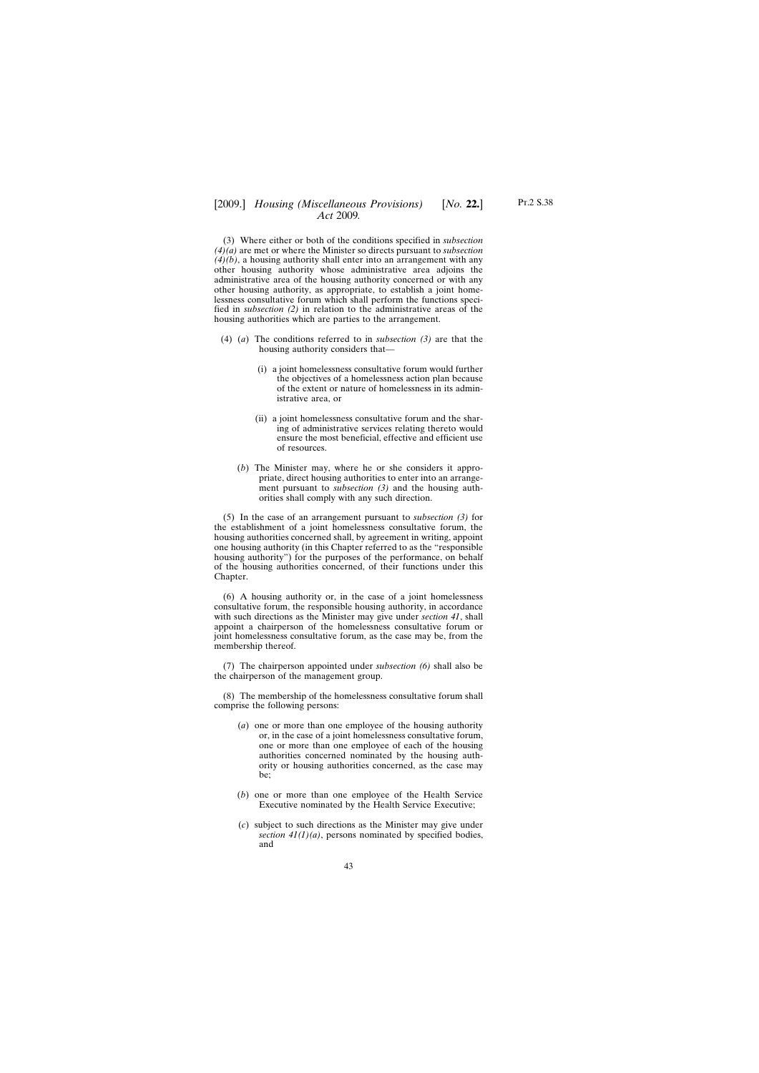(3) Where either or both of the conditions specified in *subsection (4)(a)* are met or where the Minister so directs pursuant to *subsection (4)(b)*, a housing authority shall enter into an arrangement with any other housing authority whose administrative area adjoins the administrative area of the housing authority concerned or with any other housing authority, as appropriate, to establish a joint homelessness consultative forum which shall perform the functions specified in *subsection (2)* in relation to the administrative areas of the housing authorities which are parties to the arrangement.

- (4) (*a*) The conditions referred to in *subsection (3)* are that the housing authority considers that—
	- (i) a joint homelessness consultative forum would further the objectives of a homelessness action plan because of the extent or nature of homelessness in its administrative area, or
	- (ii) a joint homelessness consultative forum and the sharing of administrative services relating thereto would ensure the most beneficial, effective and efficient use of resources.
	- (*b*) The Minister may, where he or she considers it appropriate, direct housing authorities to enter into an arrangement pursuant to *subsection (3)* and the housing authorities shall comply with any such direction.

(5) In the case of an arrangement pursuant to *subsection (3)* for the establishment of a joint homelessness consultative forum, the housing authorities concerned shall, by agreement in writing, appoint one housing authority (in this Chapter referred to as the "responsible housing authority") for the purposes of the performance, on behalf of the housing authorities concerned, of their functions under this Chapter.

(6) A housing authority or, in the case of a joint homelessness consultative forum, the responsible housing authority, in accordance with such directions as the Minister may give under *section 41*, shall appoint a chairperson of the homelessness consultative forum or joint homelessness consultative forum, as the case may be, from the membership thereof.

(7) The chairperson appointed under *subsection (6)* shall also be the chairperson of the management group.

(8) The membership of the homelessness consultative forum shall comprise the following persons:

- (*a*) one or more than one employee of the housing authority or, in the case of a joint homelessness consultative forum, one or more than one employee of each of the housing authorities concerned nominated by the housing authority or housing authorities concerned, as the case may be;
- (*b*) one or more than one employee of the Health Service Executive nominated by the Health Service Executive;
- (*c*) subject to such directions as the Minister may give under *section 41(1)(a)*, persons nominated by specified bodies, and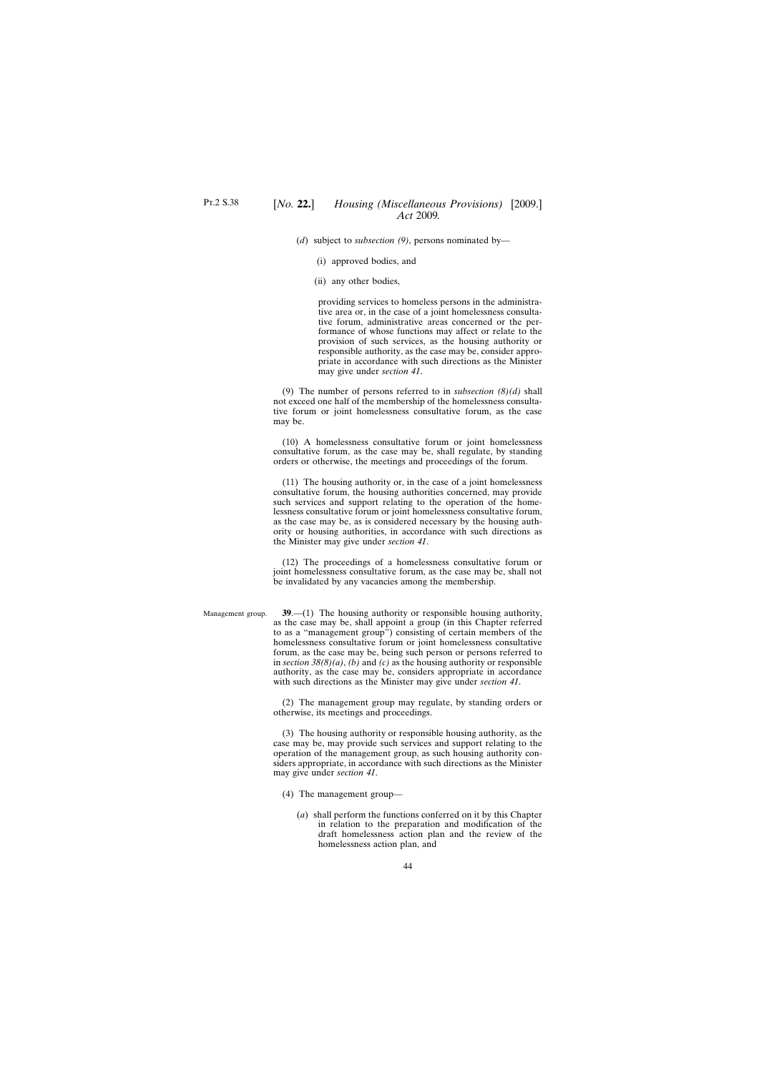(*d*) subject to *subsection (9)*, persons nominated by—

- (i) approved bodies, and
- (ii) any other bodies,

providing services to homeless persons in the administrative area or, in the case of a joint homelessness consultative forum, administrative areas concerned or the performance of whose functions may affect or relate to the provision of such services, as the housing authority or responsible authority, as the case may be, consider appropriate in accordance with such directions as the Minister may give under *section 41*.

(9) The number of persons referred to in *subsection (8)(d)* shall not exceed one half of the membership of the homelessness consultative forum or joint homelessness consultative forum, as the case may be.

(10) A homelessness consultative forum or joint homelessness consultative forum, as the case may be, shall regulate, by standing orders or otherwise, the meetings and proceedings of the forum.

(11) The housing authority or, in the case of a joint homelessness consultative forum, the housing authorities concerned, may provide such services and support relating to the operation of the homelessness consultative forum or joint homelessness consultative forum, as the case may be, as is considered necessary by the housing authority or housing authorities, in accordance with such directions as the Minister may give under *section 41*.

(12) The proceedings of a homelessness consultative forum or joint homelessness consultative forum, as the case may be, shall not be invalidated by any vacancies among the membership.

Management group.

**39**.—(1) The housing authority or responsible housing authority, as the case may be, shall appoint a group (in this Chapter referred to as a "management group") consisting of certain members of the homelessness consultative forum or joint homelessness consultative forum, as the case may be, being such person or persons referred to in *section 38(8)(a)*, *(b)* and *(c)* as the housing authority or responsible authority, as the case may be, considers appropriate in accordance with such directions as the Minister may give under *section 41*.

(2) The management group may regulate, by standing orders or otherwise, its meetings and proceedings.

(3) The housing authority or responsible housing authority, as the case may be, may provide such services and support relating to the operation of the management group, as such housing authority considers appropriate, in accordance with such directions as the Minister may give under *section 41*.

- (4) The management group—
	- (*a*) shall perform the functions conferred on it by this Chapter in relation to the preparation and modification of the draft homelessness action plan and the review of the homelessness action plan, and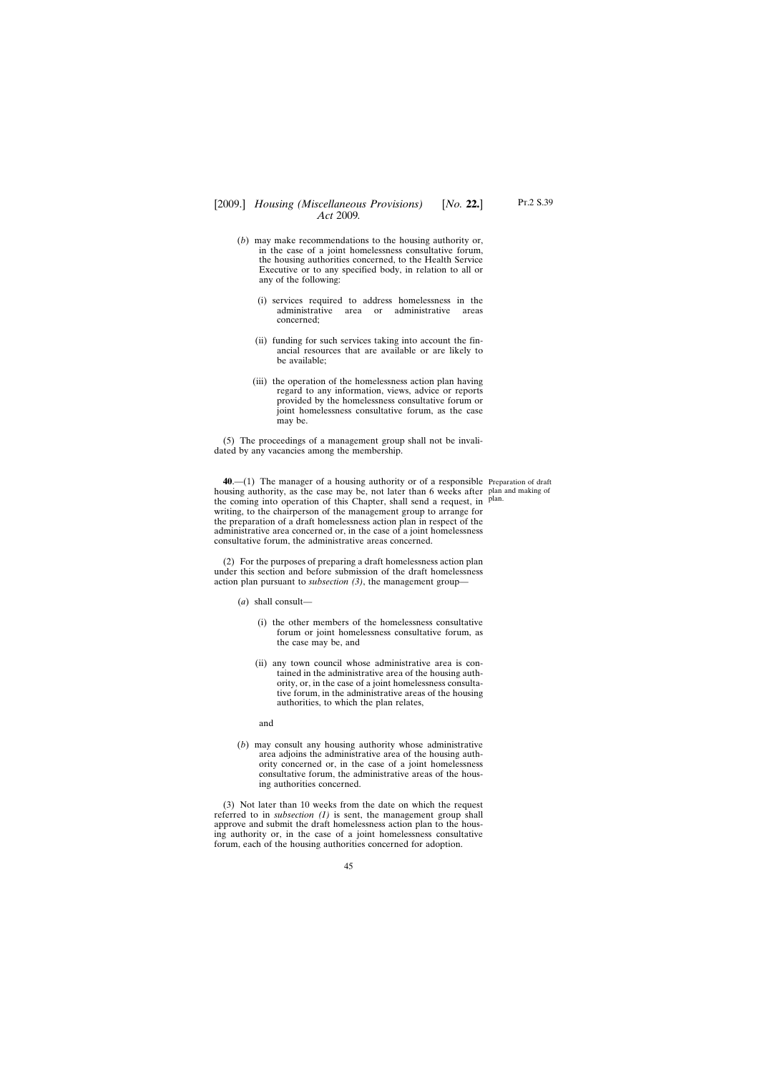# [2009.] [ *Housing (Miscellaneous Provisions) No.* **22.**] *Act* 2009*.*

- (*b*) may make recommendations to the housing authority or, in the case of a joint homelessness consultative forum, the housing authorities concerned, to the Health Service Executive or to any specified body, in relation to all or any of the following:
	- (i) services required to address homelessness in the administrative area or administrative areas concerned;
	- (ii) funding for such services taking into account the financial resources that are available or are likely to be available;
	- (iii) the operation of the homelessness action plan having regard to any information, views, advice or reports provided by the homelessness consultative forum or joint homelessness consultative forum, as the case may be.

(5) The proceedings of a management group shall not be invalidated by any vacancies among the membership.

**40**.—(1) The manager of a housing authority or of a responsible Preparation of draft housing authority, as the case may be, not later than 6 weeks after plan and making of the coming into operation of this Chapter, shall send a request, in <sup>plan.</sup> writing, to the chairperson of the management group to arrange for the preparation of a draft homelessness action plan in respect of the administrative area concerned or, in the case of a joint homelessness consultative forum, the administrative areas concerned.

(2) For the purposes of preparing a draft homelessness action plan under this section and before submission of the draft homelessness action plan pursuant to *subsection (3)*, the management group—

(*a*) shall consult—

- (i) the other members of the homelessness consultative forum or joint homelessness consultative forum, as the case may be, and
- (ii) any town council whose administrative area is contained in the administrative area of the housing authority, or, in the case of a joint homelessness consultative forum, in the administrative areas of the housing authorities, to which the plan relates,
- and
- (*b*) may consult any housing authority whose administrative area adjoins the administrative area of the housing authority concerned or, in the case of a joint homelessness consultative forum, the administrative areas of the housing authorities concerned.

(3) Not later than 10 weeks from the date on which the request referred to in *subsection (1)* is sent, the management group shall approve and submit the draft homelessness action plan to the housing authority or, in the case of a joint homelessness consultative forum, each of the housing authorities concerned for adoption.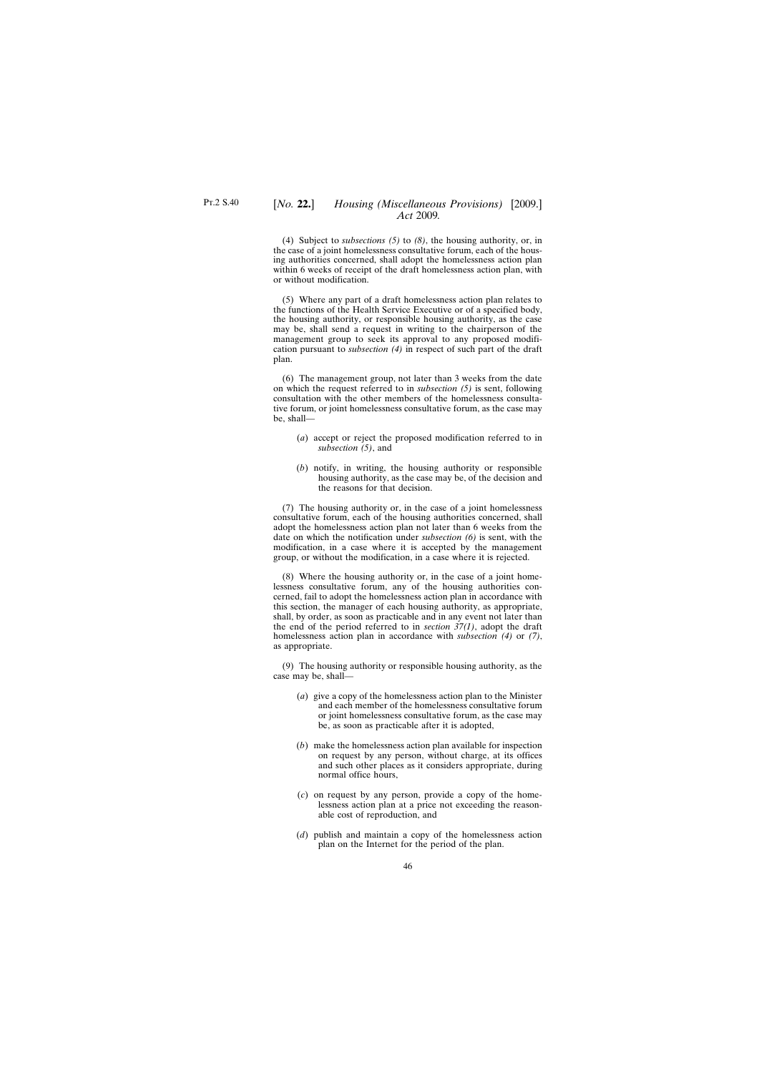(4) Subject to *subsections (5)* to *(8)*, the housing authority, or, in the case of a joint homelessness consultative forum, each of the housing authorities concerned, shall adopt the homelessness action plan within 6 weeks of receipt of the draft homelessness action plan, with or without modification.

(5) Where any part of a draft homelessness action plan relates to the functions of the Health Service Executive or of a specified body, the housing authority, or responsible housing authority, as the case may be, shall send a request in writing to the chairperson of the management group to seek its approval to any proposed modification pursuant to *subsection (4)* in respect of such part of the draft plan.

(6) The management group, not later than 3 weeks from the date on which the request referred to in *subsection (5)* is sent, following consultation with the other members of the homelessness consultative forum, or joint homelessness consultative forum, as the case may be, shall—

- (*a*) accept or reject the proposed modification referred to in *subsection (5)*, and
- (*b*) notify, in writing, the housing authority or responsible housing authority, as the case may be, of the decision and the reasons for that decision.

(7) The housing authority or, in the case of a joint homelessness consultative forum, each of the housing authorities concerned, shall adopt the homelessness action plan not later than 6 weeks from the date on which the notification under *subsection (6)* is sent, with the modification, in a case where it is accepted by the management group, or without the modification, in a case where it is rejected.

(8) Where the housing authority or, in the case of a joint homelessness consultative forum, any of the housing authorities concerned, fail to adopt the homelessness action plan in accordance with this section, the manager of each housing authority, as appropriate, shall, by order, as soon as practicable and in any event not later than the end of the period referred to in *section 37(1)*, adopt the draft homelessness action plan in accordance with *subsection (4)* or *(7)*, as appropriate.

(9) The housing authority or responsible housing authority, as the case may be, shall—

- (*a*) give a copy of the homelessness action plan to the Minister and each member of the homelessness consultative forum or joint homelessness consultative forum, as the case may be, as soon as practicable after it is adopted,
- (*b*) make the homelessness action plan available for inspection on request by any person, without charge, at its offices and such other places as it considers appropriate, during normal office hours,
- (*c*) on request by any person, provide a copy of the homelessness action plan at a price not exceeding the reasonable cost of reproduction, and
- (*d*) publish and maintain a copy of the homelessness action plan on the Internet for the period of the plan.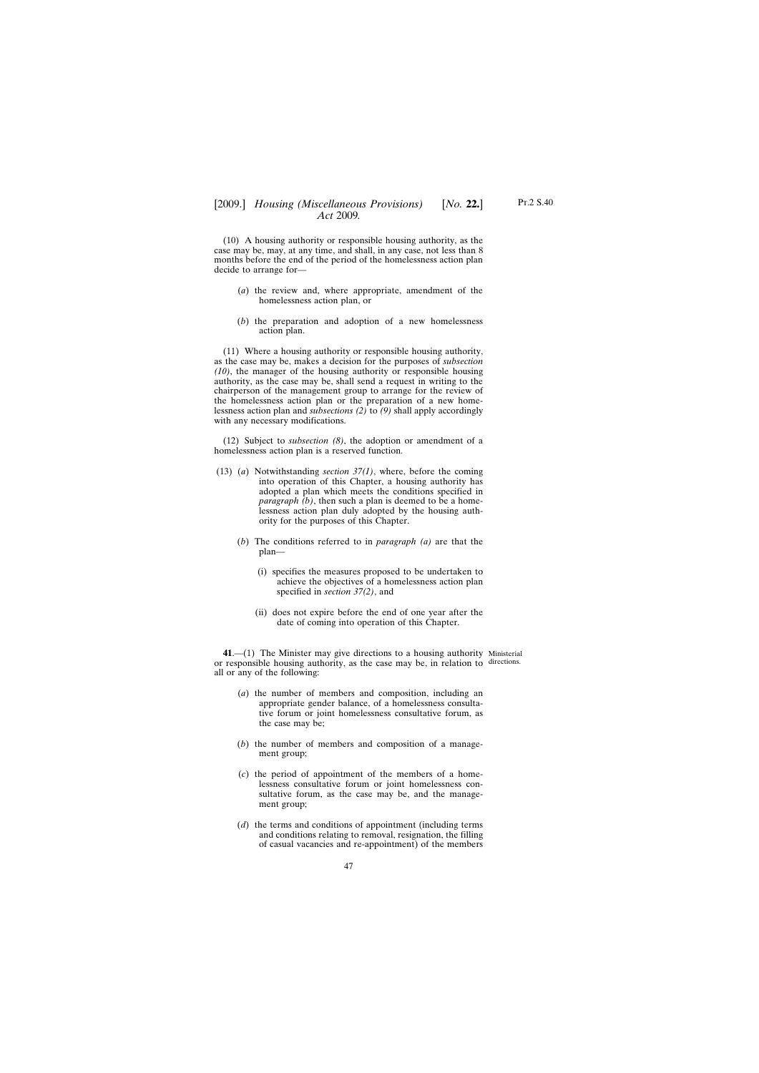(10) A housing authority or responsible housing authority, as the case may be, may, at any time, and shall, in any case, not less than 8 months before the end of the period of the homelessness action plan decide to arrange for—

- (*a*) the review and, where appropriate, amendment of the homelessness action plan, or
- (*b*) the preparation and adoption of a new homelessness action plan.

(11) Where a housing authority or responsible housing authority, as the case may be, makes a decision for the purposes of *subsection (10)*, the manager of the housing authority or responsible housing authority, as the case may be, shall send a request in writing to the chairperson of the management group to arrange for the review of the homelessness action plan or the preparation of a new homelessness action plan and *subsections (2)* to *(9)* shall apply accordingly with any necessary modifications.

(12) Subject to *subsection (8)*, the adoption or amendment of a homelessness action plan is a reserved function.

- (13) (*a*) Notwithstanding *section 37(1)*, where, before the coming into operation of this Chapter, a housing authority has adopted a plan which meets the conditions specified in *paragraph (b)*, then such a plan is deemed to be a homelessness action plan duly adopted by the housing authority for the purposes of this Chapter.
	- (*b*) The conditions referred to in *paragraph (a)* are that the plan—
		- (i) specifies the measures proposed to be undertaken to achieve the objectives of a homelessness action plan specified in *section 37(2)*, and
		- (ii) does not expire before the end of one year after the date of coming into operation of this Chapter.

**41**.—(1) The Minister may give directions to a housing authority Ministerial or responsible housing authority, as the case may be, in relation to directions.all or any of the following:

- (*a*) the number of members and composition, including an appropriate gender balance, of a homelessness consultative forum or joint homelessness consultative forum, as the case may be;
- (*b*) the number of members and composition of a management group;
- (*c*) the period of appointment of the members of a homelessness consultative forum or joint homelessness consultative forum, as the case may be, and the management group;
- (*d*) the terms and conditions of appointment (including terms and conditions relating to removal, resignation, the filling of casual vacancies and re-appointment) of the members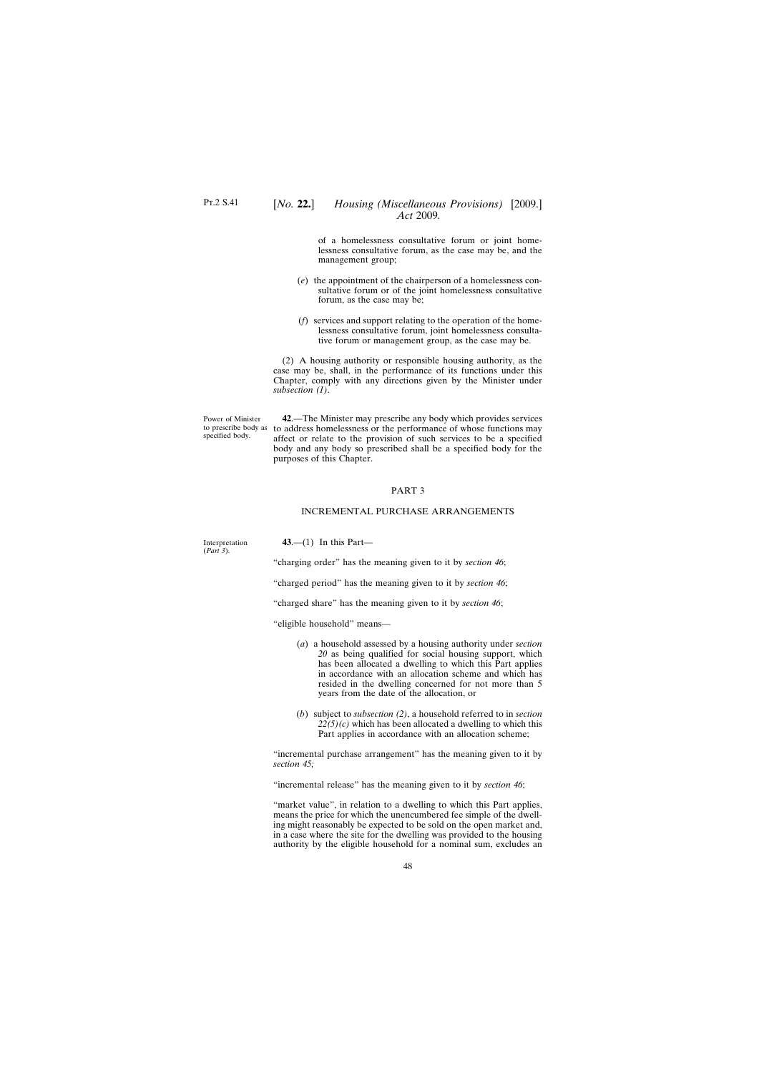specified body.

of a homelessness consultative forum or joint homelessness consultative forum, as the case may be, and the management group;

- (*e*) the appointment of the chairperson of a homelessness consultative forum or of the joint homelessness consultative forum, as the case may be;
- (*f*) services and support relating to the operation of the homelessness consultative forum, joint homelessness consultative forum or management group, as the case may be.

(2) A housing authority or responsible housing authority, as the case may be, shall, in the performance of its functions under this Chapter, comply with any directions given by the Minister under *subsection (1)*.

Power of Minister to prescribe body as to address homelessness or the performance of whose functions may **42**.—The Minister may prescribe any body which provides services affect or relate to the provision of such services to be a specified body and any body so prescribed shall be a specified body for the purposes of this Chapter.

#### PART 3

### INCREMENTAL PURCHASE ARRANGEMENTS

| Interpretation<br>(Part 3). | 43.—(1) In this Part—                                                                                                      |
|-----------------------------|----------------------------------------------------------------------------------------------------------------------------|
|                             | "charging order" has the meaning given to it by <i>section 46</i> ;                                                        |
|                             | "charged period" has the meaning given to it by <i>section 46</i> ;                                                        |
|                             | "charged share" has the meaning given to it by <i>section 46</i> ;                                                         |
|                             | "eligible household" means—                                                                                                |
|                             | (a) a household assessed by a housing authority under section<br>$20$ as being qualified for social housing support, which |

- *20* as being qualified for social housing support, which has been allocated a dwelling to which this Part applies in accordance with an allocation scheme and which has resided in the dwelling concerned for not more than 5 years from the date of the allocation, or
- (*b*) subject to *subsection (2)*, a household referred to in *section*  $22(5)(c)$  which has been allocated a dwelling to which this Part applies in accordance with an allocation scheme;

"incremental purchase arrangement" has the meaning given to it by *section 45;*

"incremental release" has the meaning given to it by *section 46*;

"market value", in relation to a dwelling to which this Part applies, means the price for which the unencumbered fee simple of the dwelling might reasonably be expected to be sold on the open market and, in a case where the site for the dwelling was provided to the housing authority by the eligible household for a nominal sum, excludes an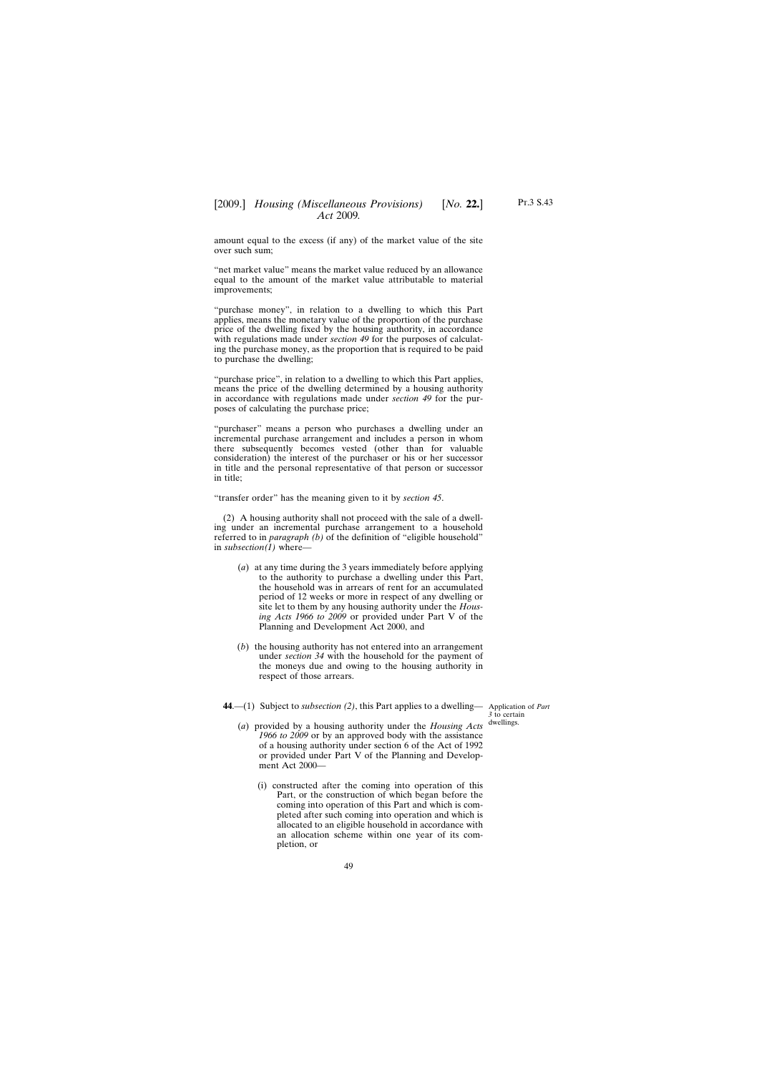amount equal to the excess (if any) of the market value of the site over such sum;

"net market value" means the market value reduced by an allowance equal to the amount of the market value attributable to material improvements;

"purchase money", in relation to a dwelling to which this Part applies, means the monetary value of the proportion of the purchase price of the dwelling fixed by the housing authority, in accordance with regulations made under *section 49* for the purposes of calculating the purchase money, as the proportion that is required to be paid to purchase the dwelling;

"purchase price", in relation to a dwelling to which this Part applies, means the price of the dwelling determined by a housing authority in accordance with regulations made under *section 49* for the purposes of calculating the purchase price;

"purchaser" means a person who purchases a dwelling under an incremental purchase arrangement and includes a person in whom there subsequently becomes vested (other than for valuable consideration) the interest of the purchaser or his or her successor in title and the personal representative of that person or successor in title;

"transfer order" has the meaning given to it by *section 45*.

(2) A housing authority shall not proceed with the sale of a dwelling under an incremental purchase arrangement to a household referred to in *paragraph (b)* of the definition of "eligible household" in *subsection(1)* where—

- (*a*) at any time during the 3 years immediately before applying to the authority to purchase a dwelling under this Part, the household was in arrears of rent for an accumulated period of 12 weeks or more in respect of any dwelling or site let to them by any housing authority under the *Housing Acts 1966 to 2009* or provided under Part V of the Planning and Development Act 2000, and
- (*b*) the housing authority has not entered into an arrangement under *section 34* with the household for the payment of the moneys due and owing to the housing authority in respect of those arrears.

**44**.—(1) Subject to *subsection (2)*, this Part applies to a dwelling— Application of *Part*

*3* to certain dwellings.

- (*a*) provided by a housing authority under the *Housing Acts 1966 to 2009* or by an approved body with the assistance of a housing authority under section 6 of the Act of 1992 or provided under Part V of the Planning and Development Act 2000—
	- (i) constructed after the coming into operation of this Part, or the construction of which began before the coming into operation of this Part and which is completed after such coming into operation and which is allocated to an eligible household in accordance with an allocation scheme within one year of its completion, or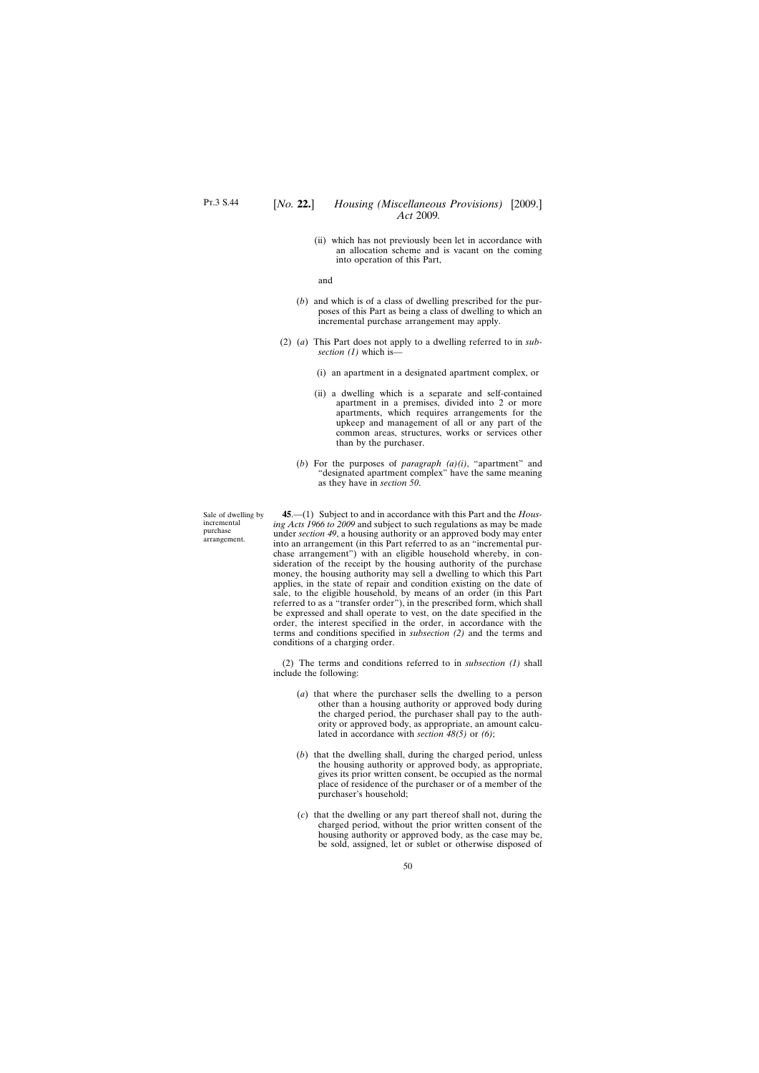(ii) which has not previously been let in accordance with an allocation scheme and is vacant on the coming into operation of this Part,

and

- (*b*) and which is of a class of dwelling prescribed for the purposes of this Part as being a class of dwelling to which an incremental purchase arrangement may apply.
- (2) (*a*) This Part does not apply to a dwelling referred to in *subsection (1)* which is—
	- (i) an apartment in a designated apartment complex, or
	- (ii) a dwelling which is a separate and self-contained apartment in a premises, divided into 2 or more apartments, which requires arrangements for the upkeep and management of all or any part of the common areas, structures, works or services other than by the purchaser.
	- (*b*) For the purposes of *paragraph (a)(i)*, "apartment" and "designated apartment complex" have the same meaning as they have in *section 50*.

**45**.—(1) Subject to and in accordance with this Part and the *Housing Acts 1966 to 2009* and subject to such regulations as may be made under *section 49*, a housing authority or an approved body may enter into an arrangement (in this Part referred to as an "incremental purchase arrangement") with an eligible household whereby, in consideration of the receipt by the housing authority of the purchase money, the housing authority may sell a dwelling to which this Part applies, in the state of repair and condition existing on the date of sale, to the eligible household, by means of an order (in this Part referred to as a "transfer order"), in the prescribed form, which shall be expressed and shall operate to vest, on the date specified in the order, the interest specified in the order, in accordance with the terms and conditions specified in *subsection (2)* and the terms and conditions of a charging order.

(2) The terms and conditions referred to in *subsection (1)* shall include the following:

- (*a*) that where the purchaser sells the dwelling to a person other than a housing authority or approved body during the charged period, the purchaser shall pay to the authority or approved body, as appropriate, an amount calculated in accordance with *section 48(5)* or *(6)*;
- (*b*) that the dwelling shall, during the charged period, unless the housing authority or approved body, as appropriate, gives its prior written consent, be occupied as the normal place of residence of the purchaser or of a member of the purchaser's household;
- (*c*) that the dwelling or any part thereof shall not, during the charged period, without the prior written consent of the housing authority or approved body, as the case may be, be sold, assigned, let or sublet or otherwise disposed of

Sale of dwelling by incremental purchase arrangement.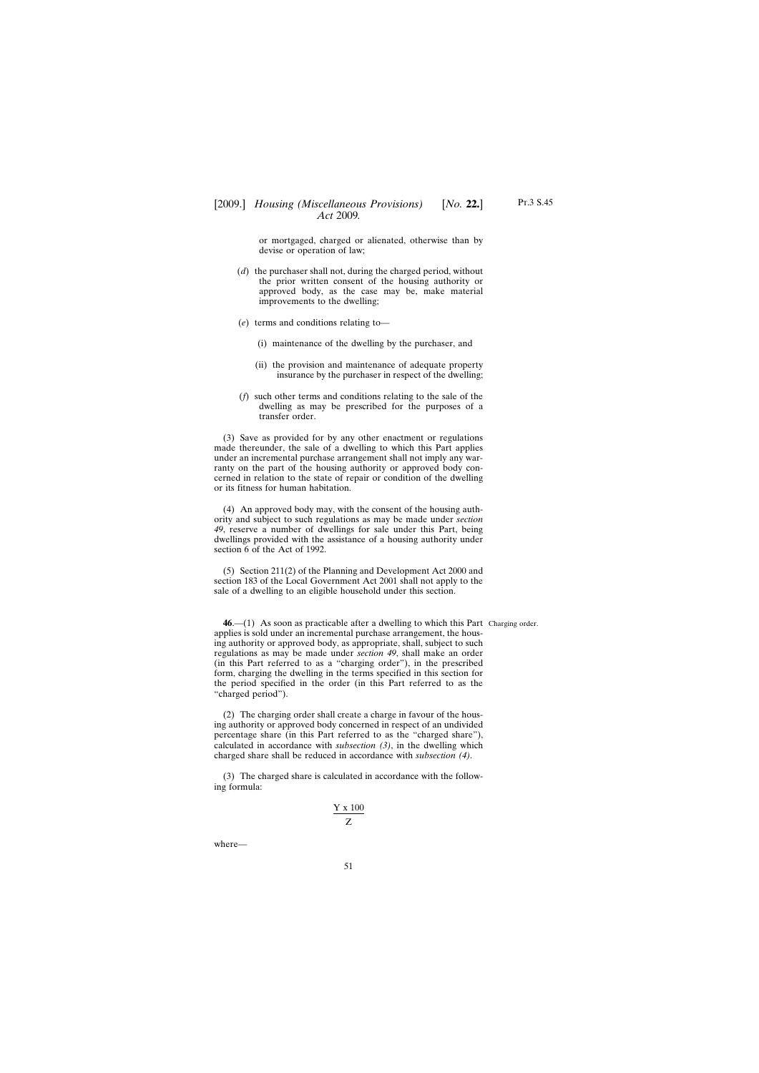or mortgaged, charged or alienated, otherwise than by devise or operation of law;

- (*d*) the purchaser shall not, during the charged period, without the prior written consent of the housing authority or approved body, as the case may be, make material improvements to the dwelling;
- (*e*) terms and conditions relating to—
	- (i) maintenance of the dwelling by the purchaser, and
	- (ii) the provision and maintenance of adequate property insurance by the purchaser in respect of the dwelling;
- (*f*) such other terms and conditions relating to the sale of the dwelling as may be prescribed for the purposes of a transfer order.

(3) Save as provided for by any other enactment or regulations made thereunder, the sale of a dwelling to which this Part applies under an incremental purchase arrangement shall not imply any warranty on the part of the housing authority or approved body concerned in relation to the state of repair or condition of the dwelling or its fitness for human habitation.

(4) An approved body may, with the consent of the housing authority and subject to such regulations as may be made under *section 49*, reserve a number of dwellings for sale under this Part, being dwellings provided with the assistance of a housing authority under section 6 of the Act of 1992.

(5) Section 211(2) of the Planning and Development Act 2000 and section 183 of the Local Government Act 2001 shall not apply to the sale of a dwelling to an eligible household under this section.

**46**.—(1) As soon as practicable after a dwelling to which this Part Charging order.applies is sold under an incremental purchase arrangement, the housing authority or approved body, as appropriate, shall, subject to such regulations as may be made under *section 49*, shall make an order (in this Part referred to as a "charging order"), in the prescribed form, charging the dwelling in the terms specified in this section for the period specified in the order (in this Part referred to as the "charged period").

(2) The charging order shall create a charge in favour of the housing authority or approved body concerned in respect of an undivided percentage share (in this Part referred to as the "charged share"), calculated in accordance with *subsection (3)*, in the dwelling which charged share shall be reduced in accordance with *subsection (4)*.

(3) The charged share is calculated in accordance with the following formula:

$$
\frac{Y\;x\;100}{Z}
$$

where—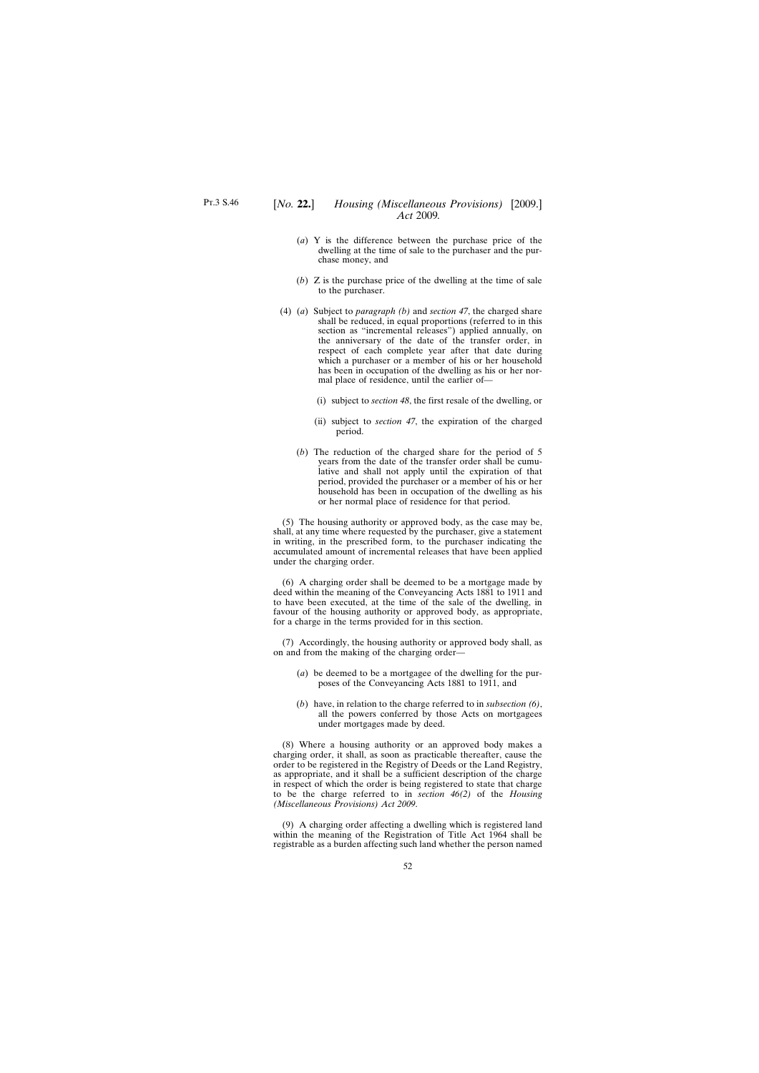- (*a*) Y is the difference between the purchase price of the dwelling at the time of sale to the purchaser and the purchase money, and
- (*b*) Z is the purchase price of the dwelling at the time of sale to the purchaser.
- (4) (*a*) Subject to *paragraph (b)* and *section 47*, the charged share shall be reduced, in equal proportions (referred to in this section as "incremental releases") applied annually, on the anniversary of the date of the transfer order, in respect of each complete year after that date during which a purchaser or a member of his or her household has been in occupation of the dwelling as his or her normal place of residence, until the earlier of—
	- (i) subject to *section 48*, the first resale of the dwelling, or
	- (ii) subject to *section 47*, the expiration of the charged period.
	- (*b*) The reduction of the charged share for the period of 5 years from the date of the transfer order shall be cumulative and shall not apply until the expiration of that period, provided the purchaser or a member of his or her household has been in occupation of the dwelling as his or her normal place of residence for that period.

(5) The housing authority or approved body, as the case may be, shall, at any time where requested by the purchaser, give a statement in writing, in the prescribed form, to the purchaser indicating the accumulated amount of incremental releases that have been applied under the charging order.

(6) A charging order shall be deemed to be a mortgage made by deed within the meaning of the Conveyancing Acts 1881 to 1911 and to have been executed, at the time of the sale of the dwelling, in favour of the housing authority or approved body, as appropriate, for a charge in the terms provided for in this section.

(7) Accordingly, the housing authority or approved body shall, as on and from the making of the charging order—

- (*a*) be deemed to be a mortgagee of the dwelling for the purposes of the Conveyancing Acts 1881 to 1911, and
- (*b*) have, in relation to the charge referred to in *subsection (6)*, all the powers conferred by those Acts on mortgagees under mortgages made by deed.

(8) Where a housing authority or an approved body makes a charging order, it shall, as soon as practicable thereafter, cause the order to be registered in the Registry of Deeds or the Land Registry, as appropriate, and it shall be a sufficient description of the charge in respect of which the order is being registered to state that charge to be the charge referred to in *section 46(2)* of the *Housing (Miscellaneous Provisions) Act 2009*.

(9) A charging order affecting a dwelling which is registered land within the meaning of the Registration of Title Act 1964 shall be registrable as a burden affecting such land whether the person named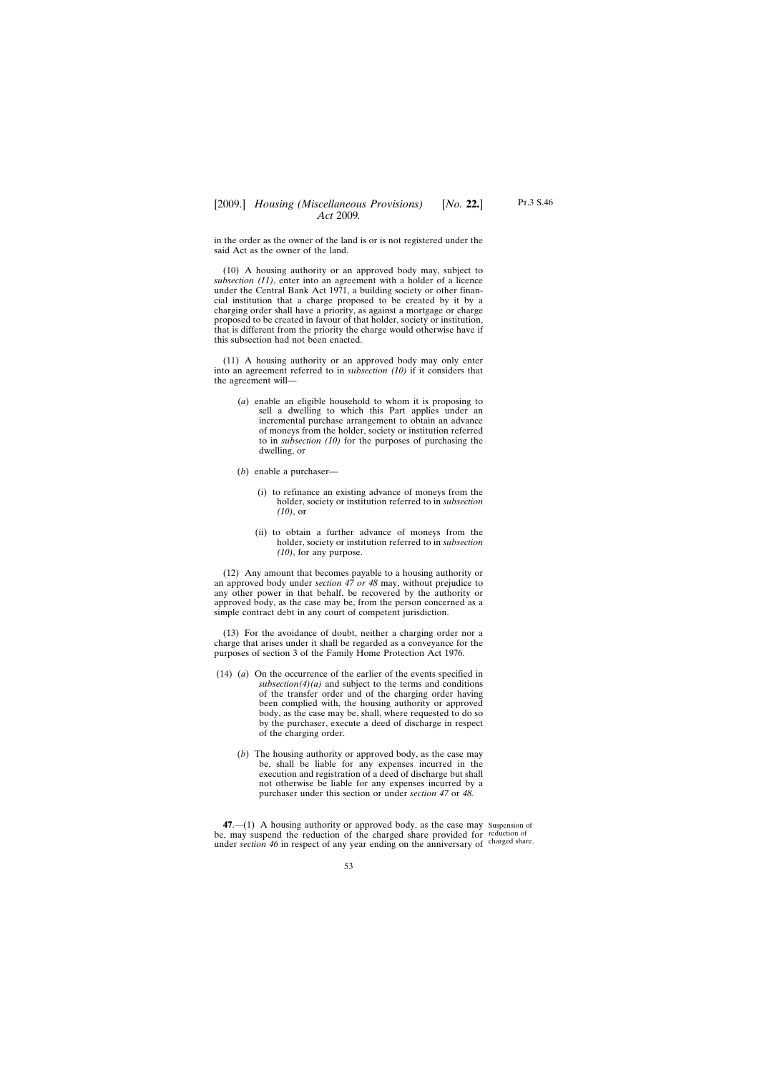in the order as the owner of the land is or is not registered under the said Act as the owner of the land.

(10) A housing authority or an approved body may, subject to *subsection (11)*, enter into an agreement with a holder of a licence under the Central Bank Act 1971, a building society or other financial institution that a charge proposed to be created by it by a charging order shall have a priority, as against a mortgage or charge proposed to be created in favour of that holder, society or institution, that is different from the priority the charge would otherwise have if this subsection had not been enacted.

(11) A housing authority or an approved body may only enter into an agreement referred to in *subsection (10)* if it considers that the agreement will—

- (*a*) enable an eligible household to whom it is proposing to sell a dwelling to which this Part applies under an incremental purchase arrangement to obtain an advance of moneys from the holder, society or institution referred to in *subsection (10)* for the purposes of purchasing the dwelling, or
- (*b*) enable a purchaser—
	- (i) to refinance an existing advance of moneys from the holder, society or institution referred to in *subsection (10)*, or
	- (ii) to obtain a further advance of moneys from the holder, society or institution referred to in *subsection (10)*, for any purpose.

(12) Any amount that becomes payable to a housing authority or an approved body under *section 47 or 48* may, without prejudice to any other power in that behalf, be recovered by the authority or approved body, as the case may be, from the person concerned as a simple contract debt in any court of competent jurisdiction.

(13) For the avoidance of doubt, neither a charging order nor a charge that arises under it shall be regarded as a conveyance for the purposes of section 3 of the Family Home Protection Act 1976.

- (14) (*a*) On the occurrence of the earlier of the events specified in  $subsection(4)(a)$  and subject to the terms and conditions of the transfer order and of the charging order having been complied with, the housing authority or approved body, as the case may be, shall, where requested to do so by the purchaser, execute a deed of discharge in respect of the charging order.
	- (*b*) The housing authority or approved body, as the case may be, shall be liable for any expenses incurred in the execution and registration of a deed of discharge but shall not otherwise be liable for any expenses incurred by a purchaser under this section or under *section 47* or *48.*

**47**.—(1) A housing authority or approved body, as the case may Suspension of be, may suspend the reduction of the charged share provided for reduction of under *section 46* in respect of any year ending on the anniversary of charged share.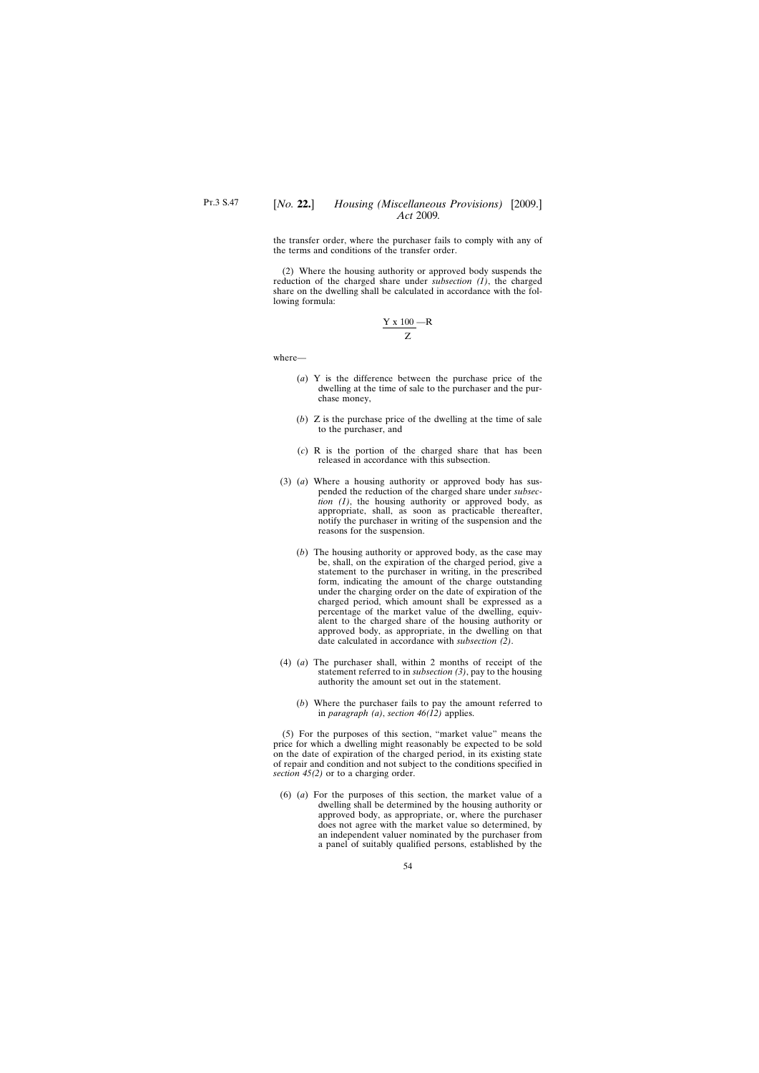## [*No.* **22.**] *Housing (Miscellaneous Provisions)* [2009.] *Act* 2009*.*

the transfer order, where the purchaser fails to comply with any of the terms and conditions of the transfer order.

(2) Where the housing authority or approved body suspends the reduction of the charged share under *subsection (1)*, the charged share on the dwelling shall be calculated in accordance with the following formula:

$$
\frac{Y \times 100}{Z} - R
$$

where—

- (*a*) Y is the difference between the purchase price of the dwelling at the time of sale to the purchaser and the purchase money,
- (*b*) Z is the purchase price of the dwelling at the time of sale to the purchaser, and
- (*c*) R is the portion of the charged share that has been released in accordance with this subsection.
- (3) (*a*) Where a housing authority or approved body has suspended the reduction of the charged share under *subsection (1)*, the housing authority or approved body, as appropriate, shall, as soon as practicable thereafter, notify the purchaser in writing of the suspension and the reasons for the suspension.
	- (*b*) The housing authority or approved body, as the case may be, shall, on the expiration of the charged period, give a statement to the purchaser in writing, in the prescribed form, indicating the amount of the charge outstanding under the charging order on the date of expiration of the charged period, which amount shall be expressed as a percentage of the market value of the dwelling, equivalent to the charged share of the housing authority or approved body, as appropriate, in the dwelling on that date calculated in accordance with *subsection (2)*.
- (4) (*a*) The purchaser shall, within 2 months of receipt of the statement referred to in *subsection (3)*, pay to the housing authority the amount set out in the statement.
	- (*b*) Where the purchaser fails to pay the amount referred to in *paragraph (a)*, *section 46(12)* applies.

(5) For the purposes of this section, "market value" means the price for which a dwelling might reasonably be expected to be sold on the date of expiration of the charged period, in its existing state of repair and condition and not subject to the conditions specified in *section 45(2)* or to a charging order.

(6) (*a*) For the purposes of this section, the market value of a dwelling shall be determined by the housing authority or approved body, as appropriate, or, where the purchaser does not agree with the market value so determined, by an independent valuer nominated by the purchaser from a panel of suitably qualified persons, established by the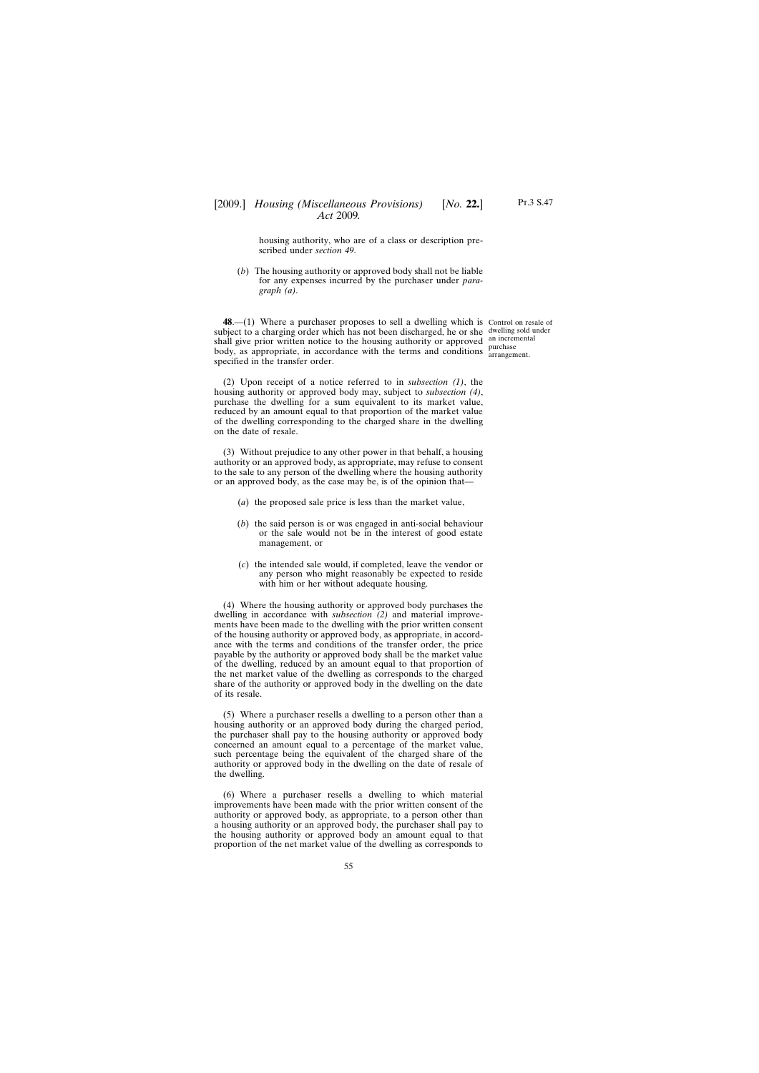housing authority, who are of a class or description prescribed under *section 49*.

(*b*) The housing authority or approved body shall not be liable for any expenses incurred by the purchaser under *paragraph (a)*.

**48.**—(1) Where a purchaser proposes to sell a dwelling which is Control on resale of subject to a charging order which has not been discharged, he or she dwelling sold under shall give prior written notice to the housing authority or approved an incremental body, as appropriate, in accordance with the terms and conditions arrangements specified in the transfer order.

arrangement.

(2) Upon receipt of a notice referred to in *subsection (1)*, the housing authority or approved body may, subject to *subsection (4)*, purchase the dwelling for a sum equivalent to its market value, reduced by an amount equal to that proportion of the market value of the dwelling corresponding to the charged share in the dwelling on the date of resale.

(3) Without prejudice to any other power in that behalf, a housing authority or an approved body, as appropriate, may refuse to consent to the sale to any person of the dwelling where the housing authority or an approved body, as the case may be, is of the opinion that—

- (*a*) the proposed sale price is less than the market value,
- (*b*) the said person is or was engaged in anti-social behaviour or the sale would not be in the interest of good estate management, or
- (*c*) the intended sale would, if completed, leave the vendor or any person who might reasonably be expected to reside with him or her without adequate housing.

(4) Where the housing authority or approved body purchases the dwelling in accordance with *subsection (2)* and material improvements have been made to the dwelling with the prior written consent of the housing authority or approved body, as appropriate, in accordance with the terms and conditions of the transfer order, the price payable by the authority or approved body shall be the market value of the dwelling, reduced by an amount equal to that proportion of the net market value of the dwelling as corresponds to the charged share of the authority or approved body in the dwelling on the date of its resale.

(5) Where a purchaser resells a dwelling to a person other than a housing authority or an approved body during the charged period, the purchaser shall pay to the housing authority or approved body concerned an amount equal to a percentage of the market value, such percentage being the equivalent of the charged share of the authority or approved body in the dwelling on the date of resale of the dwelling.

(6) Where a purchaser resells a dwelling to which material improvements have been made with the prior written consent of the authority or approved body, as appropriate, to a person other than a housing authority or an approved body, the purchaser shall pay to the housing authority or approved body an amount equal to that proportion of the net market value of the dwelling as corresponds to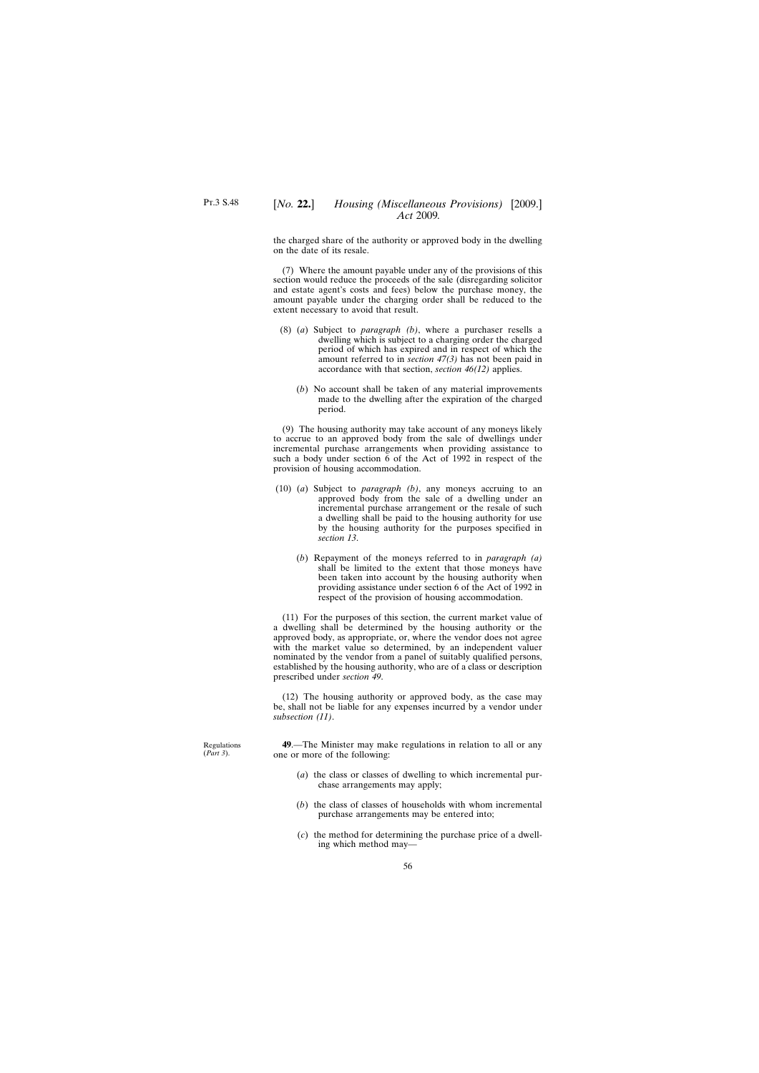the charged share of the authority or approved body in the dwelling on the date of its resale.

(7) Where the amount payable under any of the provisions of this section would reduce the proceeds of the sale (disregarding solicitor and estate agent's costs and fees) below the purchase money, the amount payable under the charging order shall be reduced to the extent necessary to avoid that result.

- (8) (*a*) Subject to *paragraph (b)*, where a purchaser resells a dwelling which is subject to a charging order the charged period of which has expired and in respect of which the amount referred to in *section 47(3)* has not been paid in accordance with that section, *section 46(12)* applies.
	- (*b*) No account shall be taken of any material improvements made to the dwelling after the expiration of the charged period.

(9) The housing authority may take account of any moneys likely to accrue to an approved body from the sale of dwellings under incremental purchase arrangements when providing assistance to such a body under section 6 of the Act of 1992 in respect of the provision of housing accommodation.

- (10) (*a*) Subject to *paragraph (b)*, any moneys accruing to an approved body from the sale of a dwelling under an incremental purchase arrangement or the resale of such a dwelling shall be paid to the housing authority for use by the housing authority for the purposes specified in *section 13*.
	- (*b*) Repayment of the moneys referred to in *paragraph (a)* shall be limited to the extent that those moneys have been taken into account by the housing authority when providing assistance under section 6 of the Act of 1992 in respect of the provision of housing accommodation.

(11) For the purposes of this section, the current market value of a dwelling shall be determined by the housing authority or the approved body, as appropriate, or, where the vendor does not agree with the market value so determined, by an independent valuer nominated by the vendor from a panel of suitably qualified persons, established by the housing authority, who are of a class or description prescribed under *section 49*.

(12) The housing authority or approved body, as the case may be, shall not be liable for any expenses incurred by a vendor under *subsection (11)*.

**49**.—The Minister may make regulations in relation to all or any one or more of the following:

- (*a*) the class or classes of dwelling to which incremental purchase arrangements may apply;
- (*b*) the class of classes of households with whom incremental purchase arrangements may be entered into;
- (*c*) the method for determining the purchase price of a dwelling which method may—

Regulations (*Part 3*).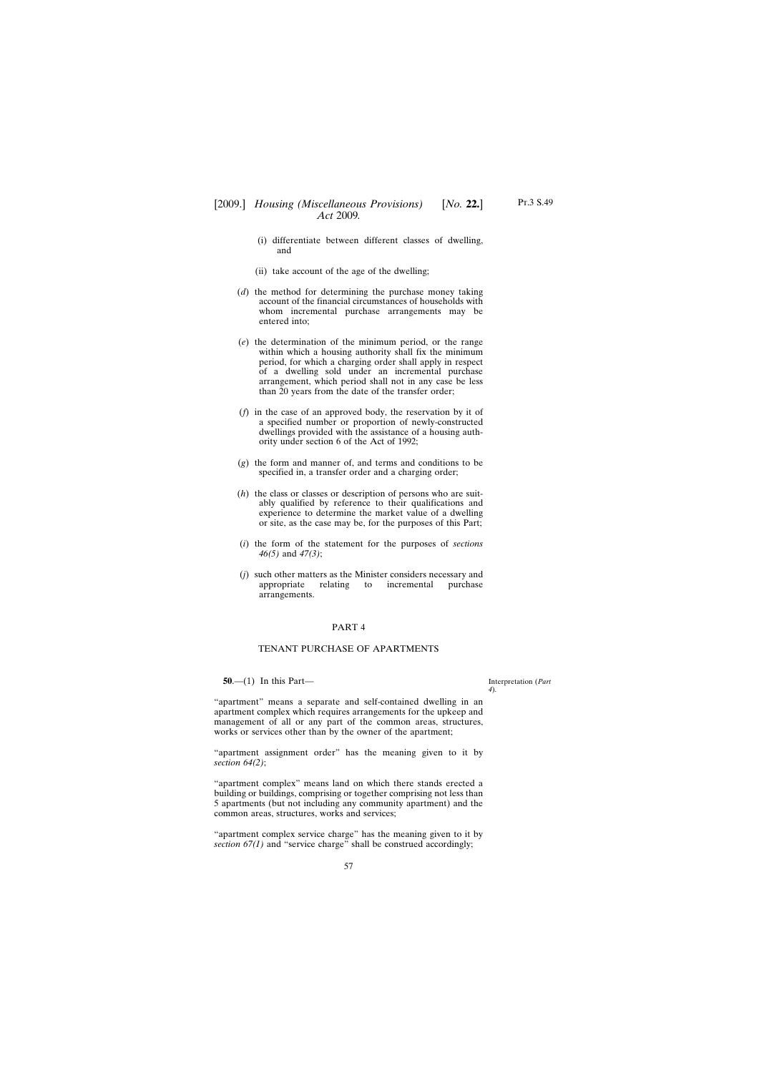- (i) differentiate between different classes of dwelling, and
- (ii) take account of the age of the dwelling;
- (*d*) the method for determining the purchase money taking account of the financial circumstances of households with whom incremental purchase arrangements may be entered into;
- (*e*) the determination of the minimum period, or the range within which a housing authority shall fix the minimum period, for which a charging order shall apply in respect of a dwelling sold under an incremental purchase arrangement, which period shall not in any case be less than 20 years from the date of the transfer order;
- (*f*) in the case of an approved body, the reservation by it of a specified number or proportion of newly-constructed dwellings provided with the assistance of a housing authority under section 6 of the Act of 1992;
- (*g*) the form and manner of, and terms and conditions to be specified in, a transfer order and a charging order;
- (*h*) the class or classes or description of persons who are suitably qualified by reference to their qualifications and experience to determine the market value of a dwelling or site, as the case may be, for the purposes of this Part;
- (*i*) the form of the statement for the purposes of *sections 46(5)* and *47(3)*;
- (*j*) such other matters as the Minister considers necessary and appropriate relating to incremental purchase arrangements.

#### PART 4

### TENANT PURCHASE OF APARTMENTS

**50**.—(1) In this Part—

Interpretation (*Part 4*).

"apartment" means a separate and self-contained dwelling in an apartment complex which requires arrangements for the upkeep and management of all or any part of the common areas, structures, works or services other than by the owner of the apartment;

"apartment assignment order" has the meaning given to it by *section 64(2)*;

"apartment complex" means land on which there stands erected a building or buildings, comprising or together comprising not less than 5 apartments (but not including any community apartment) and the common areas, structures, works and services;

"apartment complex service charge" has the meaning given to it by *section 67(1)* and "service charge" shall be construed accordingly;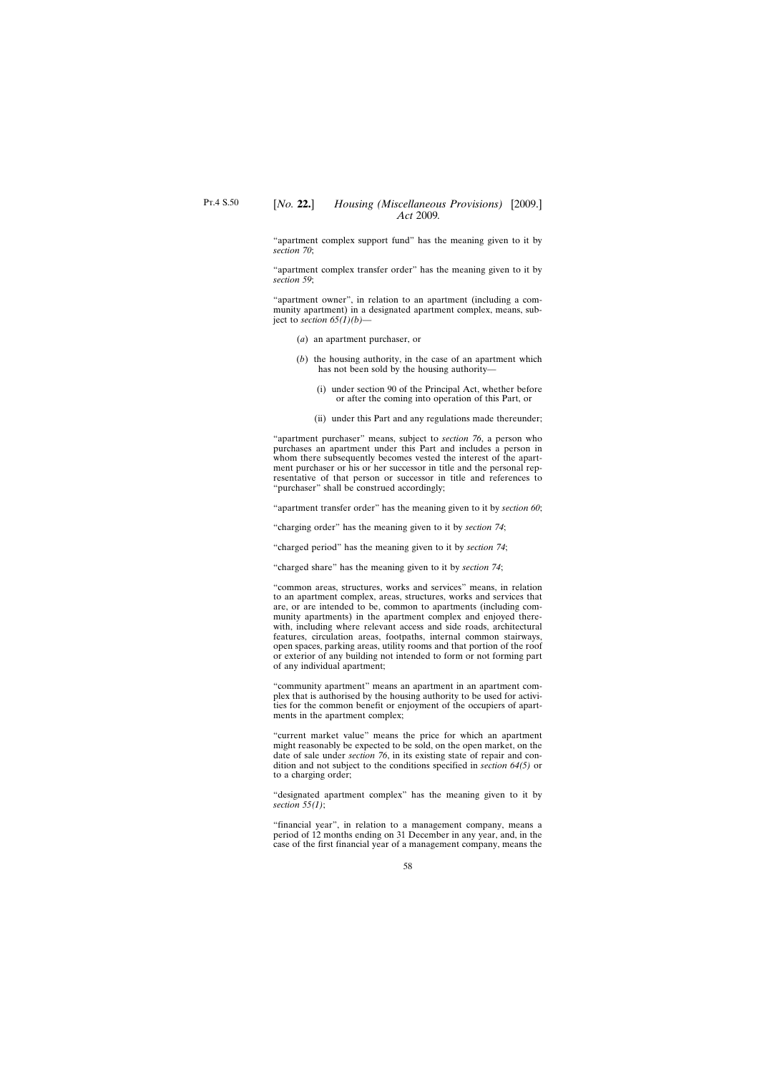"apartment complex support fund" has the meaning given to it by *section 70*;

"apartment complex transfer order" has the meaning given to it by *section 59*;

"apartment owner", in relation to an apartment (including a community apartment) in a designated apartment complex, means, subject to *section 65(1)(b)*—

- (*a*) an apartment purchaser, or
- (*b*) the housing authority, in the case of an apartment which has not been sold by the housing authority—
	- (i) under section 90 of the Principal Act, whether before or after the coming into operation of this Part, or
	- (ii) under this Part and any regulations made thereunder;

"apartment purchaser" means, subject to *section 76*, a person who purchases an apartment under this Part and includes a person in whom there subsequently becomes vested the interest of the apartment purchaser or his or her successor in title and the personal representative of that person or successor in title and references to "purchaser" shall be construed accordingly;

"apartment transfer order" has the meaning given to it by *section 60*;

"charging order" has the meaning given to it by *section 74*;

"charged period" has the meaning given to it by *section 74*;

"charged share" has the meaning given to it by *section 74*;

"common areas, structures, works and services" means, in relation to an apartment complex, areas, structures, works and services that are, or are intended to be, common to apartments (including community apartments) in the apartment complex and enjoyed therewith, including where relevant access and side roads, architectural features, circulation areas, footpaths, internal common stairways, open spaces, parking areas, utility rooms and that portion of the roof or exterior of any building not intended to form or not forming part of any individual apartment;

"community apartment" means an apartment in an apartment complex that is authorised by the housing authority to be used for activities for the common benefit or enjoyment of the occupiers of apartments in the apartment complex;

"current market value" means the price for which an apartment might reasonably be expected to be sold, on the open market, on the date of sale under *section 76*, in its existing state of repair and condition and not subject to the conditions specified in *section 64(5)* or to a charging order;

"designated apartment complex" has the meaning given to it by *section 55(1)*;

"financial year", in relation to a management company, means a period of 12 months ending on 31 December in any year, and, in the case of the first financial year of a management company, means the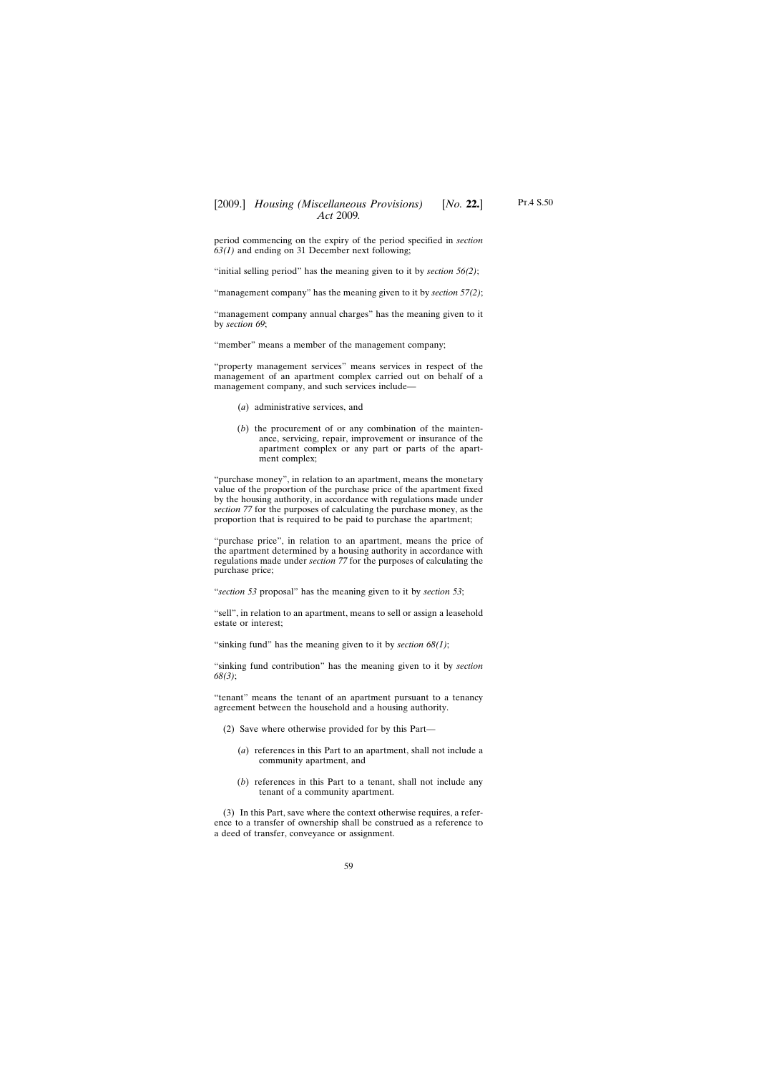period commencing on the expiry of the period specified in *section 63(1)* and ending on 31 December next following;

"initial selling period" has the meaning given to it by *section 56(2)*;

"management company" has the meaning given to it by *section 57(2)*;

"management company annual charges" has the meaning given to it by *section 69*;

"member" means a member of the management company;

"property management services" means services in respect of the management of an apartment complex carried out on behalf of a management company, and such services include—

- (*a*) administrative services, and
- (*b*) the procurement of or any combination of the maintenance, servicing, repair, improvement or insurance of the apartment complex or any part or parts of the apartment complex;

"purchase money", in relation to an apartment, means the monetary value of the proportion of the purchase price of the apartment fixed by the housing authority, in accordance with regulations made under *section 77* for the purposes of calculating the purchase money, as the proportion that is required to be paid to purchase the apartment;

"purchase price", in relation to an apartment, means the price of the apartment determined by a housing authority in accordance with regulations made under *section 77* for the purposes of calculating the purchase price;

"*section 53* proposal" has the meaning given to it by *section 53*;

"sell", in relation to an apartment, means to sell or assign a leasehold estate or interest;

"sinking fund" has the meaning given to it by *section 68(1)*;

"sinking fund contribution" has the meaning given to it by *section 68(3)*;

"tenant" means the tenant of an apartment pursuant to a tenancy agreement between the household and a housing authority.

- (2) Save where otherwise provided for by this Part—
	- (*a*) references in this Part to an apartment, shall not include a community apartment, and
	- (*b*) references in this Part to a tenant, shall not include any tenant of a community apartment.

(3) In this Part, save where the context otherwise requires, a reference to a transfer of ownership shall be construed as a reference to a deed of transfer, conveyance or assignment.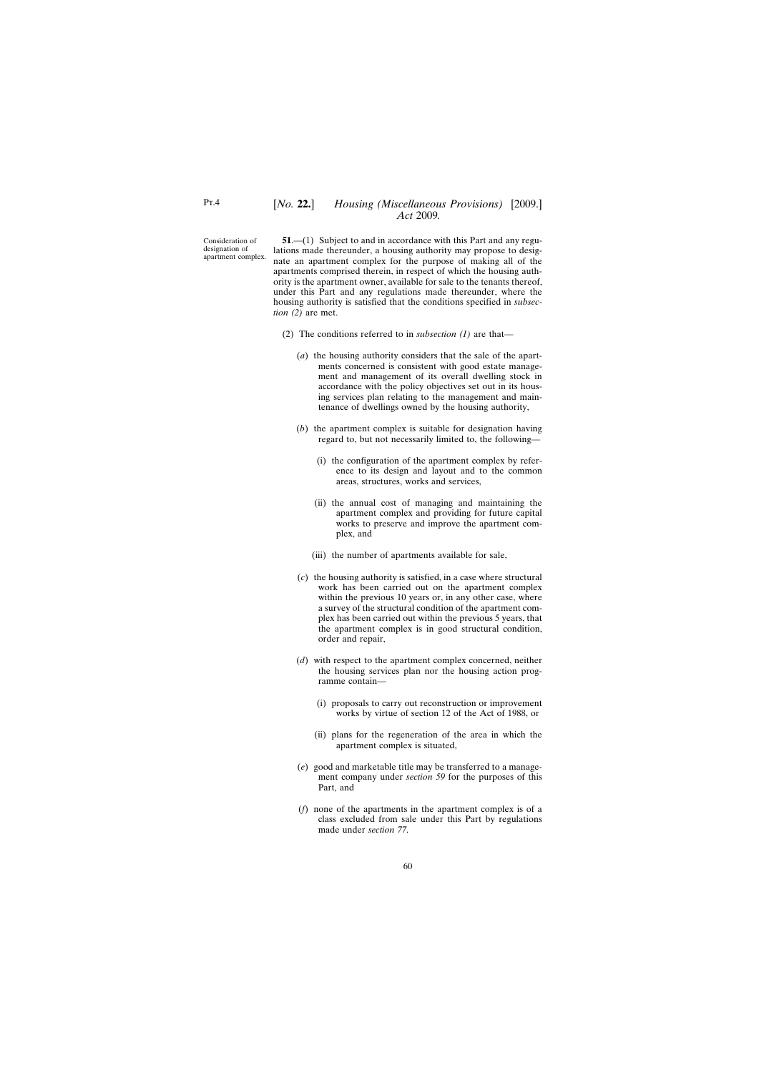Consideration of designation of apartment complex.

**51**.—(1) Subject to and in accordance with this Part and any regulations made thereunder, a housing authority may propose to designate an apartment complex for the purpose of making all of the apartments comprised therein, in respect of which the housing authority is the apartment owner, available for sale to the tenants thereof, under this Part and any regulations made thereunder, where the housing authority is satisfied that the conditions specified in *subsection (2)* are met.

- (2) The conditions referred to in *subsection (1)* are that—
	- (*a*) the housing authority considers that the sale of the apartments concerned is consistent with good estate management and management of its overall dwelling stock in accordance with the policy objectives set out in its housing services plan relating to the management and maintenance of dwellings owned by the housing authority,
	- (*b*) the apartment complex is suitable for designation having regard to, but not necessarily limited to, the following—
		- (i) the configuration of the apartment complex by reference to its design and layout and to the common areas, structures, works and services,
		- (ii) the annual cost of managing and maintaining the apartment complex and providing for future capital works to preserve and improve the apartment complex, and
		- (iii) the number of apartments available for sale,
	- (*c*) the housing authority is satisfied, in a case where structural work has been carried out on the apartment complex within the previous 10 years or, in any other case, where a survey of the structural condition of the apartment complex has been carried out within the previous 5 years, that the apartment complex is in good structural condition, order and repair,
	- (*d*) with respect to the apartment complex concerned, neither the housing services plan nor the housing action programme contain—
		- (i) proposals to carry out reconstruction or improvement works by virtue of section 12 of the Act of 1988, or
		- (ii) plans for the regeneration of the area in which the apartment complex is situated,
	- (*e*) good and marketable title may be transferred to a management company under *section 59* for the purposes of this Part, and
	- (*f*) none of the apartments in the apartment complex is of a class excluded from sale under this Part by regulations made under *section 77*.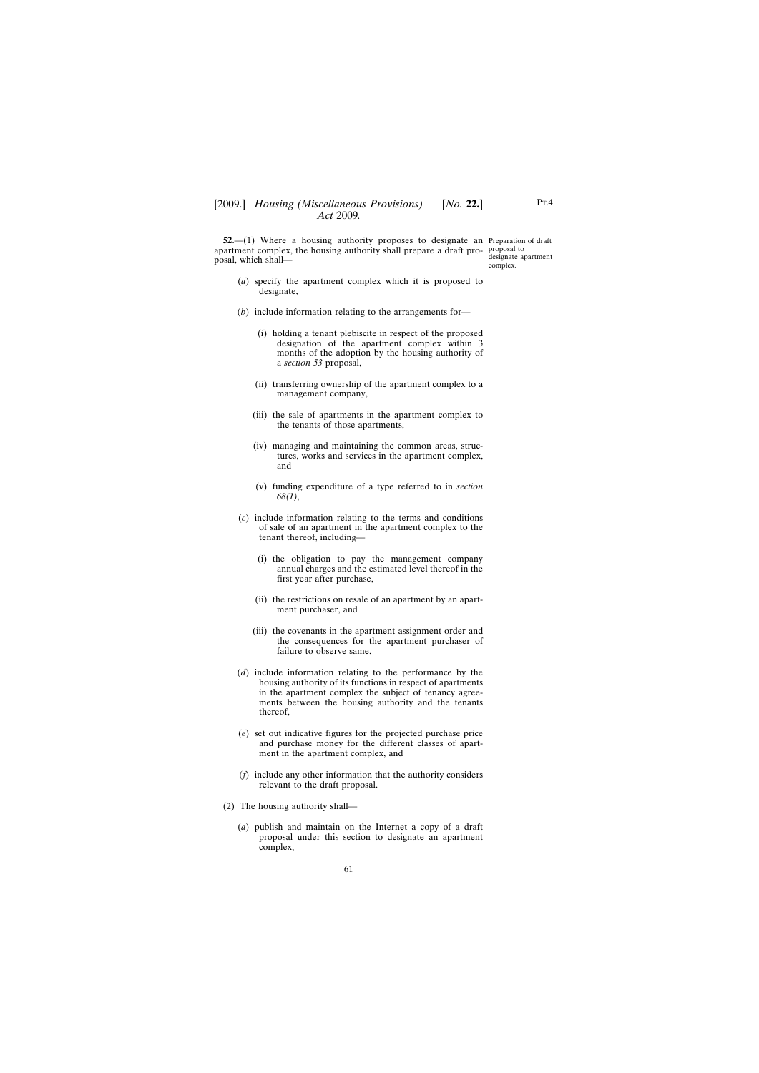**52.**—(1) Where a housing authority proposes to designate an Preparation of draft apartment complex, the housing authority shall prepare a draft pro-proposal to posal, which shall—

designate apartment complex.

- (*a*) specify the apartment complex which it is proposed to designate,
- (*b*) include information relating to the arrangements for—
	- (i) holding a tenant plebiscite in respect of the proposed designation of the apartment complex within 3 months of the adoption by the housing authority of a *section 53* proposal,
	- (ii) transferring ownership of the apartment complex to a management company,
	- (iii) the sale of apartments in the apartment complex to the tenants of those apartments,
	- (iv) managing and maintaining the common areas, structures, works and services in the apartment complex, and
	- (v) funding expenditure of a type referred to in *section 68(1)*,
- (*c*) include information relating to the terms and conditions of sale of an apartment in the apartment complex to the tenant thereof, including—
	- (i) the obligation to pay the management company annual charges and the estimated level thereof in the first year after purchase,
	- (ii) the restrictions on resale of an apartment by an apartment purchaser, and
	- (iii) the covenants in the apartment assignment order and the consequences for the apartment purchaser of failure to observe same,
- (*d*) include information relating to the performance by the housing authority of its functions in respect of apartments in the apartment complex the subject of tenancy agreements between the housing authority and the tenants thereof,
- (*e*) set out indicative figures for the projected purchase price and purchase money for the different classes of apartment in the apartment complex, and
- (*f*) include any other information that the authority considers relevant to the draft proposal.
- (2) The housing authority shall—
	- (*a*) publish and maintain on the Internet a copy of a draft proposal under this section to designate an apartment complex,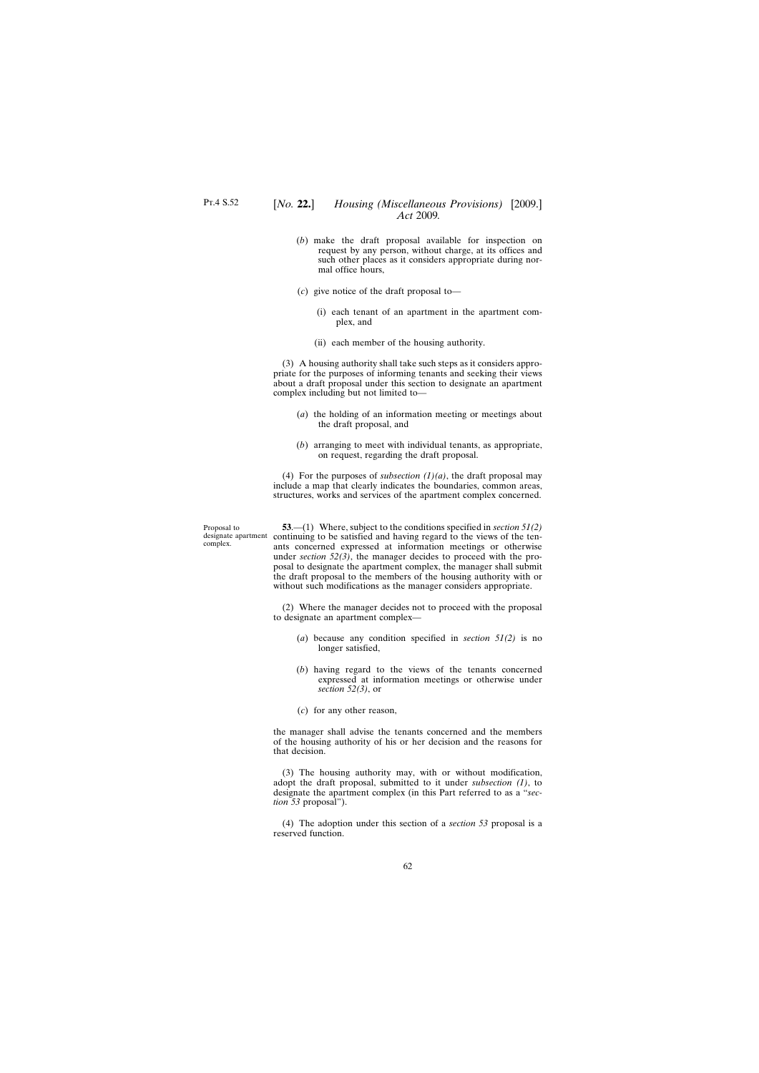- (*b*) make the draft proposal available for inspection on request by any person, without charge, at its offices and such other places as it considers appropriate during normal office hours,
- (*c*) give notice of the draft proposal to—
	- (i) each tenant of an apartment in the apartment complex, and
	- (ii) each member of the housing authority.

(3) A housing authority shall take such steps as it considers appropriate for the purposes of informing tenants and seeking their views about a draft proposal under this section to designate an apartment complex including but not limited to—

- (*a*) the holding of an information meeting or meetings about the draft proposal, and
- (*b*) arranging to meet with individual tenants, as appropriate, on request, regarding the draft proposal.

(4) For the purposes of *subsection*  $(1)(a)$ , the draft proposal may include a map that clearly indicates the boundaries, common areas, structures, works and services of the apartment complex concerned.

Proposal to complex.

designate apartment continuing to be satisfied and having regard to the views of the ten-**53**.—(1) Where, subject to the conditions specified in *section 51(2)* ants concerned expressed at information meetings or otherwise under *section* 52(3), the manager decides to proceed with the proposal to designate the apartment complex, the manager shall submit the draft proposal to the members of the housing authority with or without such modifications as the manager considers appropriate.

> (2) Where the manager decides not to proceed with the proposal to designate an apartment complex—

- (*a*) because any condition specified in *section 51(2)* is no longer satisfied,
- (*b*) having regard to the views of the tenants concerned expressed at information meetings or otherwise under *section 52(3)*, or
- (*c*) for any other reason,

the manager shall advise the tenants concerned and the members of the housing authority of his or her decision and the reasons for that decision.

(3) The housing authority may, with or without modification, adopt the draft proposal, submitted to it under *subsection (1)*, to designate the apartment complex (in this Part referred to as a "*section 53* proposal").

(4) The adoption under this section of a *section 53* proposal is a reserved function.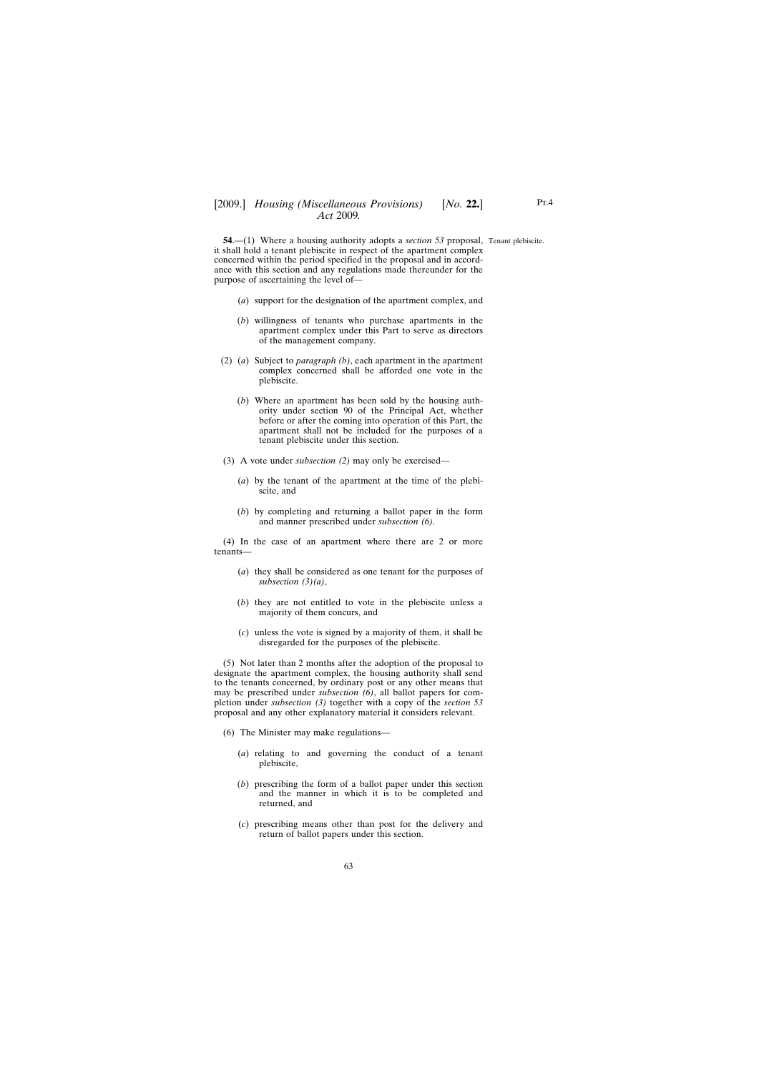**54.**—(1) Where a housing authority adopts a *section* 53 proposal, Tenant plebiscite. it shall hold a tenant plebiscite in respect of the apartment complex concerned within the period specified in the proposal and in accordance with this section and any regulations made thereunder for the purpose of ascertaining the level of—

- (*a*) support for the designation of the apartment complex, and
- (*b*) willingness of tenants who purchase apartments in the apartment complex under this Part to serve as directors of the management company.
- (2) (*a*) Subject to *paragraph (b)*, each apartment in the apartment complex concerned shall be afforded one vote in the plebiscite.
	- (*b*) Where an apartment has been sold by the housing authority under section 90 of the Principal Act, whether before or after the coming into operation of this Part, the apartment shall not be included for the purposes of a tenant plebiscite under this section.
- (3) A vote under *subsection (2)* may only be exercised—
	- (*a*) by the tenant of the apartment at the time of the plebiscite, and
	- (*b*) by completing and returning a ballot paper in the form and manner prescribed under *subsection (6)*.

(4) In the case of an apartment where there are 2 or more tenants—

- (*a*) they shall be considered as one tenant for the purposes of *subsection (3)(a)*,
- (*b*) they are not entitled to vote in the plebiscite unless a majority of them concurs, and
- (*c*) unless the vote is signed by a majority of them, it shall be disregarded for the purposes of the plebiscite.

(5) Not later than 2 months after the adoption of the proposal to designate the apartment complex, the housing authority shall send to the tenants concerned, by ordinary post or any other means that may be prescribed under *subsection (6)*, all ballot papers for completion under *subsection (3)* together with a copy of the *section 53* proposal and any other explanatory material it considers relevant.

- (6) The Minister may make regulations—
	- (*a*) relating to and governing the conduct of a tenant plebiscite,
	- (*b*) prescribing the form of a ballot paper under this section and the manner in which it is to be completed and returned, and
	- (*c*) prescribing means other than post for the delivery and return of ballot papers under this section.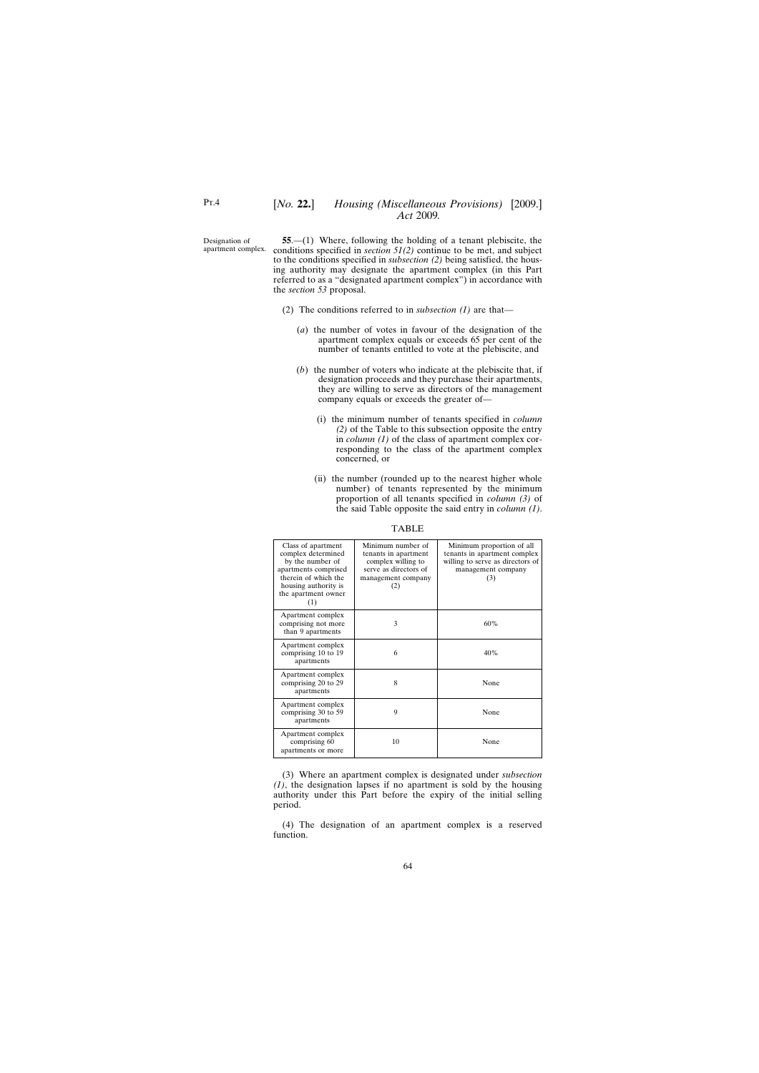Designation of apartment complex.

**55**.—(1) Where, following the holding of a tenant plebiscite, the conditions specified in *section 51(2)* continue to be met, and subject to the conditions specified in *subsection (2)* being satisfied, the housing authority may designate the apartment complex (in this Part referred to as a "designated apartment complex") in accordance with the *section 53* proposal.

- (2) The conditions referred to in *subsection (1)* are that—
	- (*a*) the number of votes in favour of the designation of the apartment complex equals or exceeds 65 per cent of the number of tenants entitled to vote at the plebiscite, and
	- (*b*) the number of voters who indicate at the plebiscite that, if designation proceeds and they purchase their apartments, they are willing to serve as directors of the management company equals or exceeds the greater of—
		- (i) the minimum number of tenants specified in *column (2)* of the Table to this subsection opposite the entry in *column (1)* of the class of apartment complex corresponding to the class of the apartment complex concerned, or
		- (ii) the number (rounded up to the nearest higher whole number) of tenants represented by the minimum proportion of all tenants specified in *column (3)* of the said Table opposite the said entry in *column (1)*.

| Class of apartment<br>complex determined<br>by the number of<br>apartments comprised<br>therein of which the<br>housing authority is<br>the apartment owner<br>(1) | Minimum number of<br>tenants in apartment<br>complex willing to<br>serve as directors of<br>management company<br>(2) | Minimum proportion of all<br>tenants in apartment complex<br>willing to serve as directors of<br>management company<br>(3) |
|--------------------------------------------------------------------------------------------------------------------------------------------------------------------|-----------------------------------------------------------------------------------------------------------------------|----------------------------------------------------------------------------------------------------------------------------|
| Apartment complex<br>comprising not more<br>than 9 apartments                                                                                                      | 3                                                                                                                     | 60%                                                                                                                        |
| Apartment complex<br>comprising 10 to 19<br>apartments                                                                                                             | 6                                                                                                                     | 40%                                                                                                                        |
| Apartment complex<br>comprising 20 to 29<br>apartments                                                                                                             | 8                                                                                                                     | None                                                                                                                       |
| Apartment complex<br>comprising 30 to 59<br>apartments                                                                                                             | 9                                                                                                                     | None                                                                                                                       |
| Apartment complex<br>comprising 60<br>apartments or more                                                                                                           | 10                                                                                                                    | None                                                                                                                       |

TABLE

(3) Where an apartment complex is designated under *subsection (1)*, the designation lapses if no apartment is sold by the housing authority under this Part before the expiry of the initial selling period.

(4) The designation of an apartment complex is a reserved function.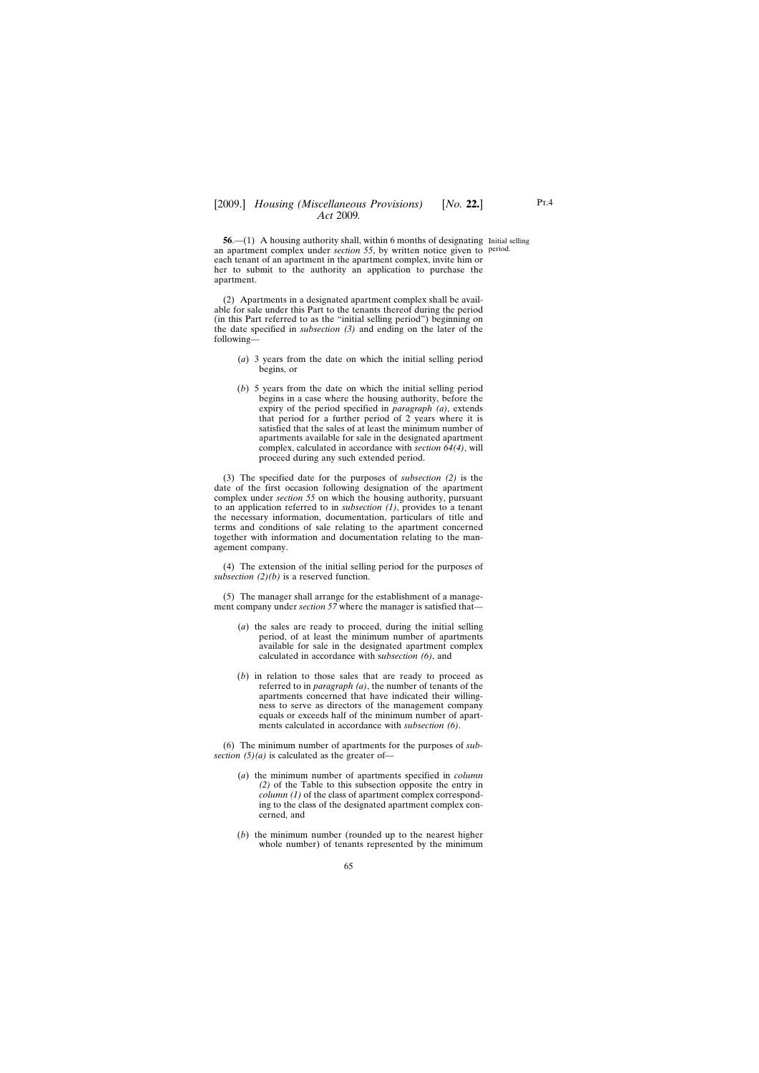**56.**—(1) A housing authority shall, within 6 months of designating Initial selling an apartment complex under *section 55*, by written notice given to period.each tenant of an apartment in the apartment complex, invite him or her to submit to the authority an application to purchase the apartment.

(2) Apartments in a designated apartment complex shall be available for sale under this Part to the tenants thereof during the period (in this Part referred to as the "initial selling period") beginning on the date specified in *subsection (3)* and ending on the later of the following—

- (*a*) 3 years from the date on which the initial selling period begins, or
- (*b*) 5 years from the date on which the initial selling period begins in a case where the housing authority, before the expiry of the period specified in *paragraph (a)*, extends that period for a further period of 2 years where it is satisfied that the sales of at least the minimum number of apartments available for sale in the designated apartment complex, calculated in accordance with *section 64(4)*, will proceed during any such extended period.

(3) The specified date for the purposes of *subsection (2)* is the date of the first occasion following designation of the apartment complex under *section 55* on which the housing authority, pursuant to an application referred to in *subsection (1)*, provides to a tenant the necessary information, documentation, particulars of title and terms and conditions of sale relating to the apartment concerned together with information and documentation relating to the management company.

(4) The extension of the initial selling period for the purposes of *subsection (2)(b)* is a reserved function.

(5) The manager shall arrange for the establishment of a management company under *section* 57 where the manager is satisfied that—

- (*a*) the sales are ready to proceed, during the initial selling period, of at least the minimum number of apartments available for sale in the designated apartment complex calculated in accordance with s*ubsection (6)*, and
- (*b*) in relation to those sales that are ready to proceed as referred to in *paragraph (a)*, the number of tenants of the apartments concerned that have indicated their willingness to serve as directors of the management company equals or exceeds half of the minimum number of apartments calculated in accordance with *subsection (6)*.

(6) The minimum number of apartments for the purposes of *subsection (5)(a)* is calculated as the greater of—

- (*a*) the minimum number of apartments specified in *column (2)* of the Table to this subsection opposite the entry in *column (1)* of the class of apartment complex corresponding to the class of the designated apartment complex concerned, and
- (*b*) the minimum number (rounded up to the nearest higher whole number) of tenants represented by the minimum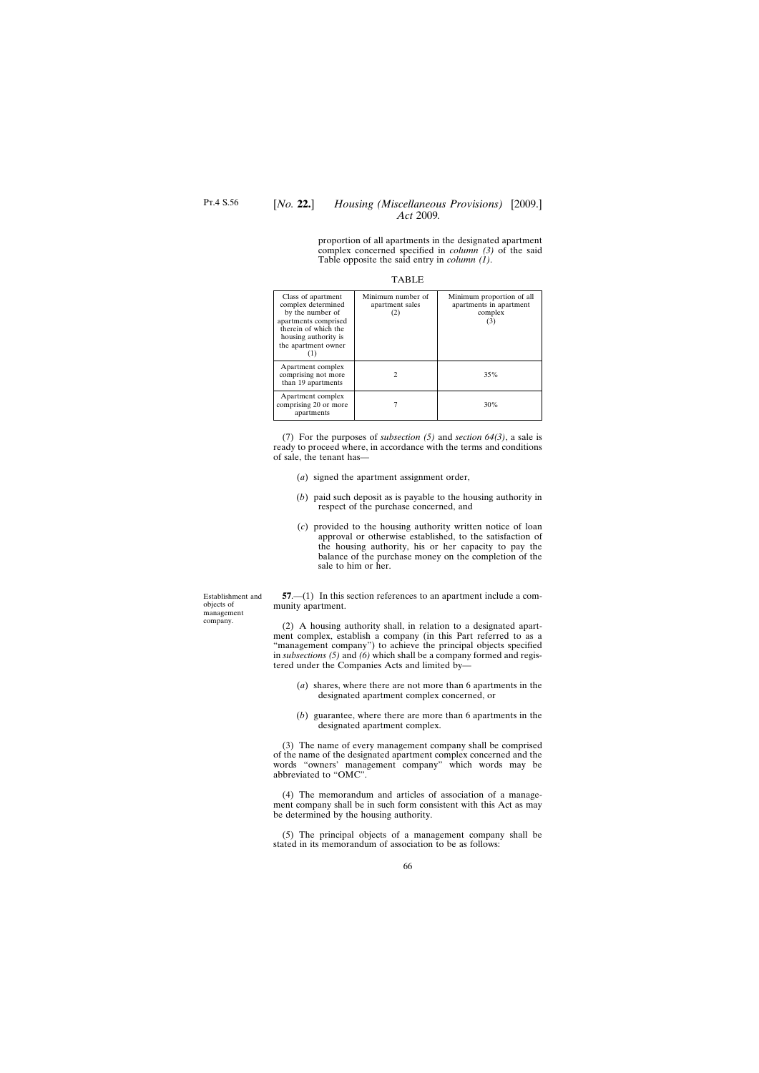# [*No.* **22.**] *Housing (Miscellaneous Provisions)* [2009.] *Act* 2009*.*

proportion of all apartments in the designated apartment complex concerned specified in *column (3)* of the said Table opposite the said entry in *column (1)*.

|--|--|

| Class of apartment<br>complex determined<br>by the number of<br>apartments comprised<br>therein of which the<br>housing authority is<br>the apartment owner | Minimum number of<br>apartment sales<br>(2) | Minimum proportion of all<br>apartments in apartment<br>complex<br>(3) |
|-------------------------------------------------------------------------------------------------------------------------------------------------------------|---------------------------------------------|------------------------------------------------------------------------|
| Apartment complex<br>comprising not more<br>than 19 apartments                                                                                              |                                             | 35%                                                                    |
| Apartment complex<br>comprising 20 or more<br>apartments                                                                                                    |                                             | 30%                                                                    |

(7) For the purposes of *subsection (5)* and *section 64(3)*, a sale is ready to proceed where, in accordance with the terms and conditions of sale, the tenant has—

- (*a*) signed the apartment assignment order,
- (*b*) paid such deposit as is payable to the housing authority in respect of the purchase concerned, and
- (*c*) provided to the housing authority written notice of loan approval or otherwise established, to the satisfaction of the housing authority, his or her capacity to pay the balance of the purchase money on the completion of the sale to him or her.

**57**.—(1) In this section references to an apartment include a community apartment.

(2) A housing authority shall, in relation to a designated apartment complex, establish a company (in this Part referred to as a "management company") to achieve the principal objects specified in *subsections (5)* and *(6)* which shall be a company formed and registered under the Companies Acts and limited by—

- (*a*) shares, where there are not more than 6 apartments in the designated apartment complex concerned, or
- (*b*) guarantee, where there are more than 6 apartments in the designated apartment complex.

(3) The name of every management company shall be comprised of the name of the designated apartment complex concerned and the words "owners' management company" which words may be abbreviated to "OMC".

(4) The memorandum and articles of association of a management company shall be in such form consistent with this Act as may be determined by the housing authority.

(5) The principal objects of a management company shall be stated in its memorandum of association to be as follows:

Establishment and objects of management company.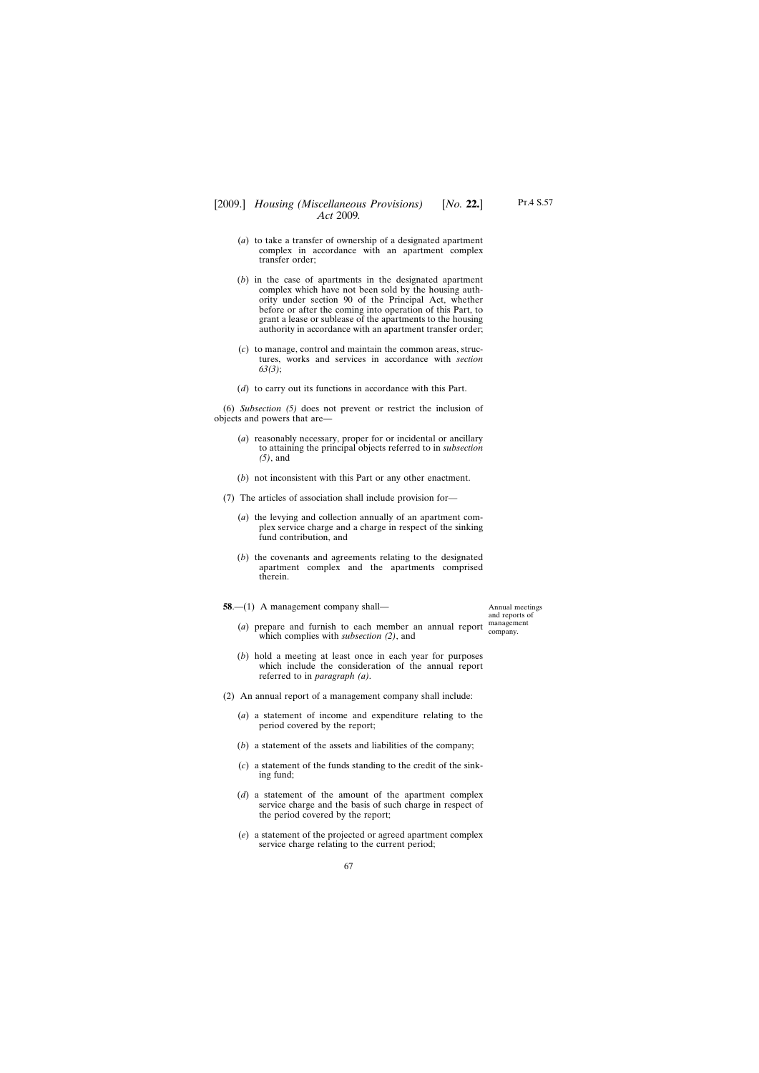Annual meetings and reports of

## [2009.] [ *Housing (Miscellaneous Provisions) No.* **22.**] *Act* 2009*.*

- (*a*) to take a transfer of ownership of a designated apartment complex in accordance with an apartment complex transfer order;
- (*b*) in the case of apartments in the designated apartment complex which have not been sold by the housing authority under section 90 of the Principal Act, whether before or after the coming into operation of this Part, to grant a lease or sublease of the apartments to the housing authority in accordance with an apartment transfer order;
- (*c*) to manage, control and maintain the common areas, structures, works and services in accordance with *section 63(3)*;
- (*d*) to carry out its functions in accordance with this Part.

(6) *Subsection (5)* does not prevent or restrict the inclusion of objects and powers that are—

- (*a*) reasonably necessary, proper for or incidental or ancillary to attaining the principal objects referred to in *subsection (5)*, and
- (*b*) not inconsistent with this Part or any other enactment.
- (7) The articles of association shall include provision for—
	- (*a*) the levying and collection annually of an apartment complex service charge and a charge in respect of the sinking fund contribution, and
	- (*b*) the covenants and agreements relating to the designated apartment complex and the apartments comprised therein.
- **58**.—(1) A management company shall—

(*a*) prepare and furnish to each member an annual report management which complies with *subsection (2)*, and company.

- (*b*) hold a meeting at least once in each year for purposes which include the consideration of the annual report referred to in *paragraph (a)*.
- (2) An annual report of a management company shall include:
	- (*a*) a statement of income and expenditure relating to the period covered by the report;
	- (*b*) a statement of the assets and liabilities of the company;
	- (*c*) a statement of the funds standing to the credit of the sinking fund;
	- (*d*) a statement of the amount of the apartment complex service charge and the basis of such charge in respect of the period covered by the report;
	- (*e*) a statement of the projected or agreed apartment complex service charge relating to the current period;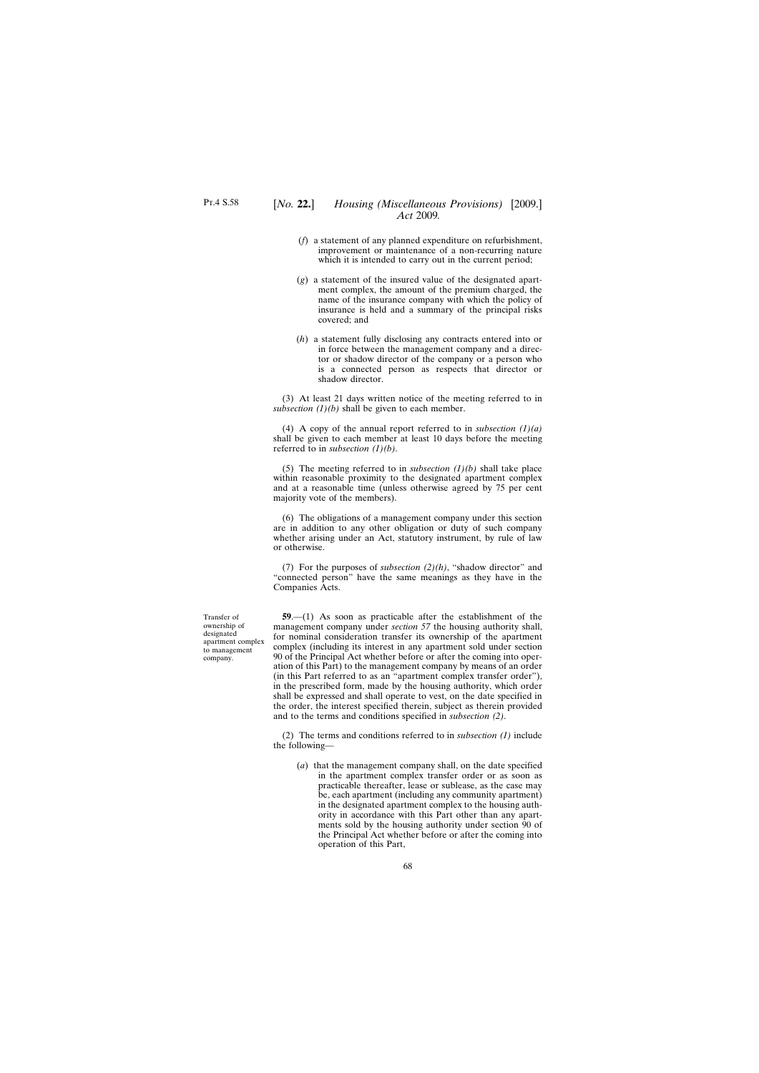- (*f*) a statement of any planned expenditure on refurbishment, improvement or maintenance of a non-recurring nature which it is intended to carry out in the current period;
- (*g*) a statement of the insured value of the designated apartment complex, the amount of the premium charged, the name of the insurance company with which the policy of insurance is held and a summary of the principal risks covered; and
- (*h*) a statement fully disclosing any contracts entered into or in force between the management company and a director or shadow director of the company or a person who is a connected person as respects that director or shadow director.

(3) At least 21 days written notice of the meeting referred to in *subsection*  $(l)(b)$  shall be given to each member.

(4) A copy of the annual report referred to in *subsection (1)(a)* shall be given to each member at least 10 days before the meeting referred to in *subsection (1)(b)*.

(5) The meeting referred to in *subsection (1)(b)* shall take place within reasonable proximity to the designated apartment complex and at a reasonable time (unless otherwise agreed by 75 per cent majority vote of the members).

(6) The obligations of a management company under this section are in addition to any other obligation or duty of such company whether arising under an Act, statutory instrument, by rule of law or otherwise.

(7) For the purposes of *subsection (2)(h)*, "shadow director" and "connected person" have the same meanings as they have in the Companies Acts.

**59**.—(1) As soon as practicable after the establishment of the management company under *section 57* the housing authority shall, for nominal consideration transfer its ownership of the apartment complex (including its interest in any apartment sold under section 90 of the Principal Act whether before or after the coming into operation of this Part) to the management company by means of an order (in this Part referred to as an "apartment complex transfer order"), in the prescribed form, made by the housing authority, which order shall be expressed and shall operate to vest, on the date specified in the order, the interest specified therein, subject as therein provided and to the terms and conditions specified in *subsection (2)*.

(2) The terms and conditions referred to in *subsection (1)* include the following—

(*a*) that the management company shall, on the date specified in the apartment complex transfer order or as soon as practicable thereafter, lease or sublease, as the case may be, each apartment (including any community apartment) in the designated apartment complex to the housing authority in accordance with this Part other than any apartments sold by the housing authority under section 90 of the Principal Act whether before or after the coming into operation of this Part,

Transfer of ownership of designated apartment complex to management company.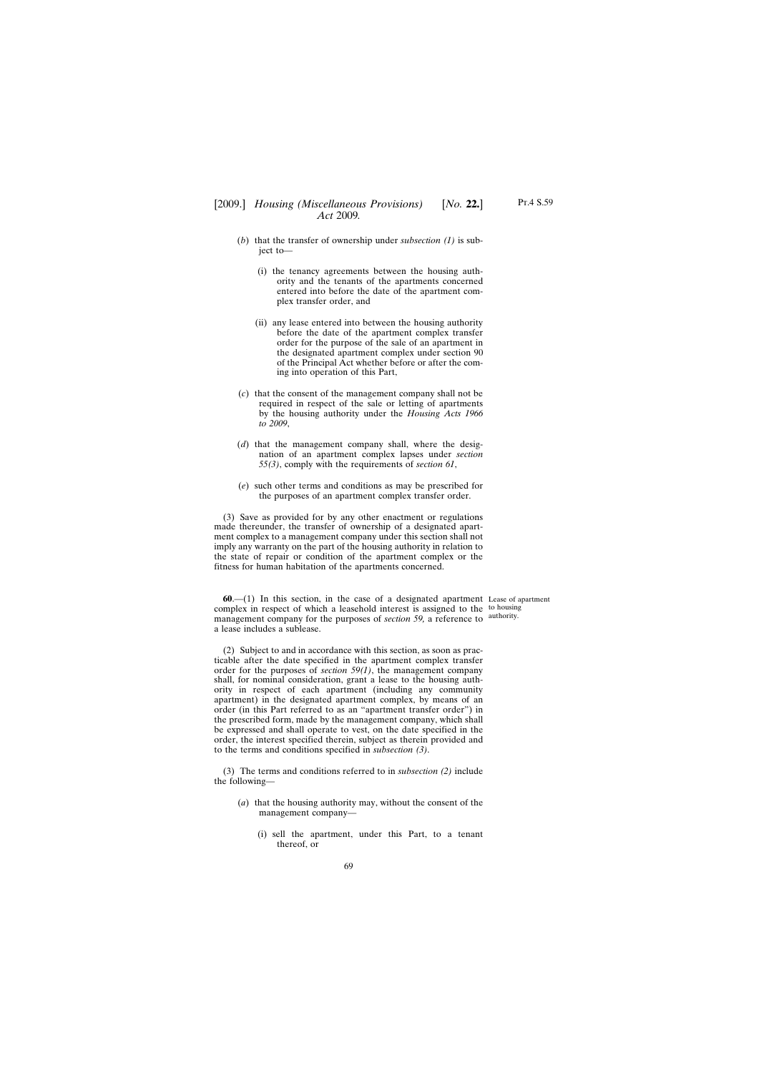- (*b*) that the transfer of ownership under *subsection (1)* is subject to-
	- (i) the tenancy agreements between the housing authority and the tenants of the apartments concerned entered into before the date of the apartment complex transfer order, and
	- (ii) any lease entered into between the housing authority before the date of the apartment complex transfer order for the purpose of the sale of an apartment in the designated apartment complex under section 90 of the Principal Act whether before or after the coming into operation of this Part,
- (*c*) that the consent of the management company shall not be required in respect of the sale or letting of apartments by the housing authority under the *Housing Acts 1966 to 2009*,
- (*d*) that the management company shall, where the designation of an apartment complex lapses under *section 55(3)*, comply with the requirements of *section 61*,
- (*e*) such other terms and conditions as may be prescribed for the purposes of an apartment complex transfer order.

(3) Save as provided for by any other enactment or regulations made thereunder, the transfer of ownership of a designated apartment complex to a management company under this section shall not imply any warranty on the part of the housing authority in relation to the state of repair or condition of the apartment complex or the fitness for human habitation of the apartments concerned.

**60**.—(1) In this section, in the case of a designated apartment Lease of apartment complex in respect of which a leasehold interest is assigned to the to housing management company for the purposes of *section 59*, a reference to <sup>authority.</sup> a lease includes a sublease.

(2) Subject to and in accordance with this section, as soon as practicable after the date specified in the apartment complex transfer order for the purposes of *section 59(1)*, the management company shall, for nominal consideration, grant a lease to the housing authority in respect of each apartment (including any community apartment) in the designated apartment complex, by means of an order (in this Part referred to as an "apartment transfer order") in the prescribed form, made by the management company, which shall be expressed and shall operate to vest, on the date specified in the order, the interest specified therein, subject as therein provided and to the terms and conditions specified in *subsection (3)*.

(3) The terms and conditions referred to in *subsection (2)* include the following—

- (*a*) that the housing authority may, without the consent of the management company—
	- (i) sell the apartment, under this Part, to a tenant thereof, or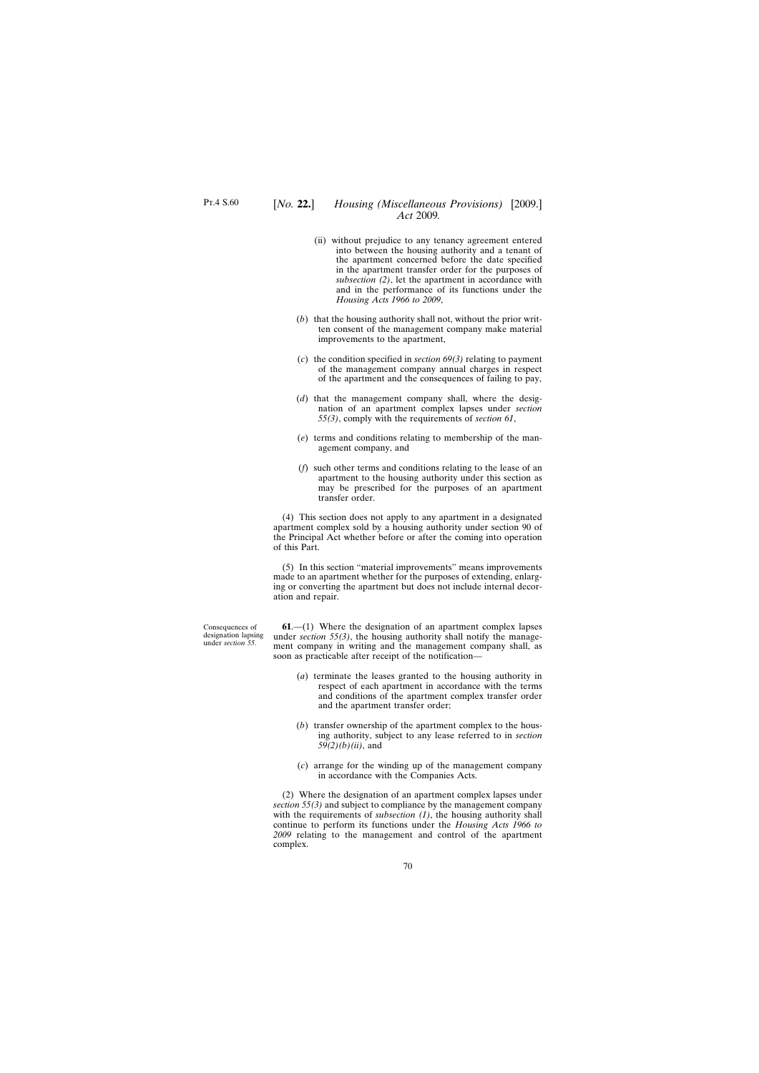- (ii) without prejudice to any tenancy agreement entered into between the housing authority and a tenant of the apartment concerned before the date specified in the apartment transfer order for the purposes of *subsection (2)*, let the apartment in accordance with and in the performance of its functions under the *Housing Acts 1966 to 2009*,
- (*b*) that the housing authority shall not, without the prior written consent of the management company make material improvements to the apartment,
- (*c*) the condition specified in *section 69(3)* relating to payment of the management company annual charges in respect of the apartment and the consequences of failing to pay,
- (*d*) that the management company shall, where the designation of an apartment complex lapses under *section 55(3)*, comply with the requirements of *section 61*,
- (*e*) terms and conditions relating to membership of the management company, and
- (*f*) such other terms and conditions relating to the lease of an apartment to the housing authority under this section as may be prescribed for the purposes of an apartment transfer order.

(4) This section does not apply to any apartment in a designated apartment complex sold by a housing authority under section 90 of the Principal Act whether before or after the coming into operation of this Part.

(5) In this section "material improvements" means improvements made to an apartment whether for the purposes of extending, enlarging or converting the apartment but does not include internal decoration and repair.

**61**.—(1) Where the designation of an apartment complex lapses under *section 55(3)*, the housing authority shall notify the management company in writing and the management company shall, as soon as practicable after receipt of the notification—

- (*a*) terminate the leases granted to the housing authority in respect of each apartment in accordance with the terms and conditions of the apartment complex transfer order and the apartment transfer order;
- (*b*) transfer ownership of the apartment complex to the housing authority, subject to any lease referred to in *section 59(2)(b)(ii)*, and
- (*c*) arrange for the winding up of the management company in accordance with the Companies Acts.

(2) Where the designation of an apartment complex lapses under *section 55(3)* and subject to compliance by the management company with the requirements of *subsection (1)*, the housing authority shall continue to perform its functions under the *Housing Acts 1966 to 2009* relating to the management and control of the apartment complex.

Consequences of designation lapsing under *section 55*.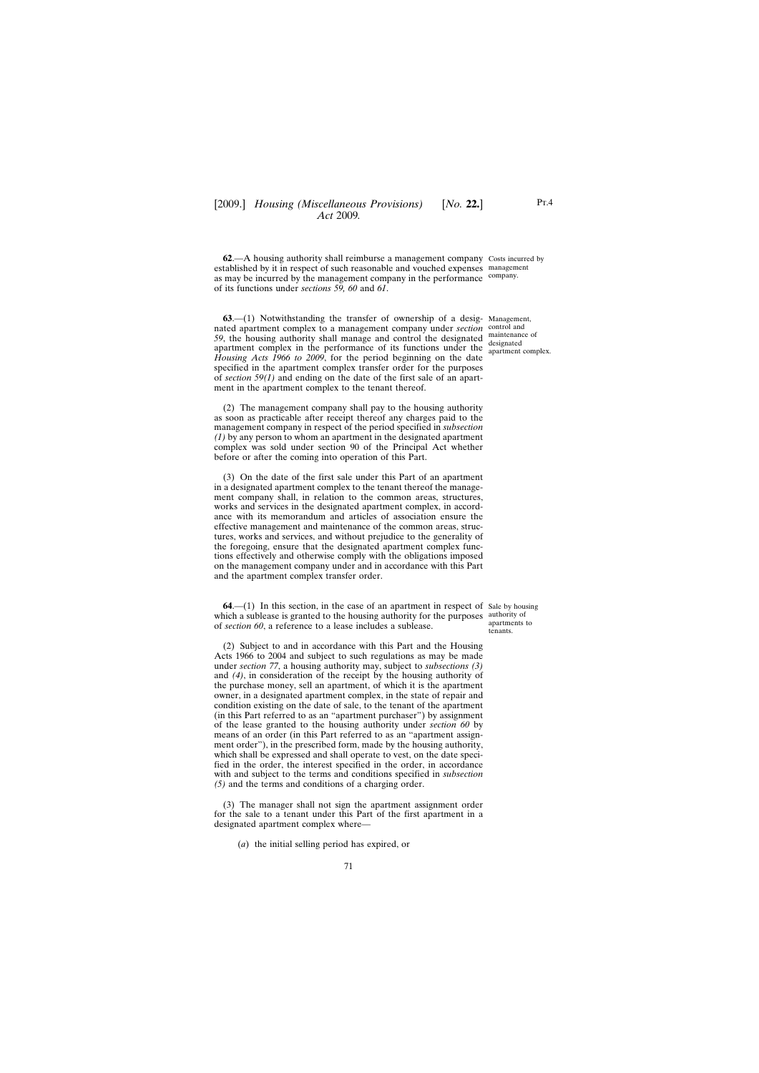**62.**—A housing authority shall reimburse a management company Costs incurred by established by it in respect of such reasonable and vouched expenses management as may be incurred by the management company in the performance company. of its functions under *sections 59, 60* and *61*.

**63**.—(1) Notwithstanding the transfer of ownership of a desig-Management, nated apartment complex to a management company under *section* control and 59, the housing authority shall manage and control the designated maintenance of apartment complex in the performance of its functions under the  $\frac{\text{designated}}{\text{anarment}}$ *Housing Acts 1966 to 2009*, for the period beginning on the date specified in the apartment complex transfer order for the purposes of *section 59(1)* and ending on the date of the first sale of an apartment in the apartment complex to the tenant thereof.

(2) The management company shall pay to the housing authority as soon as practicable after receipt thereof any charges paid to the management company in respect of the period specified in *subsection (1)* by any person to whom an apartment in the designated apartment complex was sold under section 90 of the Principal Act whether before or after the coming into operation of this Part.

(3) On the date of the first sale under this Part of an apartment in a designated apartment complex to the tenant thereof the management company shall, in relation to the common areas, structures, works and services in the designated apartment complex, in accordance with its memorandum and articles of association ensure the effective management and maintenance of the common areas, structures, works and services, and without prejudice to the generality of the foregoing, ensure that the designated apartment complex functions effectively and otherwise comply with the obligations imposed on the management company under and in accordance with this Part and the apartment complex transfer order.

**64.**—(1) In this section, in the case of an apartment in respect of Sale by housing which a sublease is granted to the housing authority for the purposes authority of of *section 60*, a reference to a lease includes a sublease.

(2) Subject to and in accordance with this Part and the Housing Acts 1966 to 2004 and subject to such regulations as may be made under *section 77*, a housing authority may, subject to *subsections (3)* and *(4)*, in consideration of the receipt by the housing authority of the purchase money, sell an apartment, of which it is the apartment owner, in a designated apartment complex, in the state of repair and condition existing on the date of sale, to the tenant of the apartment (in this Part referred to as an "apartment purchaser") by assignment of the lease granted to the housing authority under *section 60* by means of an order (in this Part referred to as an "apartment assignment order"), in the prescribed form, made by the housing authority, which shall be expressed and shall operate to vest, on the date specified in the order, the interest specified in the order, in accordance with and subject to the terms and conditions specified in *subsection (5)* and the terms and conditions of a charging order.

(3) The manager shall not sign the apartment assignment order for the sale to a tenant under this Part of the first apartment in a designated apartment complex where—

(*a*) the initial selling period has expired, or

apartment complex.

apartments to tenants.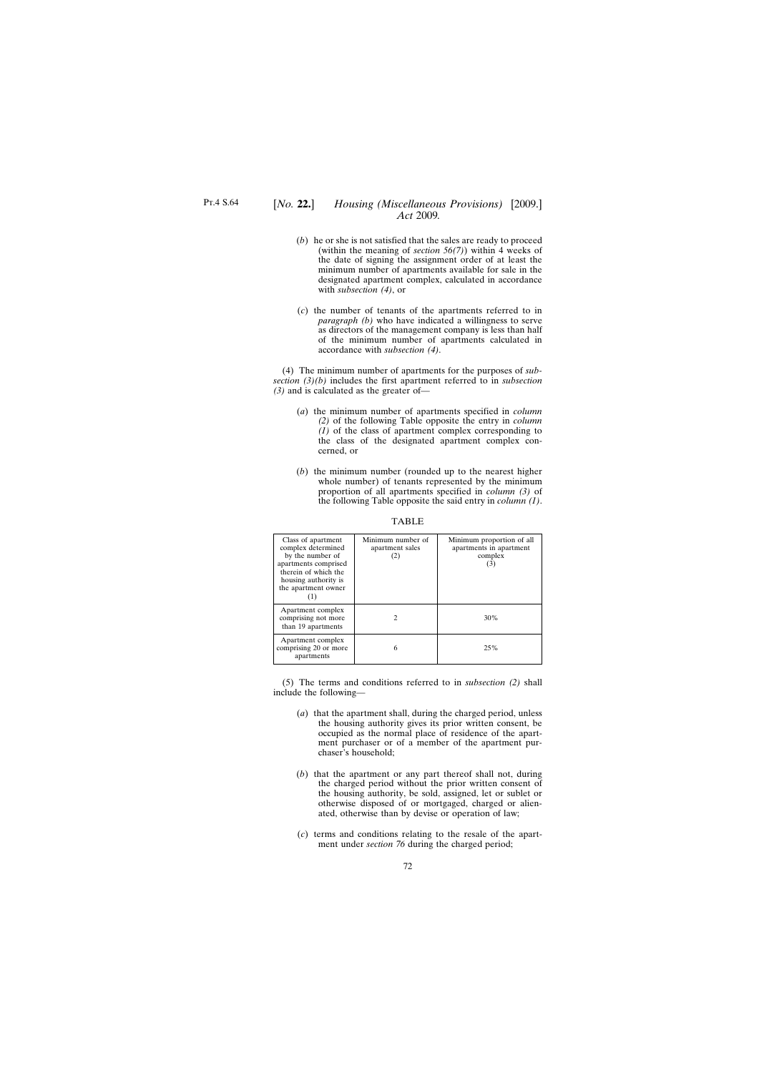- (*b*) he or she is not satisfied that the sales are ready to proceed (within the meaning of *section 56(7)*) within 4 weeks of the date of signing the assignment order of at least the minimum number of apartments available for sale in the designated apartment complex, calculated in accordance with *subsection (4)*, or
- (*c*) the number of tenants of the apartments referred to in *paragraph (b)* who have indicated a willingness to serve as directors of the management company is less than half of the minimum number of apartments calculated in accordance with *subsection (4)*.

(4) The minimum number of apartments for the purposes of *subsection (3)(b)* includes the first apartment referred to in *subsection (3)* and is calculated as the greater of—

- (*a*) the minimum number of apartments specified in *column (2)* of the following Table opposite the entry in *column (1)* of the class of apartment complex corresponding to the class of the designated apartment complex concerned, or
- (*b*) the minimum number (rounded up to the nearest higher whole number) of tenants represented by the minimum proportion of all apartments specified in *column (3)* of the following Table opposite the said entry in *column (1)*.

| Class of apartment<br>complex determined<br>by the number of<br>apartments comprised<br>therein of which the<br>housing authority is<br>the apartment owner | Minimum number of<br>apartment sales<br>(2) | Minimum proportion of all<br>apartments in apartment<br>complex<br>(3) |
|-------------------------------------------------------------------------------------------------------------------------------------------------------------|---------------------------------------------|------------------------------------------------------------------------|
| Apartment complex<br>comprising not more<br>than 19 apartments                                                                                              |                                             | 30%                                                                    |
| Apartment complex<br>comprising 20 or more<br>apartments                                                                                                    | 6                                           | 25%                                                                    |

TABLE

(5) The terms and conditions referred to in *subsection (2)* shall include the following—

- (*a*) that the apartment shall, during the charged period, unless the housing authority gives its prior written consent, be occupied as the normal place of residence of the apartment purchaser or of a member of the apartment purchaser's household;
- (*b*) that the apartment or any part thereof shall not, during the charged period without the prior written consent of the housing authority, be sold, assigned, let or sublet or otherwise disposed of or mortgaged, charged or alienated, otherwise than by devise or operation of law;
- (*c*) terms and conditions relating to the resale of the apartment under *section 76* during the charged period;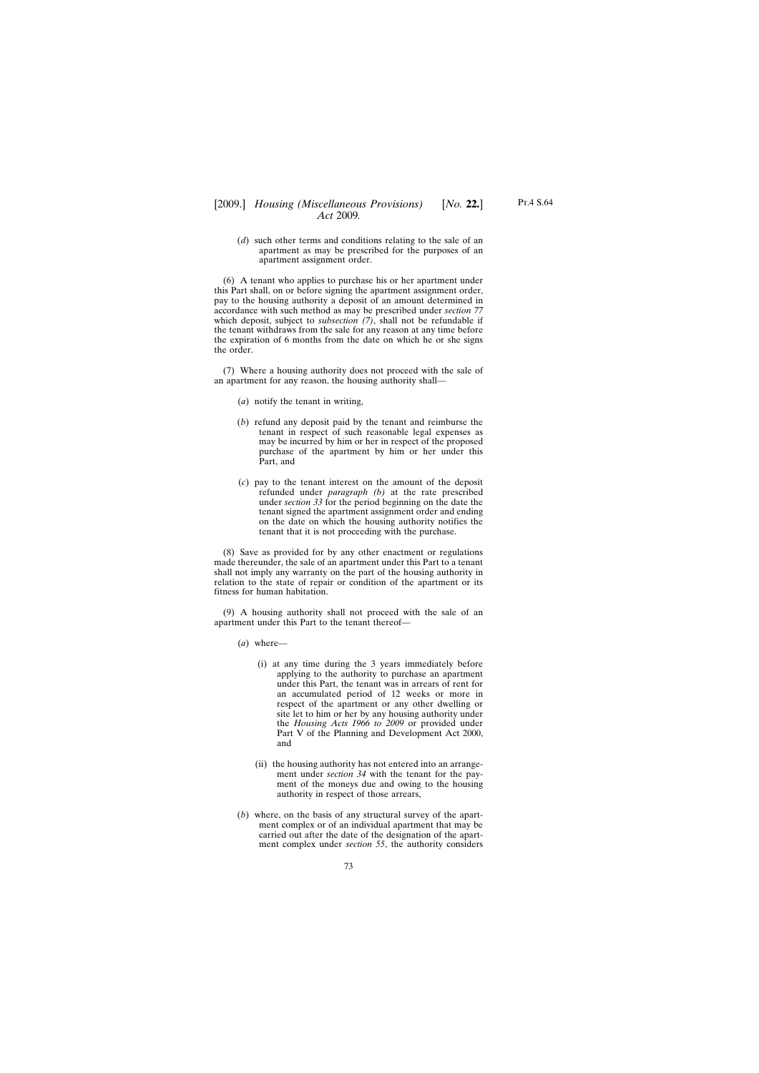(*d*) such other terms and conditions relating to the sale of an apartment as may be prescribed for the purposes of an apartment assignment order.

(6) A tenant who applies to purchase his or her apartment under this Part shall, on or before signing the apartment assignment order, pay to the housing authority a deposit of an amount determined in accordance with such method as may be prescribed under *section 77* which deposit, subject to *subsection (7)*, shall not be refundable if the tenant withdraws from the sale for any reason at any time before the expiration of 6 months from the date on which he or she signs the order.

(7) Where a housing authority does not proceed with the sale of an apartment for any reason, the housing authority shall—

- (*a*) notify the tenant in writing,
- (*b*) refund any deposit paid by the tenant and reimburse the tenant in respect of such reasonable legal expenses as may be incurred by him or her in respect of the proposed purchase of the apartment by him or her under this Part, and
- (*c*) pay to the tenant interest on the amount of the deposit refunded under *paragraph (b)* at the rate prescribed under *section 33* for the period beginning on the date the tenant signed the apartment assignment order and ending on the date on which the housing authority notifies the tenant that it is not proceeding with the purchase.

(8) Save as provided for by any other enactment or regulations made thereunder, the sale of an apartment under this Part to a tenant shall not imply any warranty on the part of the housing authority in relation to the state of repair or condition of the apartment or its fitness for human habitation.

(9) A housing authority shall not proceed with the sale of an apartment under this Part to the tenant thereof—

- (*a*) where—
	- (i) at any time during the 3 years immediately before applying to the authority to purchase an apartment under this Part, the tenant was in arrears of rent for an accumulated period of 12 weeks or more in respect of the apartment or any other dwelling or site let to him or her by any housing authority under the *Housing Acts 1966 to 2009* or provided under Part V of the Planning and Development Act 2000, and
	- (ii) the housing authority has not entered into an arrangement under *section 34* with the tenant for the payment of the moneys due and owing to the housing authority in respect of those arrears,
- (*b*) where, on the basis of any structural survey of the apartment complex or of an individual apartment that may be carried out after the date of the designation of the apartment complex under *section 55*, the authority considers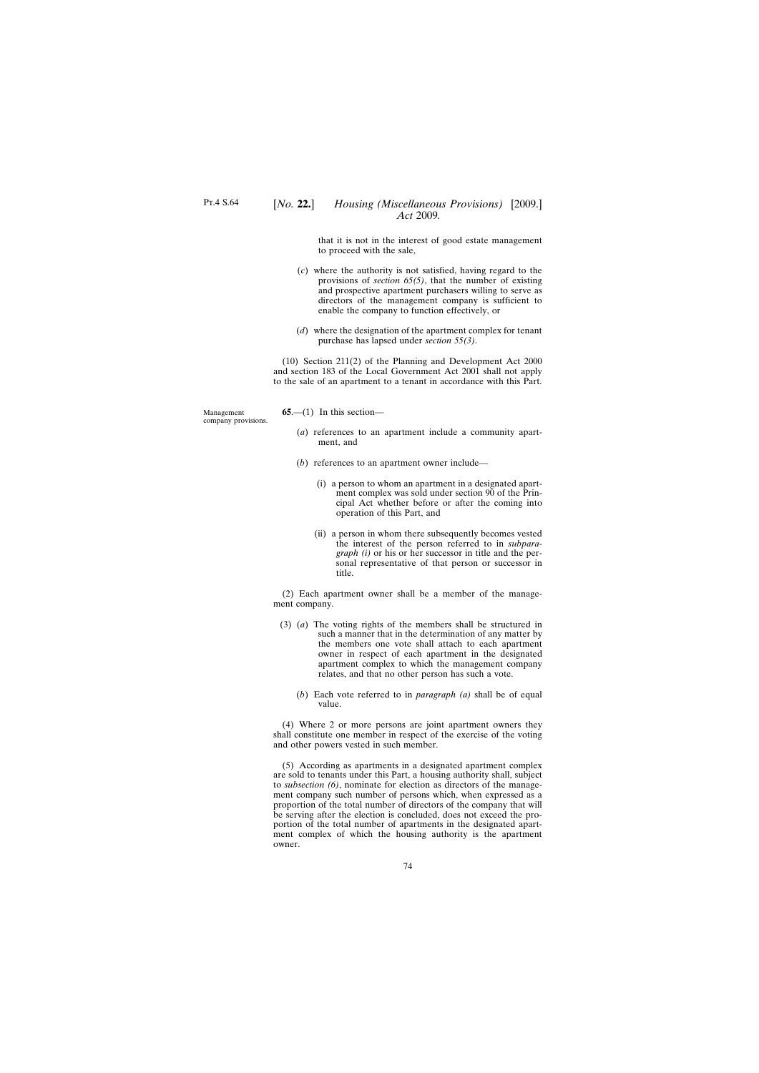that it is not in the interest of good estate management to proceed with the sale,

- (*c*) where the authority is not satisfied, having regard to the provisions of *section 65(5)*, that the number of existing and prospective apartment purchasers willing to serve as directors of the management company is sufficient to enable the company to function effectively, or
- (*d*) where the designation of the apartment complex for tenant purchase has lapsed under *section 55(3)*.

(10) Section 211(2) of the Planning and Development Act 2000 and section 183 of the Local Government Act 2001 shall not apply to the sale of an apartment to a tenant in accordance with this Part.

Management company provisions.  $65$ — $(1)$  In this section—

- (*a*) references to an apartment include a community apartment, and
- (*b*) references to an apartment owner include—
	- (i) a person to whom an apartment in a designated apartment complex was sold under section 90 of the Principal Act whether before or after the coming into operation of this Part, and
	- (ii) a person in whom there subsequently becomes vested the interest of the person referred to in *subparagraph (i)* or his or her successor in title and the personal representative of that person or successor in title.

(2) Each apartment owner shall be a member of the management company.

- (3) (*a*) The voting rights of the members shall be structured in such a manner that in the determination of any matter by the members one vote shall attach to each apartment owner in respect of each apartment in the designated apartment complex to which the management company relates, and that no other person has such a vote.
	- (*b*) Each vote referred to in *paragraph (a)* shall be of equal value.

(4) Where 2 or more persons are joint apartment owners they shall constitute one member in respect of the exercise of the voting and other powers vested in such member.

(5) According as apartments in a designated apartment complex are sold to tenants under this Part, a housing authority shall, subject to *subsection (6)*, nominate for election as directors of the management company such number of persons which, when expressed as a proportion of the total number of directors of the company that will be serving after the election is concluded, does not exceed the proportion of the total number of apartments in the designated apartment complex of which the housing authority is the apartment owner.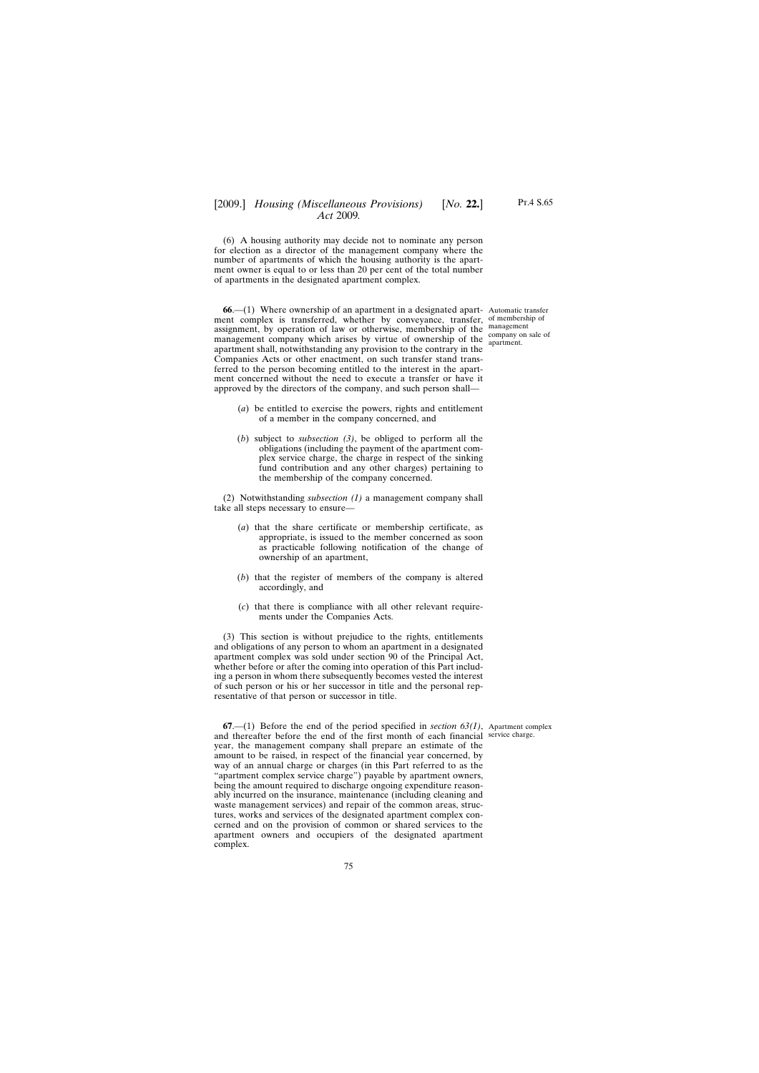(6) A housing authority may decide not to nominate any person for election as a director of the management company where the number of apartments of which the housing authority is the apartment owner is equal to or less than 20 per cent of the total number of apartments in the designated apartment complex.

**66.**—(1) Where ownership of an apartment in a designated apart- Automatic transfer ment complex is transferred, whether by conveyance, transfer, of membership of assignment, by operation of law or otherwise, membership of the management management company which arises by virtue of ownership of the company on sale of apartment shall, notwithstanding any provision to the contrary in the Companies Acts or other enactment, on such transfer stand transferred to the person becoming entitled to the interest in the apartment concerned without the need to execute a transfer or have it approved by the directors of the company, and such person shall—

apartment.

- (*a*) be entitled to exercise the powers, rights and entitlement of a member in the company concerned, and
- (*b*) subject to *subsection (3)*, be obliged to perform all the obligations (including the payment of the apartment complex service charge, the charge in respect of the sinking fund contribution and any other charges) pertaining to the membership of the company concerned.

(2) Notwithstanding *subsection (1)* a management company shall take all steps necessary to ensure—

- (*a*) that the share certificate or membership certificate, as appropriate, is issued to the member concerned as soon as practicable following notification of the change of ownership of an apartment,
- (*b*) that the register of members of the company is altered accordingly, and
- (*c*) that there is compliance with all other relevant requirements under the Companies Acts.

(3) This section is without prejudice to the rights, entitlements and obligations of any person to whom an apartment in a designated apartment complex was sold under section 90 of the Principal Act, whether before or after the coming into operation of this Part including a person in whom there subsequently becomes vested the interest of such person or his or her successor in title and the personal representative of that person or successor in title.

**67**.—(1) Before the end of the period specified in *section 63(1)*, Apartment complex and thereafter before the end of the first month of each financial service charge.year, the management company shall prepare an estimate of the amount to be raised, in respect of the financial year concerned, by way of an annual charge or charges (in this Part referred to as the "apartment complex service charge") payable by apartment owners, being the amount required to discharge ongoing expenditure reasonably incurred on the insurance, maintenance (including cleaning and waste management services) and repair of the common areas, structures, works and services of the designated apartment complex concerned and on the provision of common or shared services to the apartment owners and occupiers of the designated apartment complex.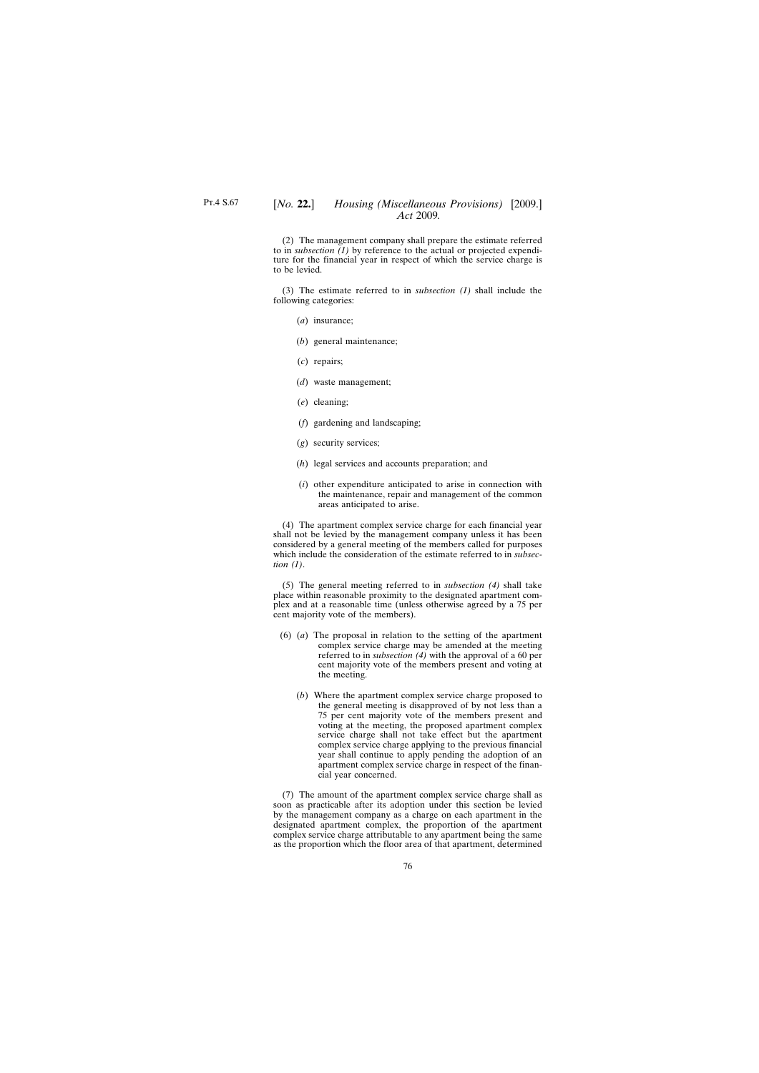(2) The management company shall prepare the estimate referred to in *subsection (1)* by reference to the actual or projected expenditure for the financial year in respect of which the service charge is to be levied.

(3) The estimate referred to in *subsection (1)* shall include the following categories:

- (*a*) insurance;
- (*b*) general maintenance;
- (*c*) repairs;
- (*d*) waste management;
- (*e*) cleaning;
- (*f*) gardening and landscaping;
- (*g*) security services;
- (*h*) legal services and accounts preparation; and
- (*i*) other expenditure anticipated to arise in connection with the maintenance, repair and management of the common areas anticipated to arise.

(4) The apartment complex service charge for each financial year shall not be levied by the management company unless it has been considered by a general meeting of the members called for purposes which include the consideration of the estimate referred to in *subsection (1)*.

(5) The general meeting referred to in *subsection (4)* shall take place within reasonable proximity to the designated apartment complex and at a reasonable time (unless otherwise agreed by a 75 per cent majority vote of the members).

- (6) (*a*) The proposal in relation to the setting of the apartment complex service charge may be amended at the meeting referred to in *subsection (4)* with the approval of a 60 per cent majority vote of the members present and voting at the meeting.
	- (*b*) Where the apartment complex service charge proposed to the general meeting is disapproved of by not less than a 75 per cent majority vote of the members present and voting at the meeting, the proposed apartment complex service charge shall not take effect but the apartment complex service charge applying to the previous financial year shall continue to apply pending the adoption of an apartment complex service charge in respect of the financial year concerned.

(7) The amount of the apartment complex service charge shall as soon as practicable after its adoption under this section be levied by the management company as a charge on each apartment in the designated apartment complex, the proportion of the apartment complex service charge attributable to any apartment being the same as the proportion which the floor area of that apartment, determined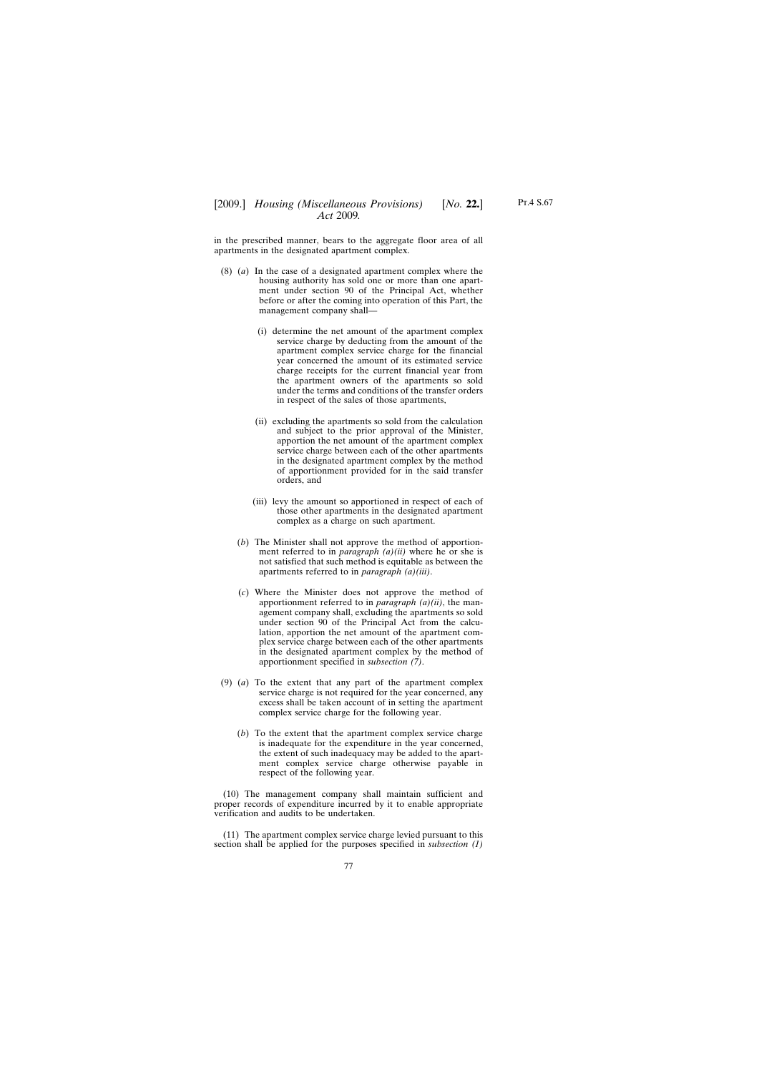in the prescribed manner, bears to the aggregate floor area of all apartments in the designated apartment complex.

- (8) (*a*) In the case of a designated apartment complex where the housing authority has sold one or more than one apartment under section 90 of the Principal Act, whether before or after the coming into operation of this Part, the management company shall—
	- (i) determine the net amount of the apartment complex service charge by deducting from the amount of the apartment complex service charge for the financial year concerned the amount of its estimated service charge receipts for the current financial year from the apartment owners of the apartments so sold under the terms and conditions of the transfer orders in respect of the sales of those apartments,
	- (ii) excluding the apartments so sold from the calculation and subject to the prior approval of the Minister, apportion the net amount of the apartment complex service charge between each of the other apartments in the designated apartment complex by the method of apportionment provided for in the said transfer orders, and
	- (iii) levy the amount so apportioned in respect of each of those other apartments in the designated apartment complex as a charge on such apartment.
	- (*b*) The Minister shall not approve the method of apportionment referred to in *paragraph (a)(ii)* where he or she is not satisfied that such method is equitable as between the apartments referred to in *paragraph (a)(iii)*.
	- (*c*) Where the Minister does not approve the method of apportionment referred to in *paragraph (a)(ii)*, the management company shall, excluding the apartments so sold under section 90 of the Principal Act from the calculation, apportion the net amount of the apartment complex service charge between each of the other apartments in the designated apartment complex by the method of apportionment specified in *subsection (7)*.
- (9) (*a*) To the extent that any part of the apartment complex service charge is not required for the year concerned, any excess shall be taken account of in setting the apartment complex service charge for the following year.
	- (*b*) To the extent that the apartment complex service charge is inadequate for the expenditure in the year concerned, the extent of such inadequacy may be added to the apartment complex service charge otherwise payable in respect of the following year.

(10) The management company shall maintain sufficient and proper records of expenditure incurred by it to enable appropriate verification and audits to be undertaken.

(11) The apartment complex service charge levied pursuant to this section shall be applied for the purposes specified in *subsection (1)*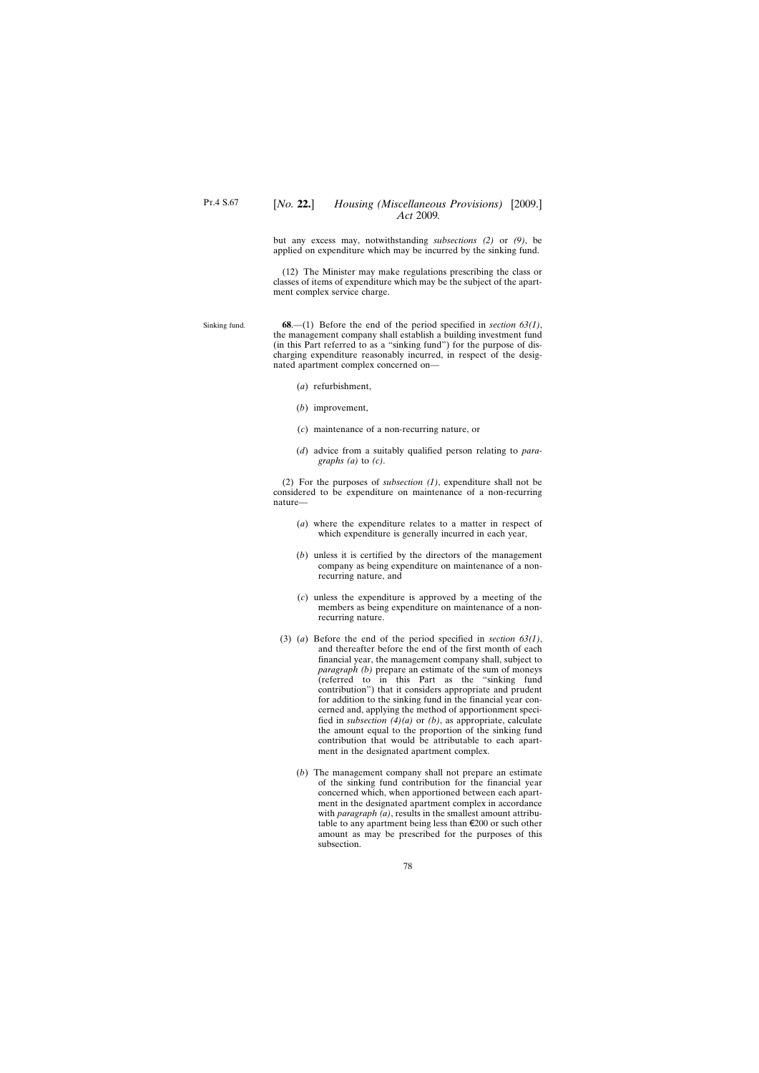## [*No.* **22.**] *Housing (Miscellaneous Provisions)* [2009.] *Act* 2009*.*

but any excess may, notwithstanding *subsections (2)* or *(9)*, be applied on expenditure which may be incurred by the sinking fund.

(12) The Minister may make regulations prescribing the class or classes of items of expenditure which may be the subject of the apartment complex service charge.

Sinking fund. **68**.—(1) Before the end of the period specified in *section 63(1)*, the management company shall establish a building investment fund (in this Part referred to as a "sinking fund") for the purpose of discharging expenditure reasonably incurred, in respect of the designated apartment complex concerned on—

- (*a*) refurbishment,
- (*b*) improvement,
- (*c*) maintenance of a non-recurring nature, or
- (*d*) advice from a suitably qualified person relating to *paragraphs (a)* to *(c)*.

(2) For the purposes of *subsection (1)*, expenditure shall not be considered to be expenditure on maintenance of a non-recurring nature—

- (*a*) where the expenditure relates to a matter in respect of which expenditure is generally incurred in each year,
- (*b*) unless it is certified by the directors of the management company as being expenditure on maintenance of a nonrecurring nature, and
- (*c*) unless the expenditure is approved by a meeting of the members as being expenditure on maintenance of a nonrecurring nature.
- (3) (*a*) Before the end of the period specified in *section 63(1)*, and thereafter before the end of the first month of each financial year, the management company shall, subject to *paragraph (b)* prepare an estimate of the sum of moneys (referred to in this Part as the "sinking fund contribution") that it considers appropriate and prudent for addition to the sinking fund in the financial year concerned and, applying the method of apportionment specified in *subsection (4)(a)* or *(b)*, as appropriate, calculate the amount equal to the proportion of the sinking fund contribution that would be attributable to each apartment in the designated apartment complex.
	- (*b*) The management company shall not prepare an estimate of the sinking fund contribution for the financial year concerned which, when apportioned between each apartment in the designated apartment complex in accordance with *paragraph* (*a*), results in the smallest amount attributable to any apartment being less than  $\epsilon$ 200 or such other amount as may be prescribed for the purposes of this subsection.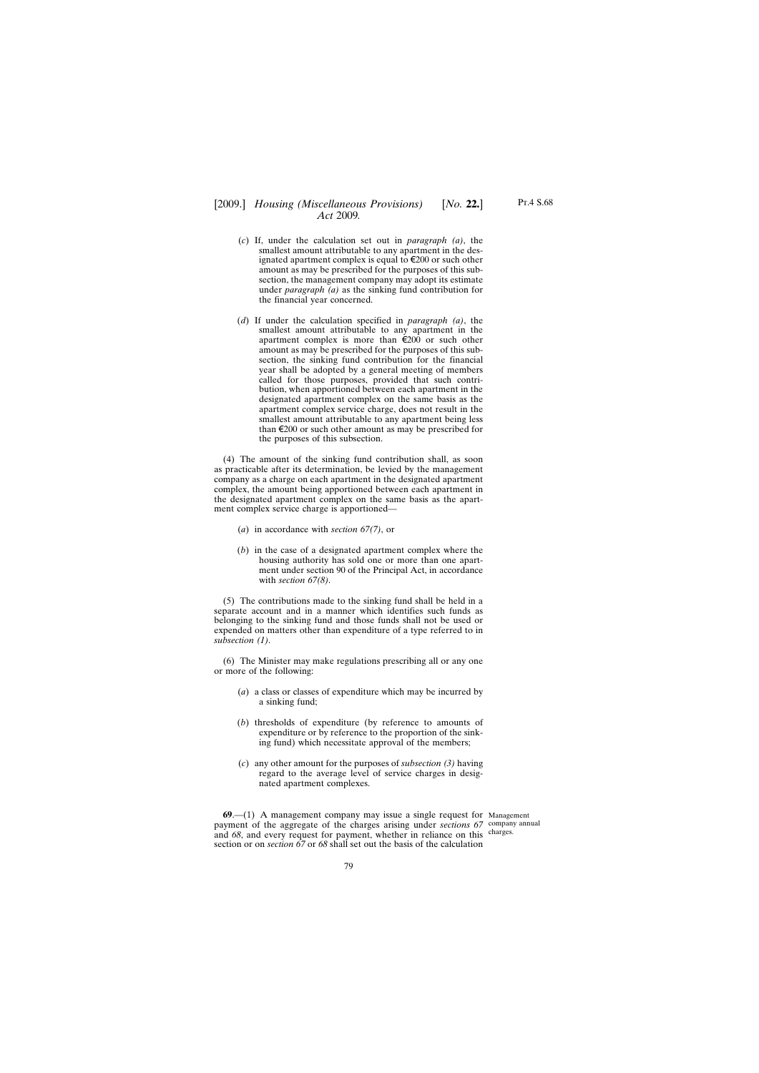# [2009.] [ *Housing (Miscellaneous Provisions) No.* **22.**] *Act* 2009*.*

- (*c*) If, under the calculation set out in *paragraph (a)*, the smallest amount attributable to any apartment in the designated apartment complex is equal to  $\epsilon$ 200 or such other amount as may be prescribed for the purposes of this subsection, the management company may adopt its estimate under *paragraph (a)* as the sinking fund contribution for the financial year concerned.
- (*d*) If under the calculation specified in *paragraph (a)*, the smallest amount attributable to any apartment in the apartment complex is more than  $\epsilon$ 200 or such other amount as may be prescribed for the purposes of this subsection, the sinking fund contribution for the financial year shall be adopted by a general meeting of members called for those purposes, provided that such contribution, when apportioned between each apartment in the designated apartment complex on the same basis as the apartment complex service charge, does not result in the smallest amount attributable to any apartment being less than  $\epsilon$ 200 or such other amount as may be prescribed for the purposes of this subsection.

(4) The amount of the sinking fund contribution shall, as soon as practicable after its determination, be levied by the management company as a charge on each apartment in the designated apartment complex, the amount being apportioned between each apartment in the designated apartment complex on the same basis as the apartment complex service charge is apportioned—

- (*a*) in accordance with *section 67(7)*, or
- (*b*) in the case of a designated apartment complex where the housing authority has sold one or more than one apartment under section 90 of the Principal Act, in accordance with *section 67(8)*.

(5) The contributions made to the sinking fund shall be held in a separate account and in a manner which identifies such funds as belonging to the sinking fund and those funds shall not be used or expended on matters other than expenditure of a type referred to in *subsection (1)*.

(6) The Minister may make regulations prescribing all or any one or more of the following:

- (*a*) a class or classes of expenditure which may be incurred by a sinking fund;
- (*b*) thresholds of expenditure (by reference to amounts of expenditure or by reference to the proportion of the sinking fund) which necessitate approval of the members;
- (*c*) any other amount for the purposes of *subsection (3)* having regard to the average level of service charges in designated apartment complexes.

**69**.—(1) A management company may issue a single request for Management payment of the aggregate of the charges arising under *sections* 67 company annual and 68, and every request for payment, whether in reliance on this charges. section or on *section 67* or *68* shall set out the basis of the calculation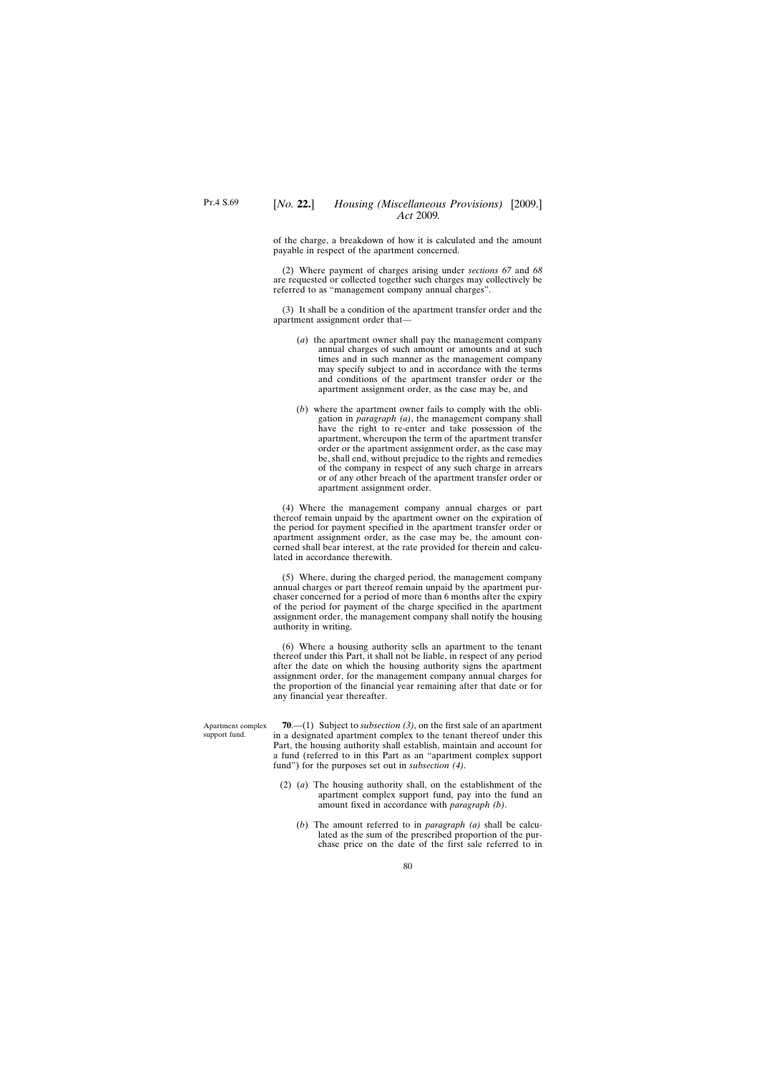of the charge, a breakdown of how it is calculated and the amount payable in respect of the apartment concerned.

(2) Where payment of charges arising under *sections 67* and *68* are requested or collected together such charges may collectively be referred to as "management company annual charges".

(3) It shall be a condition of the apartment transfer order and the apartment assignment order that—

- (*a*) the apartment owner shall pay the management company annual charges of such amount or amounts and at such times and in such manner as the management company may specify subject to and in accordance with the terms and conditions of the apartment transfer order or the apartment assignment order, as the case may be, and
- (*b*) where the apartment owner fails to comply with the obligation in *paragraph (a)*, the management company shall have the right to re-enter and take possession of the apartment, whereupon the term of the apartment transfer order or the apartment assignment order, as the case may be, shall end, without prejudice to the rights and remedies of the company in respect of any such charge in arrears or of any other breach of the apartment transfer order or apartment assignment order.

(4) Where the management company annual charges or part thereof remain unpaid by the apartment owner on the expiration of the period for payment specified in the apartment transfer order or apartment assignment order, as the case may be, the amount concerned shall bear interest, at the rate provided for therein and calculated in accordance therewith.

(5) Where, during the charged period, the management company annual charges or part thereof remain unpaid by the apartment purchaser concerned for a period of more than 6 months after the expiry of the period for payment of the charge specified in the apartment assignment order, the management company shall notify the housing authority in writing.

(6) Where a housing authority sells an apartment to the tenant thereof under this Part, it shall not be liable, in respect of any period after the date on which the housing authority signs the apartment assignment order, for the management company annual charges for the proportion of the financial year remaining after that date or for any financial year thereafter.

Apartment complex support fund.

**70**.—(1) Subject to *subsection (3)*, on the first sale of an apartment in a designated apartment complex to the tenant thereof under this Part, the housing authority shall establish, maintain and account for a fund (referred to in this Part as an "apartment complex support fund") for the purposes set out in *subsection (4)*.

- (2) (*a*) The housing authority shall, on the establishment of the apartment complex support fund, pay into the fund an amount fixed in accordance with *paragraph (b)*.
	- (*b*) The amount referred to in *paragraph (a)* shall be calculated as the sum of the prescribed proportion of the purchase price on the date of the first sale referred to in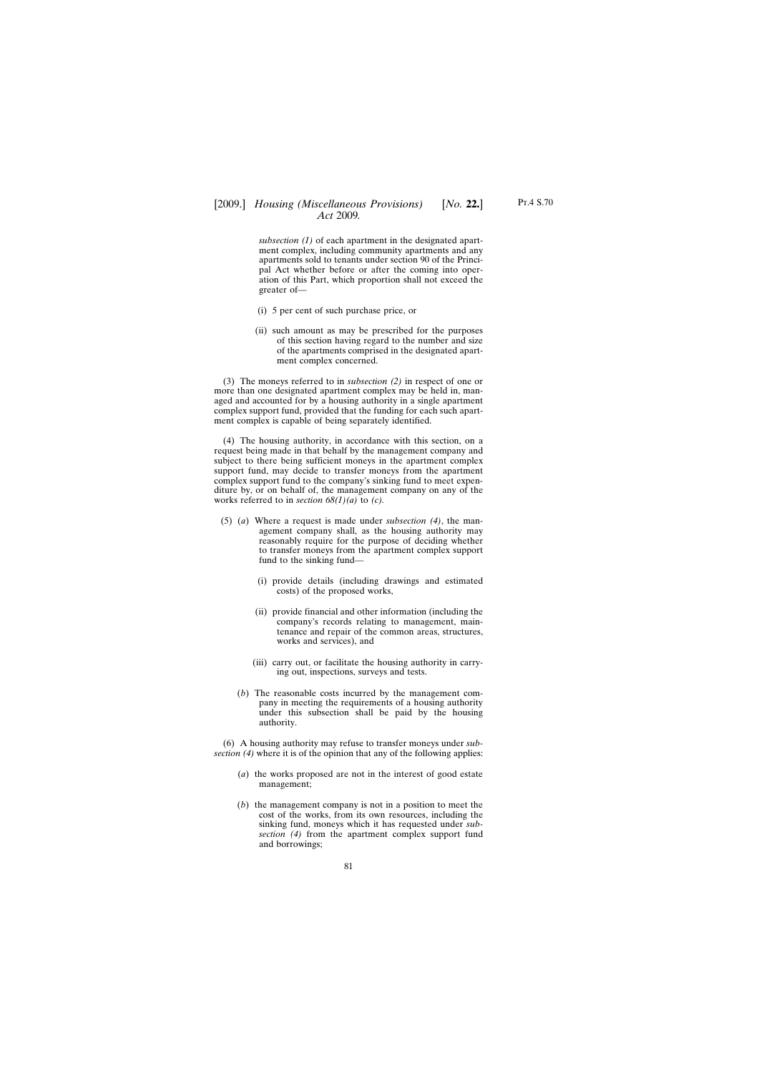# [2009.] [ *Housing (Miscellaneous Provisions) No.* **22.**] *Act* 2009*.*

*subsection (1)* of each apartment in the designated apartment complex, including community apartments and any apartments sold to tenants under section 90 of the Principal Act whether before or after the coming into operation of this Part, which proportion shall not exceed the greater of—

- (i) 5 per cent of such purchase price, or
- (ii) such amount as may be prescribed for the purposes of this section having regard to the number and size of the apartments comprised in the designated apartment complex concerned.

(3) The moneys referred to in *subsection (2)* in respect of one or more than one designated apartment complex may be held in, managed and accounted for by a housing authority in a single apartment complex support fund, provided that the funding for each such apartment complex is capable of being separately identified.

(4) The housing authority, in accordance with this section, on a request being made in that behalf by the management company and subject to there being sufficient moneys in the apartment complex support fund, may decide to transfer moneys from the apartment complex support fund to the company's sinking fund to meet expenditure by, or on behalf of, the management company on any of the works referred to in *section 68(1)(a)* to *(c).*

- (5) (*a*) Where a request is made under *subsection (4)*, the management company shall, as the housing authority may reasonably require for the purpose of deciding whether to transfer moneys from the apartment complex support fund to the sinking fund—
	- (i) provide details (including drawings and estimated costs) of the proposed works,
	- (ii) provide financial and other information (including the company's records relating to management, maintenance and repair of the common areas, structures, works and services), and
	- (iii) carry out, or facilitate the housing authority in carrying out, inspections, surveys and tests.
	- (*b*) The reasonable costs incurred by the management company in meeting the requirements of a housing authority under this subsection shall be paid by the housing authority.

(6) A housing authority may refuse to transfer moneys under *subsection (4)* where it is of the opinion that any of the following applies:

- (*a*) the works proposed are not in the interest of good estate management;
- (*b*) the management company is not in a position to meet the cost of the works, from its own resources, including the sinking fund, moneys which it has requested under *subsection (4)* from the apartment complex support fund and borrowings;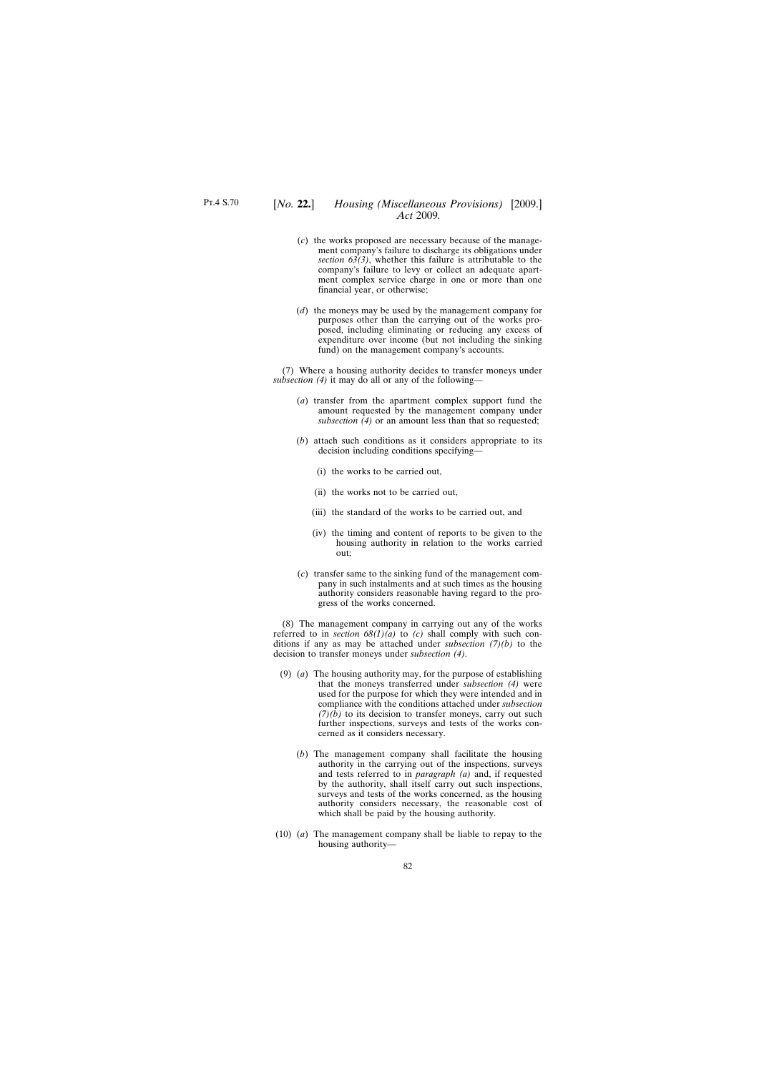- (*c*) the works proposed are necessary because of the management company's failure to discharge its obligations under *section 63(3)*, whether this failure is attributable to the company's failure to levy or collect an adequate apartment complex service charge in one or more than one financial year, or otherwise;
- (*d*) the moneys may be used by the management company for purposes other than the carrying out of the works proposed, including eliminating or reducing any excess of expenditure over income (but not including the sinking fund) on the management company's accounts.

(7) Where a housing authority decides to transfer moneys under *subsection (4)* it may do all or any of the following—

- (*a*) transfer from the apartment complex support fund the amount requested by the management company under *subsection (4)* or an amount less than that so requested;
- (*b*) attach such conditions as it considers appropriate to its decision including conditions specifying—
	- (i) the works to be carried out,
	- (ii) the works not to be carried out,
	- (iii) the standard of the works to be carried out, and
	- (iv) the timing and content of reports to be given to the housing authority in relation to the works carried out;
- (*c*) transfer same to the sinking fund of the management company in such instalments and at such times as the housing authority considers reasonable having regard to the progress of the works concerned.

(8) The management company in carrying out any of the works referred to in *section*  $68(1)(a)$  to *(c)* shall comply with such conditions if any as may be attached under *subsection (7)(b)* to the decision to transfer moneys under *subsection (4)*.

- (9) (*a*) The housing authority may, for the purpose of establishing that the moneys transferred under *subsection (4)* were used for the purpose for which they were intended and in compliance with the conditions attached under *subsection*  $(7)(b)$  to its decision to transfer moneys, carry out such further inspections, surveys and tests of the works concerned as it considers necessary.
	- (*b*) The management company shall facilitate the housing authority in the carrying out of the inspections, surveys and tests referred to in *paragraph (a)* and, if requested by the authority, shall itself carry out such inspections, surveys and tests of the works concerned, as the housing authority considers necessary, the reasonable cost of which shall be paid by the housing authority.
- (10) (*a*) The management company shall be liable to repay to the housing authority—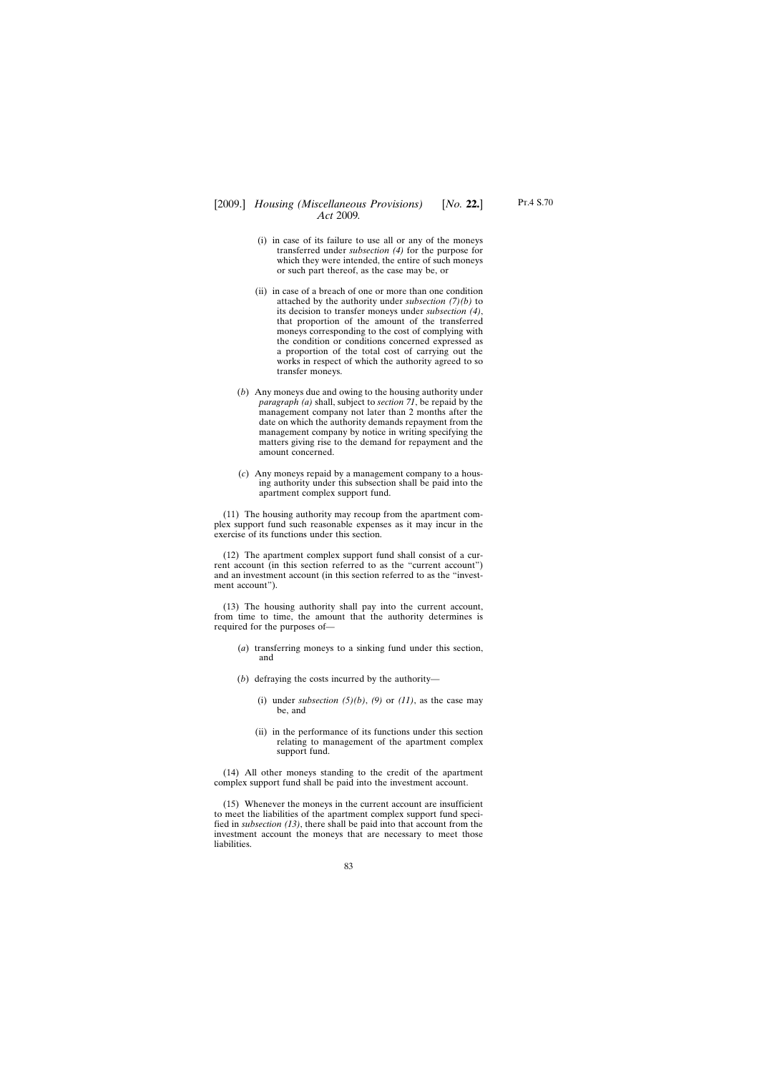## [2009.] [ *Housing (Miscellaneous Provisions) No.* **22.**] *Act* 2009*.*

- (i) in case of its failure to use all or any of the moneys transferred under *subsection (4)* for the purpose for which they were intended, the entire of such moneys or such part thereof, as the case may be, or
- (ii) in case of a breach of one or more than one condition attached by the authority under *subsection (7)(b)* to its decision to transfer moneys under *subsection (4)*, that proportion of the amount of the transferred moneys corresponding to the cost of complying with the condition or conditions concerned expressed as a proportion of the total cost of carrying out the works in respect of which the authority agreed to so transfer moneys.
- (*b*) Any moneys due and owing to the housing authority under *paragraph (a)* shall, subject to *section 71*, be repaid by the management company not later than 2 months after the date on which the authority demands repayment from the management company by notice in writing specifying the matters giving rise to the demand for repayment and the amount concerned.
- (*c*) Any moneys repaid by a management company to a housing authority under this subsection shall be paid into the apartment complex support fund.

(11) The housing authority may recoup from the apartment complex support fund such reasonable expenses as it may incur in the exercise of its functions under this section.

(12) The apartment complex support fund shall consist of a current account (in this section referred to as the "current account") and an investment account (in this section referred to as the "investment account").

(13) The housing authority shall pay into the current account, from time to time, the amount that the authority determines is required for the purposes of—

- (*a*) transferring moneys to a sinking fund under this section, and
- (*b*) defraying the costs incurred by the authority—
	- (i) under *subsection*  $(5)(b)$ ,  $(9)$  or  $(11)$ , as the case may be, and
	- (ii) in the performance of its functions under this section relating to management of the apartment complex support fund.

(14) All other moneys standing to the credit of the apartment complex support fund shall be paid into the investment account.

(15) Whenever the moneys in the current account are insufficient to meet the liabilities of the apartment complex support fund specified in *subsection (13)*, there shall be paid into that account from the investment account the moneys that are necessary to meet those liabilities.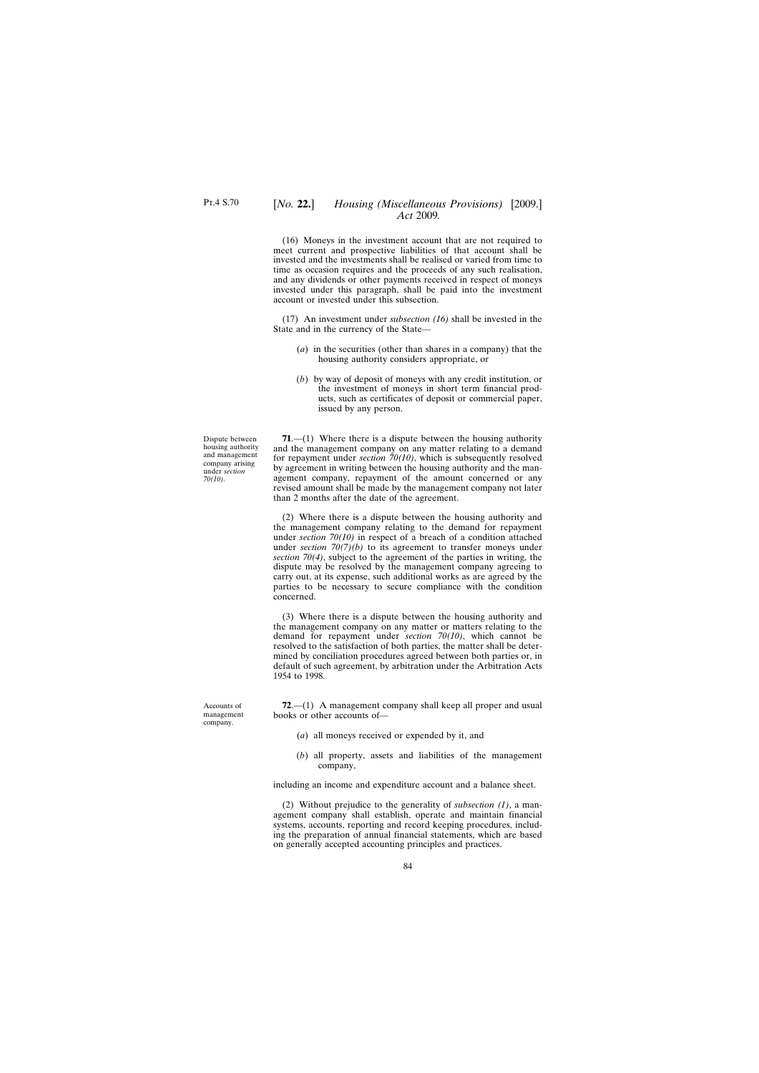### [*No.* **22.**] *Housing (Miscellaneous Provisions)* [2009.] *Act* 2009*.*

(16) Moneys in the investment account that are not required to meet current and prospective liabilities of that account shall be invested and the investments shall be realised or varied from time to time as occasion requires and the proceeds of any such realisation, and any dividends or other payments received in respect of moneys invested under this paragraph, shall be paid into the investment account or invested under this subsection.

(17) An investment under *subsection (16)* shall be invested in the State and in the currency of the State—

- (*a*) in the securities (other than shares in a company) that the housing authority considers appropriate, or
- (*b*) by way of deposit of moneys with any credit institution, or the investment of moneys in short term financial products, such as certificates of deposit or commercial paper, issued by any person.

**71**.—(1) Where there is a dispute between the housing authority and the management company on any matter relating to a demand for repayment under *section 70(10)*, which is subsequently resolved by agreement in writing between the housing authority and the management company, repayment of the amount concerned or any revised amount shall be made by the management company not later than 2 months after the date of the agreement.

(2) Where there is a dispute between the housing authority and the management company relating to the demand for repayment under *section 70(10)* in respect of a breach of a condition attached under *section*  $70(7)(b)$  to its agreement to transfer moneys under *section 70(4)*, subject to the agreement of the parties in writing, the dispute may be resolved by the management company agreeing to carry out, at its expense, such additional works as are agreed by the parties to be necessary to secure compliance with the condition concerned.

(3) Where there is a dispute between the housing authority and the management company on any matter or matters relating to the demand for repayment under *section 70(10)*, which cannot be resolved to the satisfaction of both parties, the matter shall be determined by conciliation procedures agreed between both parties or, in default of such agreement, by arbitration under the Arbitration Acts 1954 to 1998.

**72**.—(1) A management company shall keep all proper and usual books or other accounts of—

- (*a*) all moneys received or expended by it, and
- (*b*) all property, assets and liabilities of the management company,

including an income and expenditure account and a balance sheet.

(2) Without prejudice to the generality of *subsection (1)*, a management company shall establish, operate and maintain financial systems, accounts, reporting and record keeping procedures, including the preparation of annual financial statements, which are based on generally accepted accounting principles and practices.

Dispute between housing authority and management company arising under *section 70(10)*.

Accounts of management company.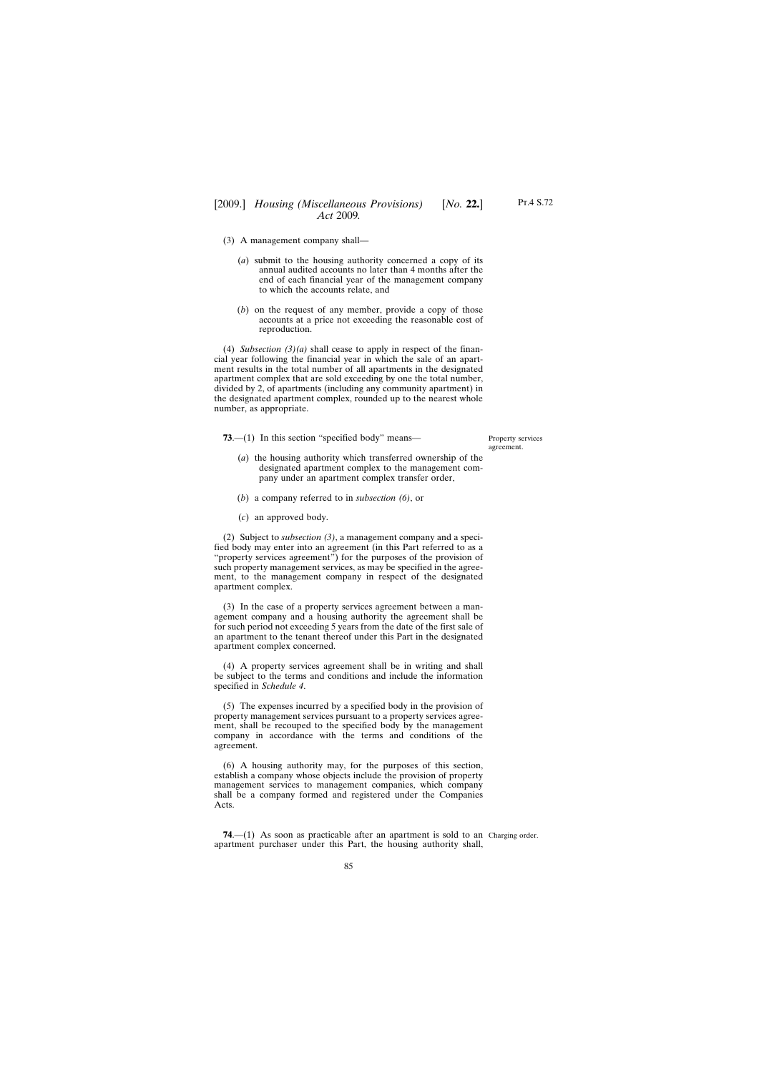- (3) A management company shall—
	- (*a*) submit to the housing authority concerned a copy of its annual audited accounts no later than 4 months after the end of each financial year of the management company to which the accounts relate, and
	- (*b*) on the request of any member, provide a copy of those accounts at a price not exceeding the reasonable cost of reproduction.

(4) *Subsection (3)(a)* shall cease to apply in respect of the financial year following the financial year in which the sale of an apartment results in the total number of all apartments in the designated apartment complex that are sold exceeding by one the total number, divided by 2, of apartments (including any community apartment) in the designated apartment complex, rounded up to the nearest whole number, as appropriate.

**73.**—(1) In this section "specified body" means—

Property services agreement.

- (*a*) the housing authority which transferred ownership of the designated apartment complex to the management company under an apartment complex transfer order,
- (*b*) a company referred to in *subsection (6)*, or
- (*c*) an approved body.

(2) Subject to *subsection (3)*, a management company and a specified body may enter into an agreement (in this Part referred to as a "property services agreement") for the purposes of the provision of such property management services, as may be specified in the agreement, to the management company in respect of the designated apartment complex.

(3) In the case of a property services agreement between a management company and a housing authority the agreement shall be for such period not exceeding 5 years from the date of the first sale of an apartment to the tenant thereof under this Part in the designated apartment complex concerned.

(4) A property services agreement shall be in writing and shall be subject to the terms and conditions and include the information specified in *Schedule 4*.

(5) The expenses incurred by a specified body in the provision of property management services pursuant to a property services agreement, shall be recouped to the specified body by the management company in accordance with the terms and conditions of the agreement.

(6) A housing authority may, for the purposes of this section, establish a company whose objects include the provision of property management services to management companies, which company shall be a company formed and registered under the Companies Acts.

**74.**—(1) As soon as practicable after an apartment is sold to an Charging order. apartment purchaser under this Part, the housing authority shall,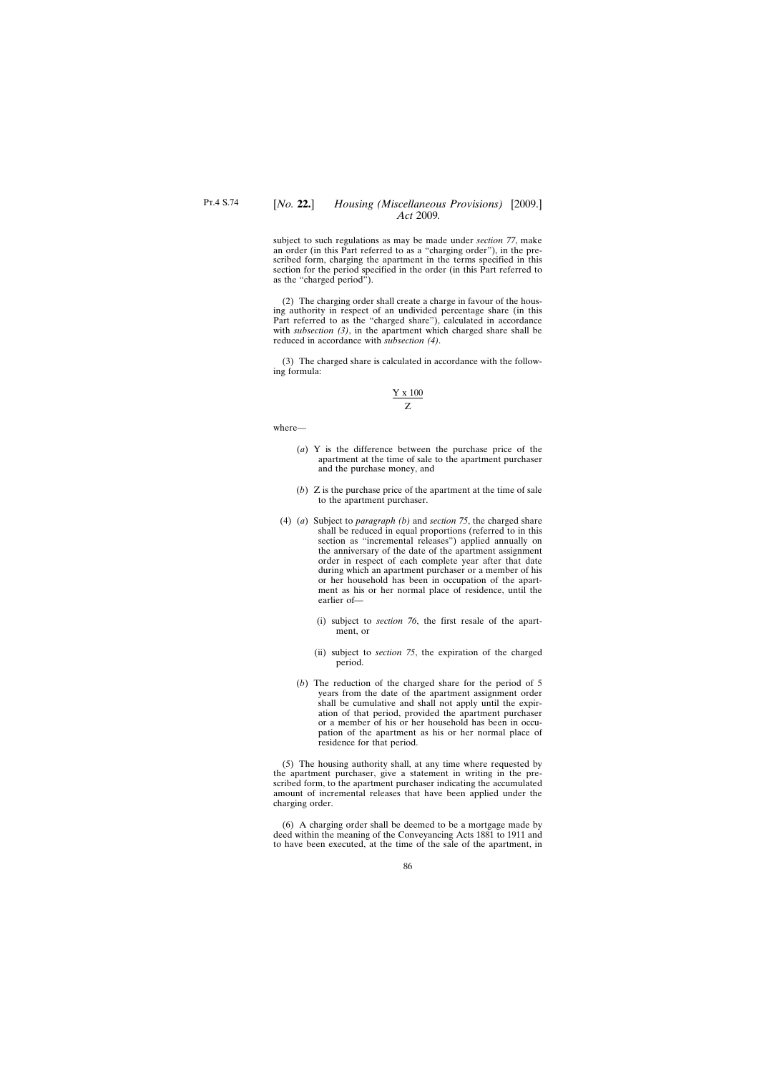### [*No.* **22.**] *Housing (Miscellaneous Provisions)* [2009.] *Act* 2009*.*

subject to such regulations as may be made under *section 77*, make an order (in this Part referred to as a "charging order"), in the prescribed form, charging the apartment in the terms specified in this section for the period specified in the order (in this Part referred to as the "charged period").

(2) The charging order shall create a charge in favour of the housing authority in respect of an undivided percentage share (in this Part referred to as the "charged share"), calculated in accordance with *subsection (3)*, in the apartment which charged share shall be reduced in accordance with *subsection (4)*.

(3) The charged share is calculated in accordance with the following formula:

$$
\frac{Y \times 100}{Z}
$$

where—

- (*a*) Y is the difference between the purchase price of the apartment at the time of sale to the apartment purchaser and the purchase money, and
- (*b*) Z is the purchase price of the apartment at the time of sale to the apartment purchaser.
- (4) (*a*) Subject to *paragraph (b)* and *section 75*, the charged share shall be reduced in equal proportions (referred to in this section as "incremental releases") applied annually on the anniversary of the date of the apartment assignment order in respect of each complete year after that date during which an apartment purchaser or a member of his or her household has been in occupation of the apartment as his or her normal place of residence, until the earlier of—
	- (i) subject to *section 76*, the first resale of the apartment, or
	- (ii) subject to *section 75*, the expiration of the charged period.
	- (*b*) The reduction of the charged share for the period of 5 years from the date of the apartment assignment order shall be cumulative and shall not apply until the expiration of that period, provided the apartment purchaser or a member of his or her household has been in occupation of the apartment as his or her normal place of residence for that period.

(5) The housing authority shall, at any time where requested by the apartment purchaser, give a statement in writing in the prescribed form, to the apartment purchaser indicating the accumulated amount of incremental releases that have been applied under the charging order.

(6) A charging order shall be deemed to be a mortgage made by deed within the meaning of the Conveyancing Acts 1881 to 1911 and to have been executed, at the time of the sale of the apartment, in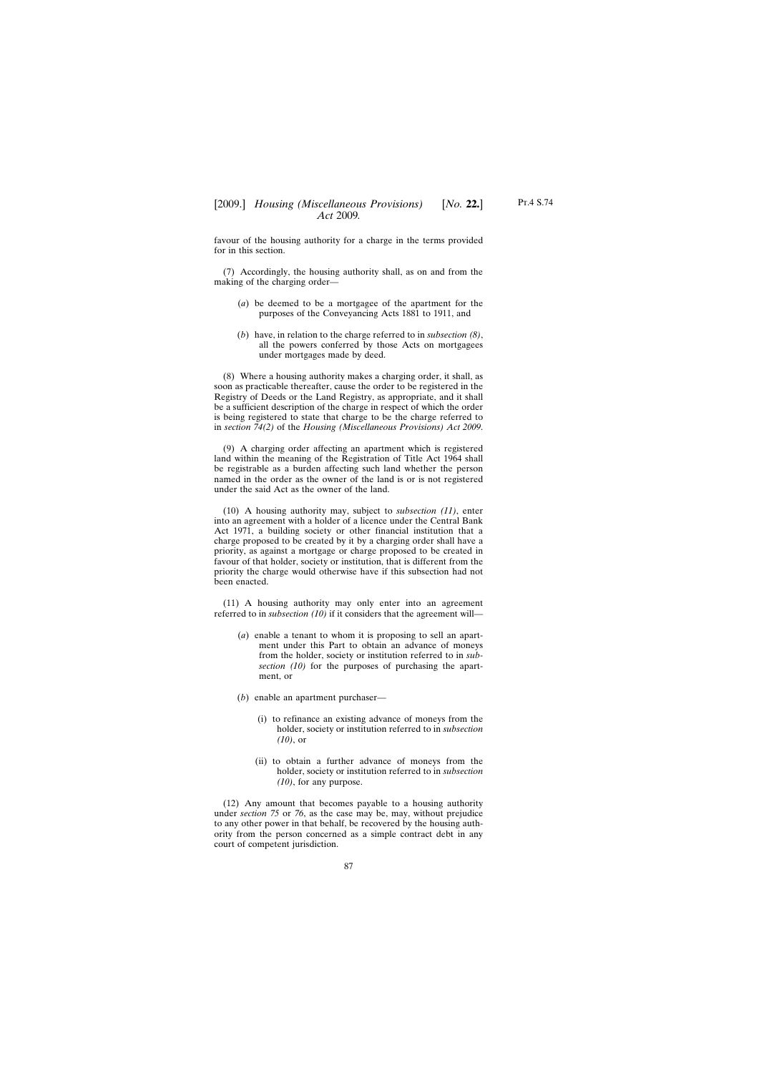favour of the housing authority for a charge in the terms provided for in this section.

(7) Accordingly, the housing authority shall, as on and from the making of the charging order—

- (*a*) be deemed to be a mortgagee of the apartment for the purposes of the Conveyancing Acts 1881 to 1911, and
- (*b*) have, in relation to the charge referred to in *subsection (8)*, all the powers conferred by those Acts on mortgagees under mortgages made by deed.

(8) Where a housing authority makes a charging order, it shall, as soon as practicable thereafter, cause the order to be registered in the Registry of Deeds or the Land Registry, as appropriate, and it shall be a sufficient description of the charge in respect of which the order is being registered to state that charge to be the charge referred to in *section 74(2)* of the *Housing (Miscellaneous Provisions) Act 2009*.

(9) A charging order affecting an apartment which is registered land within the meaning of the Registration of Title Act 1964 shall be registrable as a burden affecting such land whether the person named in the order as the owner of the land is or is not registered under the said Act as the owner of the land.

(10) A housing authority may, subject to *subsection (11)*, enter into an agreement with a holder of a licence under the Central Bank Act 1971, a building society or other financial institution that a charge proposed to be created by it by a charging order shall have a priority, as against a mortgage or charge proposed to be created in favour of that holder, society or institution, that is different from the priority the charge would otherwise have if this subsection had not been enacted.

(11) A housing authority may only enter into an agreement referred to in *subsection (10)* if it considers that the agreement will—

- (*a*) enable a tenant to whom it is proposing to sell an apartment under this Part to obtain an advance of moneys from the holder, society or institution referred to in *subsection (10)* for the purposes of purchasing the apartment, or
- (*b*) enable an apartment purchaser—
	- (i) to refinance an existing advance of moneys from the holder, society or institution referred to in *subsection (10)*, or
	- (ii) to obtain a further advance of moneys from the holder, society or institution referred to in *subsection (10)*, for any purpose.

(12) Any amount that becomes payable to a housing authority under *section 75* or *76*, as the case may be, may, without prejudice to any other power in that behalf, be recovered by the housing authority from the person concerned as a simple contract debt in any court of competent jurisdiction.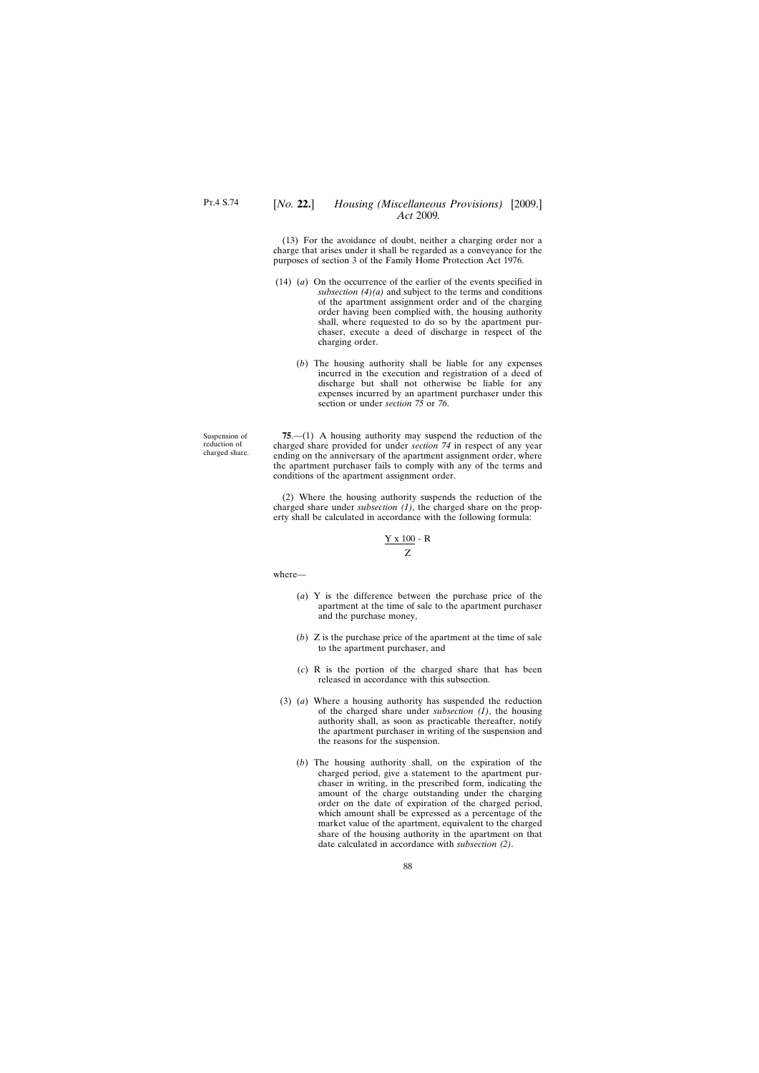## [*No.* **22.**] *Housing (Miscellaneous Provisions)* [2009.] *Act* 2009*.*

(13) For the avoidance of doubt, neither a charging order nor a charge that arises under it shall be regarded as a conveyance for the purposes of section 3 of the Family Home Protection Act 1976.

- (14) (*a*) On the occurrence of the earlier of the events specified in *subsection (4)(a)* and subject to the terms and conditions of the apartment assignment order and of the charging order having been complied with, the housing authority shall, where requested to do so by the apartment purchaser, execute a deed of discharge in respect of the charging order.
	- (*b*) The housing authority shall be liable for any expenses incurred in the execution and registration of a deed of discharge but shall not otherwise be liable for any expenses incurred by an apartment purchaser under this section or under *section 75* or *76*.

Suspension of reduction of charged share.

**75**.—(1) A housing authority may suspend the reduction of the charged share provided for under *section 74* in respect of any year ending on the anniversary of the apartment assignment order, where the apartment purchaser fails to comply with any of the terms and conditions of the apartment assignment order.

(2) Where the housing authority suspends the reduction of the charged share under *subsection (1)*, the charged share on the property shall be calculated in accordance with the following formula:

$$
\frac{Y \times 100}{Z} - R
$$

where—

- (*a*) Y is the difference between the purchase price of the apartment at the time of sale to the apartment purchaser and the purchase money,
- (*b*) Z is the purchase price of the apartment at the time of sale to the apartment purchaser, and
- (*c*) R is the portion of the charged share that has been released in accordance with this subsection.
- (3) (*a*) Where a housing authority has suspended the reduction of the charged share under *subsection (1)*, the housing authority shall, as soon as practicable thereafter, notify the apartment purchaser in writing of the suspension and the reasons for the suspension.
	- (*b*) The housing authority shall, on the expiration of the charged period, give a statement to the apartment purchaser in writing, in the prescribed form, indicating the amount of the charge outstanding under the charging order on the date of expiration of the charged period, which amount shall be expressed as a percentage of the market value of the apartment, equivalent to the charged share of the housing authority in the apartment on that date calculated in accordance with *subsection (2)*.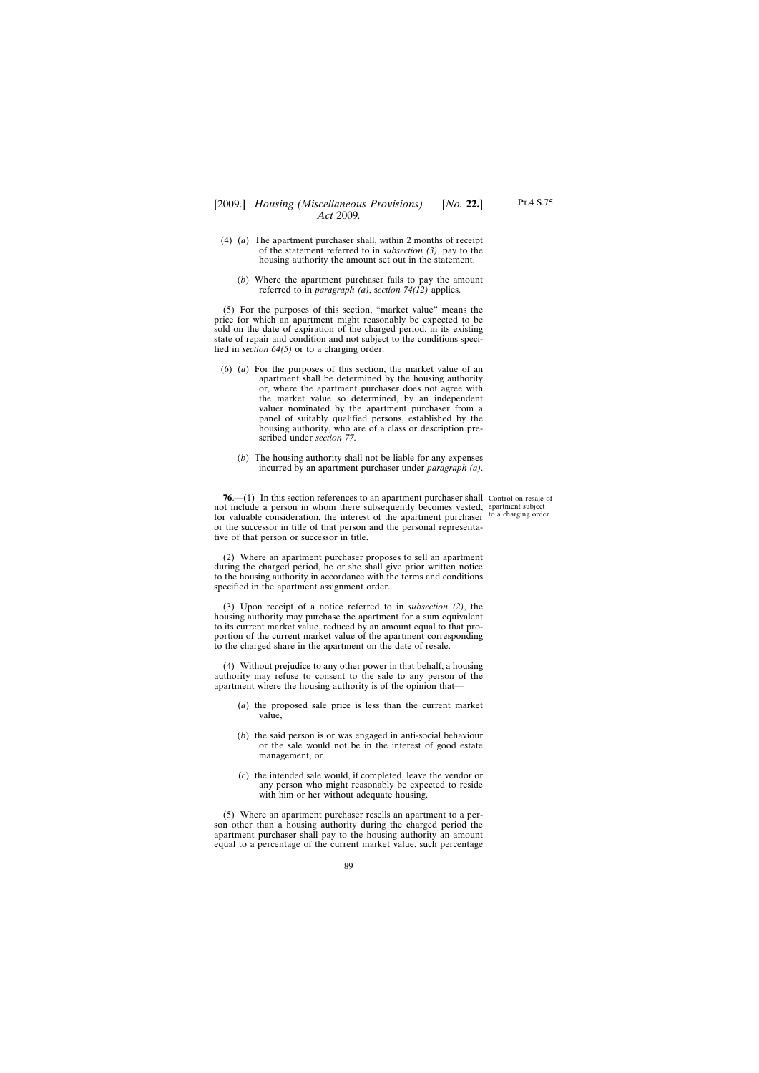- (4) (*a*) The apartment purchaser shall, within 2 months of receipt of the statement referred to in *subsection (3)*, pay to the housing authority the amount set out in the statement.
	- (*b*) Where the apartment purchaser fails to pay the amount referred to in *paragraph (a)*, s*ection 74(12)* applies.

(5) For the purposes of this section, "market value" means the price for which an apartment might reasonably be expected to be sold on the date of expiration of the charged period, in its existing state of repair and condition and not subject to the conditions specified in *section 64(5)* or to a charging order.

- (6) (*a*) For the purposes of this section, the market value of an apartment shall be determined by the housing authority or, where the apartment purchaser does not agree with the market value so determined, by an independent valuer nominated by the apartment purchaser from a panel of suitably qualified persons, established by the housing authority, who are of a class or description prescribed under *section 77*.
	- (*b*) The housing authority shall not be liable for any expenses incurred by an apartment purchaser under *paragraph (a)*.

**76.**—(1) In this section references to an apartment purchaser shall Control on resale of not include a person in whom there subsequently becomes vested, apartment subject for valuable consideration, the interest of the apartment purchaser to a charging order. or the successor in title of that person and the personal representative of that person or successor in title.

(2) Where an apartment purchaser proposes to sell an apartment during the charged period, he or she shall give prior written notice to the housing authority in accordance with the terms and conditions specified in the apartment assignment order.

(3) Upon receipt of a notice referred to in *subsection (2)*, the housing authority may purchase the apartment for a sum equivalent to its current market value, reduced by an amount equal to that proportion of the current market value of the apartment corresponding to the charged share in the apartment on the date of resale.

(4) Without prejudice to any other power in that behalf, a housing authority may refuse to consent to the sale to any person of the apartment where the housing authority is of the opinion that—

- (*a*) the proposed sale price is less than the current market value,
- (*b*) the said person is or was engaged in anti-social behaviour or the sale would not be in the interest of good estate management, or
- (*c*) the intended sale would, if completed, leave the vendor or any person who might reasonably be expected to reside with him or her without adequate housing.

(5) Where an apartment purchaser resells an apartment to a person other than a housing authority during the charged period the apartment purchaser shall pay to the housing authority an amount equal to a percentage of the current market value, such percentage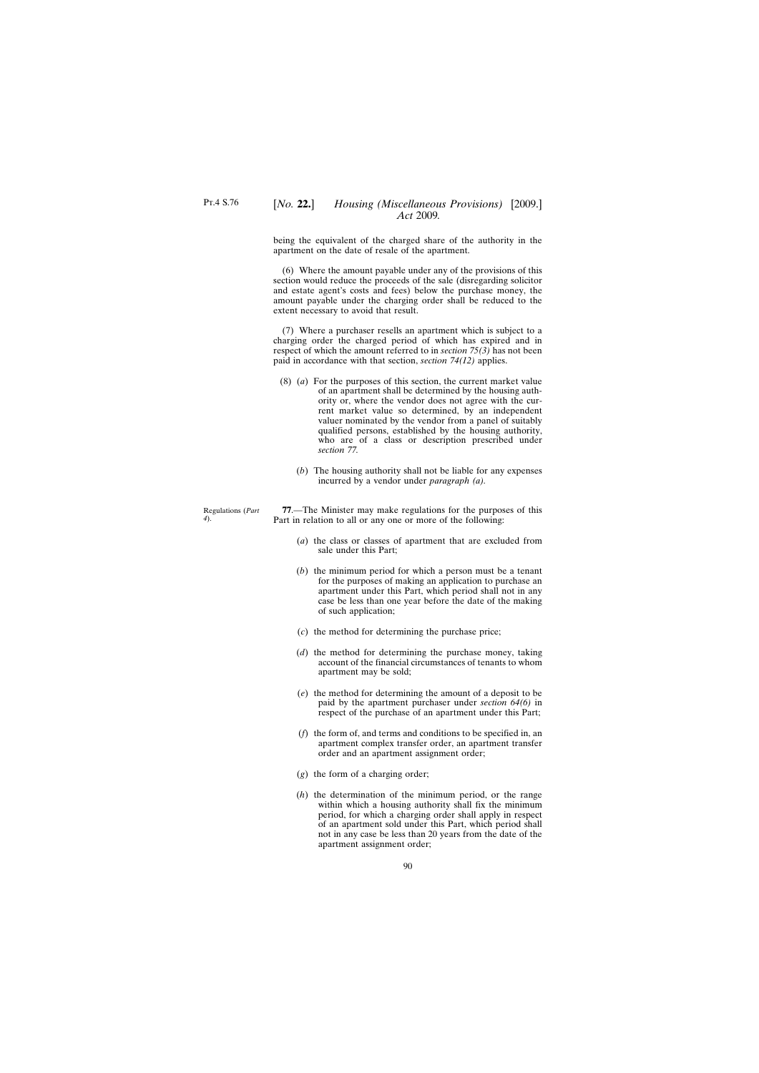*4*).

# [*No.* **22.**] *Housing (Miscellaneous Provisions)* [2009.] *Act* 2009*.*

being the equivalent of the charged share of the authority in the apartment on the date of resale of the apartment.

(6) Where the amount payable under any of the provisions of this section would reduce the proceeds of the sale (disregarding solicitor and estate agent's costs and fees) below the purchase money, the amount payable under the charging order shall be reduced to the extent necessary to avoid that result.

(7) Where a purchaser resells an apartment which is subject to a charging order the charged period of which has expired and in respect of which the amount referred to in *section 75(3)* has not been paid in accordance with that section, *section 74(12)* applies.

- (8) (*a*) For the purposes of this section, the current market value of an apartment shall be determined by the housing authority or, where the vendor does not agree with the current market value so determined, by an independent valuer nominated by the vendor from a panel of suitably qualified persons, established by the housing authority, who are of a class or description prescribed under *section 77.*
	- (*b*) The housing authority shall not be liable for any expenses incurred by a vendor under *paragraph (a).*

Regulations (*Part* **77**.—The Minister may make regulations for the purposes of this Part in relation to all or any one or more of the following:

- (*a*) the class or classes of apartment that are excluded from sale under this Part;
- (*b*) the minimum period for which a person must be a tenant for the purposes of making an application to purchase an apartment under this Part, which period shall not in any case be less than one year before the date of the making of such application;
- (*c*) the method for determining the purchase price;
- (*d*) the method for determining the purchase money, taking account of the financial circumstances of tenants to whom apartment may be sold;
- (*e*) the method for determining the amount of a deposit to be paid by the apartment purchaser under *section 64(6)* in respect of the purchase of an apartment under this Part;
- (*f*) the form of, and terms and conditions to be specified in, an apartment complex transfer order, an apartment transfer order and an apartment assignment order;
- (*g*) the form of a charging order;
- (*h*) the determination of the minimum period, or the range within which a housing authority shall fix the minimum period, for which a charging order shall apply in respect of an apartment sold under this Part, which period shall not in any case be less than 20 years from the date of the apartment assignment order;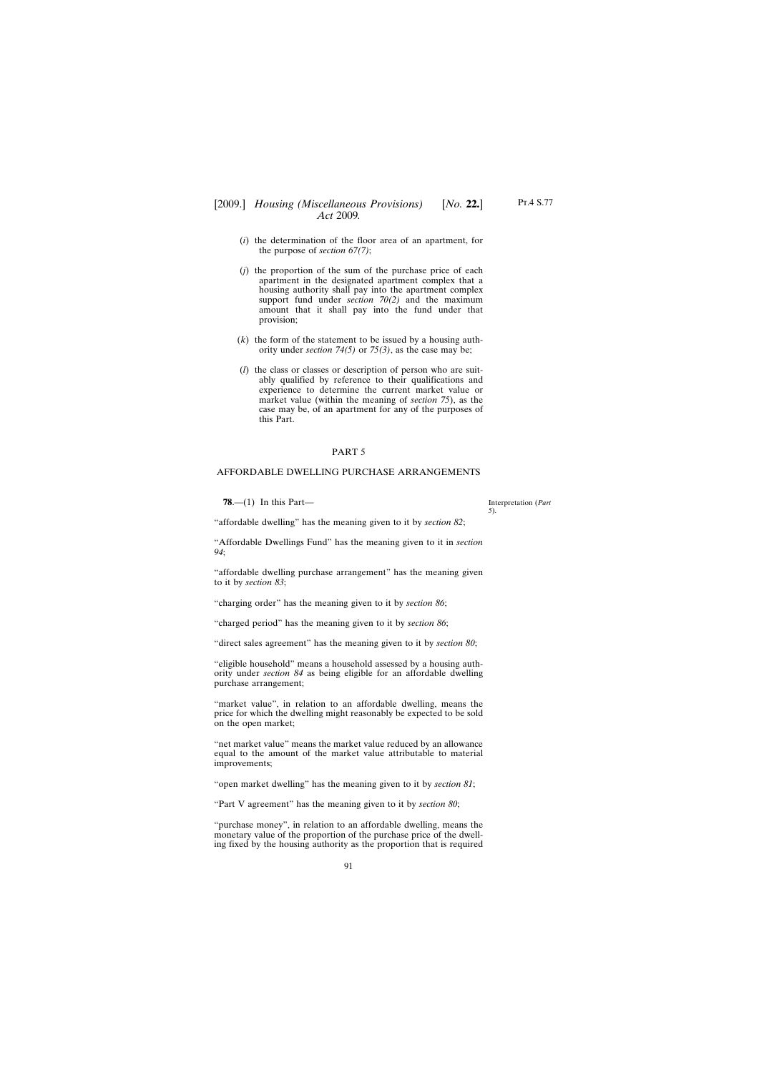## [2009.] [ *Housing (Miscellaneous Provisions) No.* **22.**] *Act* 2009*.*

- (*i*) the determination of the floor area of an apartment, for the purpose of *section 67(7)*;
- (*j*) the proportion of the sum of the purchase price of each apartment in the designated apartment complex that a housing authority shall pay into the apartment complex support fund under *section 70(2)* and the maximum amount that it shall pay into the fund under that provision;
- (*k*) the form of the statement to be issued by a housing authority under *section 74(5)* or *75(3)*, as the case may be;
- (*l*) the class or classes or description of person who are suitably qualified by reference to their qualifications and experience to determine the current market value or market value (within the meaning of *section 75*), as the case may be, of an apartment for any of the purposes of this Part.

#### PART 5

### AFFORDABLE DWELLING PURCHASE ARRANGEMENTS

**78**.—(1) In this Part—

"affordable dwelling" has the meaning given to it by *section 82*;

"Affordable Dwellings Fund" has the meaning given to it in *section 94*;

"affordable dwelling purchase arrangement" has the meaning given to it by *section 83*;

"charging order" has the meaning given to it by *section 86*;

"charged period" has the meaning given to it by *section 86*;

"direct sales agreement" has the meaning given to it by *section 80*;

"eligible household" means a household assessed by a housing authority under *section 84* as being eligible for an affordable dwelling purchase arrangement;

"market value", in relation to an affordable dwelling, means the price for which the dwelling might reasonably be expected to be sold on the open market;

"net market value" means the market value reduced by an allowance equal to the amount of the market value attributable to material improvements;

"open market dwelling" has the meaning given to it by *section 81*;

"Part V agreement" has the meaning given to it by *section 80*;

"purchase money", in relation to an affordable dwelling, means the monetary value of the proportion of the purchase price of the dwelling fixed by the housing authority as the proportion that is required

91

Interpretation (*Part 5*).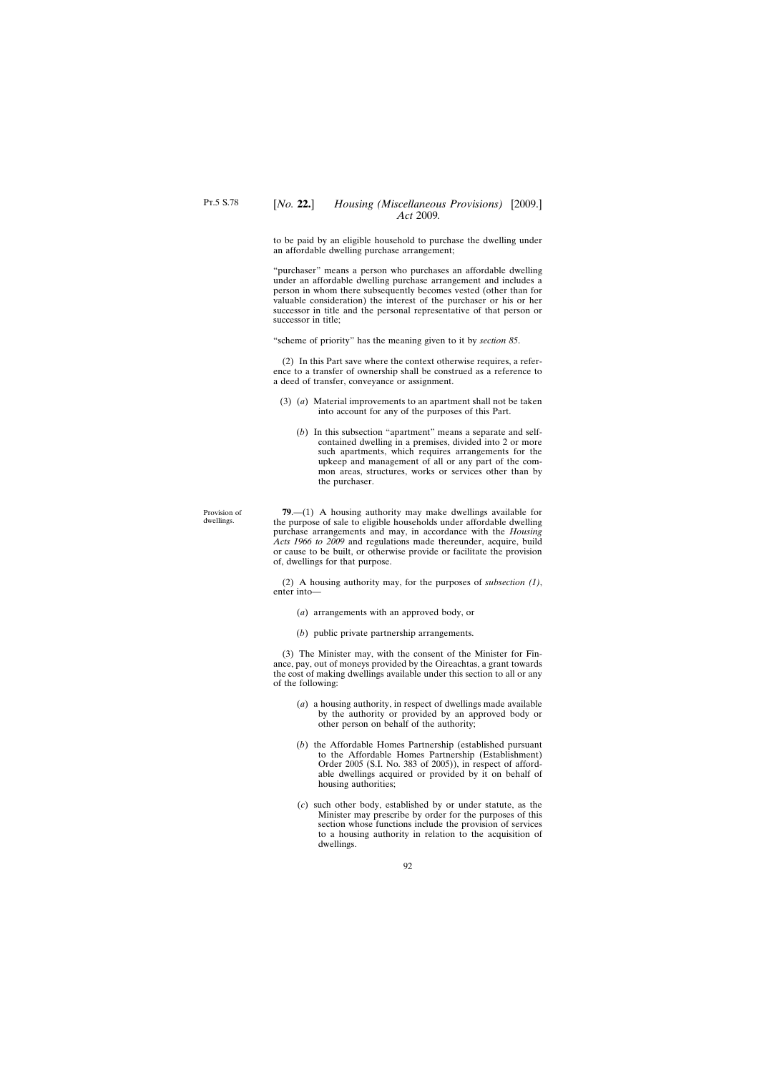to be paid by an eligible household to purchase the dwelling under an affordable dwelling purchase arrangement;

"purchaser" means a person who purchases an affordable dwelling under an affordable dwelling purchase arrangement and includes a person in whom there subsequently becomes vested (other than for valuable consideration) the interest of the purchaser or his or her successor in title and the personal representative of that person or successor in title;

"scheme of priority" has the meaning given to it by *section 85*.

(2) In this Part save where the context otherwise requires, a reference to a transfer of ownership shall be construed as a reference to a deed of transfer, conveyance or assignment.

- (3) (*a*) Material improvements to an apartment shall not be taken into account for any of the purposes of this Part.
	- (*b*) In this subsection "apartment" means a separate and selfcontained dwelling in a premises, divided into 2 or more such apartments, which requires arrangements for the upkeep and management of all or any part of the common areas, structures, works or services other than by the purchaser.

**79**.—(1) A housing authority may make dwellings available for the purpose of sale to eligible households under affordable dwelling purchase arrangements and may, in accordance with the *Housing Acts 1966 to 2009* and regulations made thereunder, acquire, build or cause to be built, or otherwise provide or facilitate the provision of, dwellings for that purpose.

(2) A housing authority may, for the purposes of *subsection (1)*, enter into—

- (*a*) arrangements with an approved body, or
- (*b*) public private partnership arrangements.

(3) The Minister may, with the consent of the Minister for Finance, pay, out of moneys provided by the Oireachtas, a grant towards the cost of making dwellings available under this section to all or any of the following:

- (*a*) a housing authority, in respect of dwellings made available by the authority or provided by an approved body or other person on behalf of the authority;
- (*b*) the Affordable Homes Partnership (established pursuant to the Affordable Homes Partnership (Establishment) Order 2005 (S.I. No. 383 of 2005)), in respect of affordable dwellings acquired or provided by it on behalf of housing authorities;
- (*c*) such other body, established by or under statute, as the Minister may prescribe by order for the purposes of this section whose functions include the provision of services to a housing authority in relation to the acquisition of dwellings.

Provision of dwellings.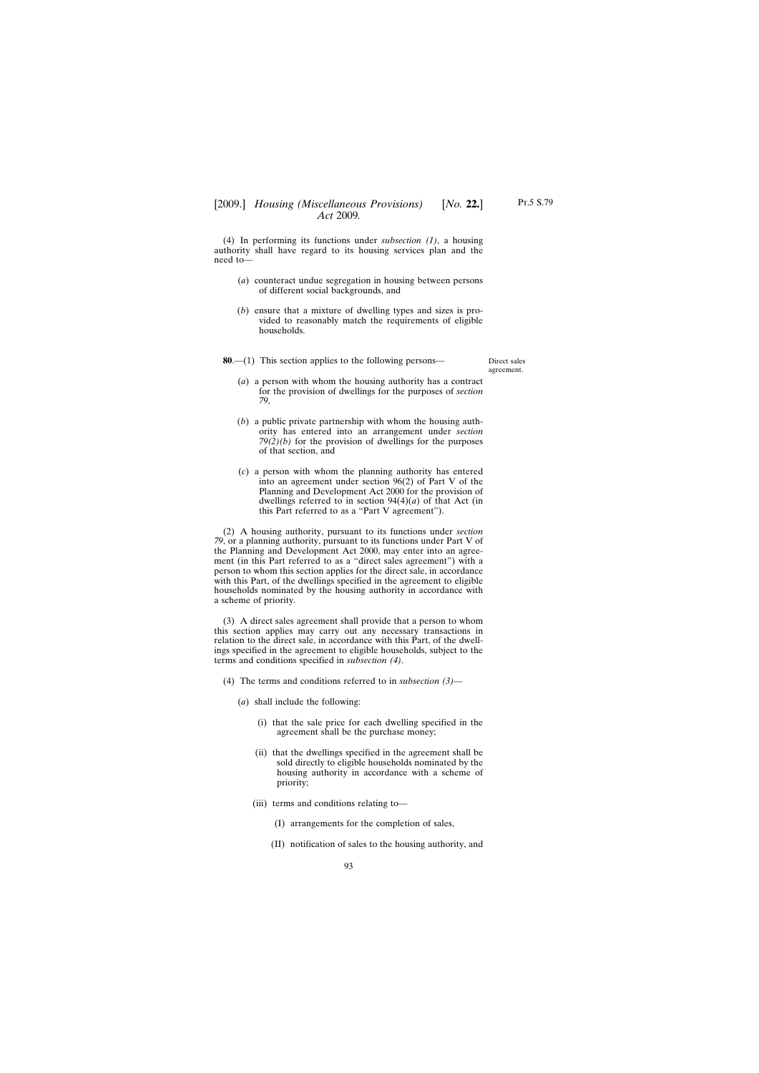(4) In performing its functions under *subsection (1)*, a housing authority shall have regard to its housing services plan and the need to—

- (*a*) counteract undue segregation in housing between persons of different social backgrounds, and
- (*b*) ensure that a mixture of dwelling types and sizes is provided to reasonably match the requirements of eligible households.

**80**.—(1) This section applies to the following persons—

Direct sales agreement.

- (*a*) a person with whom the housing authority has a contract for the provision of dwellings for the purposes of *section 79*,
- (*b*) a public private partnership with whom the housing authority has entered into an arrangement under *section 79(2)(b)* for the provision of dwellings for the purposes of that section, and
- (*c*) a person with whom the planning authority has entered into an agreement under section 96(2) of Part V of the Planning and Development Act 2000 for the provision of dwellings referred to in section  $94(4)(a)$  of that Act (in this Part referred to as a "Part V agreement").

(2) A housing authority, pursuant to its functions under *section 79*, or a planning authority, pursuant to its functions under Part V of the Planning and Development Act 2000, may enter into an agreement (in this Part referred to as a "direct sales agreement") with a person to whom this section applies for the direct sale, in accordance with this Part, of the dwellings specified in the agreement to eligible households nominated by the housing authority in accordance with a scheme of priority.

(3) A direct sales agreement shall provide that a person to whom this section applies may carry out any necessary transactions in relation to the direct sale, in accordance with this Part, of the dwellings specified in the agreement to eligible households, subject to the terms and conditions specified in *subsection (4)*.

- (4) The terms and conditions referred to in *subsection (3)*
	- (*a*) shall include the following:
		- (i) that the sale price for each dwelling specified in the agreement shall be the purchase money;
		- (ii) that the dwellings specified in the agreement shall be sold directly to eligible households nominated by the housing authority in accordance with a scheme of priority;
		- (iii) terms and conditions relating to—
			- (I) arrangements for the completion of sales,
			- (II) notification of sales to the housing authority, and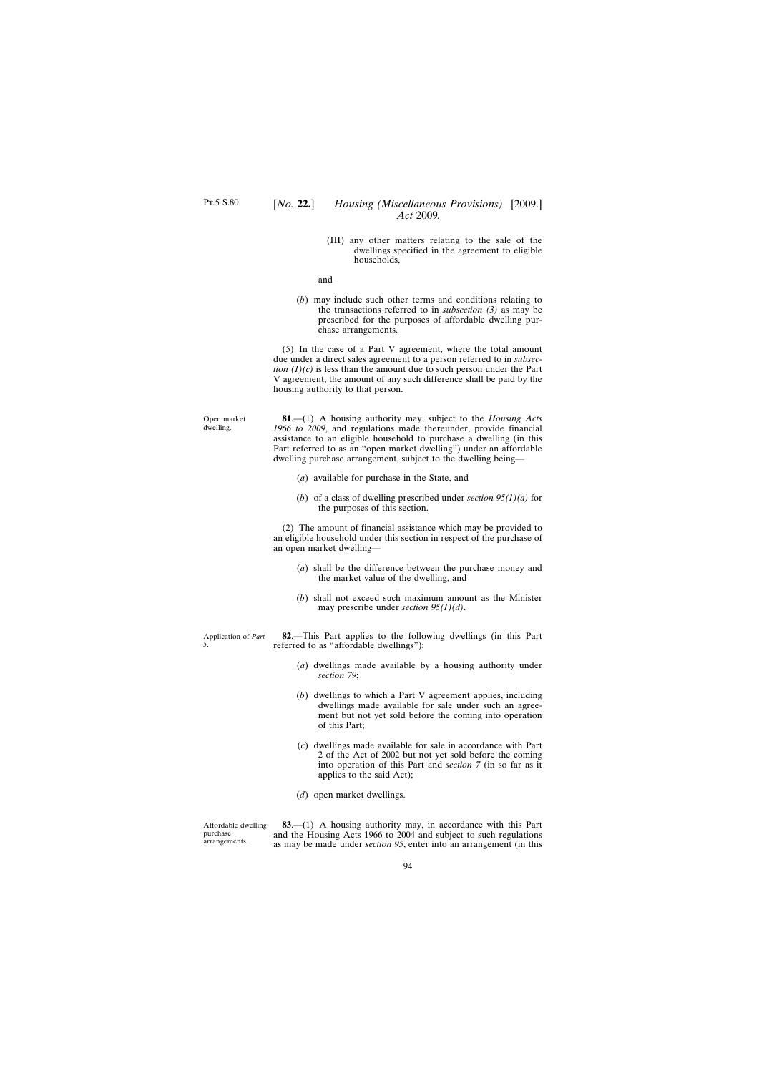Open market dwelling.

(III) any other matters relating to the sale of the dwellings specified in the agreement to eligible households,

and

(*b*) may include such other terms and conditions relating to the transactions referred to in *subsection (3)* as may be prescribed for the purposes of affordable dwelling purchase arrangements.

(5) In the case of a Part V agreement, where the total amount due under a direct sales agreement to a person referred to in *subsection*  $(1)(c)$  is less than the amount due to such person under the Part V agreement, the amount of any such difference shall be paid by the housing authority to that person.

**81**.—(1) A housing authority may, subject to the *Housing Acts 1966 to 2009*, and regulations made thereunder, provide financial assistance to an eligible household to purchase a dwelling (in this Part referred to as an "open market dwelling") under an affordable dwelling purchase arrangement, subject to the dwelling being—

- (*a*) available for purchase in the State, and
- (*b*) of a class of dwelling prescribed under *section 95(1)(a)* for the purposes of this section.

(2) The amount of financial assistance which may be provided to an eligible household under this section in respect of the purchase of an open market dwelling—

- (*a*) shall be the difference between the purchase money and the market value of the dwelling, and
- (*b*) shall not exceed such maximum amount as the Minister may prescribe under *section 95(1)(d)*.

Application of *Part* **82**.—This Part applies to the following dwellings (in this Part referred to as "affordable dwellings"):

- (*a*) dwellings made available by a housing authority under *section 79*;
- (*b*) dwellings to which a Part V agreement applies, including dwellings made available for sale under such an agreement but not yet sold before the coming into operation of this Part;
- (*c*) dwellings made available for sale in accordance with Part 2 of the Act of 2002 but not yet sold before the coming into operation of this Part and *section 7* (in so far as it applies to the said Act);
- (*d*) open market dwellings.

Affordable dwelling purchase arrangements.

*5*.

**83**.—(1) A housing authority may, in accordance with this Part and the Housing Acts 1966 to 2004 and subject to such regulations as may be made under *section 95*, enter into an arrangement (in this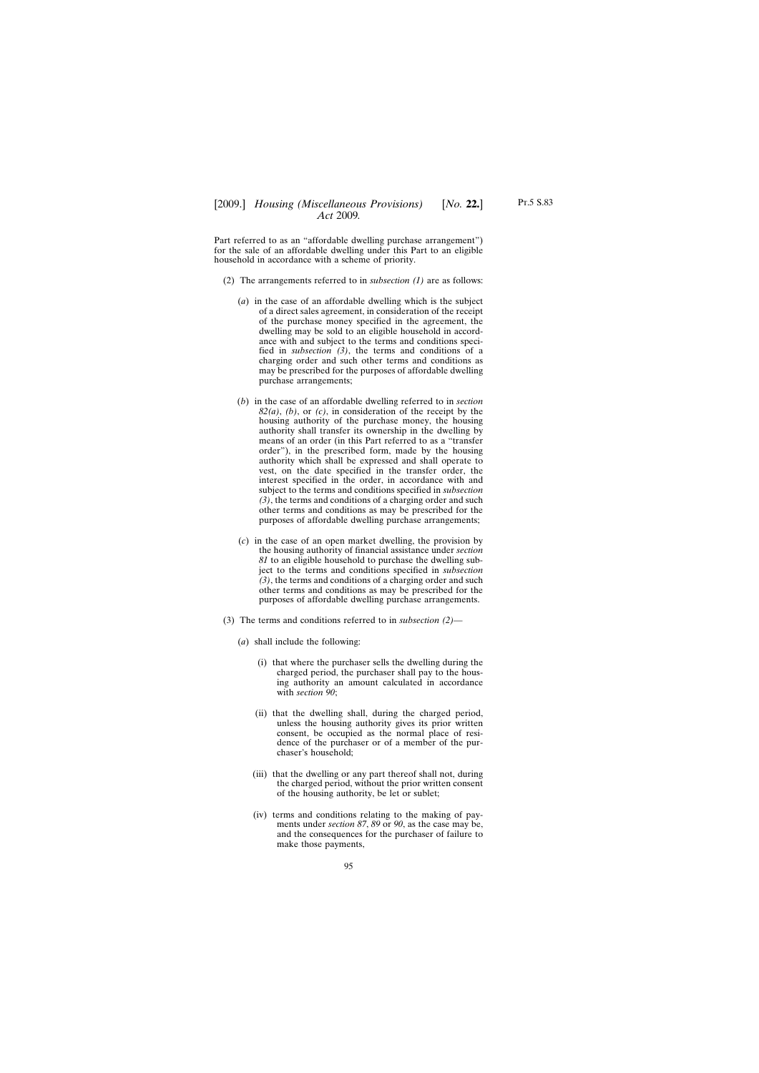household in accordance with a scheme of priority.

Part referred to as an "affordable dwelling purchase arrangement") for the sale of an affordable dwelling under this Part to an eligible

- (2) The arrangements referred to in *subsection (1)* are as follows:
	- (*a*) in the case of an affordable dwelling which is the subject of a direct sales agreement, in consideration of the receipt of the purchase money specified in the agreement, the dwelling may be sold to an eligible household in accordance with and subject to the terms and conditions specified in *subsection (3)*, the terms and conditions of a charging order and such other terms and conditions as may be prescribed for the purposes of affordable dwelling purchase arrangements;
	- (*b*) in the case of an affordable dwelling referred to in *section 82(a)*, *(b)*, or *(c)*, in consideration of the receipt by the housing authority of the purchase money, the housing authority shall transfer its ownership in the dwelling by means of an order (in this Part referred to as a "transfer order"), in the prescribed form, made by the housing authority which shall be expressed and shall operate to vest, on the date specified in the transfer order, the interest specified in the order, in accordance with and subject to the terms and conditions specified in *subsection (3)*, the terms and conditions of a charging order and such other terms and conditions as may be prescribed for the purposes of affordable dwelling purchase arrangements;
	- (*c*) in the case of an open market dwelling, the provision by the housing authority of financial assistance under *section 81* to an eligible household to purchase the dwelling subject to the terms and conditions specified in *subsection (3)*, the terms and conditions of a charging order and such other terms and conditions as may be prescribed for the purposes of affordable dwelling purchase arrangements.
- (3) The terms and conditions referred to in *subsection (2)*
	- (*a*) shall include the following:
		- (i) that where the purchaser sells the dwelling during the charged period, the purchaser shall pay to the housing authority an amount calculated in accordance with *section 90*;
		- (ii) that the dwelling shall, during the charged period, unless the housing authority gives its prior written consent, be occupied as the normal place of residence of the purchaser or of a member of the purchaser's household;
		- (iii) that the dwelling or any part thereof shall not, during the charged period, without the prior written consent of the housing authority, be let or sublet;
		- (iv) terms and conditions relating to the making of payments under *section 87*, *89* or *90*, as the case may be, and the consequences for the purchaser of failure to make those payments,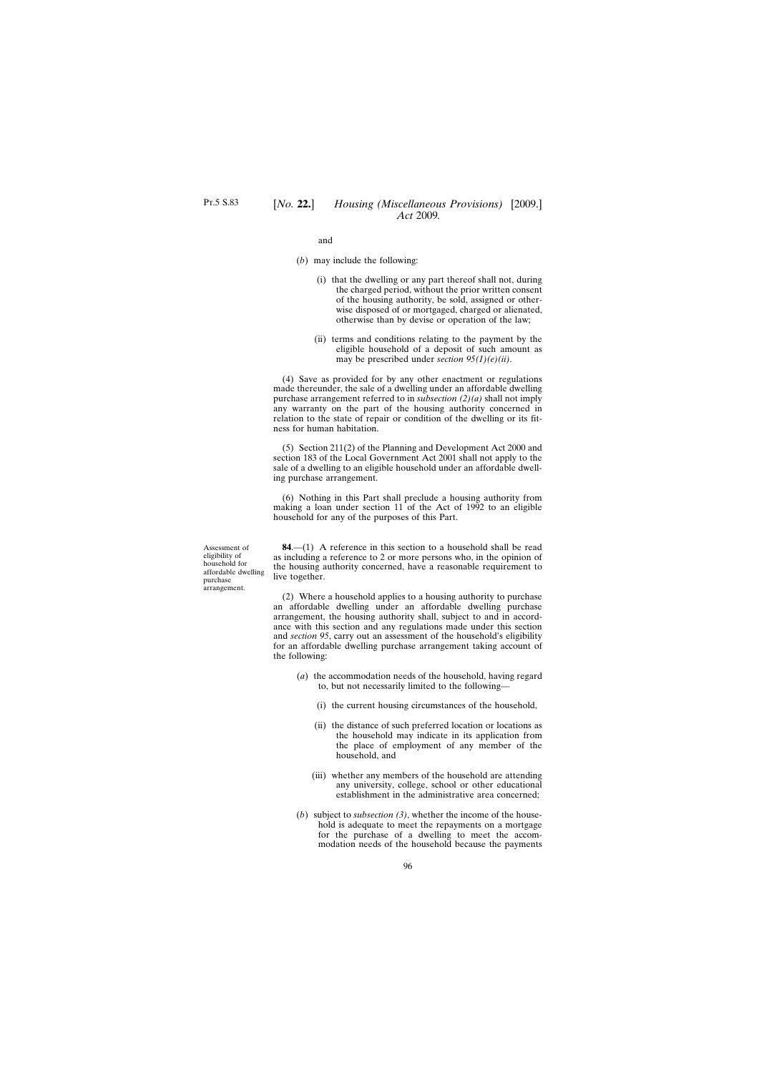and

- (*b*) may include the following:
	- (i) that the dwelling or any part thereof shall not, during the charged period, without the prior written consent of the housing authority, be sold, assigned or otherwise disposed of or mortgaged, charged or alienated, otherwise than by devise or operation of the law;
	- (ii) terms and conditions relating to the payment by the eligible household of a deposit of such amount as may be prescribed under *section 95(1)(e)(ii)*.

(4) Save as provided for by any other enactment or regulations made thereunder, the sale of a dwelling under an affordable dwelling purchase arrangement referred to in *subsection (2)(a)* shall not imply any warranty on the part of the housing authority concerned in relation to the state of repair or condition of the dwelling or its fitness for human habitation.

(5) Section 211(2) of the Planning and Development Act 2000 and section 183 of the Local Government Act 2001 shall not apply to the sale of a dwelling to an eligible household under an affordable dwelling purchase arrangement.

(6) Nothing in this Part shall preclude a housing authority from making a loan under section 11 of the Act of 1992 to an eligible household for any of the purposes of this Part.

**84**.—(1) A reference in this section to a household shall be read as including a reference to 2 or more persons who, in the opinion of the housing authority concerned, have a reasonable requirement to live together.

(2) Where a household applies to a housing authority to purchase an affordable dwelling under an affordable dwelling purchase arrangement, the housing authority shall, subject to and in accordance with this section and any regulations made under this section and *section 95*, carry out an assessment of the household's eligibility for an affordable dwelling purchase arrangement taking account of the following:

- (*a*) the accommodation needs of the household, having regard to, but not necessarily limited to the following—
	- (i) the current housing circumstances of the household,
	- (ii) the distance of such preferred location or locations as the household may indicate in its application from the place of employment of any member of the household, and
	- (iii) whether any members of the household are attending any university, college, school or other educational establishment in the administrative area concerned;
- (*b*) subject to *subsection (3)*, whether the income of the household is adequate to meet the repayments on a mortgage for the purchase of a dwelling to meet the accommodation needs of the household because the payments

Assessment of eligibility of household for affordable dwelling purchase arrangement.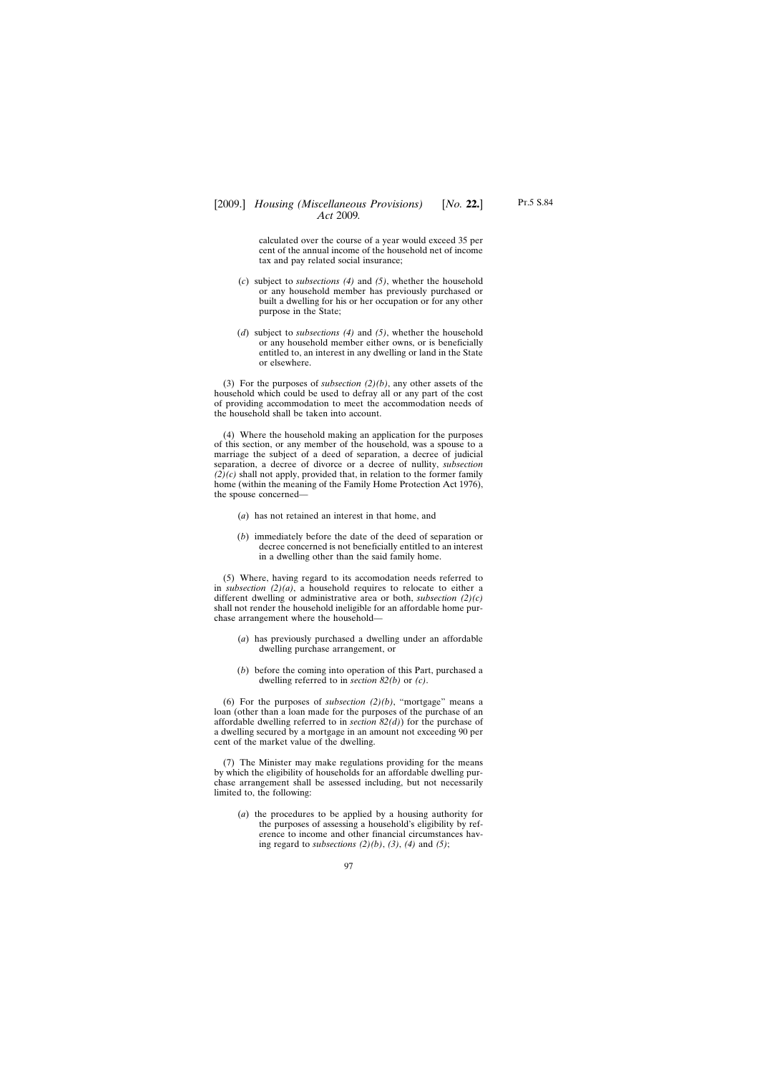calculated over the course of a year would exceed 35 per cent of the annual income of the household net of income tax and pay related social insurance;

- (*c*) subject to *subsections (4)* and *(5)*, whether the household or any household member has previously purchased or built a dwelling for his or her occupation or for any other purpose in the State;
- (*d*) subject to *subsections (4)* and *(5)*, whether the household or any household member either owns, or is beneficially entitled to, an interest in any dwelling or land in the State or elsewhere.

(3) For the purposes of *subsection (2)(b)*, any other assets of the household which could be used to defray all or any part of the cost of providing accommodation to meet the accommodation needs of the household shall be taken into account.

(4) Where the household making an application for the purposes of this section, or any member of the household, was a spouse to a marriage the subject of a deed of separation, a decree of judicial separation, a decree of divorce or a decree of nullity, *subsection (2)(c)* shall not apply, provided that, in relation to the former family home (within the meaning of the Family Home Protection Act 1976), the spouse concerned—

- (*a*) has not retained an interest in that home, and
- (*b*) immediately before the date of the deed of separation or decree concerned is not beneficially entitled to an interest in a dwelling other than the said family home.

(5) Where, having regard to its accomodation needs referred to in *subsection (2)(a)*, a household requires to relocate to either a different dwelling or administrative area or both, *subsection (2)(c)* shall not render the household ineligible for an affordable home purchase arrangement where the household—

- (*a*) has previously purchased a dwelling under an affordable dwelling purchase arrangement, or
- (*b*) before the coming into operation of this Part, purchased a dwelling referred to in *section 82(b)* or *(c)*.

(6) For the purposes of *subsection (2)(b)*, "mortgage" means a loan (other than a loan made for the purposes of the purchase of an affordable dwelling referred to in *section 82(d)*) for the purchase of a dwelling secured by a mortgage in an amount not exceeding 90 per cent of the market value of the dwelling.

(7) The Minister may make regulations providing for the means by which the eligibility of households for an affordable dwelling purchase arrangement shall be assessed including, but not necessarily limited to, the following:

(*a*) the procedures to be applied by a housing authority for the purposes of assessing a household's eligibility by reference to income and other financial circumstances having regard to *subsections (2)(b)*, *(3)*, *(4)* and *(5)*;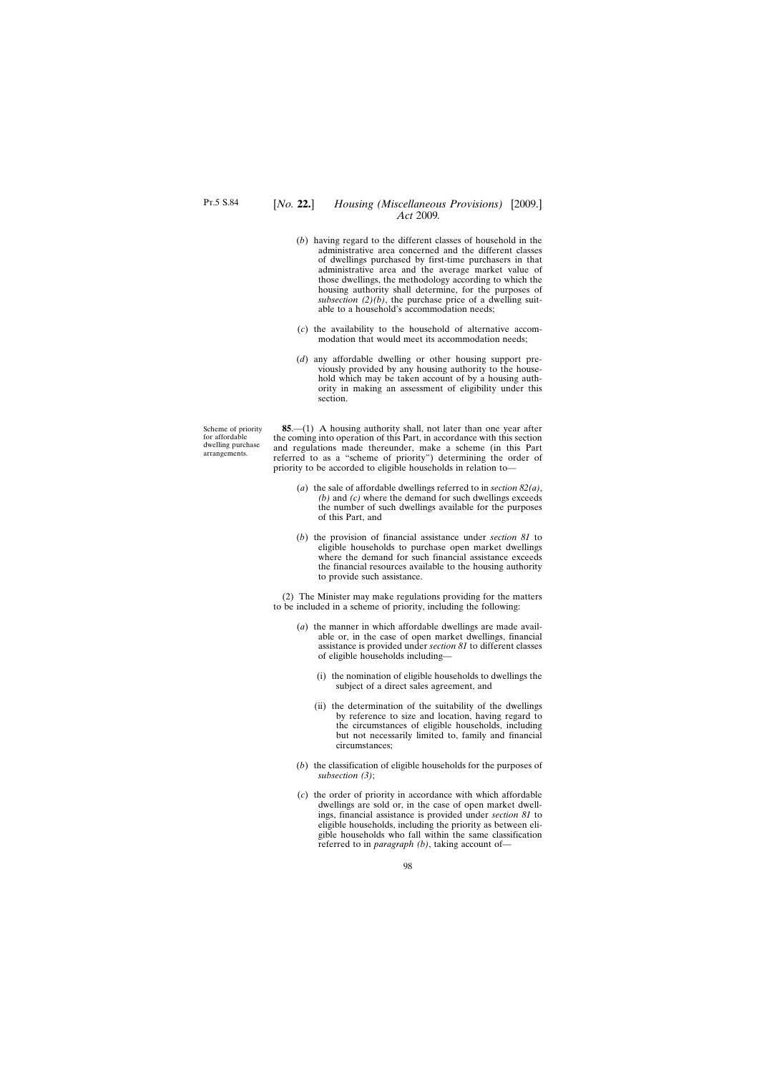# [*No.* **22.**] *Housing (Miscellaneous Provisions)* [2009.] *Act* 2009*.*

- (*b*) having regard to the different classes of household in the administrative area concerned and the different classes of dwellings purchased by first-time purchasers in that administrative area and the average market value of those dwellings, the methodology according to which the housing authority shall determine, for the purposes of *subsection*  $(2)(b)$ , the purchase price of a dwelling suitable to a household's accommodation needs;
- (*c*) the availability to the household of alternative accommodation that would meet its accommodation needs;
- (*d*) any affordable dwelling or other housing support previously provided by any housing authority to the household which may be taken account of by a housing authority in making an assessment of eligibility under this section.

Scheme of priority for affordable dwelling purchase arrangements.

**85**.—(1) A housing authority shall, not later than one year after the coming into operation of this Part, in accordance with this section and regulations made thereunder, make a scheme (in this Part referred to as a "scheme of priority") determining the order of priority to be accorded to eligible households in relation to—

- (*a*) the sale of affordable dwellings referred to in *section 82(a)*, *(b)* and *(c)* where the demand for such dwellings exceeds the number of such dwellings available for the purposes of this Part, and
- (*b*) the provision of financial assistance under *section 81* to eligible households to purchase open market dwellings where the demand for such financial assistance exceeds the financial resources available to the housing authority to provide such assistance.

(2) The Minister may make regulations providing for the matters to be included in a scheme of priority, including the following:

- (*a*) the manner in which affordable dwellings are made available or, in the case of open market dwellings, financial assistance is provided under *section 81* to different classes of eligible households including—
	- (i) the nomination of eligible households to dwellings the subject of a direct sales agreement, and
	- (ii) the determination of the suitability of the dwellings by reference to size and location, having regard to the circumstances of eligible households, including but not necessarily limited to, family and financial circumstances;
- (*b*) the classification of eligible households for the purposes of *subsection (3)*;
- (*c*) the order of priority in accordance with which affordable dwellings are sold or, in the case of open market dwellings, financial assistance is provided under *section 81* to eligible households, including the priority as between eligible households who fall within the same classification referred to in *paragraph (b)*, taking account of—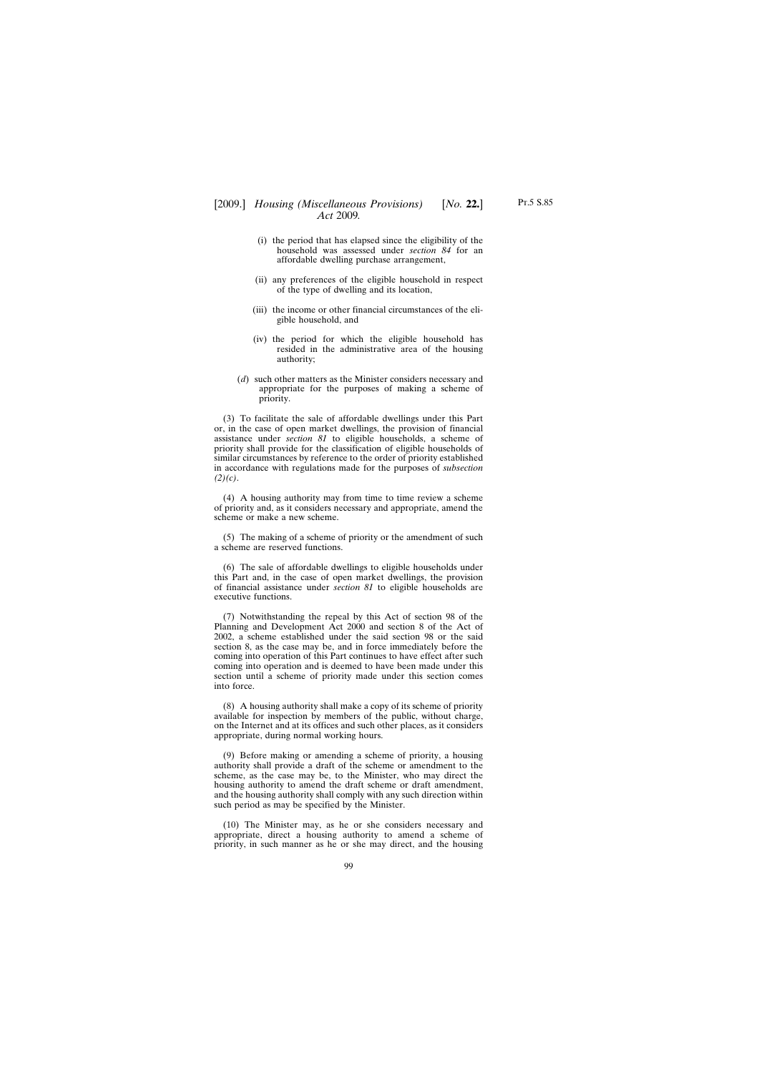- (i) the period that has elapsed since the eligibility of the household was assessed under *section 84* for an affordable dwelling purchase arrangement,
- (ii) any preferences of the eligible household in respect of the type of dwelling and its location,
- (iii) the income or other financial circumstances of the eligible household, and
- (iv) the period for which the eligible household has resided in the administrative area of the housing authority;
- (*d*) such other matters as the Minister considers necessary and appropriate for the purposes of making a scheme of priority.

(3) To facilitate the sale of affordable dwellings under this Part or, in the case of open market dwellings, the provision of financial assistance under *section 81* to eligible households, a scheme of priority shall provide for the classification of eligible households of similar circumstances by reference to the order of priority established in accordance with regulations made for the purposes of *subsection (2)(c)*.

(4) A housing authority may from time to time review a scheme of priority and, as it considers necessary and appropriate, amend the scheme or make a new scheme.

(5) The making of a scheme of priority or the amendment of such a scheme are reserved functions.

(6) The sale of affordable dwellings to eligible households under this Part and, in the case of open market dwellings, the provision of financial assistance under *section 81* to eligible households are executive functions.

(7) Notwithstanding the repeal by this Act of section 98 of the Planning and Development Act 2000 and section 8 of the Act of 2002, a scheme established under the said section 98 or the said section 8, as the case may be, and in force immediately before the coming into operation of this Part continues to have effect after such coming into operation and is deemed to have been made under this section until a scheme of priority made under this section comes into force.

(8) A housing authority shall make a copy of its scheme of priority available for inspection by members of the public, without charge, on the Internet and at its offices and such other places, as it considers appropriate, during normal working hours.

(9) Before making or amending a scheme of priority, a housing authority shall provide a draft of the scheme or amendment to the scheme, as the case may be, to the Minister, who may direct the housing authority to amend the draft scheme or draft amendment, and the housing authority shall comply with any such direction within such period as may be specified by the Minister.

(10) The Minister may, as he or she considers necessary and appropriate, direct a housing authority to amend a scheme of priority, in such manner as he or she may direct, and the housing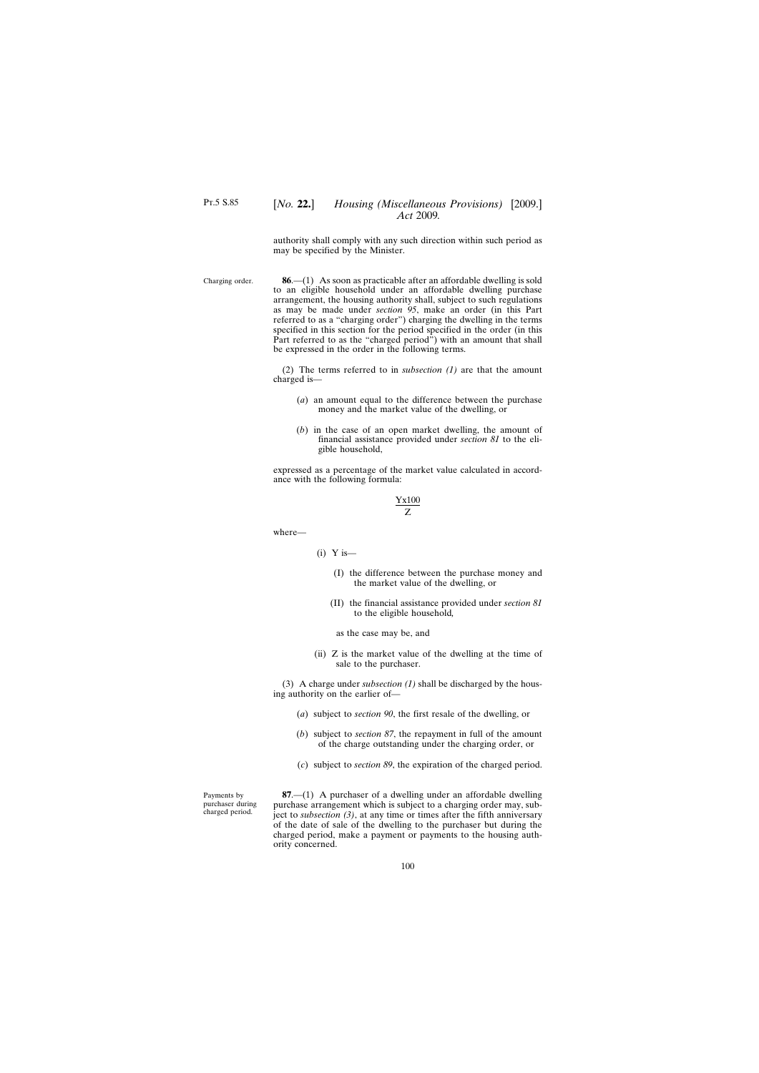### [*No.* **22.**] *Housing (Miscellaneous Provisions)* [2009.] *Act* 2009*.*

authority shall comply with any such direction within such period as may be specified by the Minister.

Charging order. **86**.—(1) As soon as practicable after an affordable dwelling is sold to an eligible household under an affordable dwelling purchase arrangement, the housing authority shall, subject to such regulations as may be made under *section 95*, make an order (in this Part referred to as a "charging order") charging the dwelling in the terms specified in this section for the period specified in the order (in this Part referred to as the "charged period") with an amount that shall be expressed in the order in the following terms.

> (2) The terms referred to in *subsection (1)* are that the amount charged is—

- (*a*) an amount equal to the difference between the purchase money and the market value of the dwelling, or
- (*b*) in the case of an open market dwelling, the amount of financial assistance provided under *section 81* to the eligible household,

expressed as a percentage of the market value calculated in accordance with the following formula:

$$
\frac{Yx100}{Z}
$$

where—

- $(i)$  Y is—
	- (I) the difference between the purchase money and the market value of the dwelling, or
	- (II) the financial assistance provided under *section 81* to the eligible household*,*

as the case may be, and

(ii) Z is the market value of the dwelling at the time of sale to the purchaser.

(3) A charge under *subsection (1)* shall be discharged by the housing authority on the earlier of—

- (*a*) subject to *section 90*, the first resale of the dwelling, or
- (*b*) subject to *section 87*, the repayment in full of the amount of the charge outstanding under the charging order, or
- (*c*) subject to *section 89*, the expiration of the charged period.

**87**.—(1) A purchaser of a dwelling under an affordable dwelling purchase arrangement which is subject to a charging order may, subject to *subsection (3)*, at any time or times after the fifth anniversary of the date of sale of the dwelling to the purchaser but during the charged period, make a payment or payments to the housing authority concerned.

Payments by purchaser during charged period.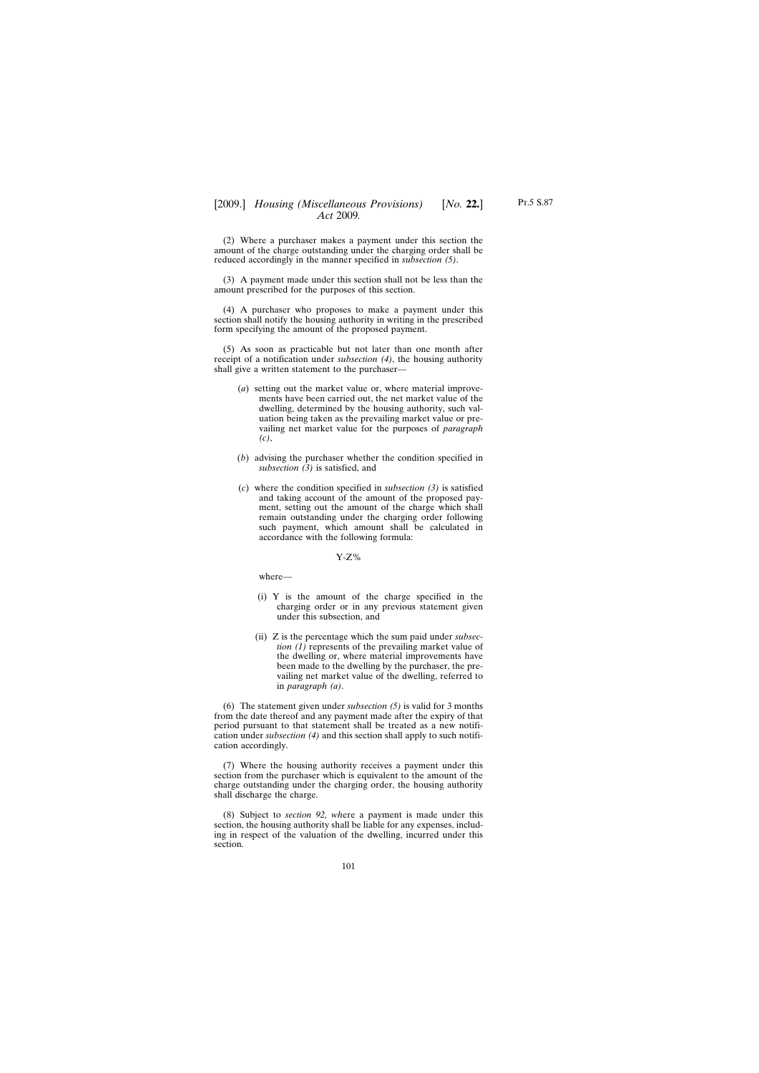(2) Where a purchaser makes a payment under this section the amount of the charge outstanding under the charging order shall be reduced accordingly in the manner specified in *subsection (5)*.

(3) A payment made under this section shall not be less than the amount prescribed for the purposes of this section.

(4) A purchaser who proposes to make a payment under this section shall notify the housing authority in writing in the prescribed form specifying the amount of the proposed payment.

(5) As soon as practicable but not later than one month after receipt of a notification under *subsection (4)*, the housing authority shall give a written statement to the purchaser—

- (*a*) setting out the market value or, where material improvements have been carried out, the net market value of the dwelling, determined by the housing authority, such valuation being taken as the prevailing market value or prevailing net market value for the purposes of *paragraph (c)*,
- (*b*) advising the purchaser whether the condition specified in *subsection (3)* is satisfied, and
- (*c*) where the condition specified in *subsection (3)* is satisfied and taking account of the amount of the proposed payment, setting out the amount of the charge which shall remain outstanding under the charging order following such payment, which amount shall be calculated in accordance with the following formula:

Y-Z%

where—

- (i) Y is the amount of the charge specified in the charging order or in any previous statement given under this subsection, and
- (ii) Z is the percentage which the sum paid under *subsection (1)* represents of the prevailing market value of the dwelling or, where material improvements have been made to the dwelling by the purchaser, the prevailing net market value of the dwelling, referred to in *paragraph (a)*.

(6) The statement given under *subsection (5)* is valid for 3 months from the date thereof and any payment made after the expiry of that period pursuant to that statement shall be treated as a new notification under *subsection (4)* and this section shall apply to such notification accordingly.

(7) Where the housing authority receives a payment under this section from the purchaser which is equivalent to the amount of the charge outstanding under the charging order, the housing authority shall discharge the charge.

(8) Subject to *section 92, wh*ere a payment is made under this section, the housing authority shall be liable for any expenses, including in respect of the valuation of the dwelling, incurred under this section.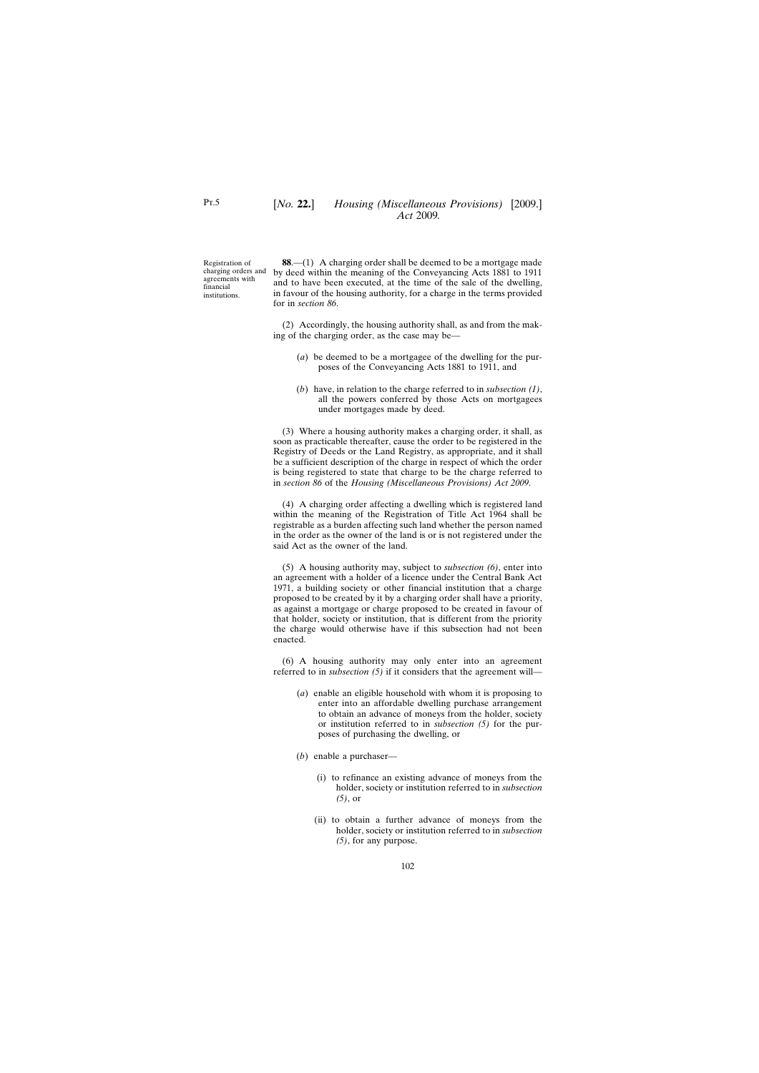Registration of agreements with financial institutions.

charging orders and by deed within the meaning of the Conveyancing Acts 1881 to 1911 **88**.—(1) A charging order shall be deemed to be a mortgage made and to have been executed, at the time of the sale of the dwelling, in favour of the housing authority, for a charge in the terms provided for in *section 86*.

> (2) Accordingly, the housing authority shall, as and from the making of the charging order, as the case may be—

- (*a*) be deemed to be a mortgagee of the dwelling for the purposes of the Conveyancing Acts 1881 to 1911, and
- (*b*) have, in relation to the charge referred to in *subsection (1)*, all the powers conferred by those Acts on mortgagees under mortgages made by deed.

(3) Where a housing authority makes a charging order, it shall, as soon as practicable thereafter, cause the order to be registered in the Registry of Deeds or the Land Registry, as appropriate, and it shall be a sufficient description of the charge in respect of which the order is being registered to state that charge to be the charge referred to in *section 86* of the *Housing (Miscellaneous Provisions) Act 2009*.

(4) A charging order affecting a dwelling which is registered land within the meaning of the Registration of Title Act 1964 shall be registrable as a burden affecting such land whether the person named in the order as the owner of the land is or is not registered under the said Act as the owner of the land.

(5) A housing authority may, subject to *subsection (6)*, enter into an agreement with a holder of a licence under the Central Bank Act 1971, a building society or other financial institution that a charge proposed to be created by it by a charging order shall have a priority, as against a mortgage or charge proposed to be created in favour of that holder, society or institution, that is different from the priority the charge would otherwise have if this subsection had not been enacted.

(6) A housing authority may only enter into an agreement referred to in *subsection (5)* if it considers that the agreement will—

- (*a*) enable an eligible household with whom it is proposing to enter into an affordable dwelling purchase arrangement to obtain an advance of moneys from the holder, society or institution referred to in *subsection (5)* for the purposes of purchasing the dwelling, or
- (*b*) enable a purchaser—
	- (i) to refinance an existing advance of moneys from the holder, society or institution referred to in *subsection (5)*, or
	- (ii) to obtain a further advance of moneys from the holder, society or institution referred to in *subsection (5)*, for any purpose.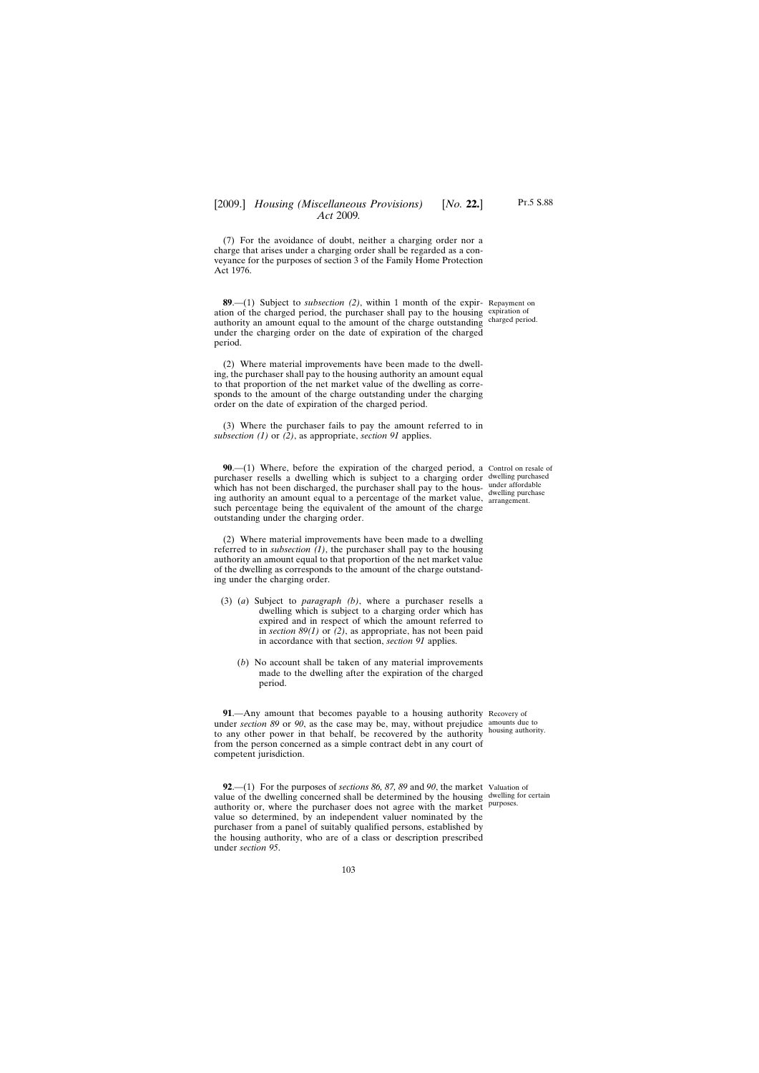(7) For the avoidance of doubt, neither a charging order nor a charge that arises under a charging order shall be regarded as a conveyance for the purposes of section 3 of the Family Home Protection Act 1976.

**89**.—(1) Subject to *subsection (2)*, within 1 month of the expir-Repayment on ation of the charged period, the purchaser shall pay to the housing expiration of authority an amount equal to the amount of the charge outstanding charged period. under the charging order on the date of expiration of the charged period.

(2) Where material improvements have been made to the dwelling, the purchaser shall pay to the housing authority an amount equal to that proportion of the net market value of the dwelling as corresponds to the amount of the charge outstanding under the charging order on the date of expiration of the charged period.

(3) Where the purchaser fails to pay the amount referred to in *subsection (1)* or *(2)*, as appropriate, *section 91* applies.

**90.**—(1) Where, before the expiration of the charged period, a Control on resale of purchaser resells a dwelling which is subject to a charging order dwelling purchased which has not been discharged, the purchaser shall pay to the housing authority an amount equal to a percentage of the market value, arrangement. such percentage being the equivalent of the amount of the charge outstanding under the charging order.

(2) Where material improvements have been made to a dwelling referred to in *subsection*  $(I)$ , the purchaser shall pay to the housing authority an amount equal to that proportion of the net market value of the dwelling as corresponds to the amount of the charge outstanding under the charging order.

- (3) (*a*) Subject to *paragraph (b)*, where a purchaser resells a dwelling which is subject to a charging order which has expired and in respect of which the amount referred to in *section 89(1)* or *(2)*, as appropriate, has not been paid in accordance with that section, *section 91* applies.
	- (*b*) No account shall be taken of any material improvements made to the dwelling after the expiration of the charged period.

**91**.—Any amount that becomes payable to a housing authority Recovery of under *section 89* or *90*, as the case may be, may, without prejudice amounts due to to any other power in that behalf, be recovered by the authority housing authority. from the person concerned as a simple contract debt in any court of competent jurisdiction.

**92**.—(1) For the purposes of *sections 86, 87, 89* and *90*, the market Valuation of value of the dwelling concerned shall be determined by the housing dwelling for certain authority or, where the purchaser does not agree with the market purposes. value so determined, by an independent valuer nominated by the purchaser from a panel of suitably qualified persons, established by the housing authority, who are of a class or description prescribed under *section 95*.

dwelling purchase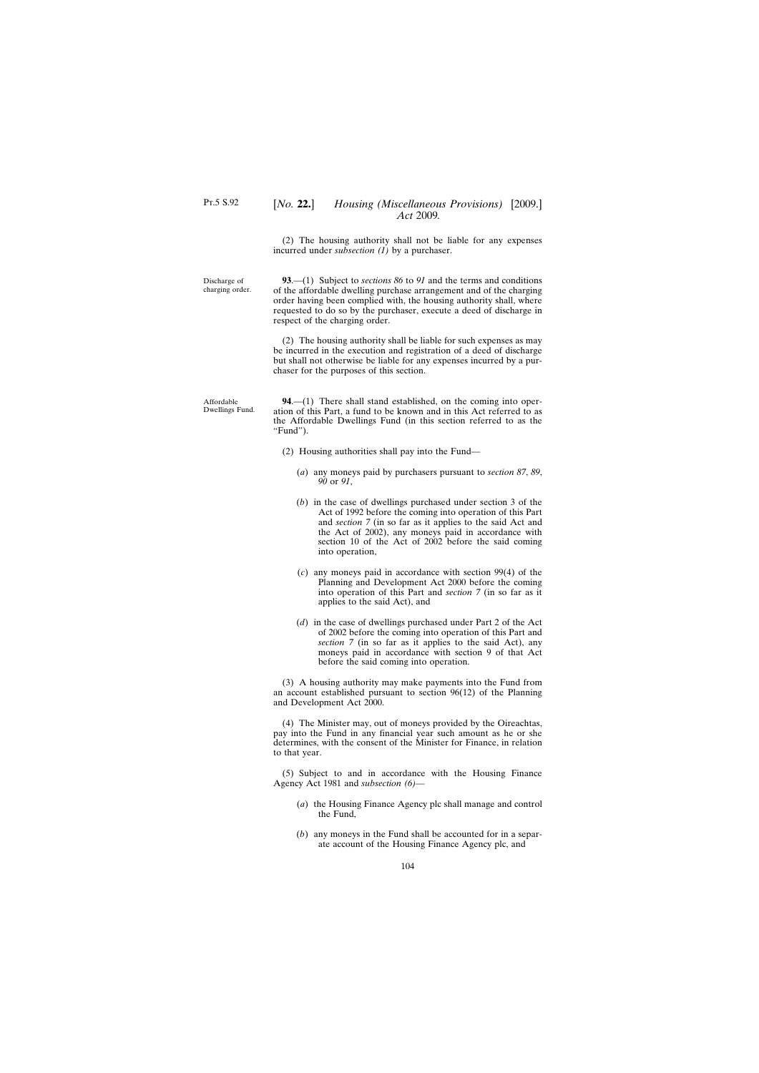### [*No.* **22.**] *Housing (Miscellaneous Provisions)* [2009.] *Act* 2009*.*

(2) The housing authority shall not be liable for any expenses incurred under *subsection (1)* by a purchaser.

Discharge of charging order.

**93**.—(1) Subject to *sections 86* to *91* and the terms and conditions of the affordable dwelling purchase arrangement and of the charging order having been complied with, the housing authority shall, where requested to do so by the purchaser, execute a deed of discharge in respect of the charging order.

(2) The housing authority shall be liable for such expenses as may be incurred in the execution and registration of a deed of discharge but shall not otherwise be liable for any expenses incurred by a purchaser for the purposes of this section.

**94**.—(1) There shall stand established, on the coming into operation of this Part, a fund to be known and in this Act referred to as the Affordable Dwellings Fund (in this section referred to as the "Fund").

- (2) Housing authorities shall pay into the Fund—
	- (*a*) any moneys paid by purchasers pursuant to *section 87*, *89*, *90* or *91*,
	- (*b*) in the case of dwellings purchased under section 3 of the Act of 1992 before the coming into operation of this Part and *section 7* (in so far as it applies to the said Act and the Act of 2002), any moneys paid in accordance with section 10 of the Act of 2002 before the said coming into operation,
	- (*c*) any moneys paid in accordance with section 99(4) of the Planning and Development Act 2000 before the coming into operation of this Part and *section 7* (in so far as it applies to the said Act), and
	- (*d*) in the case of dwellings purchased under Part 2 of the Act of 2002 before the coming into operation of this Part and *section 7* (in so far as it applies to the said Act), any moneys paid in accordance with section 9 of that Act before the said coming into operation.

(3) A housing authority may make payments into the Fund from an account established pursuant to section 96(12) of the Planning and Development Act 2000.

(4) The Minister may, out of moneys provided by the Oireachtas, pay into the Fund in any financial year such amount as he or she determines, with the consent of the Minister for Finance, in relation to that year.

(5) Subject to and in accordance with the Housing Finance Agency Act 1981 and *subsection (6)*—

- (*a*) the Housing Finance Agency plc shall manage and control the Fund,
- (*b*) any moneys in the Fund shall be accounted for in a separate account of the Housing Finance Agency plc, and

Affordable Dwellings Fund.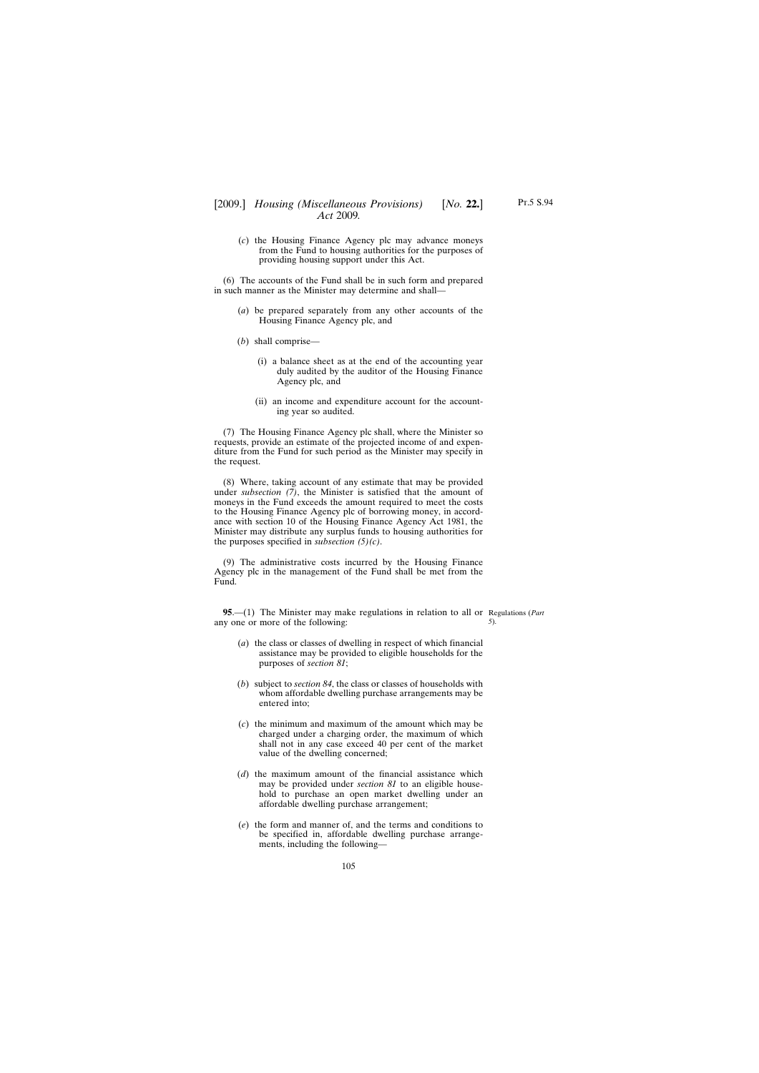(*c*) the Housing Finance Agency plc may advance moneys from the Fund to housing authorities for the purposes of providing housing support under this Act.

(6) The accounts of the Fund shall be in such form and prepared in such manner as the Minister may determine and shall—

- (*a*) be prepared separately from any other accounts of the Housing Finance Agency plc, and
- (*b*) shall comprise—
	- (i) a balance sheet as at the end of the accounting year duly audited by the auditor of the Housing Finance Agency plc, and
	- (ii) an income and expenditure account for the accounting year so audited.

(7) The Housing Finance Agency plc shall, where the Minister so requests, provide an estimate of the projected income of and expenditure from the Fund for such period as the Minister may specify in the request.

(8) Where, taking account of any estimate that may be provided under *subsection (7)*, the Minister is satisfied that the amount of moneys in the Fund exceeds the amount required to meet the costs to the Housing Finance Agency plc of borrowing money, in accordance with section 10 of the Housing Finance Agency Act 1981, the Minister may distribute any surplus funds to housing authorities for the purposes specified in *subsection (5)(c)*.

(9) The administrative costs incurred by the Housing Finance Agency plc in the management of the Fund shall be met from the Fund.

**95**.—(1) The Minister may make regulations in relation to all or Regulations (*Part* any one or more of the following: *5*).

- (*a*) the class or classes of dwelling in respect of which financial assistance may be provided to eligible households for the purposes of *section 81*;
- (*b*) subject to *section 84*, the class or classes of households with whom affordable dwelling purchase arrangements may be entered into;
- (*c*) the minimum and maximum of the amount which may be charged under a charging order, the maximum of which shall not in any case exceed 40 per cent of the market value of the dwelling concerned;
- (*d*) the maximum amount of the financial assistance which may be provided under *section 81* to an eligible household to purchase an open market dwelling under an affordable dwelling purchase arrangement;
- (*e*) the form and manner of, and the terms and conditions to be specified in, affordable dwelling purchase arrangements, including the following—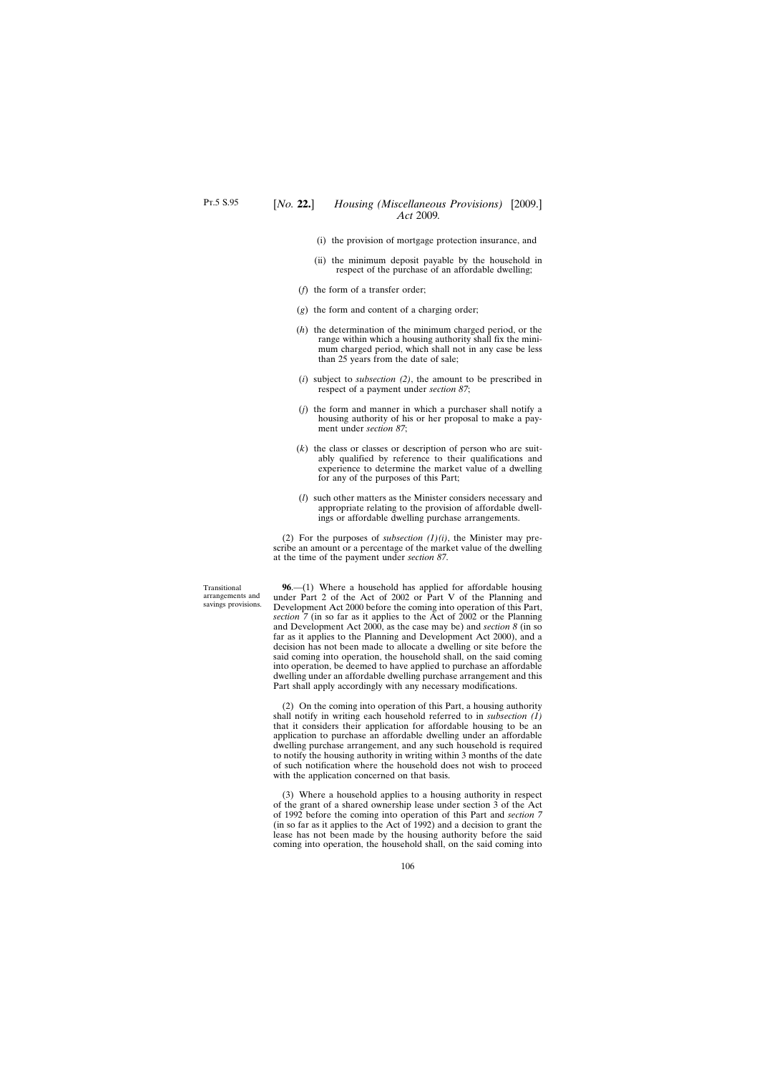- (i) the provision of mortgage protection insurance, and
- (ii) the minimum deposit payable by the household in respect of the purchase of an affordable dwelling;
- (*f*) the form of a transfer order;
- (*g*) the form and content of a charging order;
- (*h*) the determination of the minimum charged period, or the range within which a housing authority shall fix the minimum charged period, which shall not in any case be less than 25 years from the date of sale;
- (*i*) subject to *subsection (2)*, the amount to be prescribed in respect of a payment under *section 87*;
- (*j*) the form and manner in which a purchaser shall notify a housing authority of his or her proposal to make a payment under *section 87*;
- (*k*) the class or classes or description of person who are suitably qualified by reference to their qualifications and experience to determine the market value of a dwelling for any of the purposes of this Part;
- (*l*) such other matters as the Minister considers necessary and appropriate relating to the provision of affordable dwellings or affordable dwelling purchase arrangements.

(2) For the purposes of *subsection (1)(i)*, the Minister may prescribe an amount or a percentage of the market value of the dwelling at the time of the payment under *section 87*.

Transitional arrangements and savings provisions.

**96**.—(1) Where a household has applied for affordable housing under Part 2 of the Act of 2002 or Part V of the Planning and Development Act 2000 before the coming into operation of this Part, *section 7* (in so far as it applies to the Act of 2002 or the Planning and Development Act 2000, as the case may be) and *section 8* (in so far as it applies to the Planning and Development Act 2000), and a decision has not been made to allocate a dwelling or site before the said coming into operation, the household shall, on the said coming into operation, be deemed to have applied to purchase an affordable dwelling under an affordable dwelling purchase arrangement and this Part shall apply accordingly with any necessary modifications.

(2) On the coming into operation of this Part, a housing authority shall notify in writing each household referred to in *subsection (1)* that it considers their application for affordable housing to be an application to purchase an affordable dwelling under an affordable dwelling purchase arrangement, and any such household is required to notify the housing authority in writing within 3 months of the date of such notification where the household does not wish to proceed with the application concerned on that basis.

(3) Where a household applies to a housing authority in respect of the grant of a shared ownership lease under section 3 of the Act of 1992 before the coming into operation of this Part and *section 7* (in so far as it applies to the Act of 1992) and a decision to grant the lease has not been made by the housing authority before the said coming into operation, the household shall, on the said coming into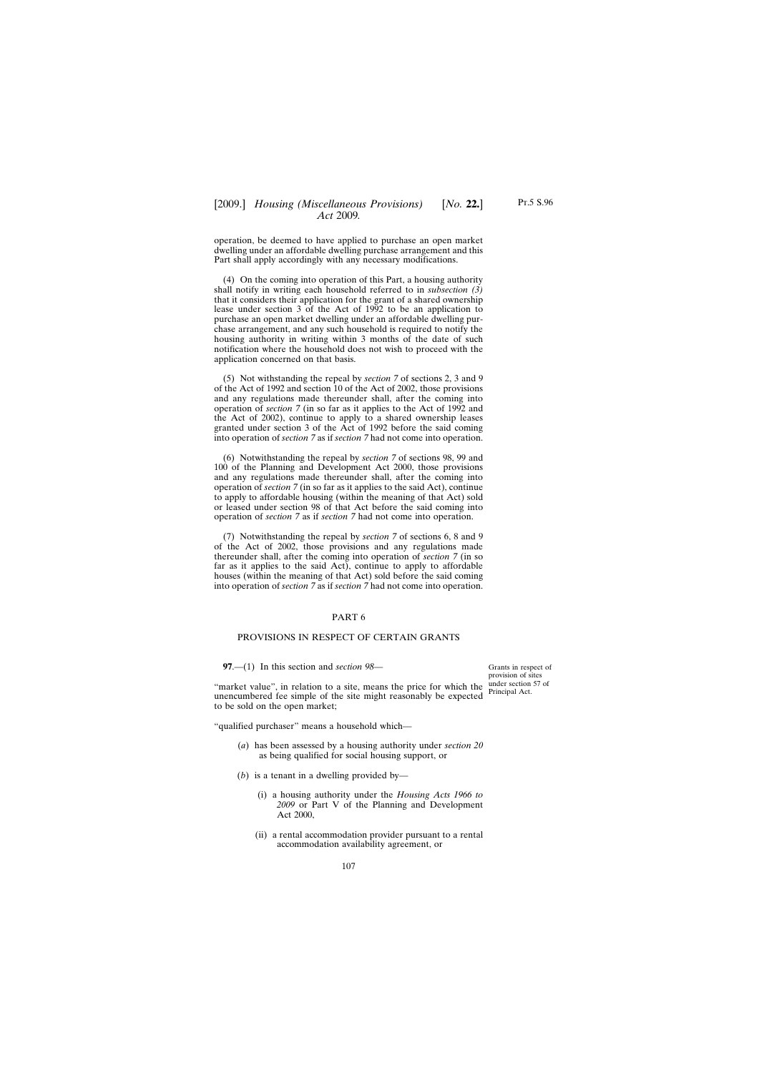*Act* 2009*.*

operation, be deemed to have applied to purchase an open market dwelling under an affordable dwelling purchase arrangement and this Part shall apply accordingly with any necessary modifications.

(4) On the coming into operation of this Part, a housing authority shall notify in writing each household referred to in *subsection (3)* that it considers their application for the grant of a shared ownership lease under section 3 of the Act of 1992 to be an application to purchase an open market dwelling under an affordable dwelling purchase arrangement, and any such household is required to notify the housing authority in writing within 3 months of the date of such notification where the household does not wish to proceed with the application concerned on that basis.

(5) Not withstanding the repeal by *section 7* of sections 2, 3 and 9 of the Act of 1992 and section 10 of the Act of 2002, those provisions and any regulations made thereunder shall, after the coming into operation of *section 7* (in so far as it applies to the Act of 1992 and the Act of 2002), continue to apply to a shared ownership leases granted under section 3 of the Act of 1992 before the said coming into operation of *section 7* as if *section 7* had not come into operation.

(6) Notwithstanding the repeal by *section 7* of sections 98, 99 and 100 of the Planning and Development Act 2000, those provisions and any regulations made thereunder shall, after the coming into operation of *section 7* (in so far as it applies to the said Act), continue to apply to affordable housing (within the meaning of that Act) sold or leased under section 98 of that Act before the said coming into operation of *section 7* as if *section 7* had not come into operation.

(7) Notwithstanding the repeal by *section 7* of sections 6, 8 and 9 of the Act of 2002, those provisions and any regulations made thereunder shall, after the coming into operation of *section 7* (in so far as it applies to the said Act), continue to apply to affordable houses (within the meaning of that Act) sold before the said coming into operation of *section 7* as if *section 7* had not come into operation.

### PART 6

### PROVISIONS IN RESPECT OF CERTAIN GRANTS

**97**.—(1) In this section and *section 98*—

"market value", in relation to a site, means the price for which the unencumbered fee simple of the site might reasonably be expected to be sold on the open market;

"qualified purchaser" means a household which—

- (*a*) has been assessed by a housing authority under *section 20* as being qualified for social housing support, or
- (*b*) is a tenant in a dwelling provided by—
	- (i) a housing authority under the *Housing Acts 1966 to 2009* or Part V of the Planning and Development Act 2000,
	- (ii) a rental accommodation provider pursuant to a rental accommodation availability agreement, or

Grants in respect of provision of sites under section 57 of Principal Act.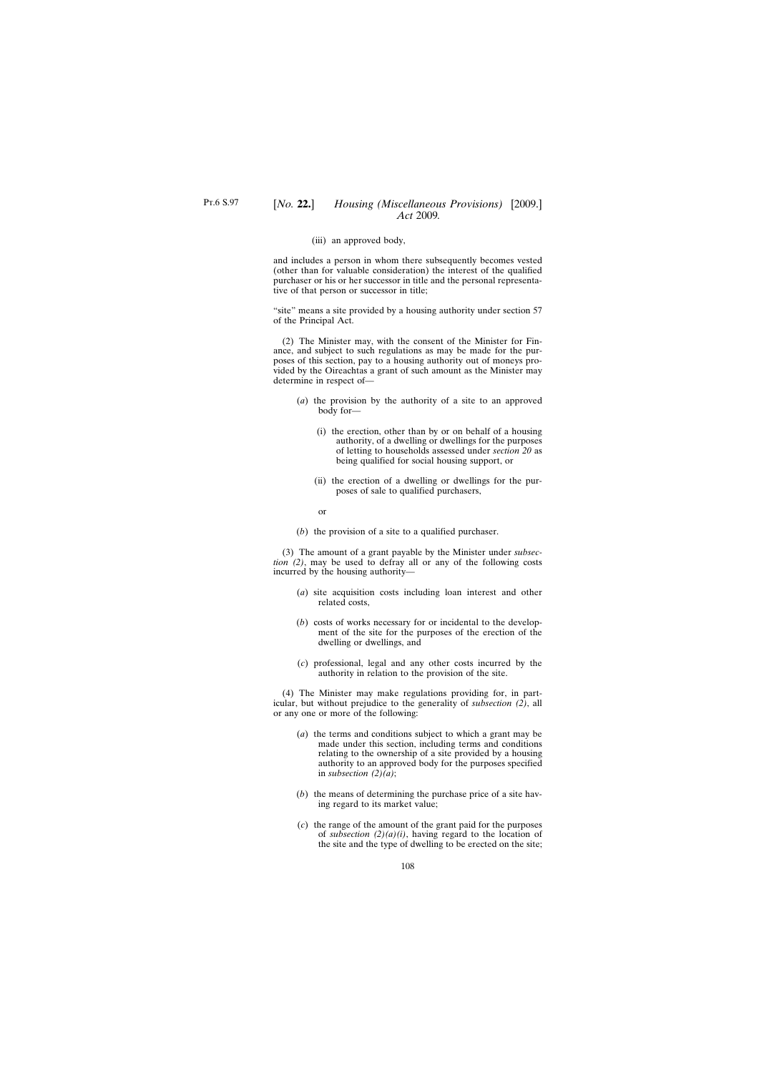#### (iii) an approved body,

and includes a person in whom there subsequently becomes vested (other than for valuable consideration) the interest of the qualified purchaser or his or her successor in title and the personal representative of that person or successor in title;

"site" means a site provided by a housing authority under section 57 of the Principal Act.

(2) The Minister may, with the consent of the Minister for Finance, and subject to such regulations as may be made for the purposes of this section, pay to a housing authority out of moneys provided by the Oireachtas a grant of such amount as the Minister may determine in respect of—

- (*a*) the provision by the authority of a site to an approved body for—
	- (i) the erection, other than by or on behalf of a housing authority, of a dwelling or dwellings for the purposes of letting to households assessed under *section 20* as being qualified for social housing support, or
	- (ii) the erection of a dwelling or dwellings for the purposes of sale to qualified purchasers,

or

(*b*) the provision of a site to a qualified purchaser.

(3) The amount of a grant payable by the Minister under *subsection (2)*, may be used to defray all or any of the following costs incurred by the housing authority—

- (*a*) site acquisition costs including loan interest and other related costs,
- (*b*) costs of works necessary for or incidental to the development of the site for the purposes of the erection of the dwelling or dwellings, and
- (*c*) professional, legal and any other costs incurred by the authority in relation to the provision of the site.

(4) The Minister may make regulations providing for, in particular, but without prejudice to the generality of *subsection (2)*, all or any one or more of the following:

- (*a*) the terms and conditions subject to which a grant may be made under this section, including terms and conditions relating to the ownership of a site provided by a housing authority to an approved body for the purposes specified in *subsection (2)(a)*;
- (*b*) the means of determining the purchase price of a site having regard to its market value;
- (*c*) the range of the amount of the grant paid for the purposes of *subsection*  $(2)(a)(i)$ , having regard to the location of the site and the type of dwelling to be erected on the site;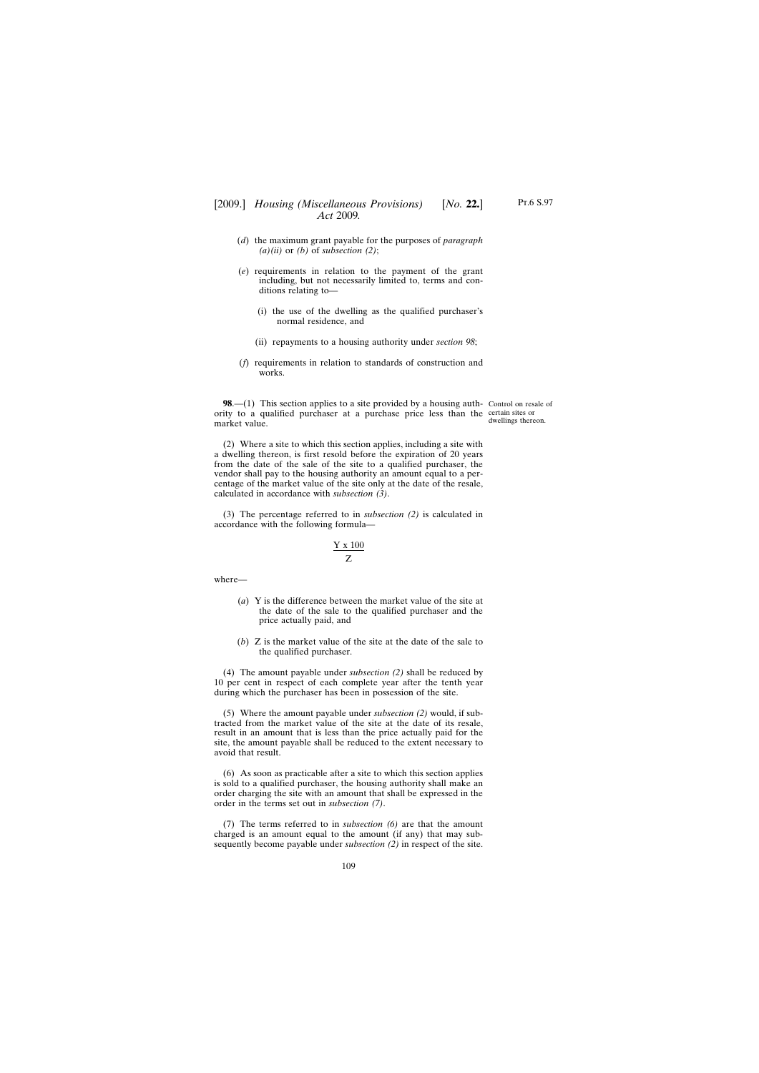- (*d*) the maximum grant payable for the purposes of *paragraph (a)(ii)* or *(b)* of *subsection (2)*;
- (*e*) requirements in relation to the payment of the grant including, but not necessarily limited to, terms and conditions relating to—
	- (i) the use of the dwelling as the qualified purchaser's normal residence, and
	- (ii) repayments to a housing authority under *section 98*;
- (*f*) requirements in relation to standards of construction and works.

**98.**—(1) This section applies to a site provided by a housing auth- Control on resale of ority to a qualified purchaser at a purchase price less than the certain sites or market value.

dwellings thereon.

(2) Where a site to which this section applies, including a site with a dwelling thereon, is first resold before the expiration of 20 years from the date of the sale of the site to a qualified purchaser, the vendor shall pay to the housing authority an amount equal to a percentage of the market value of the site only at the date of the resale, calculated in accordance with *subsection (3)*.

(3) The percentage referred to in *subsection (2)* is calculated in accordance with the following formula—

$$
\frac{Y\;x\;100}{Z}
$$

where—

- (*a*) Y is the difference between the market value of the site at the date of the sale to the qualified purchaser and the price actually paid, and
- (*b*) Z is the market value of the site at the date of the sale to the qualified purchaser.

(4) The amount payable under *subsection (2)* shall be reduced by 10 per cent in respect of each complete year after the tenth year during which the purchaser has been in possession of the site.

(5) Where the amount payable under *subsection (2)* would, if subtracted from the market value of the site at the date of its resale, result in an amount that is less than the price actually paid for the site, the amount payable shall be reduced to the extent necessary to avoid that result.

(6) As soon as practicable after a site to which this section applies is sold to a qualified purchaser, the housing authority shall make an order charging the site with an amount that shall be expressed in the order in the terms set out in *subsection (7)*.

(7) The terms referred to in *subsection (6)* are that the amount charged is an amount equal to the amount (if any) that may subsequently become payable under *subsection (2)* in respect of the site.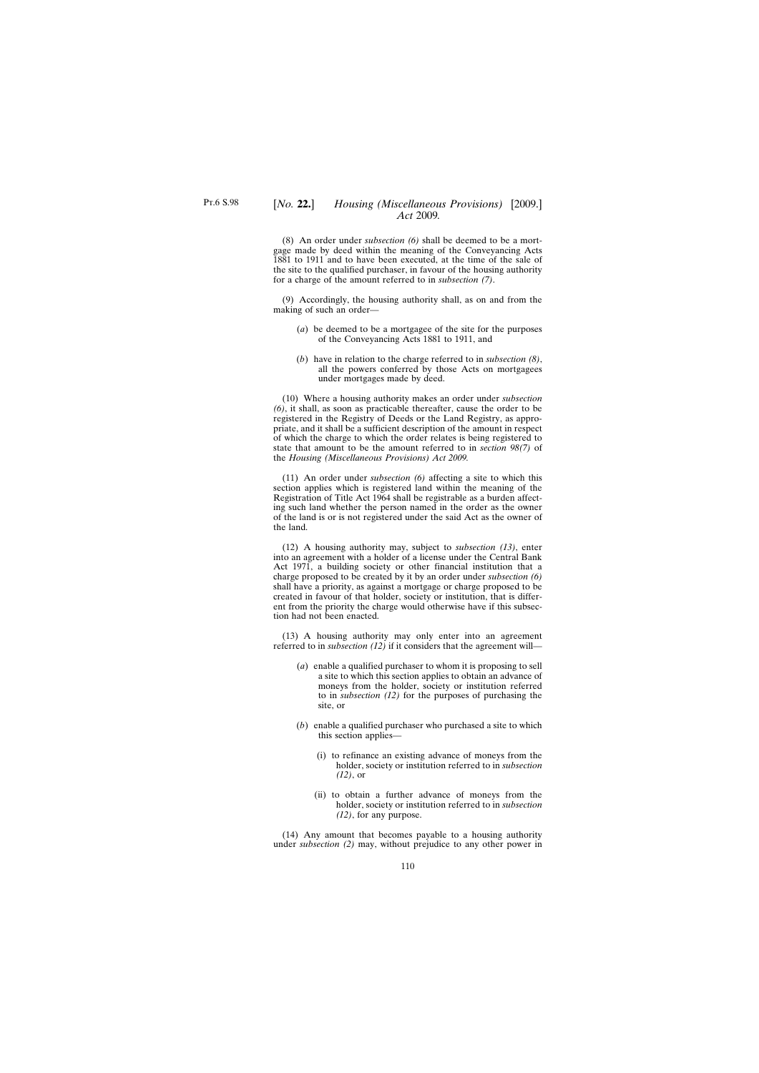(8) An order under *subsection (6)* shall be deemed to be a mortgage made by deed within the meaning of the Conveyancing Acts 1881 to 1911 and to have been executed, at the time of the sale of the site to the qualified purchaser, in favour of the housing authority for a charge of the amount referred to in *subsection (7)*.

(9) Accordingly, the housing authority shall, as on and from the making of such an order—

- (*a*) be deemed to be a mortgagee of the site for the purposes of the Conveyancing Acts 1881 to 1911, and
- (*b*) have in relation to the charge referred to in *subsection (8)*, all the powers conferred by those Acts on mortgagees under mortgages made by deed.

(10) Where a housing authority makes an order under *subsection (6)*, it shall, as soon as practicable thereafter, cause the order to be registered in the Registry of Deeds or the Land Registry, as appropriate, and it shall be a sufficient description of the amount in respect of which the charge to which the order relates is being registered to state that amount to be the amount referred to in *section 98(7)* of the *Housing (Miscellaneous Provisions) Act 2009.*

(11) An order under *subsection (6)* affecting a site to which this section applies which is registered land within the meaning of the Registration of Title Act 1964 shall be registrable as a burden affecting such land whether the person named in the order as the owner of the land is or is not registered under the said Act as the owner of the land.

(12) A housing authority may, subject to *subsection (13)*, enter into an agreement with a holder of a license under the Central Bank Act 1971, a building society or other financial institution that a charge proposed to be created by it by an order under *subsection (6)* shall have a priority, as against a mortgage or charge proposed to be created in favour of that holder, society or institution, that is different from the priority the charge would otherwise have if this subsection had not been enacted.

(13) A housing authority may only enter into an agreement referred to in *subsection (12)* if it considers that the agreement will—

- (*a*) enable a qualified purchaser to whom it is proposing to sell a site to which this section applies to obtain an advance of moneys from the holder, society or institution referred to in *subsection (12)* for the purposes of purchasing the site, or
- (*b*) enable a qualified purchaser who purchased a site to which this section applies—
	- (i) to refinance an existing advance of moneys from the holder, society or institution referred to in *subsection (12)*, or
	- (ii) to obtain a further advance of moneys from the holder, society or institution referred to in *subsection (12)*, for any purpose.

(14) Any amount that becomes payable to a housing authority under *subsection (2)* may, without prejudice to any other power in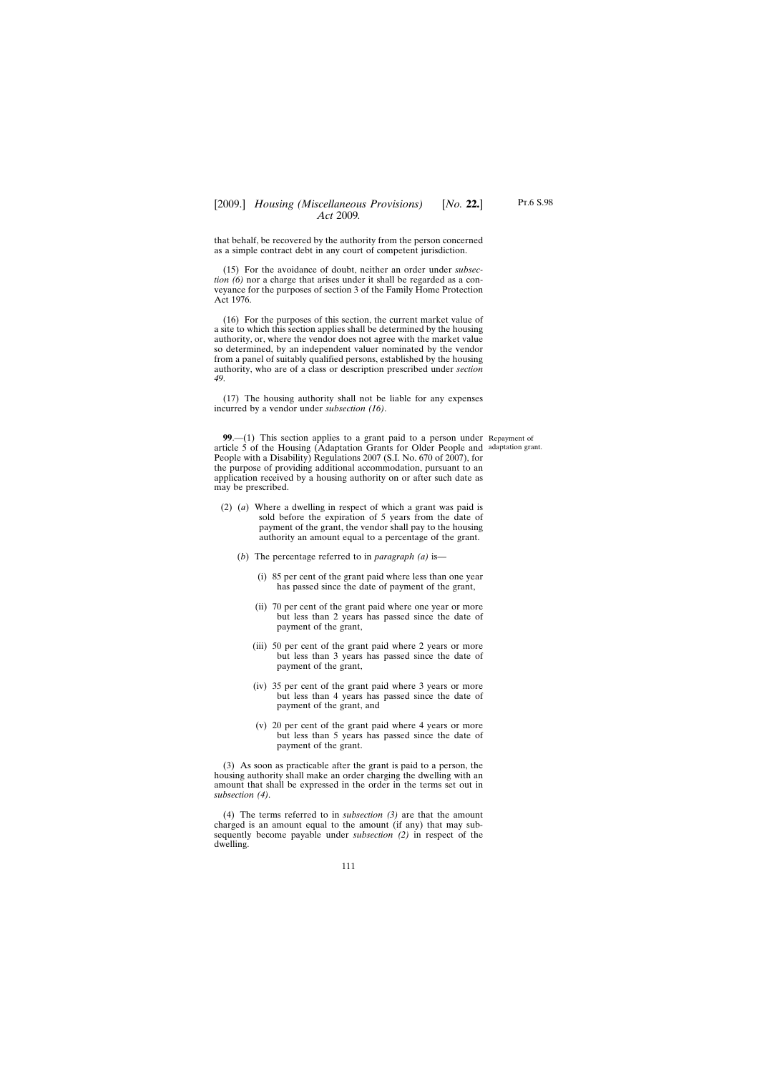that behalf, be recovered by the authority from the person concerned as a simple contract debt in any court of competent jurisdiction.

(15) For the avoidance of doubt, neither an order under *subsection (6)* nor a charge that arises under it shall be regarded as a conveyance for the purposes of section 3 of the Family Home Protection Act 1976.

(16) For the purposes of this section, the current market value of a site to which this section applies shall be determined by the housing authority, or, where the vendor does not agree with the market value so determined, by an independent valuer nominated by the vendor from a panel of suitably qualified persons, established by the housing authority, who are of a class or description prescribed under *section 49*.

(17) The housing authority shall not be liable for any expenses incurred by a vendor under *subsection (16)*.

**99**.—(1) This section applies to a grant paid to a person under Repayment of article 5 of the Housing (Adaptation Grants for Older People and adaptation grant.People with a Disability) Regulations 2007 (S.I. No. 670 of 2007), for the purpose of providing additional accommodation, pursuant to an application received by a housing authority on or after such date as may be prescribed.

- (2) (*a*) Where a dwelling in respect of which a grant was paid is sold before the expiration of 5 years from the date of payment of the grant, the vendor shall pay to the housing authority an amount equal to a percentage of the grant.
	- (*b*) The percentage referred to in *paragraph (a)* is—
		- (i) 85 per cent of the grant paid where less than one year has passed since the date of payment of the grant,
		- (ii) 70 per cent of the grant paid where one year or more but less than 2 years has passed since the date of payment of the grant,
		- (iii) 50 per cent of the grant paid where 2 years or more but less than 3 years has passed since the date of payment of the grant,
		- (iv) 35 per cent of the grant paid where 3 years or more but less than 4 years has passed since the date of payment of the grant, and
		- (v) 20 per cent of the grant paid where 4 years or more but less than 5 years has passed since the date of payment of the grant.

(3) As soon as practicable after the grant is paid to a person, the housing authority shall make an order charging the dwelling with an amount that shall be expressed in the order in the terms set out in *subsection (4)*.

(4) The terms referred to in *subsection (3)* are that the amount charged is an amount equal to the amount (if any) that may subsequently become payable under *subsection (2)* in respect of the dwelling.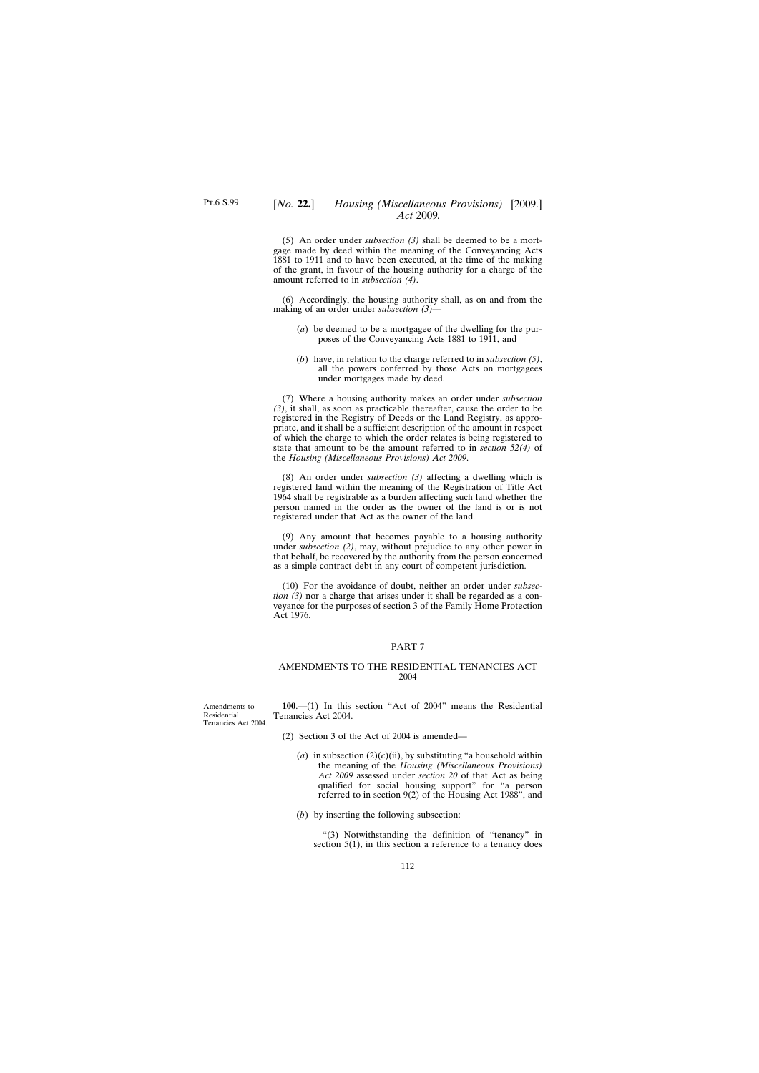(5) An order under *subsection (3)* shall be deemed to be a mortgage made by deed within the meaning of the Conveyancing Acts 1881 to 1911 and to have been executed, at the time of the making of the grant, in favour of the housing authority for a charge of the amount referred to in *subsection (4)*.

(6) Accordingly, the housing authority shall, as on and from the making of an order under *subsection (3)*—

- (*a*) be deemed to be a mortgagee of the dwelling for the purposes of the Conveyancing Acts 1881 to 1911, and
- (*b*) have, in relation to the charge referred to in *subsection (5)*, all the powers conferred by those Acts on mortgagees under mortgages made by deed.

(7) Where a housing authority makes an order under *subsection (3)*, it shall, as soon as practicable thereafter, cause the order to be registered in the Registry of Deeds or the Land Registry, as appropriate, and it shall be a sufficient description of the amount in respect of which the charge to which the order relates is being registered to state that amount to be the amount referred to in *section 52(4)* of the *Housing (Miscellaneous Provisions) Act 2009*.

(8) An order under *subsection (3)* affecting a dwelling which is registered land within the meaning of the Registration of Title Act 1964 shall be registrable as a burden affecting such land whether the person named in the order as the owner of the land is or is not registered under that Act as the owner of the land.

(9) Any amount that becomes payable to a housing authority under *subsection (2)*, may, without prejudice to any other power in that behalf, be recovered by the authority from the person concerned as a simple contract debt in any court of competent jurisdiction.

(10) For the avoidance of doubt, neither an order under *subsection (3)* nor a charge that arises under it shall be regarded as a conveyance for the purposes of section 3 of the Family Home Protection Act 1976.

### PART 7

### AMENDMENTS TO THE RESIDENTIAL TENANCIES ACT 2004

Amendments to Residential Tenancies Act 2004.

**100**.—(1) In this section "Act of 2004" means the Residential Tenancies Act 2004.

- (2) Section 3 of the Act of 2004 is amended—
	- (*a*) in subsection  $(2)(c)(ii)$ , by substituting "a household within the meaning of the *Housing (Miscellaneous Provisions) Act 2009* assessed under *section 20* of that Act as being qualified for social housing support" for "a person referred to in section 9(2) of the Housing Act 1988", and
	- (*b*) by inserting the following subsection:

"(3) Notwithstanding the definition of "tenancy" in section 5(1), in this section a reference to a tenancy does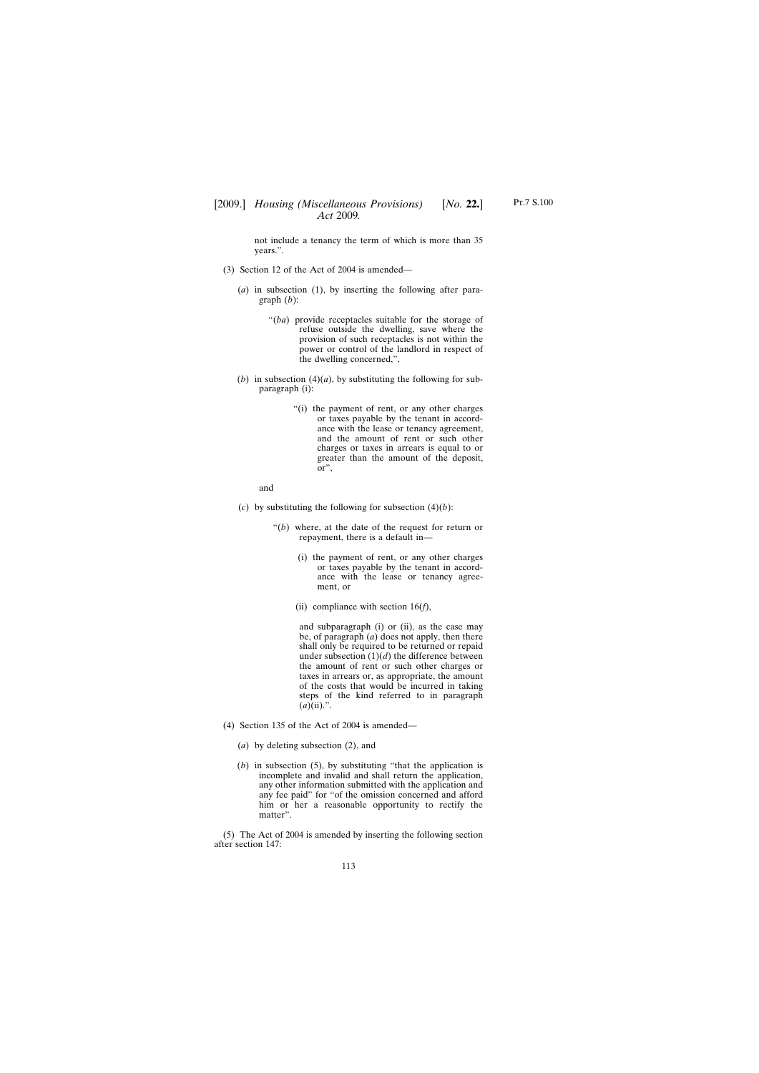not include a tenancy the term of which is more than 35 years.".

- (3) Section 12 of the Act of 2004 is amended—
	- (*a*) in subsection (1), by inserting the following after paragraph (*b*):
		- "(*ba*) provide receptacles suitable for the storage of refuse outside the dwelling, save where the provision of such receptacles is not within the power or control of the landlord in respect of the dwelling concerned,",
	- (*b*) in subsection (4)(*a*), by substituting the following for subparagraph (i):
		- "(i) the payment of rent, or any other charges or taxes payable by the tenant in accordance with the lease or tenancy agreement, and the amount of rent or such other charges or taxes in arrears is equal to or greater than the amount of the deposit, or",

and

- (*c*) by substituting the following for subsection  $(4)(b)$ :
	- "(*b*) where, at the date of the request for return or repayment, there is a default in—
		- (i) the payment of rent, or any other charges or taxes payable by the tenant in accordance with the lease or tenancy agreement, or
		- (ii) compliance with section 16(*f*),

and subparagraph (i) or (ii), as the case may be, of paragraph (*a*) does not apply, then there shall only be required to be returned or repaid under subsection  $(1)(d)$  the difference between the amount of rent or such other charges or taxes in arrears or, as appropriate, the amount of the costs that would be incurred in taking steps of the kind referred to in paragraph  $(a)(ii)$ .".

- (4) Section 135 of the Act of 2004 is amended—
	- (*a*) by deleting subsection (2), and
	- (*b*) in subsection (5), by substituting "that the application is incomplete and invalid and shall return the application, any other information submitted with the application and any fee paid" for "of the omission concerned and afford him or her a reasonable opportunity to rectify the matter".

(5) The Act of 2004 is amended by inserting the following section after section 147: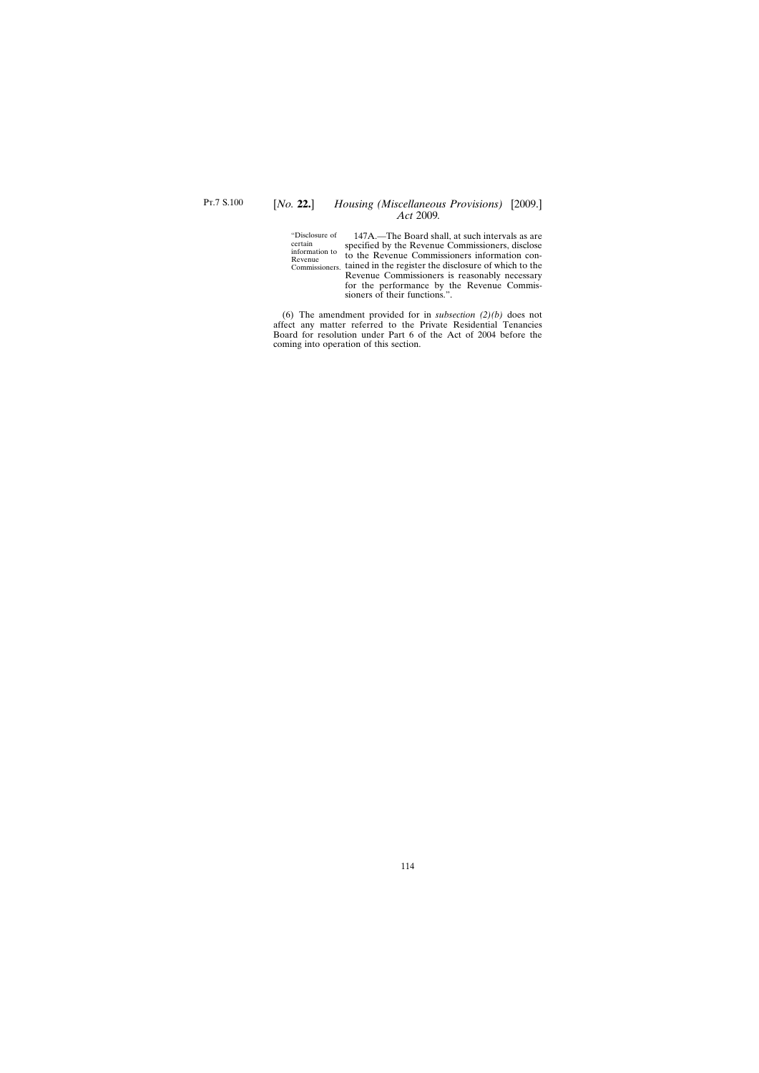## [*No.* **22.**] *Housing (Miscellaneous Provisions)* [2009.] *Act* 2009*.*

"Disclosure of certain information to Revenue

Commissioners. tained in the register the disclosure of which to the 147A.—The Board shall, at such intervals as are specified by the Revenue Commissioners, disclose to the Revenue Commissioners information con-Revenue Commissioners is reasonably necessary for the performance by the Revenue Commissioners of their functions.".

(6) The amendment provided for in *subsection (2)(b)* does not affect any matter referred to the Private Residential Tenancies Board for resolution under Part 6 of the Act of 2004 before the coming into operation of this section.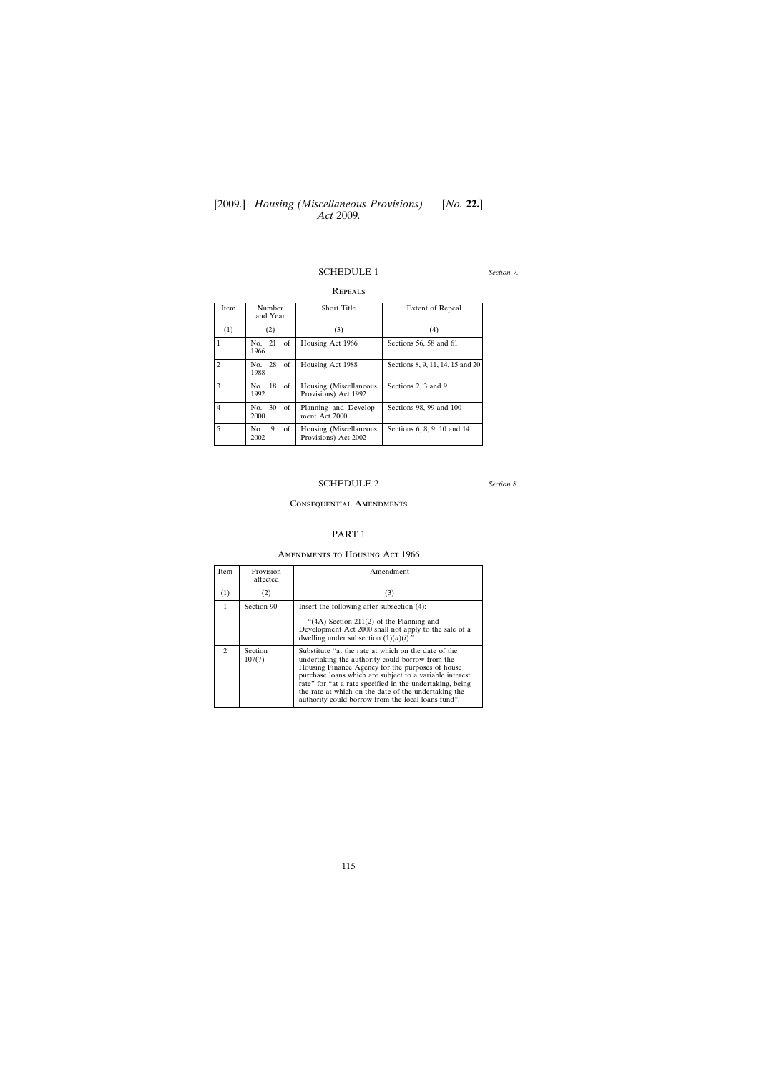### SCHEDULE 1

Repeals

### *Section 7.*

| <b>Item</b>    | Number<br>and Year      | <b>Short Title</b>                             | Extent of Repeal                 |
|----------------|-------------------------|------------------------------------------------|----------------------------------|
| (1)            | (2)                     | (3)                                            | (4)                              |
| 1              | No. 21<br>of<br>1966    | Housing Act 1966                               | Sections 56, 58 and 61           |
| $\overline{c}$ | 28<br>of<br>No.<br>1988 | Housing Act 1988                               | Sections 8, 9, 11, 14, 15 and 20 |
| 3              | No. 18<br>of<br>1992    | Housing (Miscellaneous<br>Provisions) Act 1992 | Sections 2, 3 and 9              |
| $\overline{4}$ | 30<br>No.<br>of<br>2000 | Planning and Develop-<br>ment Act 2000         | Sections 98, 99 and 100          |
| 5              | of<br>No.<br>9<br>2002  | Housing (Miscellaneous<br>Provisions) Act 2002 | Sections 6, 8, 9, 10 and 14      |

# SCHEDULE 2

*Section 8.*

### Consequential Amendments

## PART 1

### Amendments to Housing Act 1966

| <b>Item</b>   | Provision<br>affected | Amendment                                                                                                                                                                                                                                                                                                                                                                                       |
|---------------|-----------------------|-------------------------------------------------------------------------------------------------------------------------------------------------------------------------------------------------------------------------------------------------------------------------------------------------------------------------------------------------------------------------------------------------|
| (1)           | (2)                   | (3)                                                                                                                                                                                                                                                                                                                                                                                             |
| $\mathbf{1}$  | Section 90            | Insert the following after subsection $(4)$ :<br>"(4A) Section $211(2)$ of the Planning and<br>Development Act 2000 shall not apply to the sale of a<br>dwelling under subsection $(1)(a)(i)$ .".                                                                                                                                                                                               |
| $\mathcal{D}$ | Section<br>107(7)     | Substitute "at the rate at which on the date of the<br>undertaking the authority could borrow from the<br>Housing Finance Agency for the purposes of house<br>purchase loans which are subject to a variable interest<br>rate" for "at a rate specified in the undertaking, being<br>the rate at which on the date of the undertaking the<br>authority could borrow from the local loans fund". |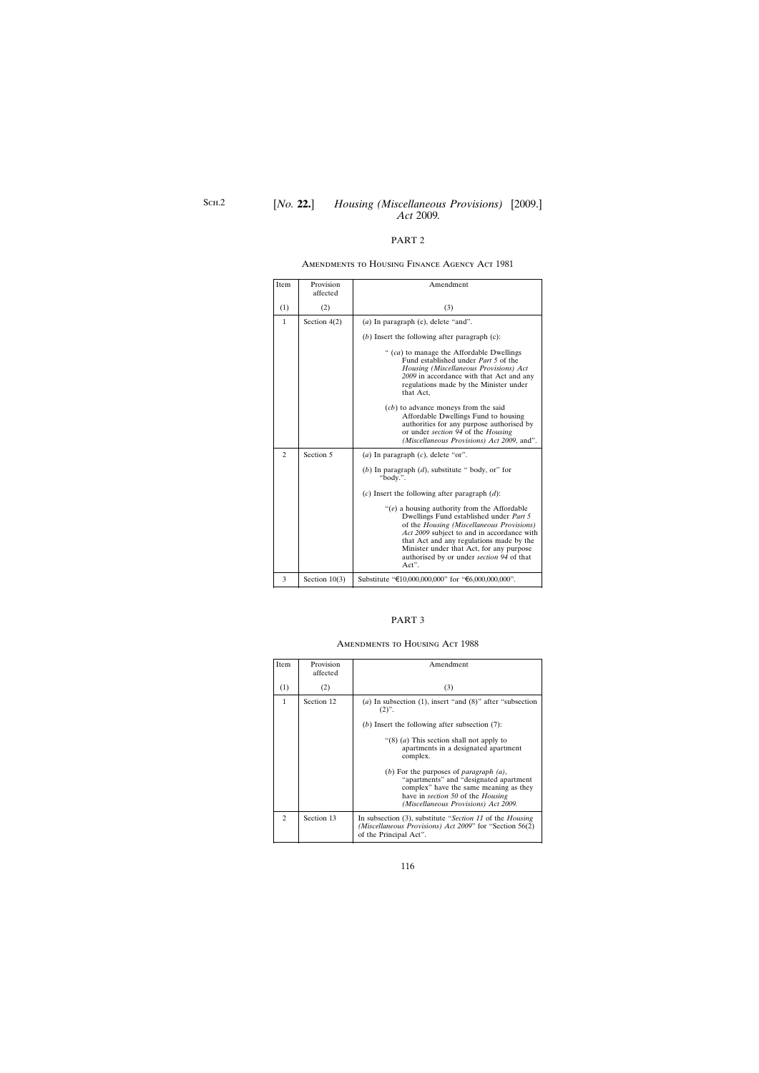### Amendments to Housing Finance Agency Act 1981

| Item           | Provision<br>affected | Amendment                                                                                                                                                                                                                                                                                                                            |
|----------------|-----------------------|--------------------------------------------------------------------------------------------------------------------------------------------------------------------------------------------------------------------------------------------------------------------------------------------------------------------------------------|
| (1)            | (2)                   | (3)                                                                                                                                                                                                                                                                                                                                  |
| $\mathbf{1}$   | Section $4(2)$        | $(a)$ In paragraph $(c)$ , delete "and".                                                                                                                                                                                                                                                                                             |
|                |                       | $(b)$ Insert the following after paragraph $(c)$ :                                                                                                                                                                                                                                                                                   |
|                |                       | " (ca) to manage the Affordable Dwellings<br>Fund established under <i>Part</i> 5 of the<br>Housing (Miscellaneous Provisions) Act<br>2009 in accordance with that Act and any<br>regulations made by the Minister under<br>that Act,                                                                                                |
|                |                       | ( <i>cb</i> ) to advance moneys from the said<br>Affordable Dwellings Fund to housing<br>authorities for any purpose authorised by<br>or under section 94 of the Housing<br>(Miscellaneous Provisions) Act 2009, and".                                                                                                               |
| $\overline{c}$ | Section 5             | ( <i>a</i> ) In paragraph $(c)$ , delete "or".                                                                                                                                                                                                                                                                                       |
|                |                       | (b) In paragraph $(d)$ , substitute " body, or" for<br>"body.".                                                                                                                                                                                                                                                                      |
|                |                       | (c) Insert the following after paragraph $(d)$ :                                                                                                                                                                                                                                                                                     |
|                |                       | " $(e)$ a housing authority from the Affordable"<br>Dwellings Fund established under Part 5<br>of the Housing (Miscellaneous Provisions)<br>Act 2009 subject to and in accordance with<br>that Act and any regulations made by the<br>Minister under that Act, for any purpose<br>authorised by or under section 94 of that<br>Act". |
| 3              | Section $10(3)$       | Substitute "€10,000,000,000" for "€6,000,000,000".                                                                                                                                                                                                                                                                                   |

### PART 3

### Amendments to Housing Act 1988

| Item           | Provision<br>affected | Amendment                                                                                                                                                                                                                       |
|----------------|-----------------------|---------------------------------------------------------------------------------------------------------------------------------------------------------------------------------------------------------------------------------|
| (1)            | (2)                   | (3)                                                                                                                                                                                                                             |
| $\mathbf{1}$   | Section 12            | (a) In subsection (1), insert "and $(8)$ " after "subsection"<br>$(2)$ ".<br>(b) Insert the following after subsection $(7)$ :                                                                                                  |
|                |                       | " $(8)$ ( <i>a</i> ) This section shall not apply to<br>apartments in a designated apartment<br>complex.                                                                                                                        |
|                |                       | (b) For the purposes of <i>paragraph</i> $(a)$ ,<br>"apartments" and "designated apartment<br>complex" have the same meaning as they<br>have in <i>section</i> 50 of the <i>Housing</i><br>(Miscellaneous Provisions) Act 2009. |
| $\mathfrak{D}$ | Section 13            | In subsection (3), substitute "Section 11 of the Housing<br>(Miscellaneous Provisions) Act 2009" for "Section 56(2)<br>of the Principal Act".                                                                                   |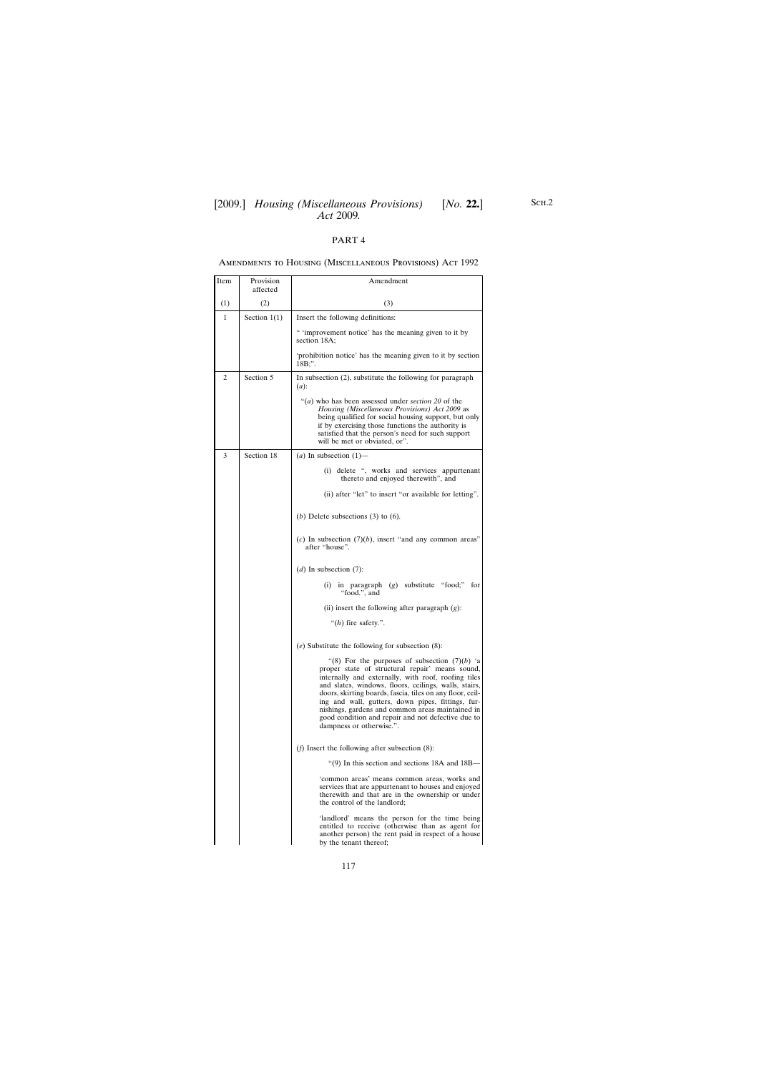### Amendments to Housing (Miscellaneous Provisions) Act 1992

| Item         | Provision<br>affected | Amendment                                                                                                                                                                                                                                                                                                                                                                                                                                                                  |
|--------------|-----------------------|----------------------------------------------------------------------------------------------------------------------------------------------------------------------------------------------------------------------------------------------------------------------------------------------------------------------------------------------------------------------------------------------------------------------------------------------------------------------------|
| (1)          | (2)                   | (3)                                                                                                                                                                                                                                                                                                                                                                                                                                                                        |
| $\mathbf{1}$ | Section $1(1)$        | Insert the following definitions:                                                                                                                                                                                                                                                                                                                                                                                                                                          |
|              |                       | " 'improvement notice' has the meaning given to it by<br>section 18A:                                                                                                                                                                                                                                                                                                                                                                                                      |
|              |                       | 'prohibition notice' has the meaning given to it by section<br>18B;".                                                                                                                                                                                                                                                                                                                                                                                                      |
| 2            | Section 5             | In subsection $(2)$ , substitute the following for paragraph<br>$(a)$ :                                                                                                                                                                                                                                                                                                                                                                                                    |
|              |                       | "(a) who has been assessed under section 20 of the<br>Housing (Miscellaneous Provisions) Act 2009 as<br>being qualified for social housing support, but only<br>if by exercising those functions the authority is<br>satisfied that the person's need for such support<br>will be met or obviated, or".                                                                                                                                                                    |
| 3            | Section 18            | (a) In subsection $(1)$ —                                                                                                                                                                                                                                                                                                                                                                                                                                                  |
|              |                       | (i) delete ", works and services appurtenant<br>thereto and enjoyed therewith", and                                                                                                                                                                                                                                                                                                                                                                                        |
|              |                       | (ii) after "let" to insert "or available for letting".                                                                                                                                                                                                                                                                                                                                                                                                                     |
|              |                       | (b) Delete subsections (3) to (6).                                                                                                                                                                                                                                                                                                                                                                                                                                         |
|              |                       | (c) In subsection $(7)(b)$ , insert "and any common areas"<br>after "house".                                                                                                                                                                                                                                                                                                                                                                                               |
|              |                       | (d) In subsection $(7)$ :                                                                                                                                                                                                                                                                                                                                                                                                                                                  |
|              |                       | in paragraph $(g)$ substitute "food;"<br>for<br>(i)<br>"food.", and                                                                                                                                                                                                                                                                                                                                                                                                        |
|              |                       | (ii) insert the following after paragraph $(g)$ :                                                                                                                                                                                                                                                                                                                                                                                                                          |
|              |                       | " $(h)$ fire safety.".                                                                                                                                                                                                                                                                                                                                                                                                                                                     |
|              |                       | (e) Substitute the following for subsection $(8)$ :                                                                                                                                                                                                                                                                                                                                                                                                                        |
|              |                       | "(8) For the purposes of subsection $(7)(b)$ 'a<br>proper state of structural repair' means sound,<br>internally and externally, with roof, roofing tiles<br>and slates, windows, floors, ceilings, walls, stairs,<br>doors, skirting boards, fascia, tiles on any floor, ceil-<br>ing and wall, gutters, down pipes, fittings, fur-<br>nishings, gardens and common areas maintained in<br>good condition and repair and not defective due to<br>dampness or otherwise.". |
|              |                       | ( <i>f</i> ) Insert the following after subsection $(8)$ :                                                                                                                                                                                                                                                                                                                                                                                                                 |
|              |                       | "(9) In this section and sections 18A and 18B-                                                                                                                                                                                                                                                                                                                                                                                                                             |
|              |                       | 'common areas' means common areas, works and<br>services that are appurtenant to houses and enjoyed<br>therewith and that are in the ownership or under<br>the control of the landlord;                                                                                                                                                                                                                                                                                    |
|              |                       | 'landlord' means the person for the time being<br>entitled to receive (otherwise than as agent for<br>another person) the rent paid in respect of a house<br>by the tenant thereof;                                                                                                                                                                                                                                                                                        |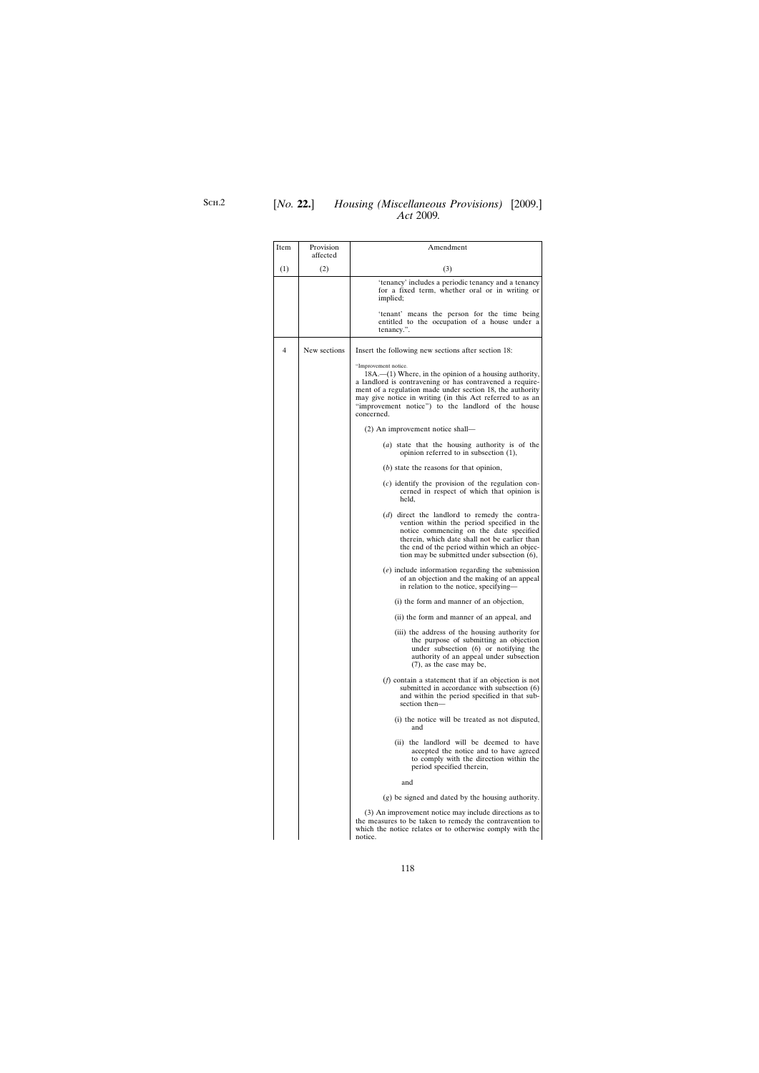| Item | Provision    | Amendment                                                                                                                                                                                                                                                                                                                                     |
|------|--------------|-----------------------------------------------------------------------------------------------------------------------------------------------------------------------------------------------------------------------------------------------------------------------------------------------------------------------------------------------|
|      | affected     |                                                                                                                                                                                                                                                                                                                                               |
| (1)  | (2)          | (3)                                                                                                                                                                                                                                                                                                                                           |
|      |              | 'tenancy' includes a periodic tenancy and a tenancy<br>for a fixed term, whether oral or in writing or<br>implied;                                                                                                                                                                                                                            |
|      |              | 'tenant' means the person for the time being<br>entitled to the occupation of a house under a<br>tenancy.".                                                                                                                                                                                                                                   |
| 4    | New sections | Insert the following new sections after section 18:                                                                                                                                                                                                                                                                                           |
|      |              | "Improvement notice.<br>$18A$ – $(1)$ Where, in the opinion of a housing authority,<br>a landlord is contravening or has contravened a require-<br>ment of a regulation made under section 18, the authority<br>may give notice in writing (in this Act referred to as an<br>"improvement notice") to the landlord of the house<br>concerned. |
|      |              | (2) An improvement notice shall—                                                                                                                                                                                                                                                                                                              |
|      |              | (a) state that the housing authority is of the<br>opinion referred to in subsection (1),                                                                                                                                                                                                                                                      |
|      |              | $(b)$ state the reasons for that opinion,                                                                                                                                                                                                                                                                                                     |
|      |              | $(c)$ identify the provision of the regulation con-<br>cerned in respect of which that opinion is<br>held,                                                                                                                                                                                                                                    |
|      |              | (d) direct the landlord to remedy the contra-<br>vention within the period specified in the<br>notice commencing on the date specified<br>therein, which date shall not be earlier than<br>the end of the period within which an objec-<br>tion may be submitted under subsection (6),                                                        |
|      |              | $(e)$ include information regarding the submission<br>of an objection and the making of an appeal<br>in relation to the notice, specifying—                                                                                                                                                                                                   |
|      |              | (i) the form and manner of an objection,                                                                                                                                                                                                                                                                                                      |
|      |              | (ii) the form and manner of an appeal, and                                                                                                                                                                                                                                                                                                    |
|      |              | (iii) the address of the housing authority for<br>the purpose of submitting an objection<br>under subsection (6) or notifying the<br>authority of an appeal under subsection<br>$(7)$ , as the case may be,                                                                                                                                   |
|      |              | $(f)$ contain a statement that if an objection is not<br>submitted in accordance with subsection (6)<br>and within the period specified in that sub-<br>section then-                                                                                                                                                                         |
|      |              | (i) the notice will be treated as not disputed,<br>and                                                                                                                                                                                                                                                                                        |
|      |              | (ii) the landlord will be deemed to have<br>accepted the notice and to have agreed<br>to comply with the direction within the<br>period specified therein,                                                                                                                                                                                    |
|      |              | and                                                                                                                                                                                                                                                                                                                                           |
|      |              | $(g)$ be signed and dated by the housing authority.                                                                                                                                                                                                                                                                                           |
|      |              | (3) An improvement notice may include directions as to<br>the measures to be taken to remedy the contravention to<br>which the notice relates or to otherwise comply with the<br>notice.                                                                                                                                                      |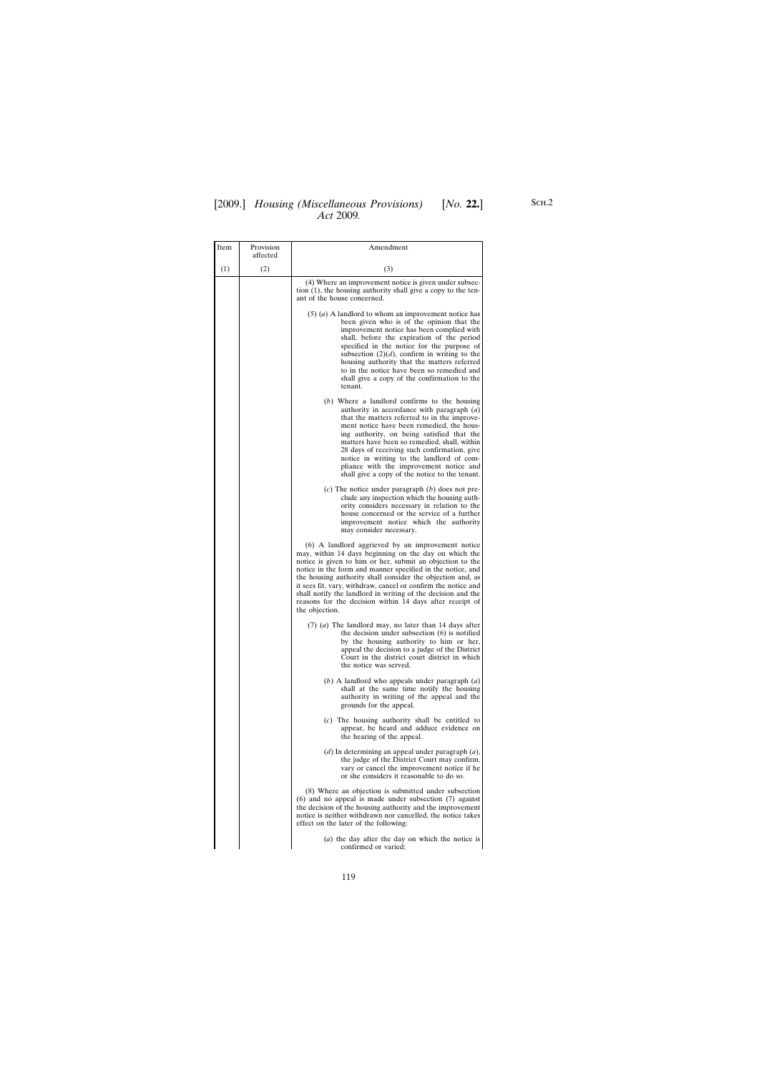## [2009.] [ *Housing (Miscellaneous Provisions) No.* **22.**] *Act* 2009*.*

| Item | Provision<br>affected | Amendment                                                                                                                                                                                                                                                                                                                                                                                                                                                                                                          |
|------|-----------------------|--------------------------------------------------------------------------------------------------------------------------------------------------------------------------------------------------------------------------------------------------------------------------------------------------------------------------------------------------------------------------------------------------------------------------------------------------------------------------------------------------------------------|
| (1)  | (2)                   | (3)                                                                                                                                                                                                                                                                                                                                                                                                                                                                                                                |
|      |                       | (4) Where an improvement notice is given under subsec-<br>tion $(1)$ , the housing authority shall give a copy to the ten-<br>ant of the house concerned.                                                                                                                                                                                                                                                                                                                                                          |
|      |                       | $(5)$ ( <i>a</i> ) A landlord to whom an improvement notice has<br>been given who is of the opinion that the<br>improvement notice has been complied with<br>shall, before the expiration of the period<br>specified in the notice for the purpose of<br>subsection $(2)(d)$ , confirm in writing to the<br>housing authority that the matters referred<br>to in the notice have been so remedied and<br>shall give a copy of the confirmation to the<br>tenant.                                                   |
|      |                       | $(b)$ Where a landlord confirms to the housing<br>authority in accordance with paragraph $(a)$<br>that the matters referred to in the improve-<br>ment notice have been remedied, the hous-<br>ing authority, on being satisfied that the<br>matters have been so remedied, shall, within<br>28 days of receiving such confirmation, give<br>notice in writing to the landlord of com-<br>pliance with the improvement notice and<br>shall give a copy of the notice to the tenant.                                |
|      |                       | (c) The notice under paragraph $(b)$ does not pre-<br>clude any inspection which the housing auth-<br>ority considers necessary in relation to the<br>house concerned or the service of a further<br>improvement notice which the authority<br>may consider necessary.                                                                                                                                                                                                                                             |
|      |                       | (6) A landlord aggrieved by an improvement notice<br>may, within 14 days beginning on the day on which the<br>notice is given to him or her, submit an objection to the<br>notice in the form and manner specified in the notice, and<br>the housing authority shall consider the objection and, as<br>it sees fit, vary, withdraw, cancel or confirm the notice and<br>shall notify the landlord in writing of the decision and the<br>reasons for the decision within 14 days after receipt of<br>the objection. |
|      |                       | $(7)$ (a) The landlord may, no later than 14 days after<br>the decision under subsection $(6)$ is notified<br>by the housing authority to him or her,<br>appeal the decision to a judge of the District<br>Court in the district court district in which<br>the notice was served.                                                                                                                                                                                                                                 |
|      |                       | $(b)$ A landlord who appeals under paragraph $(a)$<br>shall at the same time notify the housing<br>authority in writing of the appeal and the<br>grounds for the appeal.                                                                                                                                                                                                                                                                                                                                           |
|      |                       | $(c)$ The housing authority shall be entitled to<br>appear, be heard and adduce evidence on<br>the hearing of the appeal.                                                                                                                                                                                                                                                                                                                                                                                          |
|      |                       | $(d)$ In determining an appeal under paragraph $(a)$ ,<br>the judge of the District Court may confirm,<br>vary or cancel the improvement notice if he<br>or she considers it reasonable to do so.                                                                                                                                                                                                                                                                                                                  |
|      |                       | (8) Where an objection is submitted under subsection<br>$(6)$ and no appeal is made under subsection $(7)$ against<br>the decision of the housing authority and the improvement<br>notice is neither withdrawn nor cancelled, the notice takes<br>effect on the later of the following:                                                                                                                                                                                                                            |
|      |                       | (a) the day after the day on which the notice is<br>confirmed or varied;                                                                                                                                                                                                                                                                                                                                                                                                                                           |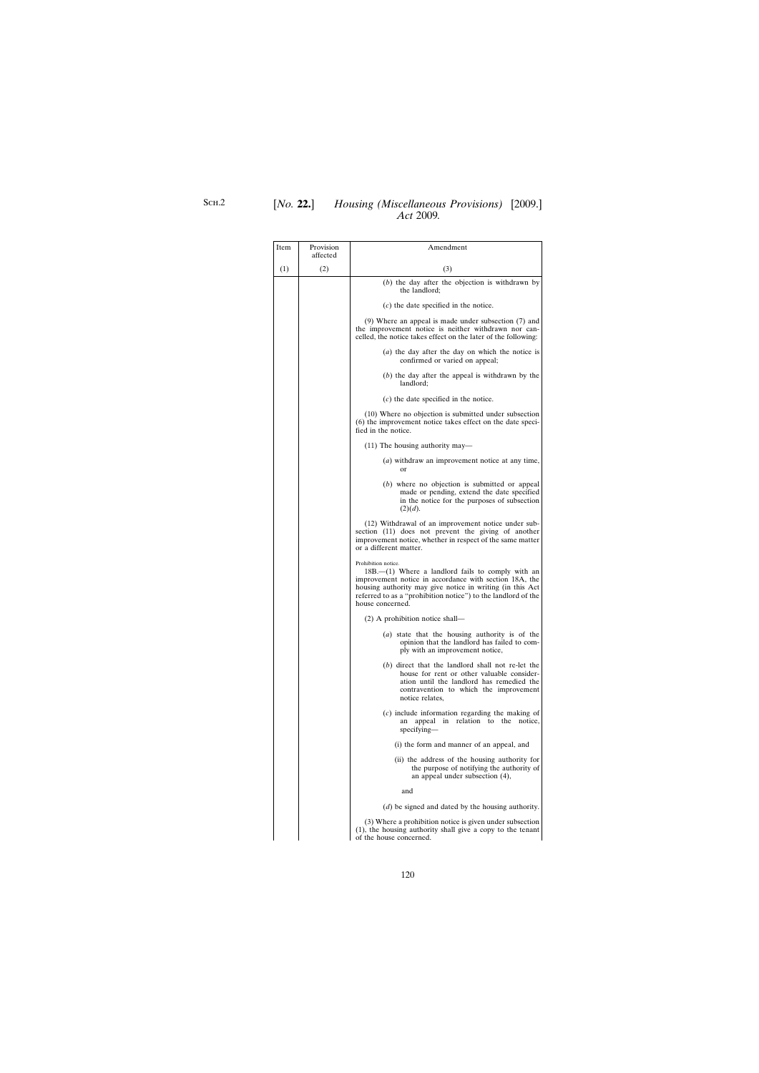| Item | Provision<br>affected | Amendment                                                                                                                                                                                                                                                                                 |
|------|-----------------------|-------------------------------------------------------------------------------------------------------------------------------------------------------------------------------------------------------------------------------------------------------------------------------------------|
| (1)  | (2)                   | (3)                                                                                                                                                                                                                                                                                       |
|      |                       | $(b)$ the day after the objection is withdrawn by<br>the landlord;                                                                                                                                                                                                                        |
|      |                       | $(c)$ the date specified in the notice.                                                                                                                                                                                                                                                   |
|      |                       | $(9)$ Where an appeal is made under subsection $(7)$ and<br>the improvement notice is neither withdrawn nor can-<br>celled, the notice takes effect on the later of the following:                                                                                                        |
|      |                       | $(a)$ the day after the day on which the notice is<br>confirmed or varied on appeal;                                                                                                                                                                                                      |
|      |                       | $(b)$ the day after the appeal is withdrawn by the<br>landlord;                                                                                                                                                                                                                           |
|      |                       | $(c)$ the date specified in the notice.                                                                                                                                                                                                                                                   |
|      |                       | (10) Where no objection is submitted under subsection<br>(6) the improvement notice takes effect on the date speci-<br>fied in the notice.                                                                                                                                                |
|      |                       | $(11)$ The housing authority may—                                                                                                                                                                                                                                                         |
|      |                       | ( <i>a</i> ) withdraw an improvement notice at any time,<br>or                                                                                                                                                                                                                            |
|      |                       | (b) where no objection is submitted or appeal<br>made or pending, extend the date specified<br>in the notice for the purposes of subsection<br>(2)(d).                                                                                                                                    |
|      |                       | (12) Withdrawal of an improvement notice under sub-<br>section (11) does not prevent the giving of another<br>improvement notice, whether in respect of the same matter<br>or a different matter.                                                                                         |
|      |                       | Prohibition notice.<br>$18B$ — $(1)$ Where a landlord fails to comply with an<br>improvement notice in accordance with section 18A, the<br>housing authority may give notice in writing (in this Act<br>referred to as a "prohibition notice") to the landlord of the<br>house concerned. |
|      |                       | $(2)$ A prohibition notice shall—                                                                                                                                                                                                                                                         |
|      |                       | ( <i>a</i> ) state that the housing authority is of the<br>opinion that the landlord has failed to com-<br>ply with an improvement notice,                                                                                                                                                |
|      |                       | (b) direct that the landlord shall not re-let the<br>house for rent or other valuable consider-<br>ation until the landlord has remedied the<br>contravention to which the improvement<br>notice relates,                                                                                 |
|      |                       | $(c)$ include information regarding the making of<br>relation to<br>appeal in<br>the<br>notice,<br>an<br>specifying—                                                                                                                                                                      |
|      |                       | (i) the form and manner of an appeal, and                                                                                                                                                                                                                                                 |
|      |                       | (ii) the address of the housing authority for<br>the purpose of notifying the authority of<br>an appeal under subsection (4),                                                                                                                                                             |
|      |                       | and                                                                                                                                                                                                                                                                                       |
|      |                       | ( <i>d</i> ) be signed and dated by the housing authority.                                                                                                                                                                                                                                |
|      |                       | (3) Where a prohibition notice is given under subsection<br>(1), the housing authority shall give a copy to the tenant<br>of the house concerned.                                                                                                                                         |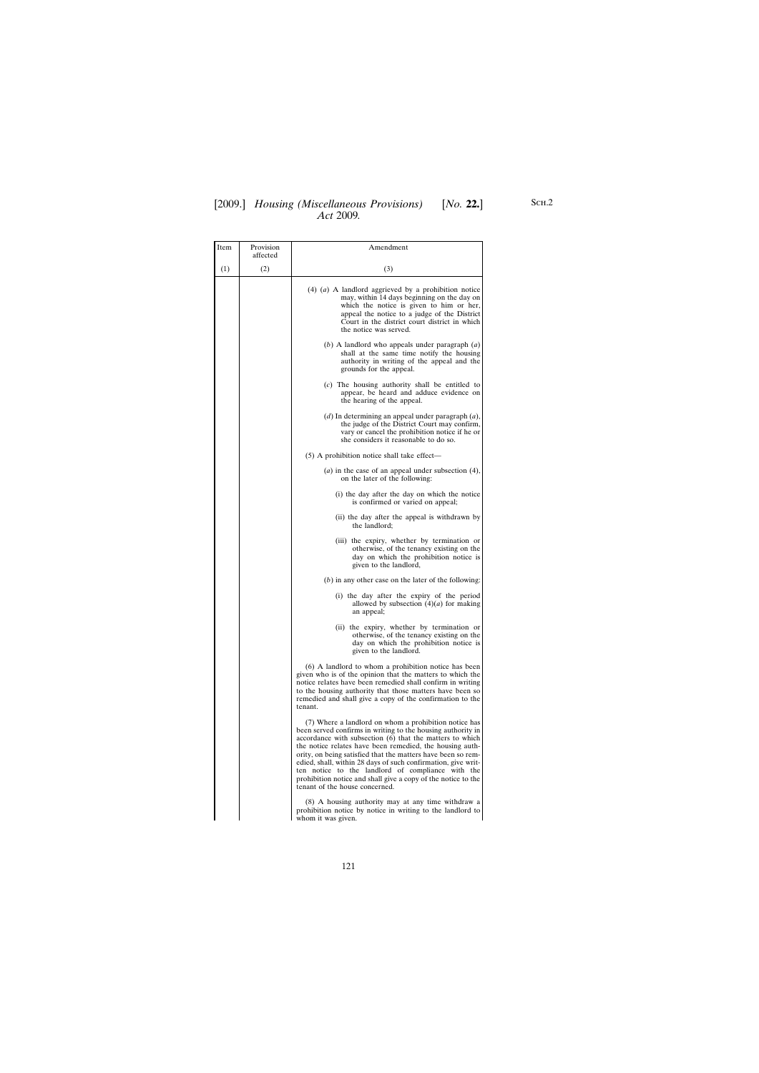## [2009.] [ *Housing (Miscellaneous Provisions) No.* **22.**] *Act* 2009*.*

| Item | Provision<br>affected | Amendment                                                                                                                                                                                                                                                                                                                                                                                                                                                                                                                             |
|------|-----------------------|---------------------------------------------------------------------------------------------------------------------------------------------------------------------------------------------------------------------------------------------------------------------------------------------------------------------------------------------------------------------------------------------------------------------------------------------------------------------------------------------------------------------------------------|
| (1)  | (2)                   | (3)                                                                                                                                                                                                                                                                                                                                                                                                                                                                                                                                   |
|      |                       | $(4)$ $(a)$ A landlord aggrieved by a prohibition notice<br>may, within 14 days beginning on the day on<br>which the notice is given to him or her,<br>appeal the notice to a judge of the District<br>Court in the district court district in which<br>the notice was served.                                                                                                                                                                                                                                                        |
|      |                       | $(b)$ A landlord who appeals under paragraph $(a)$<br>shall at the same time notify the housing<br>authority in writing of the appeal and the<br>grounds for the appeal.                                                                                                                                                                                                                                                                                                                                                              |
|      |                       | $(c)$ The housing authority shall be entitled to<br>appear, be heard and adduce evidence on<br>the hearing of the appeal.                                                                                                                                                                                                                                                                                                                                                                                                             |
|      |                       | $(d)$ In determining an appeal under paragraph $(a)$ ,<br>the judge of the District Court may confirm,<br>vary or cancel the prohibition notice if he or<br>she considers it reasonable to do so.                                                                                                                                                                                                                                                                                                                                     |
|      |                       | (5) A prohibition notice shall take effect—                                                                                                                                                                                                                                                                                                                                                                                                                                                                                           |
|      |                       | $(a)$ in the case of an appeal under subsection $(4)$ ,<br>on the later of the following:                                                                                                                                                                                                                                                                                                                                                                                                                                             |
|      |                       | (i) the day after the day on which the notice<br>is confirmed or varied on appeal;                                                                                                                                                                                                                                                                                                                                                                                                                                                    |
|      |                       | (ii) the day after the appeal is withdrawn by<br>the landlord;                                                                                                                                                                                                                                                                                                                                                                                                                                                                        |
|      |                       | (iii) the expiry, whether by termination or<br>otherwise, of the tenancy existing on the<br>day on which the prohibition notice is<br>given to the landlord,                                                                                                                                                                                                                                                                                                                                                                          |
|      |                       | $(b)$ in any other case on the later of the following:                                                                                                                                                                                                                                                                                                                                                                                                                                                                                |
|      |                       | (i) the day after the expiry of the period<br>allowed by subsection $(4)(a)$ for making<br>an appeal;                                                                                                                                                                                                                                                                                                                                                                                                                                 |
|      |                       | (ii) the expiry, whether by termination or<br>otherwise, of the tenancy existing on the<br>day on which the prohibition notice is<br>given to the landlord.                                                                                                                                                                                                                                                                                                                                                                           |
|      |                       | (6) A landlord to whom a prohibition notice has been<br>given who is of the opinion that the matters to which the<br>notice relates have been remedied shall confirm in writing<br>to the housing authority that those matters have been so<br>remedied and shall give a copy of the confirmation to the<br>tenant.                                                                                                                                                                                                                   |
|      |                       | (7) Where a landlord on whom a prohibition notice has<br>been served confirms in writing to the housing authority in<br>accordance with subsection (6) that the matters to which<br>the notice relates have been remedied, the housing auth-<br>ority, on being satisfied that the matters have been so rem-<br>edied, shall, within 28 days of such confirmation, give writ-<br>ten notice to the landlord of compliance with the<br>prohibition notice and shall give a copy of the notice to the<br>tenant of the house concerned. |
|      |                       | (8) A housing authority may at any time withdraw a<br>prohibition notice by notice in writing to the landlord to<br>whom it was given.                                                                                                                                                                                                                                                                                                                                                                                                |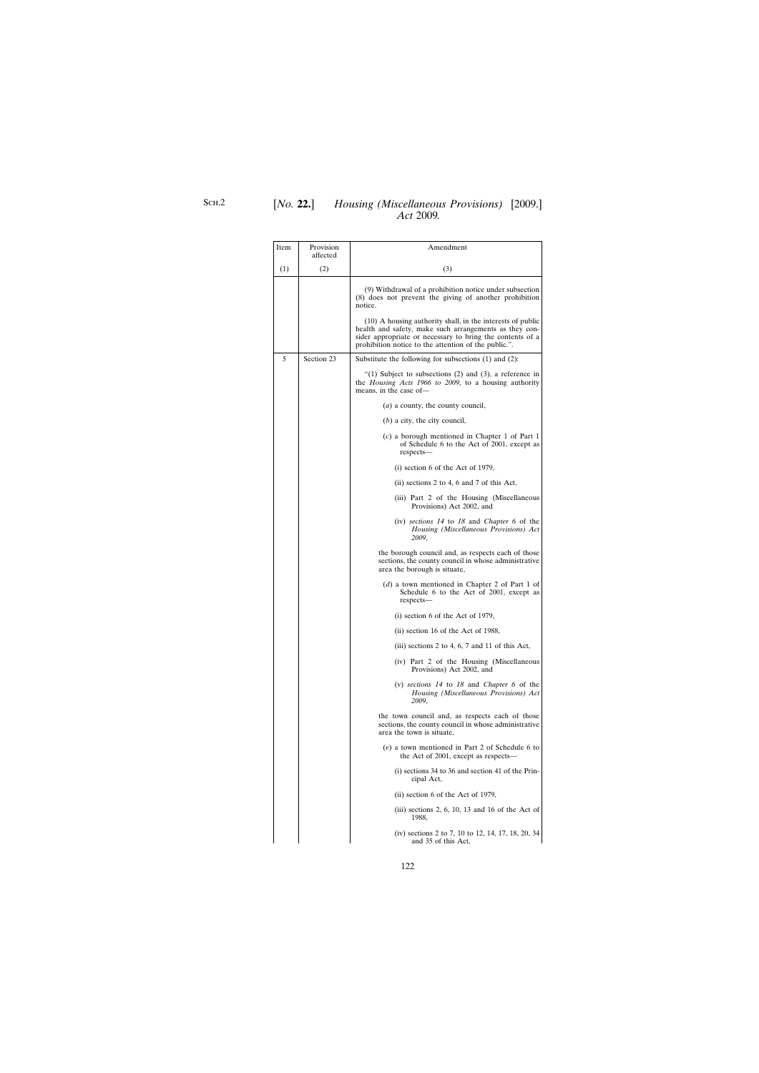| Item | Provision<br>affected | Amendment                                                                                                                                                                                                                                 |
|------|-----------------------|-------------------------------------------------------------------------------------------------------------------------------------------------------------------------------------------------------------------------------------------|
| (1)  | (2)                   | (3)                                                                                                                                                                                                                                       |
|      |                       | (9) Withdrawal of a prohibition notice under subsection<br>(8) does not prevent the giving of another prohibition<br>notice.                                                                                                              |
|      |                       | (10) A housing authority shall, in the interests of public<br>health and safety, make such arrangements as they con-<br>sider appropriate or necessary to bring the contents of a<br>prohibition notice to the attention of the public.". |
| 5    | Section 23            | Substitute the following for subsections $(1)$ and $(2)$ :                                                                                                                                                                                |
|      |                       | "(1) Subject to subsections (2) and (3), a reference in<br>the <i>Housing Acts 1966 to 2009</i> , to a housing authority<br>means, in the case of-                                                                                        |
|      |                       | $(a)$ a county, the county council,                                                                                                                                                                                                       |
|      |                       | $(b)$ a city, the city council,                                                                                                                                                                                                           |
|      |                       | $(c)$ a borough mentioned in Chapter 1 of Part 1<br>of Schedule 6 to the Act of 2001, except as<br>respects-                                                                                                                              |
|      |                       | $(i)$ section 6 of the Act of 1979,                                                                                                                                                                                                       |
|      |                       | (ii) sections 2 to 4, 6 and 7 of this Act,                                                                                                                                                                                                |
|      |                       | (iii) Part 2 of the Housing (Miscellaneous<br>Provisions) Act 2002, and                                                                                                                                                                   |
|      |                       | (iv) sections $14$ to $18$ and <i>Chapter</i> 6 of the<br>Housing (Miscellaneous Provisions) Act<br>2009,                                                                                                                                 |
|      |                       | the borough council and, as respects each of those<br>sections, the county council in whose administrative<br>area the borough is situate,                                                                                                |
|      |                       | ( <i>d</i> ) a town mentioned in Chapter 2 of Part 1 of<br>Schedule 6 to the Act of 2001, except as<br>respects-                                                                                                                          |
|      |                       | $(i)$ section 6 of the Act of 1979,                                                                                                                                                                                                       |
|      |                       | (ii) section 16 of the Act of 1988,                                                                                                                                                                                                       |
|      |                       | (iii) sections 2 to 4, 6, 7 and 11 of this Act,                                                                                                                                                                                           |
|      |                       | (iv) Part 2 of the Housing (Miscellaneous<br>Provisions) Act 2002, and                                                                                                                                                                    |
|      |                       | (v) sections 14 to 18 and Chapter 6 of the<br>Housing (Miscellaneous Provisions) Act<br>2009,                                                                                                                                             |
|      |                       | the town council and, as respects each of those<br>sections, the county council in whose administrative<br>area the town is situate,                                                                                                      |
|      |                       | $(e)$ a town mentioned in Part 2 of Schedule 6 to<br>the Act of 2001, except as respects—                                                                                                                                                 |
|      |                       | $(i)$ sections 34 to 36 and section 41 of the Prin-<br>cipal Act,                                                                                                                                                                         |
|      |                       | $(ii)$ section 6 of the Act of 1979,                                                                                                                                                                                                      |
|      |                       | (iii) sections 2, 6, 10, 13 and 16 of the Act of<br>1988,                                                                                                                                                                                 |
|      |                       | (iv) sections 2 to 7, 10 to 12, 14, 17, 18, 20, 34<br>and 35 of this Act,                                                                                                                                                                 |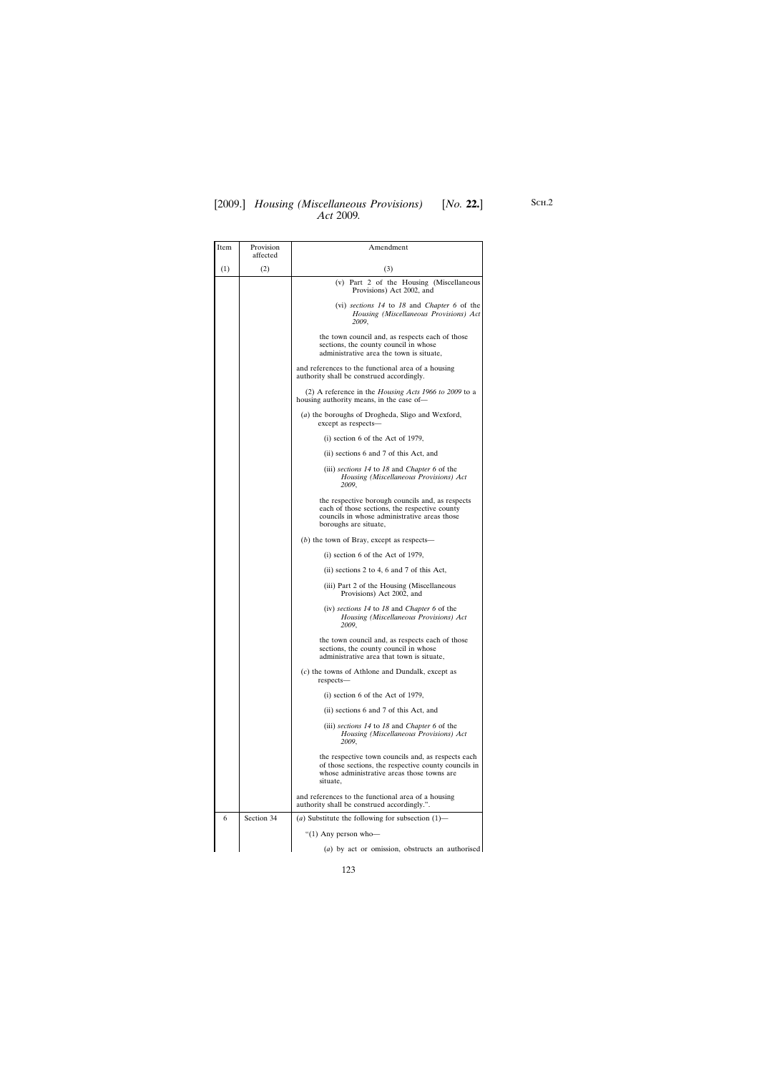| Item | Provision<br>affected | Amendment                                                                                                                                                                  |
|------|-----------------------|----------------------------------------------------------------------------------------------------------------------------------------------------------------------------|
| (1)  | (2)                   | (3)                                                                                                                                                                        |
|      |                       | (v) Part 2 of the Housing (Miscellaneous<br>Provisions) Act 2002, and                                                                                                      |
|      |                       | (vi) sections $14$ to $18$ and <i>Chapter</i> 6 of the<br>Housing (Miscellaneous Provisions) Act<br>2009,                                                                  |
|      |                       | the town council and, as respects each of those<br>sections, the county council in whose<br>administrative area the town is situate,                                       |
|      |                       | and references to the functional area of a housing<br>authority shall be construed accordingly.                                                                            |
|      |                       | (2) A reference in the <i>Housing Acts</i> 1966 to 2009 to a<br>housing authority means, in the case of-                                                                   |
|      |                       | (a) the boroughs of Drogheda, Sligo and Wexford,<br>except as respects-                                                                                                    |
|      |                       | $(i)$ section 6 of the Act of 1979,                                                                                                                                        |
|      |                       | (ii) sections 6 and 7 of this Act, and                                                                                                                                     |
|      |                       | (iii) sections $14$ to $18$ and <i>Chapter</i> 6 of the<br>Housing (Miscellaneous Provisions) Act<br>2009,                                                                 |
|      |                       | the respective borough councils and, as respects<br>each of those sections, the respective county<br>councils in whose administrative areas those<br>boroughs are situate, |
|      |                       | $(b)$ the town of Bray, except as respects—                                                                                                                                |
|      |                       | $(i)$ section 6 of the Act of 1979,                                                                                                                                        |
|      |                       | (ii) sections 2 to 4, 6 and 7 of this Act,                                                                                                                                 |
|      |                       | (iii) Part 2 of the Housing (Miscellaneous<br>Provisions) Act 2002, and                                                                                                    |
|      |                       | (iv) sections $14$ to $18$ and <i>Chapter</i> 6 of the<br>Housing (Miscellaneous Provisions) Act<br>2009,                                                                  |
|      |                       | the town council and, as respects each of those<br>sections, the county council in whose<br>administrative area that town is situate,                                      |
|      |                       | $(c)$ the towns of Athlone and Dundalk, except as<br>respects-                                                                                                             |
|      |                       | $(i)$ section 6 of the Act of 1979,                                                                                                                                        |
|      |                       | (ii) sections 6 and 7 of this Act, and                                                                                                                                     |
|      |                       | (iii) sections 14 to 18 and <i>Chapter</i> 6 of the<br>Housing (Miscellaneous Provisions) Act<br>2009,                                                                     |
|      |                       | the respective town councils and, as respects each<br>of those sections, the respective county councils in<br>whose administrative areas those towns are<br>situate,       |
|      |                       | and references to the functional area of a housing<br>authority shall be construed accordingly.".                                                                          |
| 6    | Section 34            | (a) Substitute the following for subsection $(1)$ —                                                                                                                        |
|      |                       | "(1) Any person who-                                                                                                                                                       |
|      |                       | (a) by act or omission, obstructs an authorised                                                                                                                            |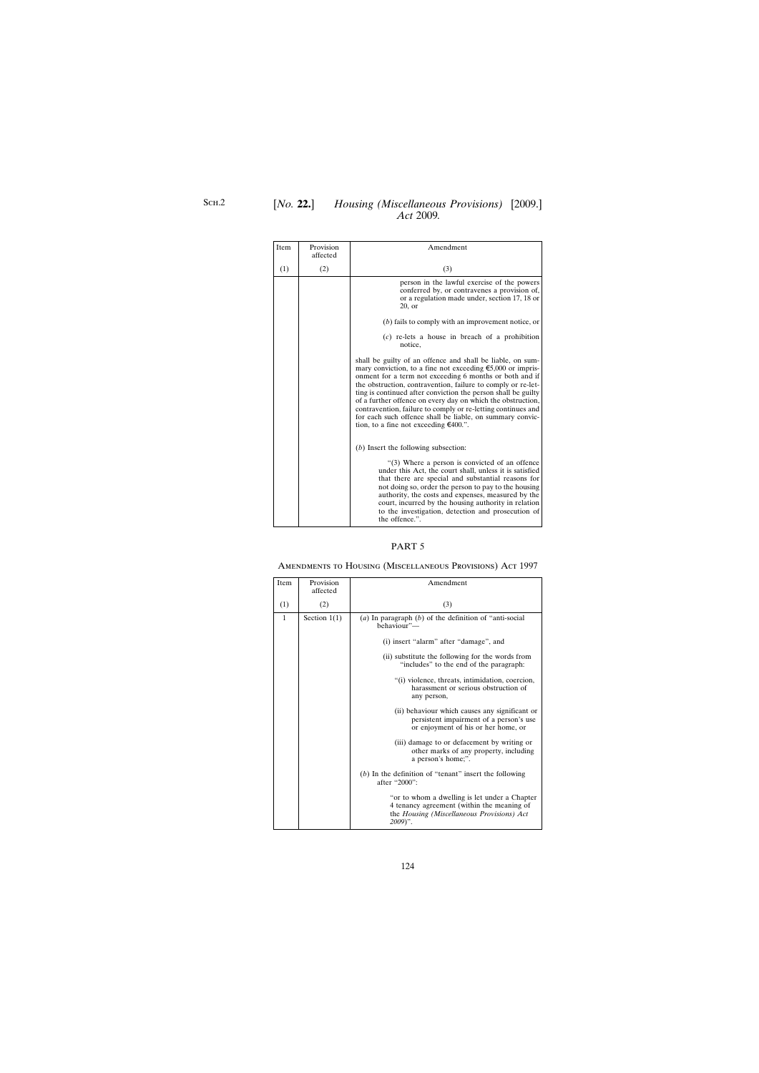| Item | Provision<br>affected | Amendment                                                                                                                                                                                                                                                                                                                                                                                                                                                                                                                                                              |
|------|-----------------------|------------------------------------------------------------------------------------------------------------------------------------------------------------------------------------------------------------------------------------------------------------------------------------------------------------------------------------------------------------------------------------------------------------------------------------------------------------------------------------------------------------------------------------------------------------------------|
| (1)  | (2)                   | (3)                                                                                                                                                                                                                                                                                                                                                                                                                                                                                                                                                                    |
|      |                       | person in the lawful exercise of the powers<br>conferred by, or contravenes a provision of,<br>or a regulation made under, section 17, 18 or<br>$20$ , or                                                                                                                                                                                                                                                                                                                                                                                                              |
|      |                       | $(b)$ fails to comply with an improvement notice, or                                                                                                                                                                                                                                                                                                                                                                                                                                                                                                                   |
|      |                       | $(c)$ re-lets a house in breach of a prohibition<br>notice,                                                                                                                                                                                                                                                                                                                                                                                                                                                                                                            |
|      |                       | shall be guilty of an offence and shall be liable, on sum-<br>mary conviction, to a fine not exceeding $\epsilon$ 5,000 or impris-<br>onment for a term not exceeding 6 months or both and if<br>the obstruction, contravention, failure to comply or re-let-<br>ting is continued after conviction the person shall be guilty<br>of a further offence on every day on which the obstruction,<br>contravention, failure to comply or re-letting continues and<br>for each such offence shall be liable, on summary convic-<br>tion, to a fine not exceeding $€400$ .". |
|      |                       | $(b)$ Insert the following subsection:                                                                                                                                                                                                                                                                                                                                                                                                                                                                                                                                 |
|      |                       | $(3)$ Where a person is convicted of an offence<br>under this Act, the court shall, unless it is satisfied<br>that there are special and substantial reasons for<br>not doing so, order the person to pay to the housing<br>authority, the costs and expenses, measured by the<br>court, incurred by the housing authority in relation<br>to the investigation, detection and prosecution of<br>the offence.".                                                                                                                                                         |

# Amendments to Housing (Miscellaneous Provisions) Act 1997

| Item         | Provision<br>affected | Amendment                                                                                                                                              |
|--------------|-----------------------|--------------------------------------------------------------------------------------------------------------------------------------------------------|
| (1)          | (2)                   | (3)                                                                                                                                                    |
| $\mathbf{1}$ | Section $1(1)$        | (a) In paragraph $(b)$ of the definition of "anti-social<br>behaviour"-                                                                                |
|              |                       | (i) insert "alarm" after "damage", and                                                                                                                 |
|              |                       | (ii) substitute the following for the words from<br>"includes" to the end of the paragraph:                                                            |
|              |                       | "(i) violence, threats, intimidation, coercion,<br>harassment or serious obstruction of<br>any person,                                                 |
|              |                       | (ii) behaviour which causes any significant or<br>persistent impairment of a person's use<br>or enjoyment of his or her home, or                       |
|              |                       | (iii) damage to or defacement by writing or<br>other marks of any property, including<br>a person's home;".                                            |
|              |                       | $(b)$ In the definition of "tenant" insert the following<br>after "2000":                                                                              |
|              |                       | "or to whom a dwelling is let under a Chapter<br>4 tenancy agreement (within the meaning of<br>the Housing (Miscellaneous Provisions) Act<br>$2009$ ". |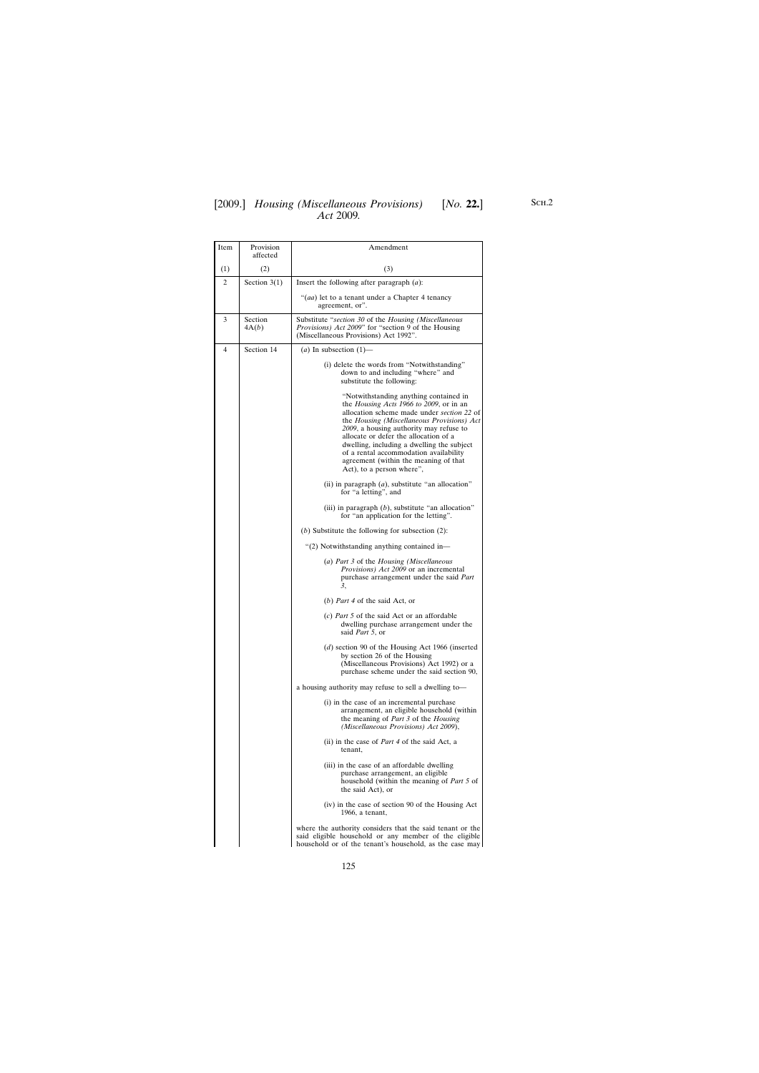| Item           | Provision<br>affected | Amendment                                                                                                                                                                                                                                                                                                                                                                                                                               |
|----------------|-----------------------|-----------------------------------------------------------------------------------------------------------------------------------------------------------------------------------------------------------------------------------------------------------------------------------------------------------------------------------------------------------------------------------------------------------------------------------------|
| (1)            | (2)                   | (3)                                                                                                                                                                                                                                                                                                                                                                                                                                     |
| 2              | Section $3(1)$        | Insert the following after paragraph $(a)$ :                                                                                                                                                                                                                                                                                                                                                                                            |
|                |                       | "(aa) let to a tenant under a Chapter 4 tenancy<br>agreement, or".                                                                                                                                                                                                                                                                                                                                                                      |
| 3              | Section<br>4A(b)      | Substitute "section 30 of the Housing (Miscellaneous<br>Provisions) Act 2009" for "section 9 of the Housing<br>(Miscellaneous Provisions) Act 1992".                                                                                                                                                                                                                                                                                    |
| $\overline{4}$ | Section 14            | (a) In subsection $(1)$ —                                                                                                                                                                                                                                                                                                                                                                                                               |
|                |                       | (i) delete the words from "Notwithstanding"<br>down to and including "where" and<br>substitute the following:                                                                                                                                                                                                                                                                                                                           |
|                |                       | "Notwithstanding anything contained in<br>the <i>Housing Acts 1966 to 2009</i> , or in an<br>allocation scheme made under section 22 of<br>the Housing (Miscellaneous Provisions) Act<br>2009, a housing authority may refuse to<br>allocate or defer the allocation of a<br>dwelling, including a dwelling the subject<br>of a rental accommodation availability<br>agreement (within the meaning of that<br>Act), to a person where", |
|                |                       | (ii) in paragraph $(a)$ , substitute "an allocation"<br>for "a letting", and                                                                                                                                                                                                                                                                                                                                                            |
|                |                       | (iii) in paragraph $(b)$ , substitute "an allocation"<br>for "an application for the letting".                                                                                                                                                                                                                                                                                                                                          |
|                |                       | (b) Substitute the following for subsection $(2)$ :                                                                                                                                                                                                                                                                                                                                                                                     |
|                |                       | "(2) Notwithstanding anything contained in-                                                                                                                                                                                                                                                                                                                                                                                             |
|                |                       | (a) Part 3 of the Housing (Miscellaneous<br><i>Provisions</i> ) <i>Act 2009</i> or an incremental<br>purchase arrangement under the said Part<br>3.                                                                                                                                                                                                                                                                                     |
|                |                       | (b) Part 4 of the said Act, or                                                                                                                                                                                                                                                                                                                                                                                                          |
|                |                       | $(c)$ <i>Part</i> 5 of the said Act or an affordable<br>dwelling purchase arrangement under the<br>said <i>Part</i> 5, or                                                                                                                                                                                                                                                                                                               |
|                |                       | $(d)$ section 90 of the Housing Act 1966 (inserted<br>by section 26 of the Housing<br>(Miscellaneous Provisions) Act 1992) or a<br>purchase scheme under the said section 90,                                                                                                                                                                                                                                                           |
|                |                       | a housing authority may refuse to sell a dwelling to-                                                                                                                                                                                                                                                                                                                                                                                   |
|                |                       | (i) in the case of an incremental purchase<br>arrangement, an eligible household (within<br>the meaning of <i>Part 3</i> of the <i>Housing</i><br>(Miscellaneous Provisions) Act 2009),                                                                                                                                                                                                                                                 |
|                |                       | (ii) in the case of <i>Part 4</i> of the said Act, a<br>tenant,                                                                                                                                                                                                                                                                                                                                                                         |
|                |                       | (iii) in the case of an affordable dwelling<br>purchase arrangement, an eligible<br>household (within the meaning of <i>Part 5</i> of<br>the said Act), or                                                                                                                                                                                                                                                                              |
|                |                       | (iv) in the case of section 90 of the Housing Act<br>1966, a tenant,                                                                                                                                                                                                                                                                                                                                                                    |
|                |                       | where the authority considers that the said tenant or the<br>said eligible household or any member of the eligible<br>household or of the tenant's household, as the case may                                                                                                                                                                                                                                                           |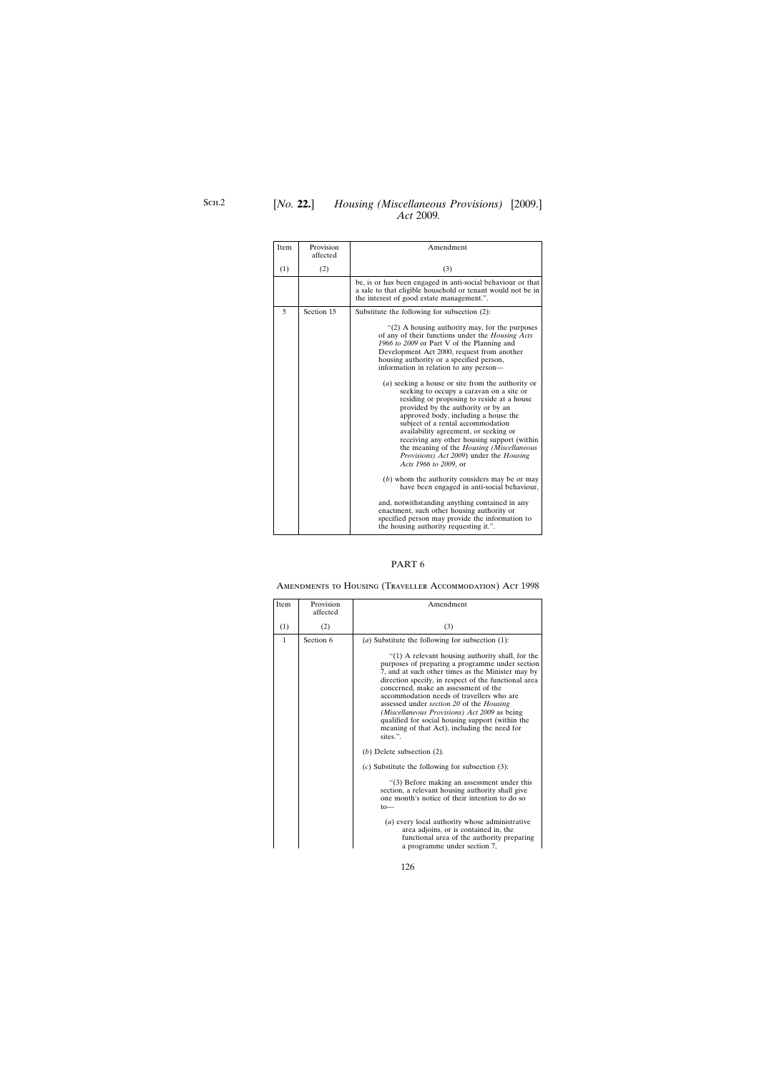## [*No.* **22.**] *Housing (Miscellaneous Provisions)* [2009.] *Act* 2009*.*

| Item | Provision<br>affected | Amendment                                                                                                                                                                                                                                                                                                                                                                                                                                                                                                                                                                                                                                                                                                                                                            |
|------|-----------------------|----------------------------------------------------------------------------------------------------------------------------------------------------------------------------------------------------------------------------------------------------------------------------------------------------------------------------------------------------------------------------------------------------------------------------------------------------------------------------------------------------------------------------------------------------------------------------------------------------------------------------------------------------------------------------------------------------------------------------------------------------------------------|
| (1)  | (2)                   | (3)                                                                                                                                                                                                                                                                                                                                                                                                                                                                                                                                                                                                                                                                                                                                                                  |
|      |                       | be, is or has been engaged in anti-social behaviour or that<br>a sale to that eligible household or tenant would not be in<br>the interest of good estate management.".                                                                                                                                                                                                                                                                                                                                                                                                                                                                                                                                                                                              |
| 5    | Section 15            | Substitute the following for subsection $(2)$ :                                                                                                                                                                                                                                                                                                                                                                                                                                                                                                                                                                                                                                                                                                                      |
|      |                       | " $(2)$ A housing authority may, for the purposes<br>of any of their functions under the Housing Acts<br>1966 to 2009 or Part V of the Planning and<br>Development Act 2000, request from another<br>housing authority or a specified person,<br>information in relation to any person-<br>$(a)$ seeking a house or site from the authority or<br>seeking to occupy a caravan on a site or<br>residing or proposing to reside at a house<br>provided by the authority or by an<br>approved body, including a house the<br>subject of a rental accommodation<br>availability agreement, or seeking or<br>receiving any other housing support (within<br>the meaning of the Housing (Miscellaneous<br>Provisions) Act 2009) under the Housing<br>Acts 1966 to 2009, or |
|      |                       | $(b)$ whom the authority considers may be or may<br>have been engaged in anti-social behaviour,                                                                                                                                                                                                                                                                                                                                                                                                                                                                                                                                                                                                                                                                      |
|      |                       | and, notwithstanding anything contained in any<br>enactment, such other housing authority or<br>specified person may provide the information to<br>the housing authority requesting it.".                                                                                                                                                                                                                                                                                                                                                                                                                                                                                                                                                                            |

### PART 6

# Amendments to Housing (Traveller Accommodation) Act 1998

| Item         | Provision<br>affected | Amendment                                                                                                                                                                                                                                                                                                                                                                                                                                                                                                                          |
|--------------|-----------------------|------------------------------------------------------------------------------------------------------------------------------------------------------------------------------------------------------------------------------------------------------------------------------------------------------------------------------------------------------------------------------------------------------------------------------------------------------------------------------------------------------------------------------------|
| (1)          | (2)                   | (3)                                                                                                                                                                                                                                                                                                                                                                                                                                                                                                                                |
| $\mathbf{1}$ | Section 6             | (a) Substitute the following for subsection $(1)$ :                                                                                                                                                                                                                                                                                                                                                                                                                                                                                |
|              |                       | " $(1)$ A relevant housing authority shall, for the<br>purposes of preparing a programme under section<br>7, and at such other times as the Minister may by<br>direction specify, in respect of the functional area<br>concerned, make an assessment of the<br>accommodation needs of travellers who are<br>assessed under <i>section 20</i> of the <i>Housing</i><br>(Miscellaneous Provisions) Act 2009 as being<br>qualified for social housing support (within the<br>meaning of that Act), including the need for<br>sites.". |
|              |                       | $(b)$ Delete subsection $(2)$ .                                                                                                                                                                                                                                                                                                                                                                                                                                                                                                    |
|              |                       | $(c)$ Substitute the following for subsection (3):                                                                                                                                                                                                                                                                                                                                                                                                                                                                                 |
|              |                       | "(3) Before making an assessment under this<br>section, a relevant housing authority shall give<br>one month's notice of their intention to do so<br>$to-$                                                                                                                                                                                                                                                                                                                                                                         |
|              |                       | $(a)$ every local authority whose administrative<br>area adjoins, or is contained in, the<br>functional area of the authority preparing<br>a programme under section 7,                                                                                                                                                                                                                                                                                                                                                            |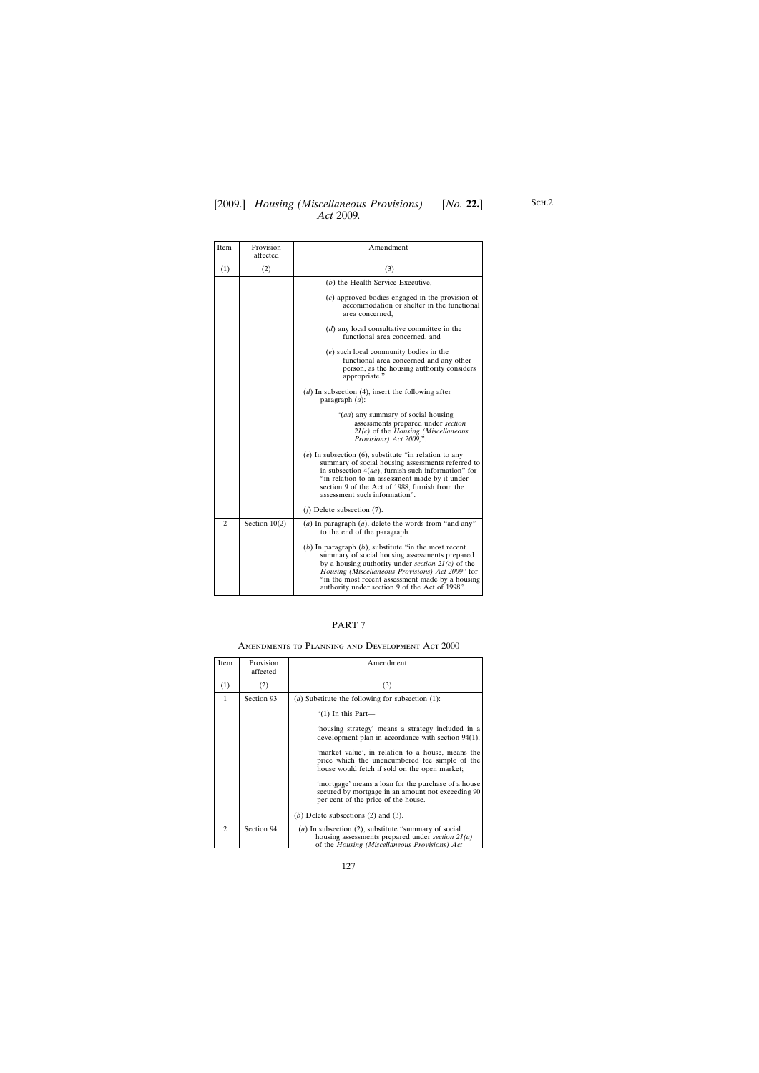## [2009.] [ *Housing (Miscellaneous Provisions) No.* **22.**] *Act* 2009*.*

| Item           | Provision<br>affected | Amendment                                                                                                                                                                                                                                                                                                                  |
|----------------|-----------------------|----------------------------------------------------------------------------------------------------------------------------------------------------------------------------------------------------------------------------------------------------------------------------------------------------------------------------|
| (1)            | (2)                   | (3)                                                                                                                                                                                                                                                                                                                        |
|                |                       | (b) the Health Service Executive,                                                                                                                                                                                                                                                                                          |
|                |                       | $(c)$ approved bodies engaged in the provision of<br>accommodation or shelter in the functional<br>area concerned,                                                                                                                                                                                                         |
|                |                       | $(d)$ any local consultative committee in the<br>functional area concerned, and                                                                                                                                                                                                                                            |
|                |                       | $(e)$ such local community bodies in the<br>functional area concerned and any other<br>person, as the housing authority considers<br>appropriate.".                                                                                                                                                                        |
|                |                       | $(d)$ In subsection (4), insert the following after<br>paragraph $(a)$ :                                                                                                                                                                                                                                                   |
|                |                       | "( <i>aa</i> ) any summary of social housing<br>assessments prepared under section<br>$21(c)$ of the Housing (Miscellaneous<br>Provisions) Act 2009,".                                                                                                                                                                     |
|                |                       | $(e)$ In subsection $(6)$ , substitute "in relation to any<br>summary of social housing assessments referred to<br>in subsection $4(aa)$ , furnish such information" for<br>"in relation to an assessment made by it under<br>section 9 of the Act of 1988, furnish from the<br>assessment such information".              |
|                |                       | $(f)$ Delete subsection $(7)$ .                                                                                                                                                                                                                                                                                            |
| $\overline{2}$ | Section $10(2)$       | (a) In paragraph $(a)$ , delete the words from "and any"<br>to the end of the paragraph.                                                                                                                                                                                                                                   |
|                |                       | (b) In paragraph $(b)$ , substitute "in the most recent<br>summary of social housing assessments prepared<br>by a housing authority under section $2I(c)$ of the<br>Housing (Miscellaneous Provisions) Act 2009" for<br>"in the most recent assessment made by a housing<br>authority under section 9 of the Act of 1998". |

## PART 7

### Amendments to Planning and Development Act 2000

| Item           | Provision<br>affected | Amendment                                                                                                                                                   |
|----------------|-----------------------|-------------------------------------------------------------------------------------------------------------------------------------------------------------|
| (1)            | (2)                   | (3)                                                                                                                                                         |
| 1              | Section 93            | ( <i>a</i> ) Substitute the following for subsection $(1)$ :                                                                                                |
|                |                       | " $(1)$ In this Part—                                                                                                                                       |
|                |                       | 'housing strategy' means a strategy included in a<br>development plan in accordance with section $94(1)$ ;                                                  |
|                |                       | 'market value', in relation to a house, means the<br>price which the unencumbered fee simple of the<br>house would fetch if sold on the open market;        |
|                |                       | 'mortgage' means a loan for the purchase of a house<br>secured by mortgage in an amount not exceeding 90<br>per cent of the price of the house.             |
|                |                       | (b) Delete subsections $(2)$ and $(3)$ .                                                                                                                    |
| $\mathfrak{D}$ | Section 94            | (a) In subsection (2), substitute "summary of social<br>housing assessments prepared under section $2I(a)$<br>of the Housing (Miscellaneous Provisions) Act |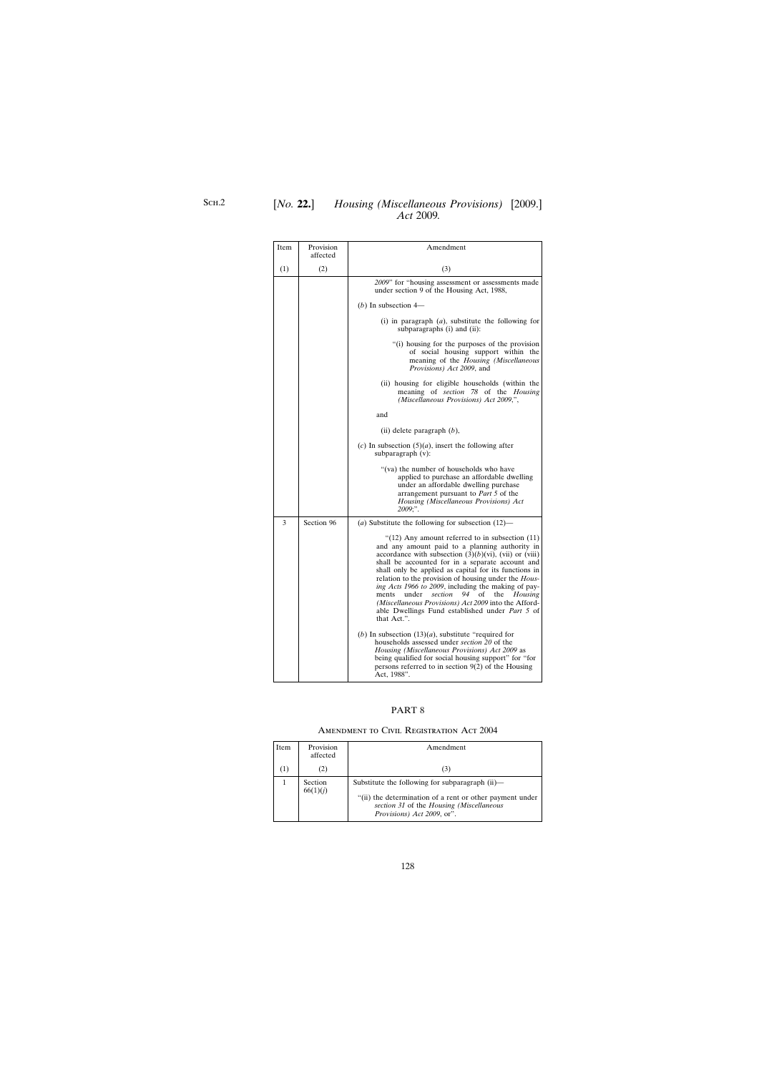## [*No.* **22.**] *Housing (Miscellaneous Provisions)* [2009.] *Act* 2009*.*

| Item | Provision<br>affected | Amendment                                                                                                                                                                                                                                                                                                                                                                                                                                                                                                                                                                                |
|------|-----------------------|------------------------------------------------------------------------------------------------------------------------------------------------------------------------------------------------------------------------------------------------------------------------------------------------------------------------------------------------------------------------------------------------------------------------------------------------------------------------------------------------------------------------------------------------------------------------------------------|
| (1)  | (2)                   | (3)                                                                                                                                                                                                                                                                                                                                                                                                                                                                                                                                                                                      |
|      |                       | 2009" for "housing assessment or assessments made<br>under section 9 of the Housing Act, 1988,                                                                                                                                                                                                                                                                                                                                                                                                                                                                                           |
|      |                       | (b) In subsection $4-$                                                                                                                                                                                                                                                                                                                                                                                                                                                                                                                                                                   |
|      |                       | (i) in paragraph $(a)$ , substitute the following for<br>subparagraphs (i) and (ii):                                                                                                                                                                                                                                                                                                                                                                                                                                                                                                     |
|      |                       | "(i) housing for the purposes of the provision<br>of social housing support within the<br>meaning of the Housing (Miscellaneous<br>Provisions) Act 2009, and                                                                                                                                                                                                                                                                                                                                                                                                                             |
|      |                       | (ii) housing for eligible households (within the<br>meaning of section 78 of the Housing<br>(Miscellaneous Provisions) Act 2009,",                                                                                                                                                                                                                                                                                                                                                                                                                                                       |
|      |                       | and                                                                                                                                                                                                                                                                                                                                                                                                                                                                                                                                                                                      |
|      |                       | (ii) delete paragraph $(b)$ ,                                                                                                                                                                                                                                                                                                                                                                                                                                                                                                                                                            |
|      |                       | (c) In subsection $(5)(a)$ , insert the following after<br>subparagraph $(v)$ :                                                                                                                                                                                                                                                                                                                                                                                                                                                                                                          |
|      |                       | "(va) the number of households who have<br>applied to purchase an affordable dwelling<br>under an affordable dwelling purchase<br>arrangement pursuant to Part 5 of the<br>Housing (Miscellaneous Provisions) Act<br>2009;".                                                                                                                                                                                                                                                                                                                                                             |
| 3    | Section 96            | (a) Substitute the following for subsection $(12)$ —                                                                                                                                                                                                                                                                                                                                                                                                                                                                                                                                     |
|      |                       | "(12) Any amount referred to in subsection $(11)$<br>and any amount paid to a planning authority in<br>accordance with subsection $(3)(b)(vi)$ , (vii) or (viii)<br>shall be accounted for in a separate account and<br>shall only be applied as capital for its functions in<br>relation to the provision of housing under the Hous-<br>ing Acts 1966 to 2009, including the making of pay-<br>under<br>94<br>ments<br>section<br>of<br>the<br><b>Housing</b><br>(Miscellaneous Provisions) Act 2009 into the Afford-<br>able Dwellings Fund established under Part 5 of<br>that Act.". |
|      |                       | (b) In subsection $(13)(a)$ , substitute "required for<br>households assessed under section 20 of the<br>Housing (Miscellaneous Provisions) Act 2009 as<br>being qualified for social housing support" for "for<br>persons referred to in section $9(2)$ of the Housing<br>Act, 1988".                                                                                                                                                                                                                                                                                                   |

## PART 8

## Amendment to Civil Registration Act 2004

| Item | Provision<br>affected | Amendment                                                                                                                                                                                                |
|------|-----------------------|----------------------------------------------------------------------------------------------------------------------------------------------------------------------------------------------------------|
|      | (2)                   | (3)                                                                                                                                                                                                      |
|      | Section<br>66(1)(j)   | Substitute the following for subparagraph $(ii)$ —<br>"(ii) the determination of a rent or other payment under<br>section 31 of the Housing (Miscellaneous<br><i>Provisions</i> ) <i>Act 2009</i> , or". |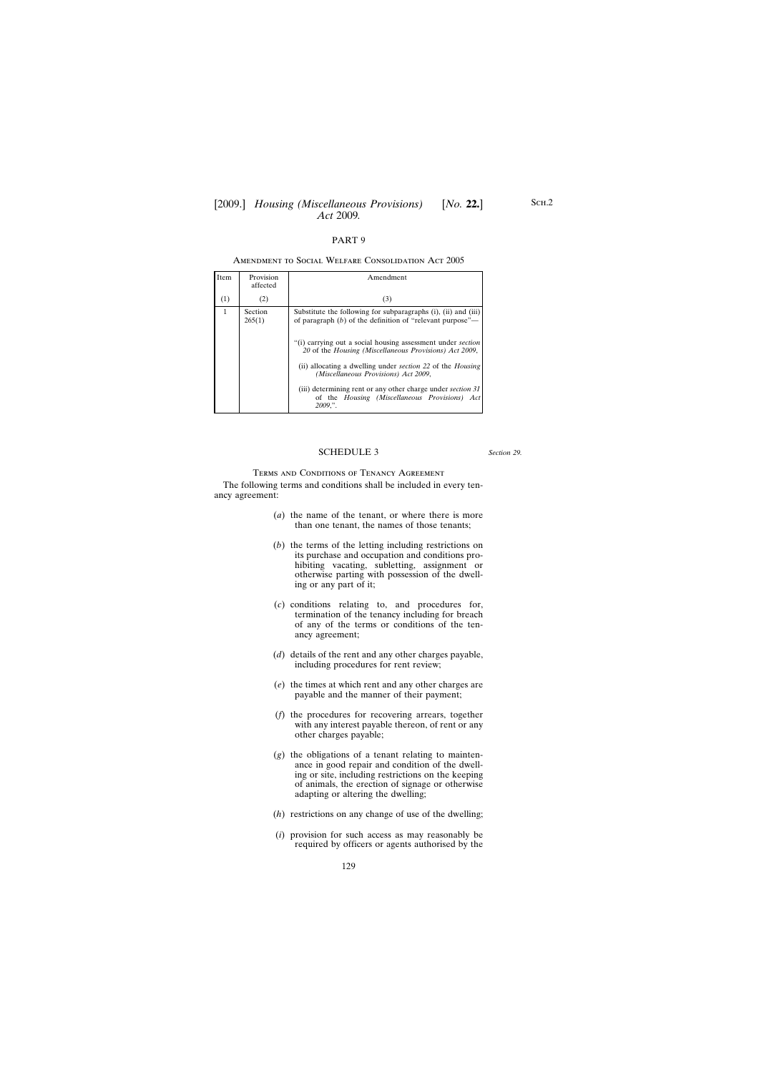#### Amendment to Social Welfare Consolidation Act 2005

| <b>Item</b>  | Provision<br>affected | Amendment                                                                                                                             |
|--------------|-----------------------|---------------------------------------------------------------------------------------------------------------------------------------|
| (1)          | (2)                   | (3)                                                                                                                                   |
| $\mathbf{1}$ | Section<br>265(1)     | Substitute the following for subparagraphs $(i)$ , $(ii)$ and $(iii)$<br>of paragraph $(b)$ of the definition of "relevant purpose"—  |
|              |                       | "(i) carrying out a social housing assessment under <i>section</i><br>20 of the Housing (Miscellaneous Provisions) Act 2009,          |
|              |                       | (ii) allocating a dwelling under <i>section</i> 22 of the <i>Housing</i><br>(Miscellaneous Provisions) Act 2009,                      |
|              |                       | (iii) determining rent or any other charge under <i>section</i> 31<br>of the Housing (Miscellaneous Provisions) Act<br><i>2009.</i> " |

#### SCHEDULE 3

*Section 29.*

## Terms and Conditions of Tenancy Agreement

The following terms and conditions shall be included in every tenancy agreement:

- (*a*) the name of the tenant, or where there is more than one tenant, the names of those tenants;
- (*b*) the terms of the letting including restrictions on its purchase and occupation and conditions prohibiting vacating, subletting, assignment or otherwise parting with possession of the dwelling or any part of it;
- (*c*) conditions relating to, and procedures for, termination of the tenancy including for breach of any of the terms or conditions of the tenancy agreement;
- (*d*) details of the rent and any other charges payable, including procedures for rent review;
- (*e*) the times at which rent and any other charges are payable and the manner of their payment;
- (*f*) the procedures for recovering arrears, together with any interest payable thereon, of rent or any other charges payable;
- (*g*) the obligations of a tenant relating to maintenance in good repair and condition of the dwelling or site, including restrictions on the keeping of animals, the erection of signage or otherwise adapting or altering the dwelling;
- (*h*) restrictions on any change of use of the dwelling;
- (*i*) provision for such access as may reasonably be required by officers or agents authorised by the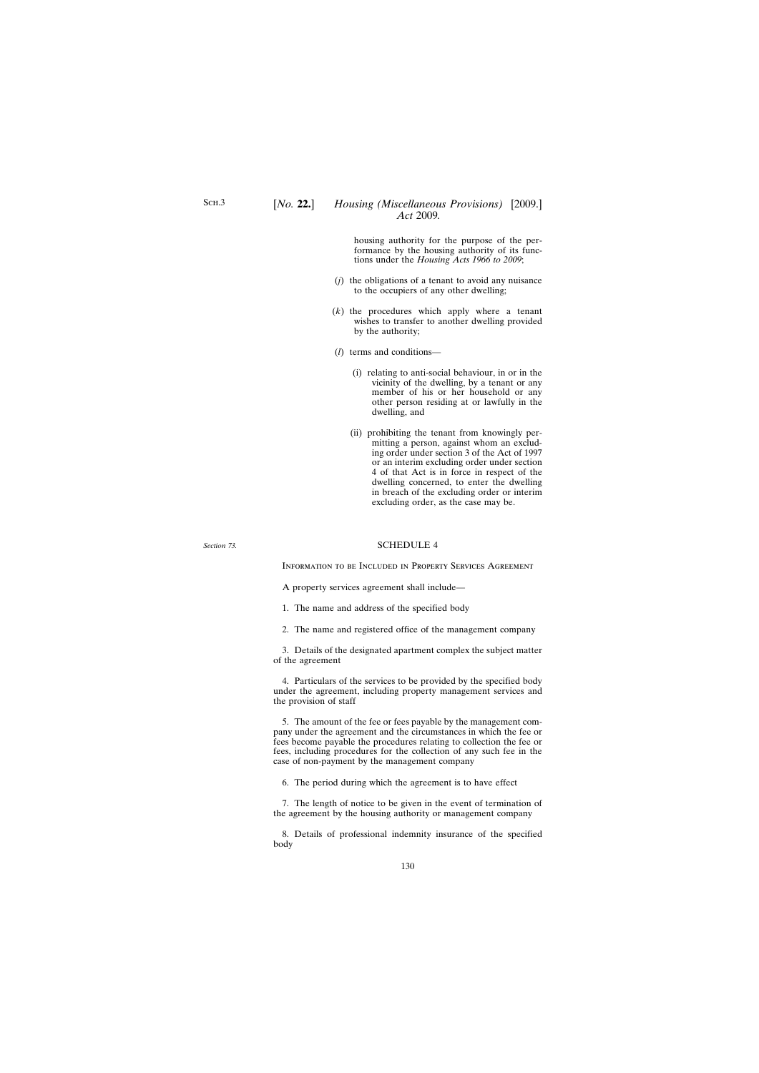housing authority for the purpose of the performance by the housing authority of its functions under the *Housing Acts 1966 to 2009*;

- (*j*) the obligations of a tenant to avoid any nuisance to the occupiers of any other dwelling;
- (*k*) the procedures which apply where a tenant wishes to transfer to another dwelling provided by the authority;
- (*l*) terms and conditions—
	- (i) relating to anti-social behaviour, in or in the vicinity of the dwelling, by a tenant or any member of his or her household or any other person residing at or lawfully in the dwelling, and
	- (ii) prohibiting the tenant from knowingly permitting a person, against whom an excluding order under section 3 of the Act of 1997 or an interim excluding order under section 4 of that Act is in force in respect of the dwelling concerned, to enter the dwelling in breach of the excluding order or interim excluding order, as the case may be.

*Section 73.*

### SCHEDULE 4

Information to be Included in Property Services Agreement

A property services agreement shall include—

1. The name and address of the specified body

2. The name and registered office of the management company

3. Details of the designated apartment complex the subject matter of the agreement

4. Particulars of the services to be provided by the specified body under the agreement, including property management services and the provision of staff

5. The amount of the fee or fees payable by the management company under the agreement and the circumstances in which the fee or fees become payable the procedures relating to collection the fee or fees, including procedures for the collection of any such fee in the case of non-payment by the management company

6. The period during which the agreement is to have effect

7. The length of notice to be given in the event of termination of the agreement by the housing authority or management company

8. Details of professional indemnity insurance of the specified body